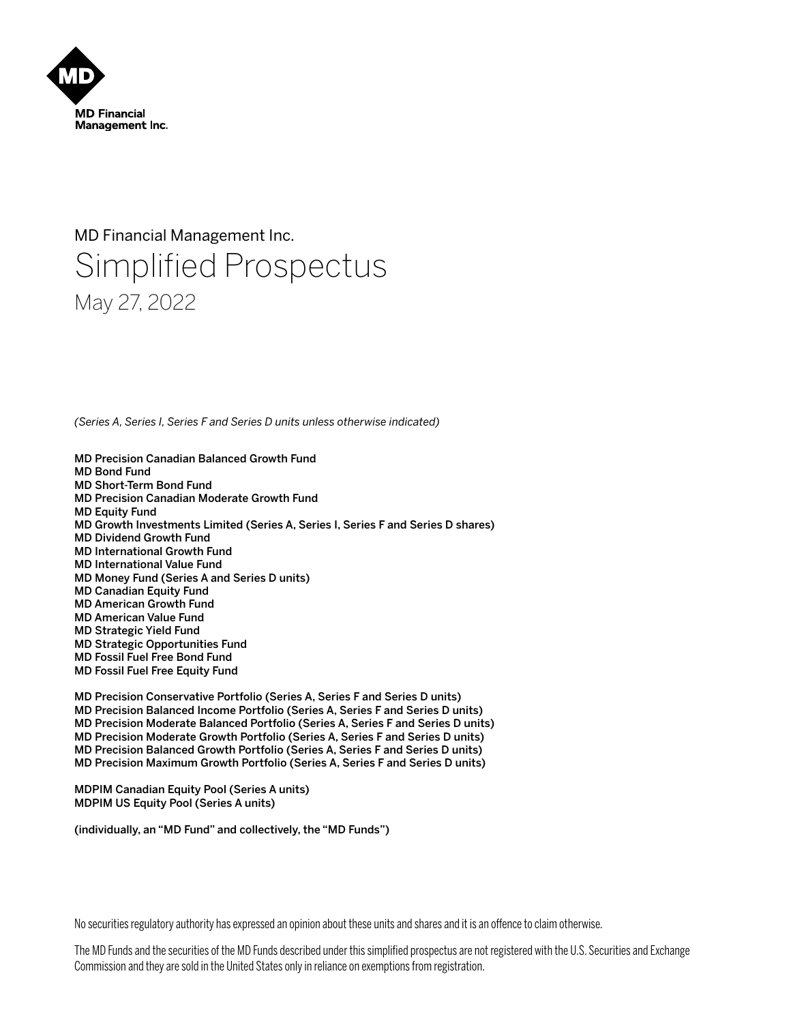

# MD Financial Management Inc. Simplified Prospectus May 27, 2022

*(Series A, Series I, Series F and Series D units unless otherwise indicated)*

- MD Precision Canadian Balanced Growth Fund
- MD Bond Fund MD Short-Term Bond Fund
- MD Precision Canadian Moderate Growth Fund
- MD Equity Fund
- MD Growth Investments Limited (Series A, Series I, Series F and Series D shares)
- MD Dividend Growth Fund
- MD International Growth Fund
- MD International Value Fund
- MD Money Fund (Series A and Series D units)
- MD Canadian Equity Fund
- MD American Growth Fund
- MD American Value Fund MD Strategic Yield Fund
- MD Strategic Opportunities Fund
- MD Fossil Fuel Free Bond Fund
- MD Fossil Fuel Free Equity Fund

MD Precision Conservative Portfolio (Series A, Series F and Series D units) MD Precision Balanced Income Portfolio (Series A, Series F and Series D units) MD Precision Moderate Balanced Portfolio (Series A, Series F and Series D units) MD Precision Moderate Growth Portfolio (Series A, Series F and Series D units) MD Precision Balanced Growth Portfolio (Series A, Series F and Series D units) MD Precision Maximum Growth Portfolio (Series A, Series F and Series D units)

MDPIM Canadian Equity Pool (Series A units) MDPIM US Equity Pool (Series A units)

(individually, an "MD Fund" and collectively, the "MD Funds")

No securities regulatory authority has expressed an opinion about these units and shares and it is an offence to claim otherwise.

The MD Funds and the securities of the MD Funds described under this simplified prospectus are not registered with the U.S. Securities and Exchange Commission and they are sold in the United States only in reliance on exemptions from registration.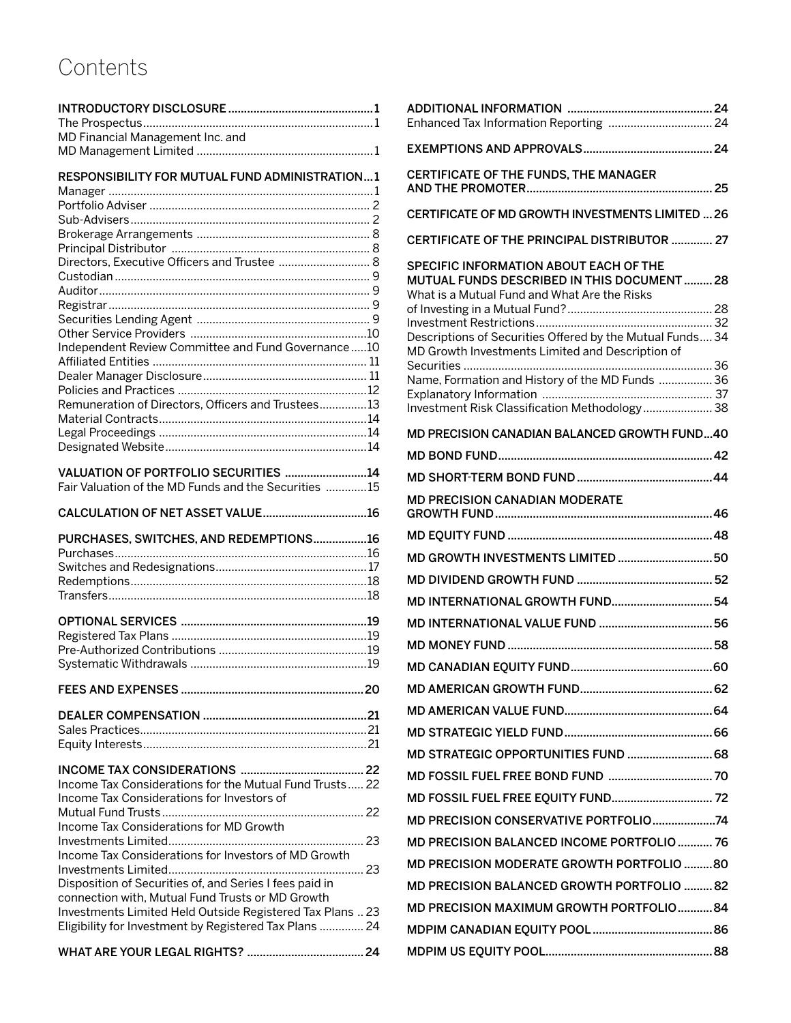# **Contents**

| <b>RESPONSIBILITY FOR MUTUAL FUND ADMINISTRATION1</b>     |  |
|-----------------------------------------------------------|--|
|                                                           |  |
|                                                           |  |
|                                                           |  |
|                                                           |  |
|                                                           |  |
| Directors, Executive Officers and Trustee  8              |  |
|                                                           |  |
|                                                           |  |
|                                                           |  |
|                                                           |  |
| Independent Review Committee and Fund Governance10        |  |
|                                                           |  |
|                                                           |  |
|                                                           |  |
| Remuneration of Directors, Officers and Trustees13        |  |
|                                                           |  |
|                                                           |  |
|                                                           |  |
|                                                           |  |
| VALUATION OF PORTFOLIO SECURITIES 14                      |  |
| Fair Valuation of the MD Funds and the Securities 15      |  |
| CALCULATION OF NET ASSET VALUE16                          |  |
| PURCHASES, SWITCHES, AND REDEMPTIONS16                    |  |
|                                                           |  |
|                                                           |  |
|                                                           |  |
|                                                           |  |
|                                                           |  |
|                                                           |  |
|                                                           |  |
|                                                           |  |
|                                                           |  |
|                                                           |  |
|                                                           |  |
|                                                           |  |
|                                                           |  |
|                                                           |  |
|                                                           |  |
|                                                           |  |
| Income Tax Considerations for the Mutual Fund Trusts 22   |  |
| Income Tax Considerations for Investors of                |  |
| Income Tax Considerations for MD Growth                   |  |
|                                                           |  |
| Income Tax Considerations for Investors of MD Growth      |  |
|                                                           |  |
| Disposition of Securities of, and Series I fees paid in   |  |
| connection with, Mutual Fund Trusts or MD Growth          |  |
| Investments Limited Held Outside Registered Tax Plans  23 |  |
| Eligibility for Investment by Registered Tax Plans  24    |  |
|                                                           |  |

| CERTIFICATE OF THE FUNDS, THE MANAGER                                                                                                                                                                                                                |  |
|------------------------------------------------------------------------------------------------------------------------------------------------------------------------------------------------------------------------------------------------------|--|
| CERTIFICATE OF MD GROWTH INVESTMENTS LIMITED  26                                                                                                                                                                                                     |  |
| CERTIFICATE OF THE PRINCIPAL DISTRIBUTOR  27                                                                                                                                                                                                         |  |
| SPECIFIC INFORMATION ABOUT EACH OF THE<br>MUTUAL FUNDS DESCRIBED IN THIS DOCUMENT28<br>What is a Mutual Fund and What Are the Risks<br>Descriptions of Securities Offered by the Mutual Funds 34<br>MD Growth Investments Limited and Description of |  |
| Name, Formation and History of the MD Funds  36<br>Investment Risk Classification Methodology 38                                                                                                                                                     |  |
| MD PRECISION CANADIAN BALANCED GROWTH FUND40                                                                                                                                                                                                         |  |
|                                                                                                                                                                                                                                                      |  |
|                                                                                                                                                                                                                                                      |  |
| <b>MD PRECISION CANADIAN MODERATE</b>                                                                                                                                                                                                                |  |
|                                                                                                                                                                                                                                                      |  |
| MD GROWTH INVESTMENTS LIMITED  50                                                                                                                                                                                                                    |  |
|                                                                                                                                                                                                                                                      |  |
| MD INTERNATIONAL GROWTH FUND 54                                                                                                                                                                                                                      |  |
|                                                                                                                                                                                                                                                      |  |
|                                                                                                                                                                                                                                                      |  |
|                                                                                                                                                                                                                                                      |  |
|                                                                                                                                                                                                                                                      |  |
|                                                                                                                                                                                                                                                      |  |
|                                                                                                                                                                                                                                                      |  |
| MD STRATEGIC OPPORTUNITIES FUND  68                                                                                                                                                                                                                  |  |
|                                                                                                                                                                                                                                                      |  |
|                                                                                                                                                                                                                                                      |  |
| MD PRECISION CONSERVATIVE PORTFOLIO74                                                                                                                                                                                                                |  |
| MD PRECISION BALANCED INCOME PORTFOLIO  76                                                                                                                                                                                                           |  |
| MD PRECISION MODERATE GROWTH PORTFOLIO 80                                                                                                                                                                                                            |  |
| MD PRECISION BALANCED GROWTH PORTFOLIO 82                                                                                                                                                                                                            |  |
| MD PRECISION MAXIMUM GROWTH PORTFOLIO84                                                                                                                                                                                                              |  |
|                                                                                                                                                                                                                                                      |  |
|                                                                                                                                                                                                                                                      |  |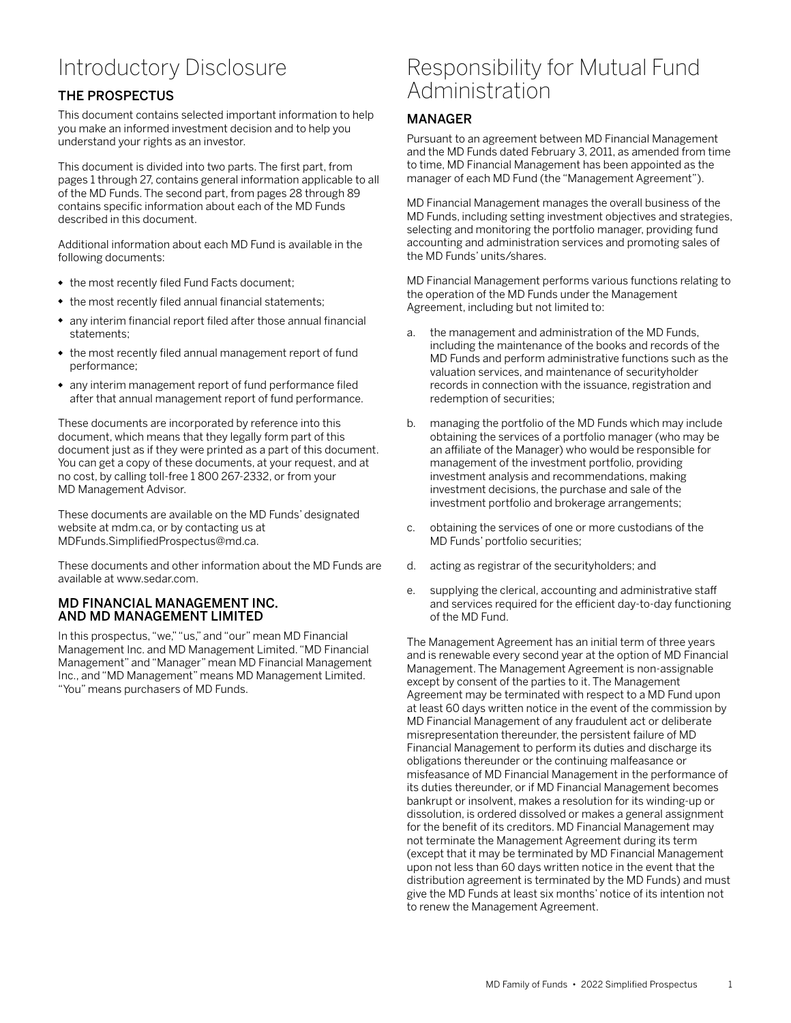## <span id="page-2-0"></span>Introductory Disclosure

## THE PROSPECTUS

This document contains selected important information to help you make an informed investment decision and to help you understand your rights as an investor.

This document is divided into two parts. The first part, from pages 1 through 27, contains general information applicable to all of the MD Funds. The second part, from pages 28 through 89 contains specific information about each of the MD Funds described in this document.

Additional information about each MD Fund is available in the following documents:

- the most recently filed Fund Facts document;
- the most recently filed annual financial statements;
- any interim financial report filed after those annual financial statements;
- the most recently filed annual management report of fund performance;
- any interim management report of fund performance filed after that annual management report of fund performance.

These documents are incorporated by reference into this document, which means that they legally form part of this document just as if they were printed as a part of this document. You can get a copy of these documents, at your request, and at no cost, by calling toll-free 1 800 267-2332, or from your MD Management Advisor.

These documents are available on the MD Funds' designated website at mdm.ca, or by contacting us at MDFunds.SimplifiedProspectus@md.ca.

These documents and other information about the MD Funds are available at www.sedar.com.

### MD FINANCIAL MANAGEMENT INC. AND MD MANAGEMENT LIMITED

In this prospectus, "we," "us," and "our" mean MD Financial Management Inc. and MD Management Limited. "MD Financial Management" and "Manager" mean MD Financial Management Inc., and "MD Management" means MD Management Limited. "You" means purchasers of MD Funds.

## Responsibility for Mutual Fund **Administration**

### MANAGER

Pursuant to an agreement between MD Financial Management and the MD Funds dated February 3, 2011, as amended from time to time, MD Financial Management has been appointed as the manager of each MD Fund (the "Management Agreement").

MD Financial Management manages the overall business of the MD Funds, including setting investment objectives and strategies, selecting and monitoring the portfolio manager, providing fund accounting and administration services and promoting sales of the MD Funds' units/shares.

MD Financial Management performs various functions relating to the operation of the MD Funds under the Management Agreement, including but not limited to:

- a. the management and administration of the MD Funds, including the maintenance of the books and records of the MD Funds and perform administrative functions such as the valuation services, and maintenance of securityholder records in connection with the issuance, registration and redemption of securities;
- b. managing the portfolio of the MD Funds which may include obtaining the services of a portfolio manager (who may be an affiliate of the Manager) who would be responsible for management of the investment portfolio, providing investment analysis and recommendations, making investment decisions, the purchase and sale of the investment portfolio and brokerage arrangements;
- c. obtaining the services of one or more custodians of the MD Funds' portfolio securities;
- d. acting as registrar of the securityholders; and
- e. supplying the clerical, accounting and administrative staff and services required for the efficient day-to-day functioning of the MD Fund.

The Management Agreement has an initial term of three years and is renewable every second year at the option of MD Financial Management. The Management Agreement is non-assignable except by consent of the parties to it. The Management Agreement may be terminated with respect to a MD Fund upon at least 60 days written notice in the event of the commission by MD Financial Management of any fraudulent act or deliberate misrepresentation thereunder, the persistent failure of MD Financial Management to perform its duties and discharge its obligations thereunder or the continuing malfeasance or misfeasance of MD Financial Management in the performance of its duties thereunder, or if MD Financial Management becomes bankrupt or insolvent, makes a resolution for its winding-up or dissolution, is ordered dissolved or makes a general assignment for the benefit of its creditors. MD Financial Management may not terminate the Management Agreement during its term (except that it may be terminated by MD Financial Management upon not less than 60 days written notice in the event that the distribution agreement is terminated by the MD Funds) and must give the MD Funds at least six months' notice of its intention not to renew the Management Agreement.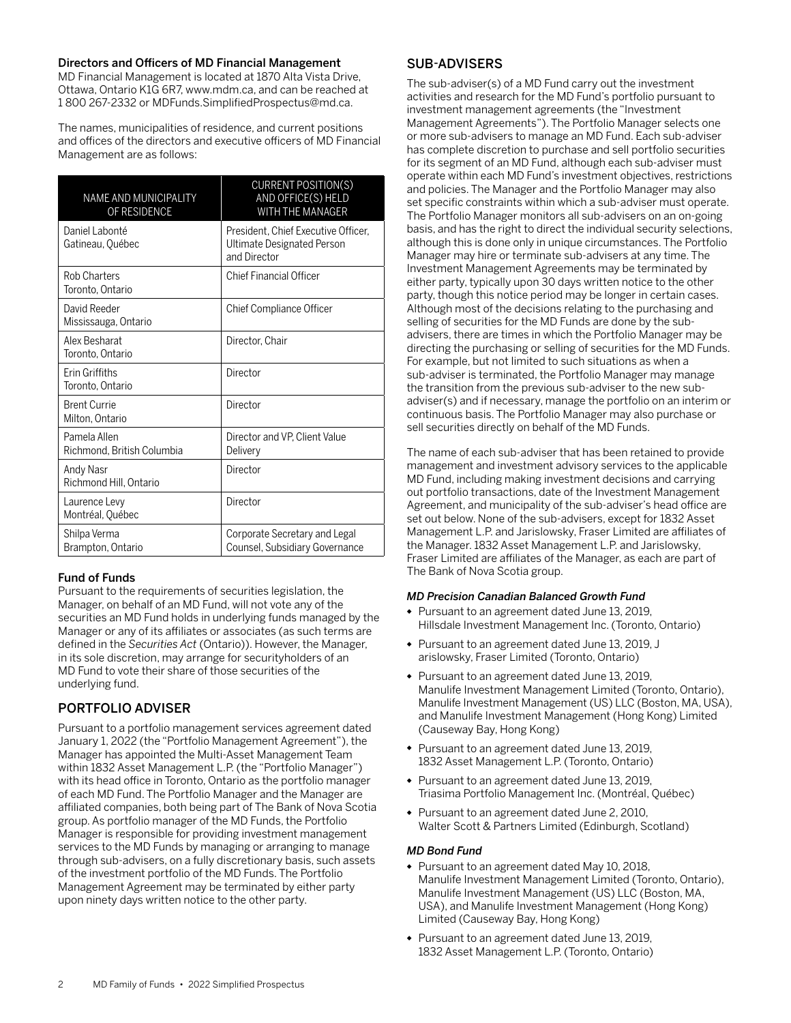### <span id="page-3-0"></span>Directors and Officers of MD Financial Management

MD Financial Management is located at 1870 Alta Vista Drive, Ottawa, Ontario K1G 6R7, www.mdm.ca, and can be reached at 1 800 267-2332 or MDFunds.SimplifiedProspectus@md.ca.

The names, municipalities of residence, and current positions and offices of the directors and executive officers of MD Financial Management are as follows:

| <b>NAME AND MUNICIPALITY</b><br>OF RESIDENCE | <b>CURRENT POSITION(S)</b><br>AND OFFICE(S) HELD<br><b>WITH THE MANAGER</b>       |
|----------------------------------------------|-----------------------------------------------------------------------------------|
| Daniel Labonté<br>Gatineau, Québec           | President, Chief Executive Officer,<br>Ultimate Designated Person<br>and Director |
| <b>Rob Charters</b><br>Toronto. Ontario      | <b>Chief Financial Officer</b>                                                    |
| David Reeder<br>Mississauga, Ontario         | <b>Chief Compliance Officer</b>                                                   |
| Alex Besharat<br>Toronto, Ontario            | Director, Chair                                                                   |
| <b>Frin Griffiths</b><br>Toronto, Ontario    | Director                                                                          |
| <b>Brent Currie</b><br>Milton, Ontario       | Director                                                                          |
| Pamela Allen<br>Richmond, British Columbia   | Director and VP, Client Value<br>Delivery                                         |
| Andy Nasr<br>Richmond Hill, Ontario          | Director                                                                          |
| Laurence Levy<br>Montréal, Québec            | Director                                                                          |
| Shilpa Verma<br>Brampton, Ontario            | Corporate Secretary and Legal<br>Counsel, Subsidiary Governance                   |

### Fund of Funds

Pursuant to the requirements of securities legislation, the Manager, on behalf of an MD Fund, will not vote any of the securities an MD Fund holds in underlying funds managed by the Manager or any of its affiliates or associates (as such terms are defined in the *Securities Act* (Ontario)). However, the Manager, in its sole discretion, may arrange for securityholders of an MD Fund to vote their share of those securities of the underlying fund.

## PORTFOLIO ADVISER

Pursuant to a portfolio management services agreement dated January 1, 2022 (the "Portfolio Management Agreement"), the Manager has appointed the Multi-Asset Management Team within 1832 Asset Management L.P. (the "Portfolio Manager") with its head office in Toronto, Ontario as the portfolio manager of each MD Fund. The Portfolio Manager and the Manager are affiliated companies, both being part of The Bank of Nova Scotia group. As portfolio manager of the MD Funds, the Portfolio Manager is responsible for providing investment management services to the MD Funds by managing or arranging to manage through sub-advisers, on a fully discretionary basis, such assets of the investment portfolio of the MD Funds. The Portfolio Management Agreement may be terminated by either party upon ninety days written notice to the other party.

## SUB-ADVISERS

The sub-adviser(s) of a MD Fund carry out the investment activities and research for the MD Fund's portfolio pursuant to investment management agreements (the "Investment Management Agreements"). The Portfolio Manager selects one or more sub-advisers to manage an MD Fund. Each sub-adviser has complete discretion to purchase and sell portfolio securities for its segment of an MD Fund, although each sub-adviser must operate within each MD Fund's investment objectives, restrictions and policies. The Manager and the Portfolio Manager may also set specific constraints within which a sub-adviser must operate. The Portfolio Manager monitors all sub-advisers on an on-going basis, and has the right to direct the individual security selections, although this is done only in unique circumstances. The Portfolio Manager may hire or terminate sub-advisers at any time. The Investment Management Agreements may be terminated by either party, typically upon 30 days written notice to the other party, though this notice period may be longer in certain cases. Although most of the decisions relating to the purchasing and selling of securities for the MD Funds are done by the subadvisers, there are times in which the Portfolio Manager may be directing the purchasing or selling of securities for the MD Funds. For example, but not limited to such situations as when a sub-adviser is terminated, the Portfolio Manager may manage the transition from the previous sub-adviser to the new subadviser(s) and if necessary, manage the portfolio on an interim or continuous basis. The Portfolio Manager may also purchase or sell securities directly on behalf of the MD Funds.

The name of each sub-adviser that has been retained to provide management and investment advisory services to the applicable MD Fund, including making investment decisions and carrying out portfolio transactions, date of the Investment Management Agreement, and municipality of the sub-adviser's head office are set out below. None of the sub-advisers, except for 1832 Asset Management L.P. and Jarislowsky, Fraser Limited are affiliates of the Manager. 1832 Asset Management L.P. and Jarislowsky, Fraser Limited are affiliates of the Manager, as each are part of The Bank of Nova Scotia group.

### *MD Precision Canadian Balanced Growth Fund*

- Pursuant to an agreement dated June 13, 2019, Hillsdale Investment Management Inc. (Toronto, Ontario)
- Pursuant to an agreement dated June 13, 2019, J arislowsky, Fraser Limited (Toronto, Ontario)
- Pursuant to an agreement dated June 13, 2019, Manulife Investment Management Limited (Toronto, Ontario), Manulife Investment Management (US) LLC (Boston, MA, USA), and Manulife Investment Management (Hong Kong) Limited (Causeway Bay, Hong Kong)
- Pursuant to an agreement dated June 13, 2019, 1832 Asset Management L.P. (Toronto, Ontario)
- Pursuant to an agreement dated June 13, 2019, Triasima Portfolio Management Inc. (Montréal, Québec)
- Pursuant to an agreement dated June 2, 2010, Walter Scott & Partners Limited (Edinburgh, Scotland)

### *MD Bond Fund*

- Pursuant to an agreement dated May 10, 2018, Manulife Investment Management Limited (Toronto, Ontario), Manulife Investment Management (US) LLC (Boston, MA, USA), and Manulife Investment Management (Hong Kong) Limited (Causeway Bay, Hong Kong)
- Pursuant to an agreement dated June 13, 2019, 1832 Asset Management L.P. (Toronto, Ontario)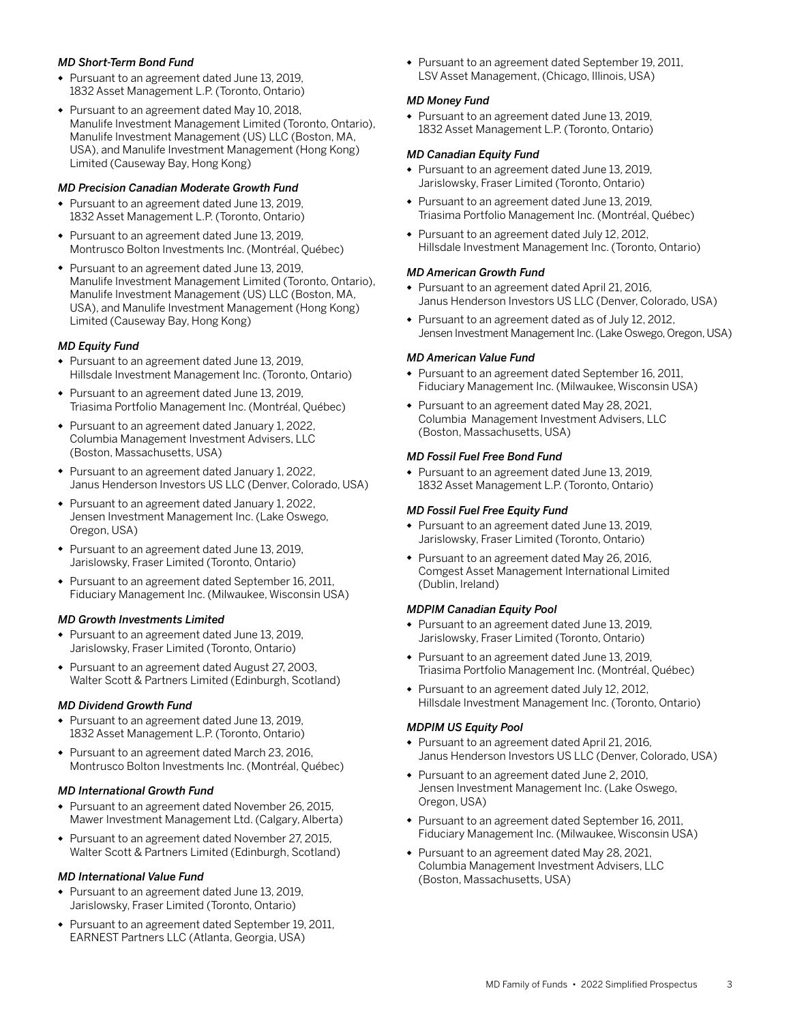### *MD Short-Term Bond Fund*

- Pursuant to an agreement dated June 13, 2019, 1832 Asset Management L.P. (Toronto, Ontario)
- Pursuant to an agreement dated May 10, 2018, Manulife Investment Management Limited (Toronto, Ontario), Manulife Investment Management (US) LLC (Boston, MA, USA), and Manulife Investment Management (Hong Kong) Limited (Causeway Bay, Hong Kong)

### *MD Precision Canadian Moderate Growth Fund*

- Pursuant to an agreement dated June 13, 2019, 1832 Asset Management L.P. (Toronto, Ontario)
- Pursuant to an agreement dated June 13, 2019, Montrusco Bolton Investments Inc. (Montréal, Québec)
- Pursuant to an agreement dated June 13, 2019, Manulife Investment Management Limited (Toronto, Ontario), Manulife Investment Management (US) LLC (Boston, MA, USA), and Manulife Investment Management (Hong Kong) Limited (Causeway Bay, Hong Kong)

### *MD Equity Fund*

- Pursuant to an agreement dated June 13, 2019, Hillsdale Investment Management Inc. (Toronto, Ontario)
- Pursuant to an agreement dated June 13, 2019, Triasima Portfolio Management Inc. (Montréal, Québec)
- Pursuant to an agreement dated January 1, 2022, Columbia Management Investment Advisers, LLC (Boston, Massachusetts, USA)
- Pursuant to an agreement dated January 1, 2022, Janus Henderson Investors US LLC (Denver, Colorado, USA)
- Pursuant to an agreement dated January 1, 2022, Jensen Investment Management Inc. (Lake Oswego, Oregon, USA)
- Pursuant to an agreement dated June 13, 2019, Jarislowsky, Fraser Limited (Toronto, Ontario)
- Pursuant to an agreement dated September 16, 2011, Fiduciary Management Inc. (Milwaukee, Wisconsin USA)

### *MD Growth Investments Limited*

- Pursuant to an agreement dated June 13, 2019, Jarislowsky, Fraser Limited (Toronto, Ontario)
- Pursuant to an agreement dated August 27, 2003, Walter Scott & Partners Limited (Edinburgh, Scotland)

### *MD Dividend Growth Fund*

- Pursuant to an agreement dated June 13, 2019, 1832 Asset Management L.P. (Toronto, Ontario)
- Pursuant to an agreement dated March 23, 2016, Montrusco Bolton Investments Inc. (Montréal, Québec)

### *MD International Growth Fund*

- Pursuant to an agreement dated November 26, 2015, Mawer Investment Management Ltd. (Calgary, Alberta)
- Pursuant to an agreement dated November 27, 2015, Walter Scott & Partners Limited (Edinburgh, Scotland)

### *MD International Value Fund*

- Pursuant to an agreement dated June 13, 2019, Jarislowsky, Fraser Limited (Toronto, Ontario)
- Pursuant to an agreement dated September 19, 2011, EARNEST Partners LLC (Atlanta, Georgia, USA)

• Pursuant to an agreement dated September 19, 2011, LSV Asset Management, (Chicago, Illinois, USA)

### *MD Money Fund*

• Pursuant to an agreement dated June 13, 2019, 1832 Asset Management L.P. (Toronto, Ontario)

### *MD Canadian Equity Fund*

- Pursuant to an agreement dated June 13, 2019, Jarislowsky, Fraser Limited (Toronto, Ontario)
- Pursuant to an agreement dated June 13, 2019, Triasima Portfolio Management Inc. (Montréal, Québec)
- Pursuant to an agreement dated July 12, 2012, Hillsdale Investment Management Inc. (Toronto, Ontario)

### *MD American Growth Fund*

- Pursuant to an agreement dated April 21, 2016, Janus Henderson Investors US LLC (Denver, Colorado, USA)
- Pursuant to an agreement dated as of July 12, 2012, Jensen Investment Management Inc. (Lake Oswego, Oregon, USA)

### *MD American Value Fund*

- Pursuant to an agreement dated September 16, 2011, Fiduciary Management Inc. (Milwaukee, Wisconsin USA)
- Pursuant to an agreement dated May 28, 2021, Columbia Management Investment Advisers, LLC (Boston, Massachusetts, USA)

### *MD Fossil Fuel Free Bond Fund*

• Pursuant to an agreement dated June 13, 2019, 1832 Asset Management L.P. (Toronto, Ontario)

### *MD Fossil Fuel Free Equity Fund*

- Pursuant to an agreement dated June 13, 2019, Jarislowsky, Fraser Limited (Toronto, Ontario)
- Pursuant to an agreement dated May 26, 2016, Comgest Asset Management International Limited (Dublin, Ireland)

### *MDPIM Canadian Equity Pool*

- Pursuant to an agreement dated June 13, 2019, Jarislowsky, Fraser Limited (Toronto, Ontario)
- Pursuant to an agreement dated June 13, 2019, Triasima Portfolio Management Inc. (Montréal, Québec)
- Pursuant to an agreement dated July 12, 2012, Hillsdale Investment Management Inc. (Toronto, Ontario)

### *MDPIM US Equity Pool*

- Pursuant to an agreement dated April 21, 2016, Janus Henderson Investors US LLC (Denver, Colorado, USA)
- Pursuant to an agreement dated June 2, 2010, Jensen Investment Management Inc. (Lake Oswego, Oregon, USA)
- Pursuant to an agreement dated September 16, 2011, Fiduciary Management Inc. (Milwaukee, Wisconsin USA)
- Pursuant to an agreement dated May 28, 2021, Columbia Management Investment Advisers, LLC (Boston, Massachusetts, USA)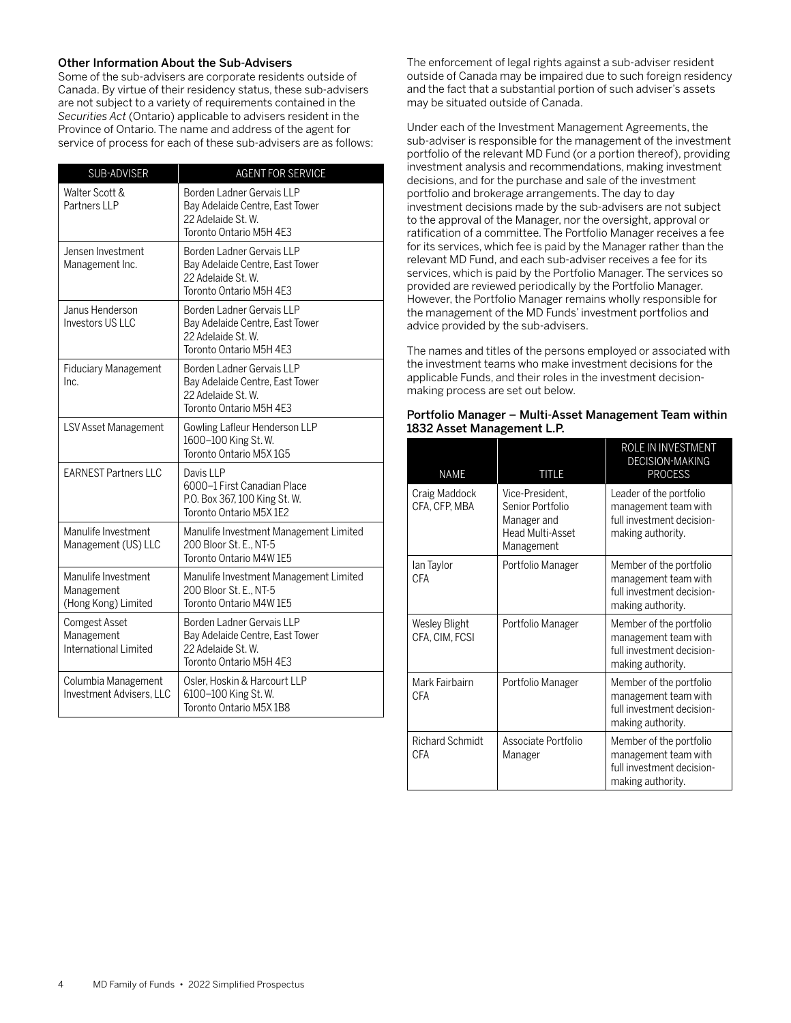### Other Information About the Sub-Advisers

Some of the sub-advisers are corporate residents outside of Canada. By virtue of their residency status, these sub-advisers are not subject to a variety of requirements contained in the *Securities Act* (Ontario) applicable to advisers resident in the Province of Ontario. The name and address of the agent for service of process for each of these sub-advisers are as follows:

| SUB-ADVISER                                              | <b>AGENT FOR SERVICE</b>                                                                                      |
|----------------------------------------------------------|---------------------------------------------------------------------------------------------------------------|
| Walter Scott &<br>Partners IIP                           | Borden Ladner Gervais LLP<br>Bay Adelaide Centre, East Tower<br>22 Adelaide St. W.<br>Toronto Ontario M5H 4E3 |
| Jensen Investment<br>Management Inc.                     | Borden Ladner Gervais LLP<br>Bay Adelaide Centre, East Tower<br>22 Adelaide St. W.<br>Toronto Ontario M5H 4E3 |
| Janus Henderson<br>Investors US LLC                      | Borden Ladner Gervais LLP<br>Bay Adelaide Centre, East Tower<br>22 Adelaide St. W.<br>Toronto Ontario M5H 4E3 |
| <b>Fiduciary Management</b><br>Inc.                      | Borden Ladner Gervais LLP<br>Bay Adelaide Centre, East Tower<br>22 Adelaide St. W.<br>Toronto Ontario M5H 4E3 |
| LSV Asset Management                                     | Gowling Lafleur Henderson LLP<br>1600-100 King St. W.<br>Toronto Ontario M5X 1G5                              |
| <b>FARNEST Partners IIC</b>                              | Davis LLP<br>6000–1 First Canadian Place<br>P.O. Box 367, 100 King St. W.<br>Toronto Ontario M5X 1E2          |
| Manulife Investment<br>Management (US) LLC               | Manulife Investment Management Limited<br>200 Bloor St. E., NT-5<br>Toronto Ontario M4W 1E5                   |
| Manulife Investment<br>Management<br>(Hong Kong) Limited | Manulife Investment Management Limited<br>200 Bloor St. E., NT-5<br>Toronto Ontario M4W 1E5                   |
| Comgest Asset<br>Management<br>International Limited     | Borden Ladner Gervais LLP<br>Bay Adelaide Centre, East Tower<br>22 Adelaide St. W.<br>Toronto Ontario M5H 4E3 |
| Columbia Management<br><b>Investment Advisers, LLC</b>   | Osler, Hoskin & Harcourt LLP<br>6100-100 King St. W.<br>Toronto Ontario M5X 1B8                               |

The enforcement of legal rights against a sub-adviser resident outside of Canada may be impaired due to such foreign residency and the fact that a substantial portion of such adviser's assets may be situated outside of Canada.

Under each of the Investment Management Agreements, the sub-adviser is responsible for the management of the investment portfolio of the relevant MD Fund (or a portion thereof), providing investment analysis and recommendations, making investment decisions, and for the purchase and sale of the investment portfolio and brokerage arrangements. The day to day investment decisions made by the sub-advisers are not subject to the approval of the Manager, nor the oversight, approval or ratification of a committee. The Portfolio Manager receives a fee for its services, which fee is paid by the Manager rather than the relevant MD Fund, and each sub-adviser receives a fee for its services, which is paid by the Portfolio Manager. The services so provided are reviewed periodically by the Portfolio Manager. However, the Portfolio Manager remains wholly responsible for the management of the MD Funds' investment portfolios and advice provided by the sub-advisers.

The names and titles of the persons employed or associated with the investment teams who make investment decisions for the applicable Funds, and their roles in the investment decisionmaking process are set out below.

| <b>NAME</b>                            | <b>TITLE</b>                                                                                | ROLE IN INVESTMENT<br><b>DECISION-MAKING</b><br><b>PROCESS</b>                                    |
|----------------------------------------|---------------------------------------------------------------------------------------------|---------------------------------------------------------------------------------------------------|
| Craig Maddock<br>CFA, CFP, MBA         | Vice-President,<br>Senior Portfolio<br>Manager and<br><b>Head Multi-Asset</b><br>Management | Leader of the portfolio<br>management team with<br>full investment decision-<br>making authority. |
| lan Taylor<br>CFA                      | Portfolio Manager                                                                           | Member of the portfolio<br>management team with<br>full investment decision-<br>making authority. |
| <b>Wesley Blight</b><br>CFA, CIM, FCSI | Portfolio Manager                                                                           | Member of the portfolio<br>management team with<br>full investment decision-<br>making authority. |
| Mark Fairbairn<br>CFA                  | Portfolio Manager                                                                           | Member of the portfolio<br>management team with<br>full investment decision-<br>making authority. |
| <b>Richard Schmidt</b><br>CFA          | Associate Portfolio<br>Manager                                                              | Member of the portfolio<br>management team with<br>full investment decision-<br>making authority. |

| Portfolio Manager – Multi-Asset Management Team within |
|--------------------------------------------------------|
| 1832 Asset Management L.P.                             |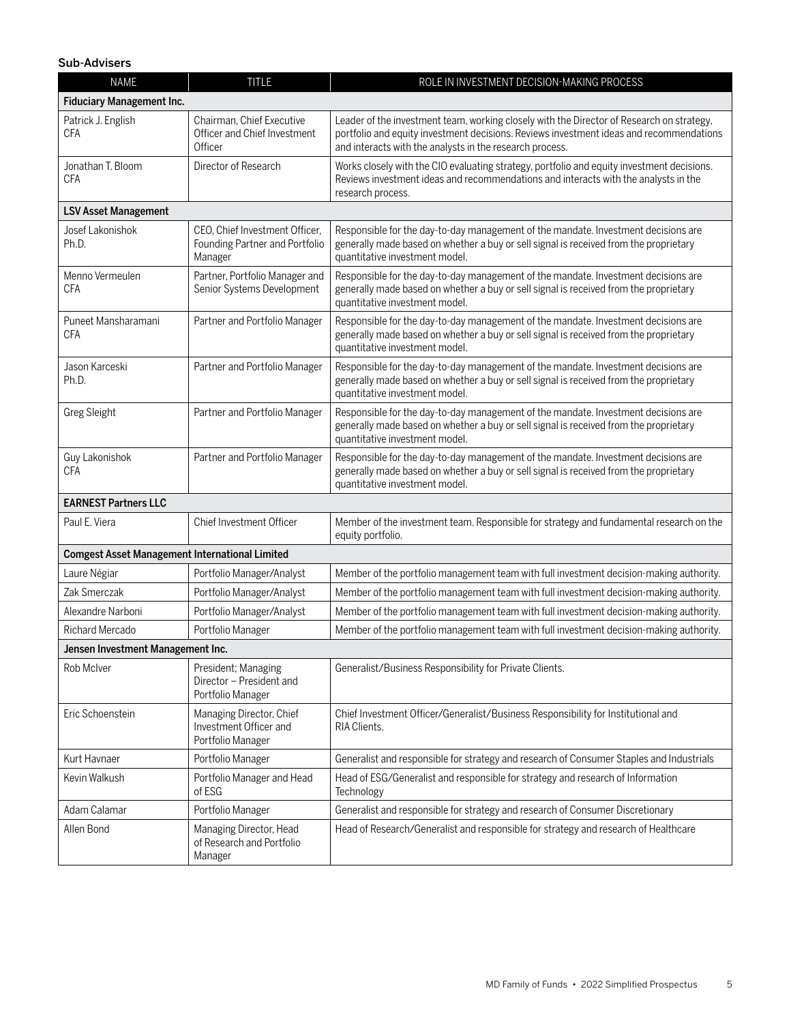### Sub-Advisers

| <b>NAME</b>                                           | <b>TITLE</b>                                                                | ROLE IN INVESTMENT DECISION-MAKING PROCESS                                                                                                                                                                                                       |  |
|-------------------------------------------------------|-----------------------------------------------------------------------------|--------------------------------------------------------------------------------------------------------------------------------------------------------------------------------------------------------------------------------------------------|--|
| Fiduciary Management Inc.                             |                                                                             |                                                                                                                                                                                                                                                  |  |
| Patrick J. English<br><b>CFA</b>                      | Chairman, Chief Executive<br>Officer and Chief Investment<br>Officer        | Leader of the investment team, working closely with the Director of Research on strategy,<br>portfolio and equity investment decisions. Reviews investment ideas and recommendations<br>and interacts with the analysts in the research process. |  |
| Jonathan T. Bloom<br><b>CFA</b>                       | Director of Research                                                        | Works closely with the CIO evaluating strategy, portfolio and equity investment decisions.<br>Reviews investment ideas and recommendations and interacts with the analysts in the<br>research process.                                           |  |
| <b>LSV Asset Management</b>                           |                                                                             |                                                                                                                                                                                                                                                  |  |
| Josef Lakonishok<br>Ph.D.                             | CEO, Chief Investment Officer,<br>Founding Partner and Portfolio<br>Manager | Responsible for the day-to-day management of the mandate. Investment decisions are<br>generally made based on whether a buy or sell signal is received from the proprietary<br>quantitative investment model.                                    |  |
| Menno Vermeulen<br>CFA                                | Partner, Portfolio Manager and<br>Senior Systems Development                | Responsible for the day-to-day management of the mandate. Investment decisions are<br>generally made based on whether a buy or sell signal is received from the proprietary<br>quantitative investment model.                                    |  |
| Puneet Mansharamani<br><b>CFA</b>                     | Partner and Portfolio Manager                                               | Responsible for the day-to-day management of the mandate. Investment decisions are<br>generally made based on whether a buy or sell signal is received from the proprietary<br>quantitative investment model.                                    |  |
| Jason Karceski<br>Ph.D.                               | Partner and Portfolio Manager                                               | Responsible for the day-to-day management of the mandate. Investment decisions are<br>generally made based on whether a buy or sell signal is received from the proprietary<br>quantitative investment model.                                    |  |
| <b>Greg Sleight</b>                                   | Partner and Portfolio Manager                                               | Responsible for the day-to-day management of the mandate. Investment decisions are<br>generally made based on whether a buy or sell signal is received from the proprietary<br>quantitative investment model.                                    |  |
| Guy Lakonishok<br><b>CFA</b>                          | Partner and Portfolio Manager                                               | Responsible for the day-to-day management of the mandate. Investment decisions are<br>generally made based on whether a buy or sell signal is received from the proprietary<br>quantitative investment model.                                    |  |
| <b>EARNEST Partners LLC</b>                           |                                                                             |                                                                                                                                                                                                                                                  |  |
| Paul E. Viera                                         | Chief Investment Officer                                                    | Member of the investment team. Responsible for strategy and fundamental research on the<br>equity portfolio.                                                                                                                                     |  |
| <b>Comgest Asset Management International Limited</b> |                                                                             |                                                                                                                                                                                                                                                  |  |
| Laure Négiar                                          | Portfolio Manager/Analyst                                                   | Member of the portfolio management team with full investment decision-making authority.                                                                                                                                                          |  |
| Zak Smerczak                                          | Portfolio Manager/Analyst                                                   | Member of the portfolio management team with full investment decision-making authority.                                                                                                                                                          |  |
| Alexandre Narboni                                     | Portfolio Manager/Analyst                                                   | Member of the portfolio management team with full investment decision-making authority.                                                                                                                                                          |  |
| Richard Mercado                                       | Portfolio Manager                                                           | Member of the portfolio management team with full investment decision-making authority.                                                                                                                                                          |  |
| Jensen Investment Management Inc.                     |                                                                             |                                                                                                                                                                                                                                                  |  |
| Rob McIver                                            | President; Managing<br>Director - President and<br>Portfolio Manager        | Generalist/Business Responsibility for Private Clients.                                                                                                                                                                                          |  |
| Eric Schoenstein                                      | Managing Director, Chief<br>Investment Officer and<br>Portfolio Manager     | Chief Investment Officer/Generalist/Business Responsibility for Institutional and<br>RIA Clients.                                                                                                                                                |  |
| Kurt Havnaer                                          | Portfolio Manager                                                           | Generalist and responsible for strategy and research of Consumer Staples and Industrials                                                                                                                                                         |  |
| Kevin Walkush                                         | Portfolio Manager and Head<br>of ESG                                        | Head of ESG/Generalist and responsible for strategy and research of Information<br>Technology                                                                                                                                                    |  |
| Adam Calamar                                          | Portfolio Manager                                                           | Generalist and responsible for strategy and research of Consumer Discretionary                                                                                                                                                                   |  |
| Allen Bond                                            | Managing Director, Head<br>of Research and Portfolio<br>Manager             | Head of Research/Generalist and responsible for strategy and research of Healthcare                                                                                                                                                              |  |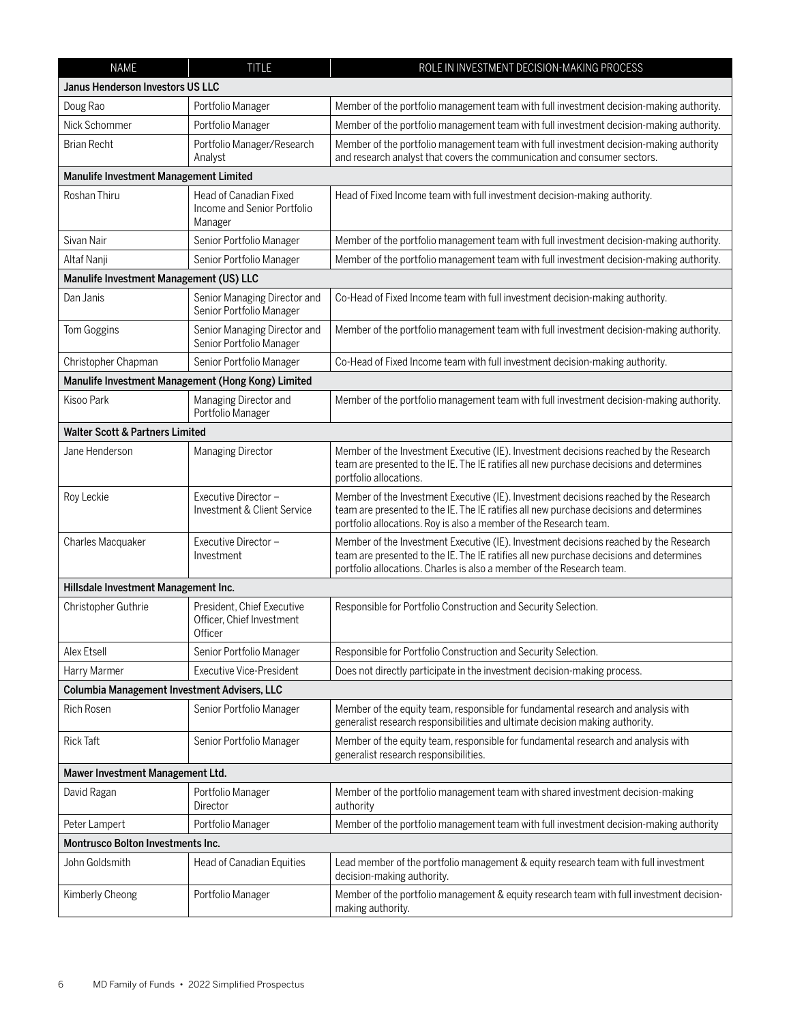| <b>NAME</b>                                        | <b>TITLE</b>                                                       | ROLE IN INVESTMENT DECISION-MAKING PROCESS                                                                                                                                                                                                                |  |
|----------------------------------------------------|--------------------------------------------------------------------|-----------------------------------------------------------------------------------------------------------------------------------------------------------------------------------------------------------------------------------------------------------|--|
| Janus Henderson Investors US LLC                   |                                                                    |                                                                                                                                                                                                                                                           |  |
| Doug Rao                                           | Portfolio Manager                                                  | Member of the portfolio management team with full investment decision-making authority.                                                                                                                                                                   |  |
| Nick Schommer                                      | Portfolio Manager                                                  | Member of the portfolio management team with full investment decision-making authority.                                                                                                                                                                   |  |
| <b>Brian Recht</b>                                 | Portfolio Manager/Research<br>Analyst                              | Member of the portfolio management team with full investment decision-making authority<br>and research analyst that covers the communication and consumer sectors.                                                                                        |  |
| Manulife Investment Management Limited             |                                                                    |                                                                                                                                                                                                                                                           |  |
| Roshan Thiru                                       | Head of Canadian Fixed<br>Income and Senior Portfolio<br>Manager   | Head of Fixed Income team with full investment decision-making authority.                                                                                                                                                                                 |  |
| Sivan Nair                                         | Senior Portfolio Manager                                           | Member of the portfolio management team with full investment decision-making authority.                                                                                                                                                                   |  |
| Altaf Nanji                                        | Senior Portfolio Manager                                           | Member of the portfolio management team with full investment decision-making authority.                                                                                                                                                                   |  |
| Manulife Investment Management (US) LLC            |                                                                    |                                                                                                                                                                                                                                                           |  |
| Dan Janis                                          | Senior Managing Director and<br>Senior Portfolio Manager           | Co-Head of Fixed Income team with full investment decision-making authority.                                                                                                                                                                              |  |
| Tom Goggins                                        | Senior Managing Director and<br>Senior Portfolio Manager           | Member of the portfolio management team with full investment decision-making authority.                                                                                                                                                                   |  |
| Christopher Chapman                                | Senior Portfolio Manager                                           | Co-Head of Fixed Income team with full investment decision-making authority.                                                                                                                                                                              |  |
| Manulife Investment Management (Hong Kong) Limited |                                                                    |                                                                                                                                                                                                                                                           |  |
| Kisoo Park                                         | Managing Director and<br>Portfolio Manager                         | Member of the portfolio management team with full investment decision-making authority.                                                                                                                                                                   |  |
| <b>Walter Scott &amp; Partners Limited</b>         |                                                                    |                                                                                                                                                                                                                                                           |  |
| Jane Henderson                                     | Managing Director                                                  | Member of the Investment Executive (IE). Investment decisions reached by the Research<br>team are presented to the IE. The IE ratifies all new purchase decisions and determines<br>portfolio allocations.                                                |  |
| Roy Leckie                                         | Executive Director -<br>Investment & Client Service                | Member of the Investment Executive (IE). Investment decisions reached by the Research<br>team are presented to the IE. The IE ratifies all new purchase decisions and determines<br>portfolio allocations. Roy is also a member of the Research team.     |  |
| Charles Macquaker                                  | Executive Director -<br>Investment                                 | Member of the Investment Executive (IE). Investment decisions reached by the Research<br>team are presented to the IE. The IE ratifies all new purchase decisions and determines<br>portfolio allocations. Charles is also a member of the Research team. |  |
| Hillsdale Investment Management Inc.               |                                                                    |                                                                                                                                                                                                                                                           |  |
| Christopher Guthrie                                | President, Chief Executive<br>Officer, Chief Investment<br>Officer | Responsible for Portfolio Construction and Security Selection.                                                                                                                                                                                            |  |
| Alex Etsell                                        | Senior Portfolio Manager                                           | Responsible for Portfolio Construction and Security Selection.                                                                                                                                                                                            |  |
| Harry Marmer                                       | <b>Executive Vice-President</b>                                    | Does not directly participate in the investment decision-making process.                                                                                                                                                                                  |  |
| Columbia Management Investment Advisers, LLC       |                                                                    |                                                                                                                                                                                                                                                           |  |
| <b>Rich Rosen</b>                                  | Senior Portfolio Manager                                           | Member of the equity team, responsible for fundamental research and analysis with<br>generalist research responsibilities and ultimate decision making authority.                                                                                         |  |
| <b>Rick Taft</b>                                   | Senior Portfolio Manager                                           | Member of the equity team, responsible for fundamental research and analysis with<br>generalist research responsibilities.                                                                                                                                |  |
| Mawer Investment Management Ltd.                   |                                                                    |                                                                                                                                                                                                                                                           |  |
| David Ragan                                        | Portfolio Manager<br>Director                                      | Member of the portfolio management team with shared investment decision-making<br>authority                                                                                                                                                               |  |
| Peter Lampert                                      | Portfolio Manager                                                  | Member of the portfolio management team with full investment decision-making authority                                                                                                                                                                    |  |
| <b>Montrusco Bolton Investments Inc.</b>           |                                                                    |                                                                                                                                                                                                                                                           |  |
| John Goldsmith                                     | Head of Canadian Equities                                          | Lead member of the portfolio management & equity research team with full investment<br>decision-making authority.                                                                                                                                         |  |
| Kimberly Cheong                                    | Portfolio Manager                                                  | Member of the portfolio management & equity research team with full investment decision-<br>making authority.                                                                                                                                             |  |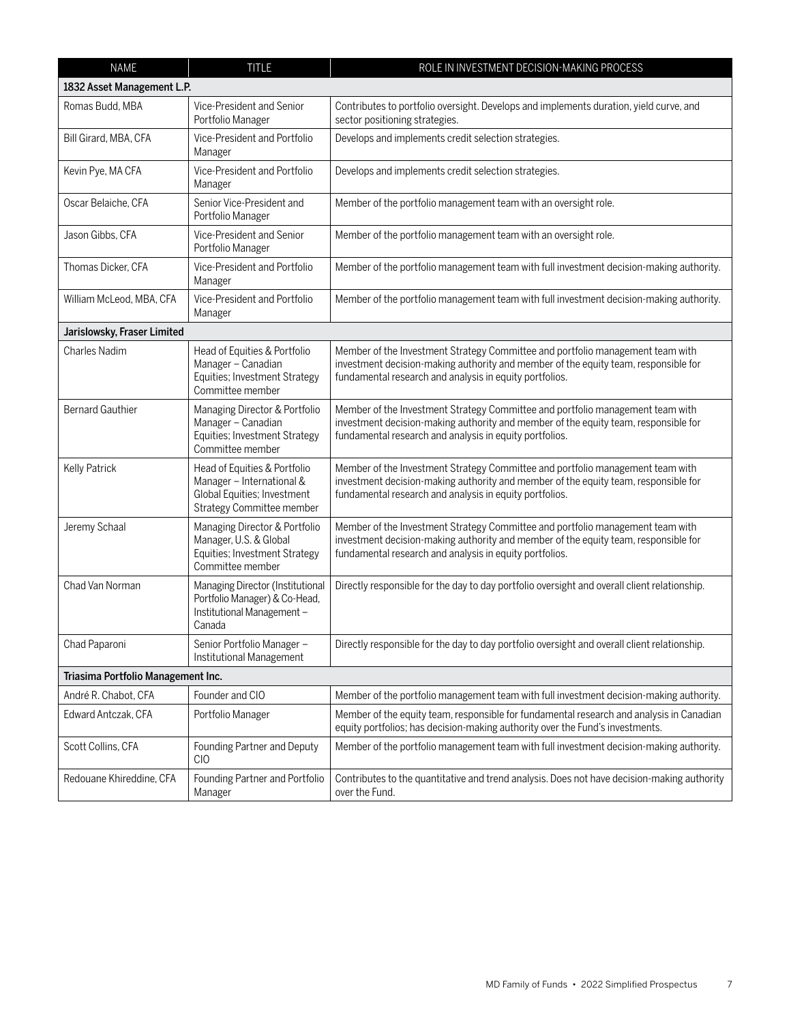| <b>NAME</b>                        | <b>TITLE</b>                                                                                                          | ROLE IN INVESTMENT DECISION-MAKING PROCESS                                                                                                                                                                                       |
|------------------------------------|-----------------------------------------------------------------------------------------------------------------------|----------------------------------------------------------------------------------------------------------------------------------------------------------------------------------------------------------------------------------|
| 1832 Asset Management L.P.         |                                                                                                                       |                                                                                                                                                                                                                                  |
| Romas Budd, MBA                    | Vice-President and Senior<br>Portfolio Manager                                                                        | Contributes to portfolio oversight. Develops and implements duration, yield curve, and<br>sector positioning strategies.                                                                                                         |
| Bill Girard, MBA, CFA              | Vice-President and Portfolio<br>Manager                                                                               | Develops and implements credit selection strategies.                                                                                                                                                                             |
| Kevin Pye, MA CFA                  | Vice-President and Portfolio<br>Manager                                                                               | Develops and implements credit selection strategies.                                                                                                                                                                             |
| Oscar Belaiche, CFA                | Senior Vice-President and<br>Portfolio Manager                                                                        | Member of the portfolio management team with an oversight role.                                                                                                                                                                  |
| Jason Gibbs, CFA                   | Vice-President and Senior<br>Portfolio Manager                                                                        | Member of the portfolio management team with an oversight role.                                                                                                                                                                  |
| Thomas Dicker, CFA                 | Vice-President and Portfolio<br>Manager                                                                               | Member of the portfolio management team with full investment decision-making authority.                                                                                                                                          |
| William McLeod, MBA, CFA           | Vice-President and Portfolio<br>Manager                                                                               | Member of the portfolio management team with full investment decision-making authority.                                                                                                                                          |
| Jarislowsky, Fraser Limited        |                                                                                                                       |                                                                                                                                                                                                                                  |
| <b>Charles Nadim</b>               | Head of Equities & Portfolio<br>Manager - Canadian<br>Equities; Investment Strategy<br>Committee member               | Member of the Investment Strategy Committee and portfolio management team with<br>investment decision-making authority and member of the equity team, responsible for<br>fundamental research and analysis in equity portfolios. |
| <b>Bernard Gauthier</b>            | Managing Director & Portfolio<br>Manager - Canadian<br>Equities; Investment Strategy<br>Committee member              | Member of the Investment Strategy Committee and portfolio management team with<br>investment decision-making authority and member of the equity team, responsible for<br>fundamental research and analysis in equity portfolios. |
| Kelly Patrick                      | Head of Equities & Portfolio<br>Manager - International &<br>Global Equities; Investment<br>Strategy Committee member | Member of the Investment Strategy Committee and portfolio management team with<br>investment decision-making authority and member of the equity team, responsible for<br>fundamental research and analysis in equity portfolios. |
| Jeremy Schaal                      | Managing Director & Portfolio<br>Manager, U.S. & Global<br>Equities; Investment Strategy<br>Committee member          | Member of the Investment Strategy Committee and portfolio management team with<br>investment decision-making authority and member of the equity team, responsible for<br>fundamental research and analysis in equity portfolios. |
| Chad Van Norman                    | Managing Director (Institutional<br>Portfolio Manager) & Co-Head,<br>Institutional Management -<br>Canada             | Directly responsible for the day to day portfolio oversight and overall client relationship.                                                                                                                                     |
| Chad Paparoni                      | Senior Portfolio Manager -<br>Institutional Management                                                                | Directly responsible for the day to day portfolio oversight and overall client relationship.                                                                                                                                     |
| Triasima Portfolio Management Inc. |                                                                                                                       |                                                                                                                                                                                                                                  |
| André R. Chabot, CFA               | Founder and CIO                                                                                                       | Member of the portfolio management team with full investment decision-making authority.                                                                                                                                          |
| Edward Antczak, CFA                | Portfolio Manager                                                                                                     | Member of the equity team, responsible for fundamental research and analysis in Canadian<br>equity portfolios; has decision-making authority over the Fund's investments.                                                        |
| Scott Collins, CFA                 | Founding Partner and Deputy<br>CIO                                                                                    | Member of the portfolio management team with full investment decision-making authority.                                                                                                                                          |
| Redouane Khireddine, CFA           | Founding Partner and Portfolio<br>Manager                                                                             | Contributes to the quantitative and trend analysis. Does not have decision-making authority<br>over the Fund.                                                                                                                    |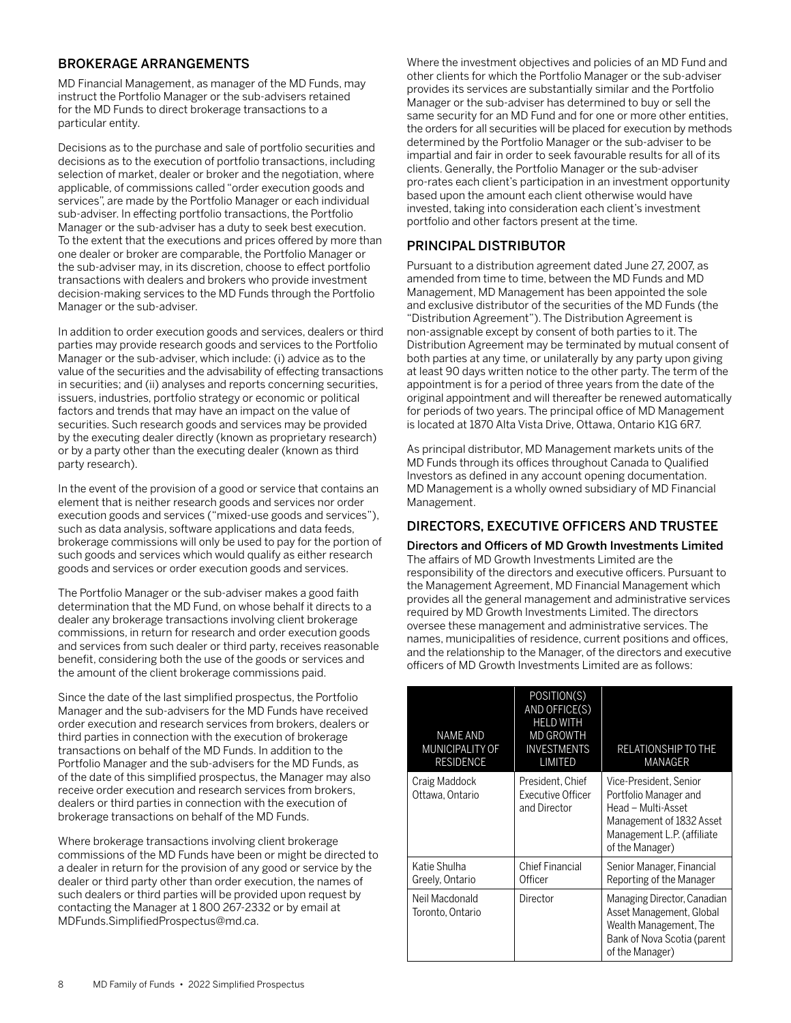## <span id="page-9-0"></span>BROKERAGE ARRANGEMENTS

MD Financial Management, as manager of the MD Funds, may instruct the Portfolio Manager or the sub-advisers retained for the MD Funds to direct brokerage transactions to a particular entity.

Decisions as to the purchase and sale of portfolio securities and decisions as to the execution of portfolio transactions, including selection of market, dealer or broker and the negotiation, where applicable, of commissions called "order execution goods and services", are made by the Portfolio Manager or each individual sub-adviser. In effecting portfolio transactions, the Portfolio Manager or the sub-adviser has a duty to seek best execution. To the extent that the executions and prices offered by more than one dealer or broker are comparable, the Portfolio Manager or the sub-adviser may, in its discretion, choose to effect portfolio transactions with dealers and brokers who provide investment decision-making services to the MD Funds through the Portfolio Manager or the sub-adviser.

In addition to order execution goods and services, dealers or third parties may provide research goods and services to the Portfolio Manager or the sub-adviser, which include: (i) advice as to the value of the securities and the advisability of effecting transactions in securities; and (ii) analyses and reports concerning securities, issuers, industries, portfolio strategy or economic or political factors and trends that may have an impact on the value of securities. Such research goods and services may be provided by the executing dealer directly (known as proprietary research) or by a party other than the executing dealer (known as third party research).

In the event of the provision of a good or service that contains an element that is neither research goods and services nor order execution goods and services ("mixed-use goods and services"), such as data analysis, software applications and data feeds, brokerage commissions will only be used to pay for the portion of such goods and services which would qualify as either research goods and services or order execution goods and services.

The Portfolio Manager or the sub-adviser makes a good faith determination that the MD Fund, on whose behalf it directs to a dealer any brokerage transactions involving client brokerage commissions, in return for research and order execution goods and services from such dealer or third party, receives reasonable benefit, considering both the use of the goods or services and the amount of the client brokerage commissions paid.

Since the date of the last simplified prospectus, the Portfolio Manager and the sub-advisers for the MD Funds have received order execution and research services from brokers, dealers or third parties in connection with the execution of brokerage transactions on behalf of the MD Funds. In addition to the Portfolio Manager and the sub-advisers for the MD Funds, as of the date of this simplified prospectus, the Manager may also receive order execution and research services from brokers, dealers or third parties in connection with the execution of brokerage transactions on behalf of the MD Funds.

Where brokerage transactions involving client brokerage commissions of the MD Funds have been or might be directed to a dealer in return for the provision of any good or service by the dealer or third party other than order execution, the names of such dealers or third parties will be provided upon request by contacting the Manager at 1 800 267-2332 or by email at MDFunds.SimplifiedProspectus@md.ca.

Where the investment objectives and policies of an MD Fund and other clients for which the Portfolio Manager or the sub-adviser provides its services are substantially similar and the Portfolio Manager or the sub-adviser has determined to buy or sell the same security for an MD Fund and for one or more other entities, the orders for all securities will be placed for execution by methods determined by the Portfolio Manager or the sub-adviser to be impartial and fair in order to seek favourable results for all of its clients. Generally, the Portfolio Manager or the sub-adviser pro-rates each client's participation in an investment opportunity based upon the amount each client otherwise would have invested, taking into consideration each client's investment portfolio and other factors present at the time.

## PRINCIPAL DISTRIBUTOR

Pursuant to a distribution agreement dated June 27, 2007, as amended from time to time, between the MD Funds and MD Management, MD Management has been appointed the sole and exclusive distributor of the securities of the MD Funds (the "Distribution Agreement"). The Distribution Agreement is non-assignable except by consent of both parties to it. The Distribution Agreement may be terminated by mutual consent of both parties at any time, or unilaterally by any party upon giving at least 90 days written notice to the other party. The term of the appointment is for a period of three years from the date of the original appointment and will thereafter be renewed automatically for periods of two years. The principal office of MD Management is located at 1870 Alta Vista Drive, Ottawa, Ontario K1G 6R7.

As principal distributor, MD Management markets units of the MD Funds through its offices throughout Canada to Qualified Investors as defined in any account opening documentation. MD Management is a wholly owned subsidiary of MD Financial Management.

## DIRECTORS, EXECUTIVE OFFICERS AND TRUSTEE

### Directors and Officers of MD Growth Investments Limited

The affairs of MD Growth Investments Limited are the responsibility of the directors and executive officers. Pursuant to the Management Agreement, MD Financial Management which provides all the general management and administrative services required by MD Growth Investments Limited. The directors oversee these management and administrative services. The names, municipalities of residence, current positions and offices, and the relationship to the Manager, of the directors and executive officers of MD Growth Investments Limited are as follows:

| NAME AND<br><b>MUNICIPALITY OF</b><br><b>RESIDENCE</b> | POSITION(S)<br>AND OFFICE(S)<br><b>HELD WITH</b><br><b>MD GROWTH</b><br>INVESTMENTS<br>LIMITED | RELATIONSHIP TO THE<br>MANAGER                                                                                                                     |
|--------------------------------------------------------|------------------------------------------------------------------------------------------------|----------------------------------------------------------------------------------------------------------------------------------------------------|
| Craig Maddock<br>Ottawa. Ontario                       | President, Chief<br>Executive Officer<br>and Director                                          | Vice-President. Senior<br>Portfolio Manager and<br>Head - Multi-Asset<br>Management of 1832 Asset<br>Management L.P. (affiliate<br>of the Manager) |
| Katie Shulha<br>Greely, Ontario                        | Chief Financial<br>Officer                                                                     | Senior Manager, Financial<br>Reporting of the Manager                                                                                              |
| Neil Macdonald<br>Toronto. Ontario                     | Director                                                                                       | Managing Director, Canadian<br>Asset Management, Global<br>Wealth Management, The<br>Bank of Nova Scotia (parent<br>of the Manager)                |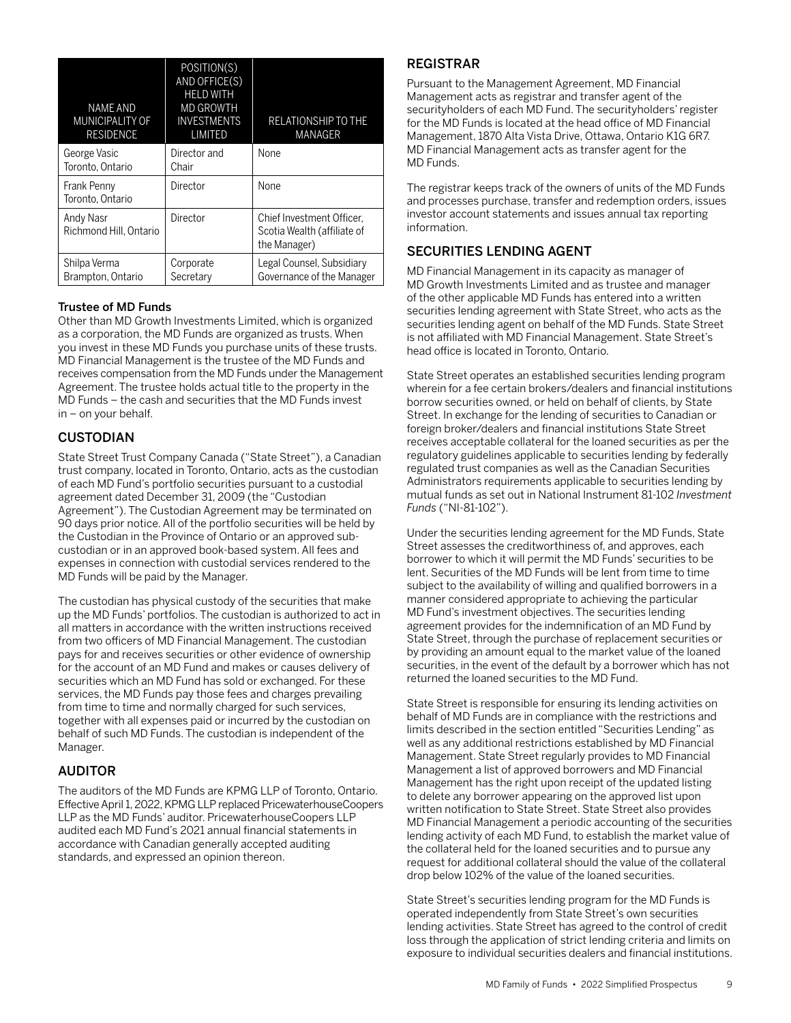<span id="page-10-0"></span>

| <b>NAME AND</b><br>MUNICIPALITY OF<br><b>RESIDENCE</b> | POSITION(S)<br>AND OFFICE(S)<br><b>HELD WITH</b><br><b>MD GROWTH</b><br><b>INVESTMENTS</b><br>LIMITED | <b>RELATIONSHIP TO THE</b><br><b>MANAGER</b>                             |
|--------------------------------------------------------|-------------------------------------------------------------------------------------------------------|--------------------------------------------------------------------------|
| George Vasic<br>Toronto, Ontario                       | Director and<br>Chair                                                                                 | None                                                                     |
| Frank Penny<br>Toronto, Ontario                        | Director                                                                                              | None                                                                     |
| Andy Nasr<br>Richmond Hill, Ontario                    | Director                                                                                              | Chief Investment Officer.<br>Scotia Wealth (affiliate of<br>the Manager) |
| Shilpa Verma<br>Brampton, Ontario                      | Corporate<br>Secretary                                                                                | Legal Counsel, Subsidiary<br>Governance of the Manager                   |

### Trustee of MD Funds

Other than MD Growth Investments Limited, which is organized as a corporation, the MD Funds are organized as trusts. When you invest in these MD Funds you purchase units of these trusts. MD Financial Management is the trustee of the MD Funds and receives compensation from the MD Funds under the Management Agreement. The trustee holds actual title to the property in the MD Funds – the cash and securities that the MD Funds invest in – on your behalf.

## CUSTODIAN

State Street Trust Company Canada ("State Street"), a Canadian trust company, located in Toronto, Ontario, acts as the custodian of each MD Fund's portfolio securities pursuant to a custodial agreement dated December 31, 2009 (the "Custodian Agreement"). The Custodian Agreement may be terminated on 90 days prior notice. All of the portfolio securities will be held by the Custodian in the Province of Ontario or an approved subcustodian or in an approved book-based system. All fees and expenses in connection with custodial services rendered to the MD Funds will be paid by the Manager.

The custodian has physical custody of the securities that make up the MD Funds' portfolios. The custodian is authorized to act in all matters in accordance with the written instructions received from two officers of MD Financial Management. The custodian pays for and receives securities or other evidence of ownership for the account of an MD Fund and makes or causes delivery of securities which an MD Fund has sold or exchanged. For these services, the MD Funds pay those fees and charges prevailing from time to time and normally charged for such services, together with all expenses paid or incurred by the custodian on behalf of such MD Funds. The custodian is independent of the Manager.

## AUDITOR

The auditors of the MD Funds are KPMG LLP of Toronto, Ontario. Effective April 1, 2022, KPMG LLP replaced PricewaterhouseCoopers LLP as the MD Funds' auditor. PricewaterhouseCoopers LLP audited each MD Fund's 2021 annual financial statements in accordance with Canadian generally accepted auditing standards, and expressed an opinion thereon.

## REGISTRAR

Pursuant to the Management Agreement, MD Financial Management acts as registrar and transfer agent of the securityholders of each MD Fund. The securityholders' register for the MD Funds is located at the head office of MD Financial Management, 1870 Alta Vista Drive, Ottawa, Ontario K1G 6R7. MD Financial Management acts as transfer agent for the MD Funds.

The registrar keeps track of the owners of units of the MD Funds and processes purchase, transfer and redemption orders, issues investor account statements and issues annual tax reporting information.

## SECURITIES LENDING AGENT

MD Financial Management in its capacity as manager of MD Growth Investments Limited and as trustee and manager of the other applicable MD Funds has entered into a written securities lending agreement with State Street, who acts as the securities lending agent on behalf of the MD Funds. State Street is not affiliated with MD Financial Management. State Street's head office is located in Toronto, Ontario.

State Street operates an established securities lending program wherein for a fee certain brokers/dealers and financial institutions borrow securities owned, or held on behalf of clients, by State Street. In exchange for the lending of securities to Canadian or foreign broker/dealers and financial institutions State Street receives acceptable collateral for the loaned securities as per the regulatory guidelines applicable to securities lending by federally regulated trust companies as well as the Canadian Securities Administrators requirements applicable to securities lending by mutual funds as set out in National Instrument 81-102 *Investment Funds* ("NI-81-102").

Under the securities lending agreement for the MD Funds, State Street assesses the creditworthiness of, and approves, each borrower to which it will permit the MD Funds' securities to be lent. Securities of the MD Funds will be lent from time to time subject to the availability of willing and qualified borrowers in a manner considered appropriate to achieving the particular MD Fund's investment objectives. The securities lending agreement provides for the indemnification of an MD Fund by State Street, through the purchase of replacement securities or by providing an amount equal to the market value of the loaned securities, in the event of the default by a borrower which has not returned the loaned securities to the MD Fund.

State Street is responsible for ensuring its lending activities on behalf of MD Funds are in compliance with the restrictions and limits described in the section entitled "Securities Lending" as well as any additional restrictions established by MD Financial Management. State Street regularly provides to MD Financial Management a list of approved borrowers and MD Financial Management has the right upon receipt of the updated listing to delete any borrower appearing on the approved list upon written notification to State Street. State Street also provides MD Financial Management a periodic accounting of the securities lending activity of each MD Fund, to establish the market value of the collateral held for the loaned securities and to pursue any request for additional collateral should the value of the collateral drop below 102% of the value of the loaned securities.

State Street's securities lending program for the MD Funds is operated independently from State Street's own securities lending activities. State Street has agreed to the control of credit loss through the application of strict lending criteria and limits on exposure to individual securities dealers and financial institutions.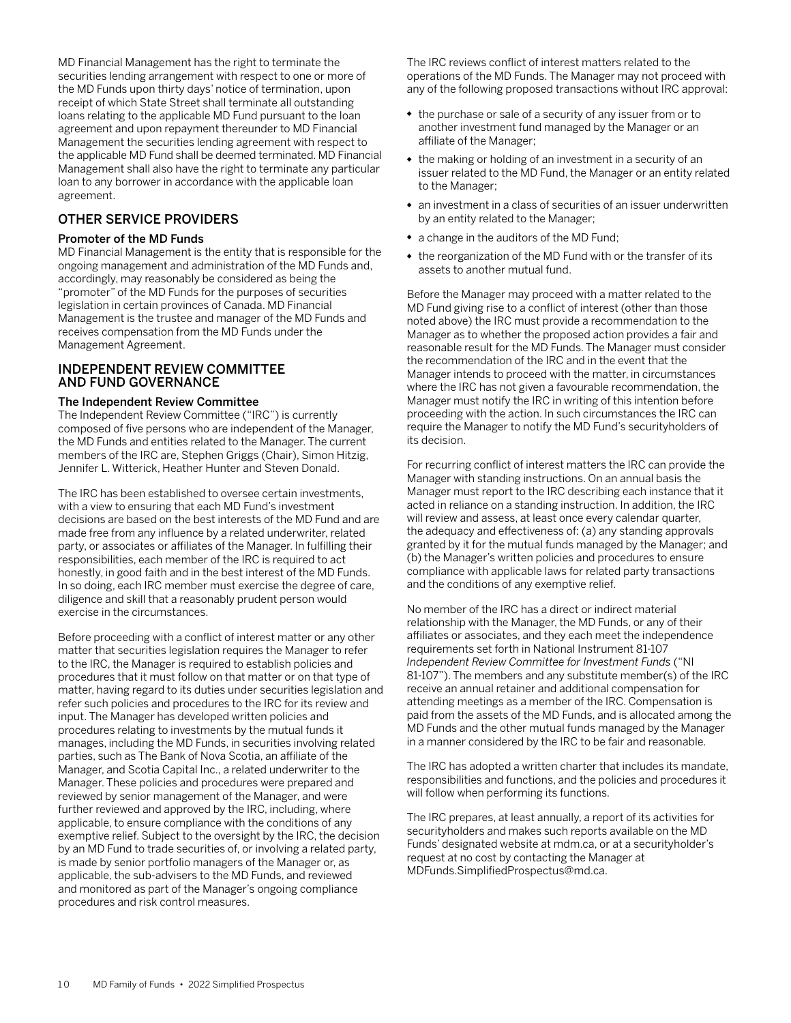<span id="page-11-0"></span>MD Financial Management has the right to terminate the securities lending arrangement with respect to one or more of the MD Funds upon thirty days' notice of termination, upon receipt of which State Street shall terminate all outstanding loans relating to the applicable MD Fund pursuant to the loan agreement and upon repayment thereunder to MD Financial Management the securities lending agreement with respect to the applicable MD Fund shall be deemed terminated. MD Financial Management shall also have the right to terminate any particular loan to any borrower in accordance with the applicable loan agreement.

### OTHER SERVICE PROVIDERS

### Promoter of the MD Funds

MD Financial Management is the entity that is responsible for the ongoing management and administration of the MD Funds and, accordingly, may reasonably be considered as being the "promoter" of the MD Funds for the purposes of securities legislation in certain provinces of Canada. MD Financial Management is the trustee and manager of the MD Funds and receives compensation from the MD Funds under the Management Agreement.

### INDEPENDENT REVIEW COMMITTEE AND FUND GOVERNANCE

### The Independent Review Committee

The Independent Review Committee ("IRC") is currently composed of five persons who are independent of the Manager, the MD Funds and entities related to the Manager. The current members of the IRC are, Stephen Griggs (Chair), Simon Hitzig, Jennifer L. Witterick, Heather Hunter and Steven Donald.

The IRC has been established to oversee certain investments, with a view to ensuring that each MD Fund's investment decisions are based on the best interests of the MD Fund and are made free from any influence by a related underwriter, related party, or associates or affiliates of the Manager. In fulfilling their responsibilities, each member of the IRC is required to act honestly, in good faith and in the best interest of the MD Funds. In so doing, each IRC member must exercise the degree of care, diligence and skill that a reasonably prudent person would exercise in the circumstances.

Before proceeding with a conflict of interest matter or any other matter that securities legislation requires the Manager to refer to the IRC, the Manager is required to establish policies and procedures that it must follow on that matter or on that type of matter, having regard to its duties under securities legislation and refer such policies and procedures to the IRC for its review and input. The Manager has developed written policies and procedures relating to investments by the mutual funds it manages, including the MD Funds, in securities involving related parties, such as The Bank of Nova Scotia, an affiliate of the Manager, and Scotia Capital Inc., a related underwriter to the Manager. These policies and procedures were prepared and reviewed by senior management of the Manager, and were further reviewed and approved by the IRC, including, where applicable, to ensure compliance with the conditions of any exemptive relief. Subject to the oversight by the IRC, the decision by an MD Fund to trade securities of, or involving a related party, is made by senior portfolio managers of the Manager or, as applicable, the sub-advisers to the MD Funds, and reviewed and monitored as part of the Manager's ongoing compliance procedures and risk control measures.

The IRC reviews conflict of interest matters related to the operations of the MD Funds. The Manager may not proceed with any of the following proposed transactions without IRC approval:

- the purchase or sale of a security of any issuer from or to another investment fund managed by the Manager or an affiliate of the Manager;
- the making or holding of an investment in a security of an issuer related to the MD Fund, the Manager or an entity related to the Manager;
- an investment in a class of securities of an issuer underwritten by an entity related to the Manager;
- a change in the auditors of the MD Fund;
- the reorganization of the MD Fund with or the transfer of its assets to another mutual fund.

Before the Manager may proceed with a matter related to the MD Fund giving rise to a conflict of interest (other than those noted above) the IRC must provide a recommendation to the Manager as to whether the proposed action provides a fair and reasonable result for the MD Funds. The Manager must consider the recommendation of the IRC and in the event that the Manager intends to proceed with the matter, in circumstances where the IRC has not given a favourable recommendation, the Manager must notify the IRC in writing of this intention before proceeding with the action. In such circumstances the IRC can require the Manager to notify the MD Fund's securityholders of its decision.

For recurring conflict of interest matters the IRC can provide the Manager with standing instructions. On an annual basis the Manager must report to the IRC describing each instance that it acted in reliance on a standing instruction. In addition, the IRC will review and assess, at least once every calendar quarter, the adequacy and effectiveness of: (a) any standing approvals granted by it for the mutual funds managed by the Manager; and (b) the Manager's written policies and procedures to ensure compliance with applicable laws for related party transactions and the conditions of any exemptive relief.

No member of the IRC has a direct or indirect material relationship with the Manager, the MD Funds, or any of their affiliates or associates, and they each meet the independence requirements set forth in National Instrument 81-107 *Independent Review Committee for Investment Funds* ("NI 81-107"). The members and any substitute member(s) of the IRC receive an annual retainer and additional compensation for attending meetings as a member of the IRC. Compensation is paid from the assets of the MD Funds, and is allocated among the MD Funds and the other mutual funds managed by the Manager in a manner considered by the IRC to be fair and reasonable.

The IRC has adopted a written charter that includes its mandate, responsibilities and functions, and the policies and procedures it will follow when performing its functions.

The IRC prepares, at least annually, a report of its activities for securityholders and makes such reports available on the MD Funds' designated website at mdm.ca, or at a securityholder's request at no cost by contacting the Manager at MDFunds.SimplifiedProspectus@md.ca.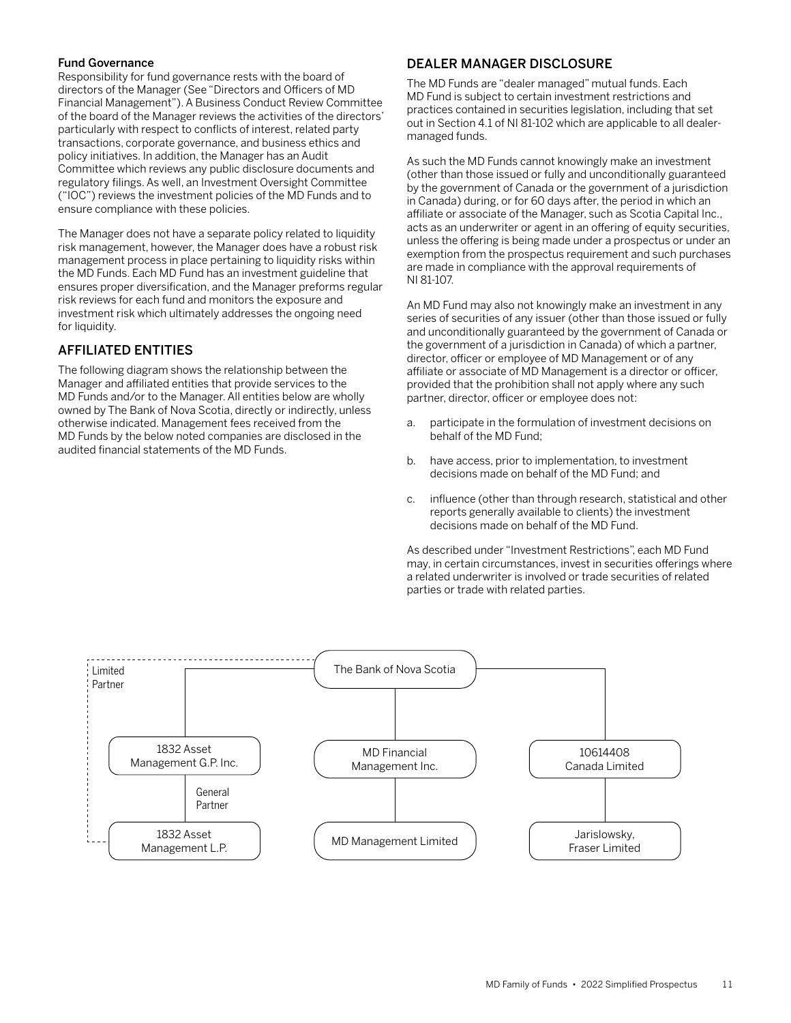### <span id="page-12-0"></span>Fund Governance

Responsibility for fund governance rests with the board of directors of the Manager (See "Directors and Officers of MD Financial Management"). A Business Conduct Review Committee of the board of the Manager reviews the activities of the directors' particularly with respect to conflicts of interest, related party transactions, corporate governance, and business ethics and policy initiatives. In addition, the Manager has an Audit Committee which reviews any public disclosure documents and regulatory filings. As well, an Investment Oversight Committee ("IOC") reviews the investment policies of the MD Funds and to ensure compliance with these policies.

The Manager does not have a separate policy related to liquidity risk management, however, the Manager does have a robust risk management process in place pertaining to liquidity risks within the MD Funds. Each MD Fund has an investment guideline that ensures proper diversification, and the Manager preforms regular risk reviews for each fund and monitors the exposure and investment risk which ultimately addresses the ongoing need for liquidity.

## AFFILIATED ENTITIES

The following diagram shows the relationship between the Manager and affiliated entities that provide services to the MD Funds and/or to the Manager. All entities below are wholly owned by The Bank of Nova Scotia, directly or indirectly, unless otherwise indicated. Management fees received from the MD Funds by the below noted companies are disclosed in the audited financial statements of the MD Funds.

## DEALER MANAGER DISCLOSURE

The MD Funds are "dealer managed" mutual funds. Each MD Fund is subject to certain investment restrictions and practices contained in securities legislation, including that set out in Section 4.1 of NI 81-102 which are applicable to all dealermanaged funds.

As such the MD Funds cannot knowingly make an investment (other than those issued or fully and unconditionally guaranteed by the government of Canada or the government of a jurisdiction in Canada) during, or for 60 days after, the period in which an affiliate or associate of the Manager, such as Scotia Capital Inc., acts as an underwriter or agent in an offering of equity securities, unless the offering is being made under a prospectus or under an exemption from the prospectus requirement and such purchases are made in compliance with the approval requirements of NI 81-107.

An MD Fund may also not knowingly make an investment in any series of securities of any issuer (other than those issued or fully and unconditionally guaranteed by the government of Canada or the government of a jurisdiction in Canada) of which a partner, director, officer or employee of MD Management or of any affiliate or associate of MD Management is a director or officer, provided that the prohibition shall not apply where any such partner, director, officer or employee does not:

- a. participate in the formulation of investment decisions on behalf of the MD Fund;
- b. have access, prior to implementation, to investment decisions made on behalf of the MD Fund; and
- c. influence (other than through research, statistical and other reports generally available to clients) the investment decisions made on behalf of the MD Fund.

As described under "Investment Restrictions", each MD Fund may, in certain circumstances, invest in securities offerings where a related underwriter is involved or trade securities of related parties or trade with related parties.

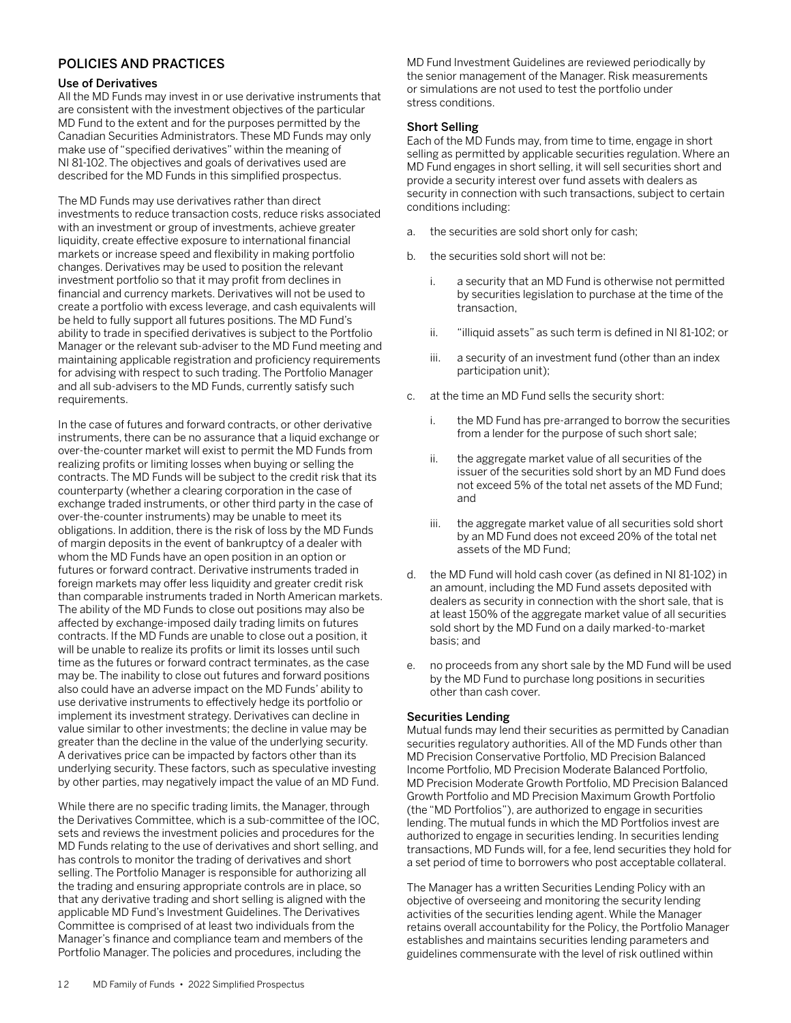### <span id="page-13-0"></span>POLICIES AND PRACTICES

### Use of Derivatives

All the MD Funds may invest in or use derivative instruments that are consistent with the investment objectives of the particular MD Fund to the extent and for the purposes permitted by the Canadian Securities Administrators. These MD Funds may only make use of "specified derivatives" within the meaning of NI 81-102. The objectives and goals of derivatives used are described for the MD Funds in this simplified prospectus.

The MD Funds may use derivatives rather than direct investments to reduce transaction costs, reduce risks associated with an investment or group of investments, achieve greater liquidity, create effective exposure to international financial markets or increase speed and flexibility in making portfolio changes. Derivatives may be used to position the relevant investment portfolio so that it may profit from declines in financial and currency markets. Derivatives will not be used to create a portfolio with excess leverage, and cash equivalents will be held to fully support all futures positions. The MD Fund's ability to trade in specified derivatives is subject to the Portfolio Manager or the relevant sub-adviser to the MD Fund meeting and maintaining applicable registration and proficiency requirements for advising with respect to such trading. The Portfolio Manager and all sub-advisers to the MD Funds, currently satisfy such requirements.

In the case of futures and forward contracts, or other derivative instruments, there can be no assurance that a liquid exchange or over-the-counter market will exist to permit the MD Funds from realizing profits or limiting losses when buying or selling the contracts. The MD Funds will be subject to the credit risk that its counterparty (whether a clearing corporation in the case of exchange traded instruments, or other third party in the case of over-the-counter instruments) may be unable to meet its obligations. In addition, there is the risk of loss by the MD Funds of margin deposits in the event of bankruptcy of a dealer with whom the MD Funds have an open position in an option or futures or forward contract. Derivative instruments traded in foreign markets may offer less liquidity and greater credit risk than comparable instruments traded in North American markets. The ability of the MD Funds to close out positions may also be affected by exchange-imposed daily trading limits on futures contracts. If the MD Funds are unable to close out a position, it will be unable to realize its profits or limit its losses until such time as the futures or forward contract terminates, as the case may be. The inability to close out futures and forward positions also could have an adverse impact on the MD Funds' ability to use derivative instruments to effectively hedge its portfolio or implement its investment strategy. Derivatives can decline in value similar to other investments; the decline in value may be greater than the decline in the value of the underlying security. A derivatives price can be impacted by factors other than its underlying security. These factors, such as speculative investing by other parties, may negatively impact the value of an MD Fund.

While there are no specific trading limits, the Manager, through the Derivatives Committee, which is a sub-committee of the IOC, sets and reviews the investment policies and procedures for the MD Funds relating to the use of derivatives and short selling, and has controls to monitor the trading of derivatives and short selling. The Portfolio Manager is responsible for authorizing all the trading and ensuring appropriate controls are in place, so that any derivative trading and short selling is aligned with the applicable MD Fund's Investment Guidelines. The Derivatives Committee is comprised of at least two individuals from the Manager's finance and compliance team and members of the Portfolio Manager. The policies and procedures, including the

MD Fund Investment Guidelines are reviewed periodically by the senior management of the Manager. Risk measurements or simulations are not used to test the portfolio under stress conditions.

### Short Selling

Each of the MD Funds may, from time to time, engage in short selling as permitted by applicable securities regulation. Where an MD Fund engages in short selling, it will sell securities short and provide a security interest over fund assets with dealers as security in connection with such transactions, subject to certain conditions including:

- a. the securities are sold short only for cash;
- b. the securities sold short will not be:
	- i. a security that an MD Fund is otherwise not permitted by securities legislation to purchase at the time of the transaction,
	- ii. "illiquid assets" as such term is defined in NI 81-102; or
	- iii. a security of an investment fund (other than an index participation unit);
- c. at the time an MD Fund sells the security short:
	- i. the MD Fund has pre-arranged to borrow the securities from a lender for the purpose of such short sale;
	- ii. the aggregate market value of all securities of the issuer of the securities sold short by an MD Fund does not exceed 5% of the total net assets of the MD Fund; and
	- iii. the aggregate market value of all securities sold short by an MD Fund does not exceed 20% of the total net assets of the MD Fund;
- d. the MD Fund will hold cash cover (as defined in NI 81-102) in an amount, including the MD Fund assets deposited with dealers as security in connection with the short sale, that is at least 150% of the aggregate market value of all securities sold short by the MD Fund on a daily marked-to-market basis; and
- e. no proceeds from any short sale by the MD Fund will be used by the MD Fund to purchase long positions in securities other than cash cover.

### Securities Lending

Mutual funds may lend their securities as permitted by Canadian securities regulatory authorities. All of the MD Funds other than MD Precision Conservative Portfolio, MD Precision Balanced Income Portfolio, MD Precision Moderate Balanced Portfolio, MD Precision Moderate Growth Portfolio, MD Precision Balanced Growth Portfolio and MD Precision Maximum Growth Portfolio (the "MD Portfolios"), are authorized to engage in securities lending. The mutual funds in which the MD Portfolios invest are authorized to engage in securities lending. In securities lending transactions, MD Funds will, for a fee, lend securities they hold for a set period of time to borrowers who post acceptable collateral.

The Manager has a written Securities Lending Policy with an objective of overseeing and monitoring the security lending activities of the securities lending agent. While the Manager retains overall accountability for the Policy, the Portfolio Manager establishes and maintains securities lending parameters and guidelines commensurate with the level of risk outlined within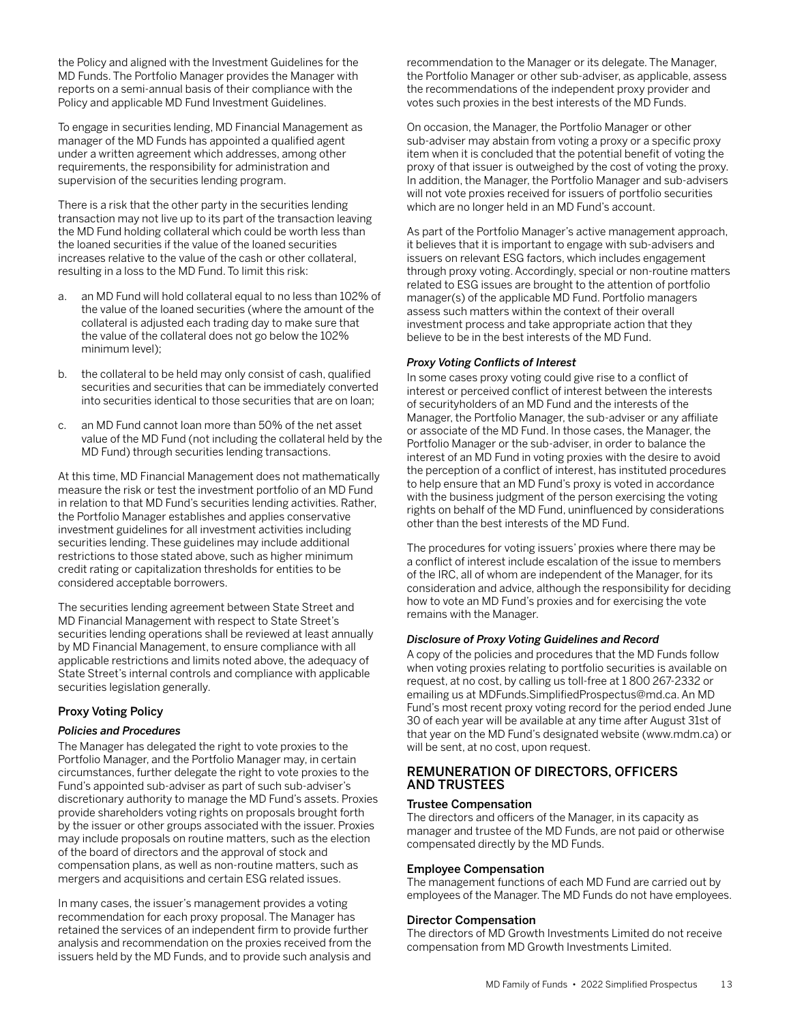<span id="page-14-0"></span>the Policy and aligned with the Investment Guidelines for the MD Funds. The Portfolio Manager provides the Manager with reports on a semi-annual basis of their compliance with the Policy and applicable MD Fund Investment Guidelines.

To engage in securities lending, MD Financial Management as manager of the MD Funds has appointed a qualified agent under a written agreement which addresses, among other requirements, the responsibility for administration and supervision of the securities lending program.

There is a risk that the other party in the securities lending transaction may not live up to its part of the transaction leaving the MD Fund holding collateral which could be worth less than the loaned securities if the value of the loaned securities increases relative to the value of the cash or other collateral, resulting in a loss to the MD Fund. To limit this risk:

- a. an MD Fund will hold collateral equal to no less than 102% of the value of the loaned securities (where the amount of the collateral is adjusted each trading day to make sure that the value of the collateral does not go below the 102% minimum level);
- b. the collateral to be held may only consist of cash, qualified securities and securities that can be immediately converted into securities identical to those securities that are on loan;
- c. an MD Fund cannot loan more than 50% of the net asset value of the MD Fund (not including the collateral held by the MD Fund) through securities lending transactions.

At this time, MD Financial Management does not mathematically measure the risk or test the investment portfolio of an MD Fund in relation to that MD Fund's securities lending activities. Rather, the Portfolio Manager establishes and applies conservative investment guidelines for all investment activities including securities lending. These guidelines may include additional restrictions to those stated above, such as higher minimum credit rating or capitalization thresholds for entities to be considered acceptable borrowers.

The securities lending agreement between State Street and MD Financial Management with respect to State Street's securities lending operations shall be reviewed at least annually by MD Financial Management, to ensure compliance with all applicable restrictions and limits noted above, the adequacy of State Street's internal controls and compliance with applicable securities legislation generally.

### Proxy Voting Policy

### *Policies and Procedures*

The Manager has delegated the right to vote proxies to the Portfolio Manager, and the Portfolio Manager may, in certain circumstances, further delegate the right to vote proxies to the Fund's appointed sub-adviser as part of such sub-adviser's discretionary authority to manage the MD Fund's assets. Proxies provide shareholders voting rights on proposals brought forth by the issuer or other groups associated with the issuer. Proxies may include proposals on routine matters, such as the election of the board of directors and the approval of stock and compensation plans, as well as non-routine matters, such as mergers and acquisitions and certain ESG related issues.

In many cases, the issuer's management provides a voting recommendation for each proxy proposal. The Manager has retained the services of an independent firm to provide further analysis and recommendation on the proxies received from the issuers held by the MD Funds, and to provide such analysis and recommendation to the Manager or its delegate. The Manager, the Portfolio Manager or other sub-adviser, as applicable, assess the recommendations of the independent proxy provider and votes such proxies in the best interests of the MD Funds.

On occasion, the Manager, the Portfolio Manager or other sub-adviser may abstain from voting a proxy or a specific proxy item when it is concluded that the potential benefit of voting the proxy of that issuer is outweighed by the cost of voting the proxy. In addition, the Manager, the Portfolio Manager and sub-advisers will not vote proxies received for issuers of portfolio securities which are no longer held in an MD Fund's account.

As part of the Portfolio Manager's active management approach, it believes that it is important to engage with sub-advisers and issuers on relevant ESG factors, which includes engagement through proxy voting. Accordingly, special or non-routine matters related to ESG issues are brought to the attention of portfolio manager(s) of the applicable MD Fund. Portfolio managers assess such matters within the context of their overall investment process and take appropriate action that they believe to be in the best interests of the MD Fund.

### *Proxy Voting Conflicts of Interest*

In some cases proxy voting could give rise to a conflict of interest or perceived conflict of interest between the interests of securityholders of an MD Fund and the interests of the Manager, the Portfolio Manager, the sub-adviser or any affiliate or associate of the MD Fund. In those cases, the Manager, the Portfolio Manager or the sub-adviser, in order to balance the interest of an MD Fund in voting proxies with the desire to avoid the perception of a conflict of interest, has instituted procedures to help ensure that an MD Fund's proxy is voted in accordance with the business judgment of the person exercising the voting rights on behalf of the MD Fund, uninfluenced by considerations other than the best interests of the MD Fund.

The procedures for voting issuers' proxies where there may be a conflict of interest include escalation of the issue to members of the IRC, all of whom are independent of the Manager, for its consideration and advice, although the responsibility for deciding how to vote an MD Fund's proxies and for exercising the vote remains with the Manager.

### *Disclosure of Proxy Voting Guidelines and Record*

A copy of the policies and procedures that the MD Funds follow when voting proxies relating to portfolio securities is available on request, at no cost, by calling us toll-free at 1 800 267-2332 or emailing us at MDFunds.SimplifiedProspectus@md.ca. An MD Fund's most recent proxy voting record for the period ended June 30 of each year will be available at any time after August 31st of that year on the MD Fund's designated website (www.mdm.ca) or will be sent, at no cost, upon request.

### REMUNERATION OF DIRECTORS, OFFICERS AND TRUSTEES

### Trustee Compensation

The directors and officers of the Manager, in its capacity as manager and trustee of the MD Funds, are not paid or otherwise compensated directly by the MD Funds.

#### Employee Compensation

The management functions of each MD Fund are carried out by employees of the Manager. The MD Funds do not have employees.

### Director Compensation

The directors of MD Growth Investments Limited do not receive compensation from MD Growth Investments Limited.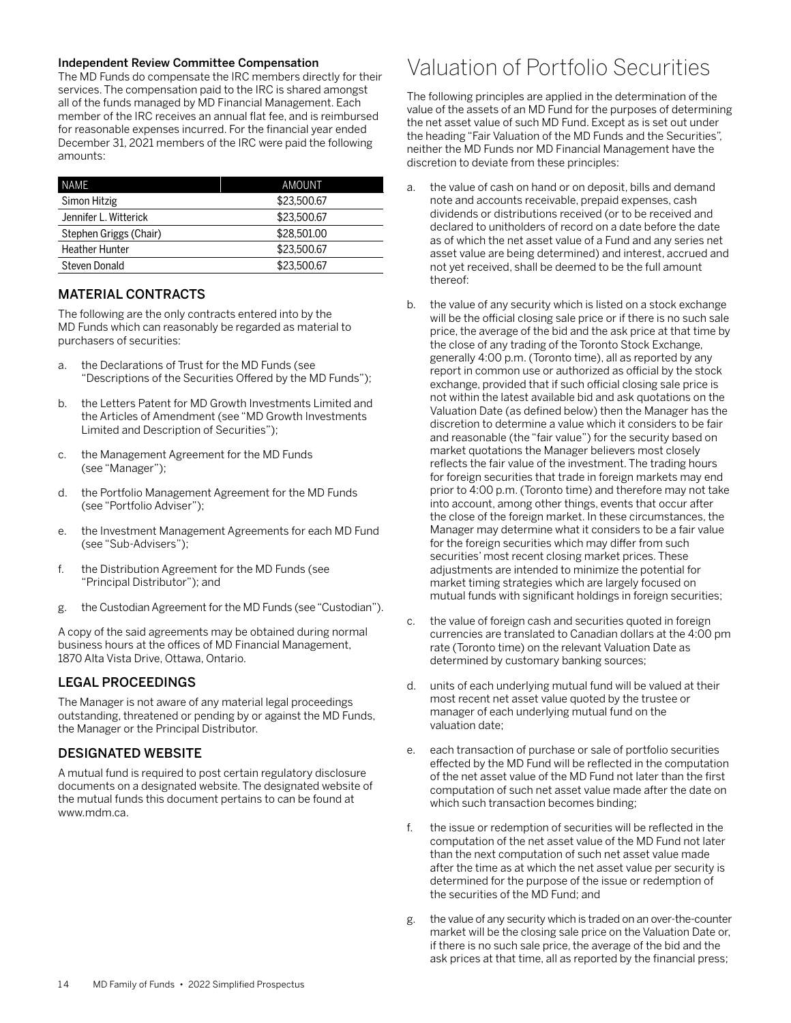### <span id="page-15-0"></span>Independent Review Committee Compensation

The MD Funds do compensate the IRC members directly for their services. The compensation paid to the IRC is shared amongst all of the funds managed by MD Financial Management. Each member of the IRC receives an annual flat fee, and is reimbursed for reasonable expenses incurred. For the financial year ended December 31, 2021 members of the IRC were paid the following amounts:

| NAME                   | AMOUNT      |
|------------------------|-------------|
| Simon Hitzig           | \$23,500.67 |
| Jennifer L. Witterick  | \$23,500.67 |
| Stephen Griggs (Chair) | \$28,501,00 |
| <b>Heather Hunter</b>  | \$23,500.67 |
| Steven Donald          | \$23,500.67 |

### MATERIAL CONTRACTS

The following are the only contracts entered into by the MD Funds which can reasonably be regarded as material to purchasers of securities:

- a. the Declarations of Trust for the MD Funds (see "Descriptions of the Securities Offered by the MD Funds");
- b. the Letters Patent for MD Growth Investments Limited and the Articles of Amendment (see "MD Growth Investments Limited and Description of Securities");
- c. the Management Agreement for the MD Funds (see "Manager");
- d. the Portfolio Management Agreement for the MD Funds (see "Portfolio Adviser");
- e. the Investment Management Agreements for each MD Fund (see "Sub-Advisers");
- f. the Distribution Agreement for the MD Funds (see "Principal Distributor"); and
- g. the Custodian Agreement for the MD Funds (see "Custodian").

A copy of the said agreements may be obtained during normal business hours at the offices of MD Financial Management, 1870 Alta Vista Drive, Ottawa, Ontario.

### LEGAL PROCEEDINGS

The Manager is not aware of any material legal proceedings outstanding, threatened or pending by or against the MD Funds, the Manager or the Principal Distributor.

### DESIGNATED WEBSITE

A mutual fund is required to post certain regulatory disclosure documents on a designated website. The designated website of the mutual funds this document pertains to can be found at www.mdm.ca.

## Valuation of Portfolio Securities

The following principles are applied in the determination of the value of the assets of an MD Fund for the purposes of determining the net asset value of such MD Fund. Except as is set out under the heading "Fair Valuation of the MD Funds and the Securities", neither the MD Funds nor MD Financial Management have the discretion to deviate from these principles:

- a. the value of cash on hand or on deposit, bills and demand note and accounts receivable, prepaid expenses, cash dividends or distributions received (or to be received and declared to unitholders of record on a date before the date as of which the net asset value of a Fund and any series net asset value are being determined) and interest, accrued and not yet received, shall be deemed to be the full amount thereof:
- b. the value of any security which is listed on a stock exchange will be the official closing sale price or if there is no such sale price, the average of the bid and the ask price at that time by the close of any trading of the Toronto Stock Exchange, generally 4:00 p.m. (Toronto time), all as reported by any report in common use or authorized as official by the stock exchange, provided that if such official closing sale price is not within the latest available bid and ask quotations on the Valuation Date (as defined below) then the Manager has the discretion to determine a value which it considers to be fair and reasonable (the "fair value") for the security based on market quotations the Manager believers most closely reflects the fair value of the investment. The trading hours for foreign securities that trade in foreign markets may end prior to 4:00 p.m. (Toronto time) and therefore may not take into account, among other things, events that occur after the close of the foreign market. In these circumstances, the Manager may determine what it considers to be a fair value for the foreign securities which may differ from such securities' most recent closing market prices. These adjustments are intended to minimize the potential for market timing strategies which are largely focused on mutual funds with significant holdings in foreign securities;
- c. the value of foreign cash and securities quoted in foreign currencies are translated to Canadian dollars at the 4:00 pm rate (Toronto time) on the relevant Valuation Date as determined by customary banking sources;
- d. units of each underlying mutual fund will be valued at their most recent net asset value quoted by the trustee or manager of each underlying mutual fund on the valuation date;
- e. each transaction of purchase or sale of portfolio securities effected by the MD Fund will be reflected in the computation of the net asset value of the MD Fund not later than the first computation of such net asset value made after the date on which such transaction becomes binding;
- the issue or redemption of securities will be reflected in the computation of the net asset value of the MD Fund not later than the next computation of such net asset value made after the time as at which the net asset value per security is determined for the purpose of the issue or redemption of the securities of the MD Fund; and
- g. the value of any security which is traded on an over-the-counter market will be the closing sale price on the Valuation Date or, if there is no such sale price, the average of the bid and the ask prices at that time, all as reported by the financial press;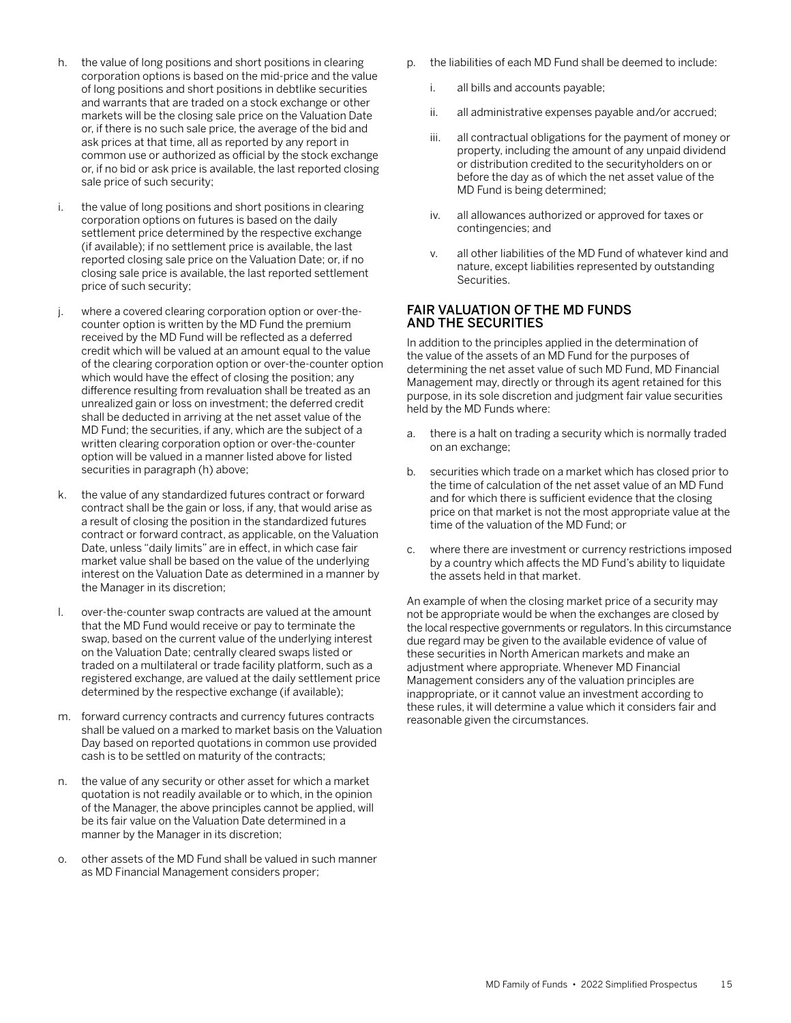- <span id="page-16-0"></span>h. the value of long positions and short positions in clearing corporation options is based on the mid-price and the value of long positions and short positions in debtlike securities and warrants that are traded on a stock exchange or other markets will be the closing sale price on the Valuation Date or, if there is no such sale price, the average of the bid and ask prices at that time, all as reported by any report in common use or authorized as official by the stock exchange or, if no bid or ask price is available, the last reported closing sale price of such security;
- i. the value of long positions and short positions in clearing corporation options on futures is based on the daily settlement price determined by the respective exchange (if available); if no settlement price is available, the last reported closing sale price on the Valuation Date; or, if no closing sale price is available, the last reported settlement price of such security;
- j. where a covered clearing corporation option or over-thecounter option is written by the MD Fund the premium received by the MD Fund will be reflected as a deferred credit which will be valued at an amount equal to the value of the clearing corporation option or over-the-counter option which would have the effect of closing the position; any difference resulting from revaluation shall be treated as an unrealized gain or loss on investment; the deferred credit shall be deducted in arriving at the net asset value of the MD Fund; the securities, if any, which are the subject of a written clearing corporation option or over-the-counter option will be valued in a manner listed above for listed securities in paragraph (h) above;
- k. the value of any standardized futures contract or forward contract shall be the gain or loss, if any, that would arise as a result of closing the position in the standardized futures contract or forward contract, as applicable, on the Valuation Date, unless "daily limits" are in effect, in which case fair market value shall be based on the value of the underlying interest on the Valuation Date as determined in a manner by the Manager in its discretion;
- l. over-the-counter swap contracts are valued at the amount that the MD Fund would receive or pay to terminate the swap, based on the current value of the underlying interest on the Valuation Date; centrally cleared swaps listed or traded on a multilateral or trade facility platform, such as a registered exchange, are valued at the daily settlement price determined by the respective exchange (if available);
- m. forward currency contracts and currency futures contracts shall be valued on a marked to market basis on the Valuation Day based on reported quotations in common use provided cash is to be settled on maturity of the contracts;
- n. the value of any security or other asset for which a market quotation is not readily available or to which, in the opinion of the Manager, the above principles cannot be applied, will be its fair value on the Valuation Date determined in a manner by the Manager in its discretion;
- o. other assets of the MD Fund shall be valued in such manner as MD Financial Management considers proper;
- p. the liabilities of each MD Fund shall be deemed to include:
	- i. all bills and accounts payable;
	- ii. all administrative expenses payable and/or accrued;
	- iii. all contractual obligations for the payment of money or property, including the amount of any unpaid dividend or distribution credited to the securityholders on or before the day as of which the net asset value of the MD Fund is being determined;
	- iv. all allowances authorized or approved for taxes or contingencies; and
	- v. all other liabilities of the MD Fund of whatever kind and nature, except liabilities represented by outstanding Securities.

## FAIR VALUATION OF THE MD FUNDS AND THE SECURITIES

In addition to the principles applied in the determination of the value of the assets of an MD Fund for the purposes of determining the net asset value of such MD Fund, MD Financial Management may, directly or through its agent retained for this purpose, in its sole discretion and judgment fair value securities held by the MD Funds where:

- a. there is a halt on trading a security which is normally traded on an exchange;
- b. securities which trade on a market which has closed prior to the time of calculation of the net asset value of an MD Fund and for which there is sufficient evidence that the closing price on that market is not the most appropriate value at the time of the valuation of the MD Fund; or
- c. where there are investment or currency restrictions imposed by a country which affects the MD Fund's ability to liquidate the assets held in that market.

An example of when the closing market price of a security may not be appropriate would be when the exchanges are closed by the local respective governments or regulators. In this circumstance due regard may be given to the available evidence of value of these securities in North American markets and make an adjustment where appropriate. Whenever MD Financial Management considers any of the valuation principles are inappropriate, or it cannot value an investment according to these rules, it will determine a value which it considers fair and reasonable given the circumstances.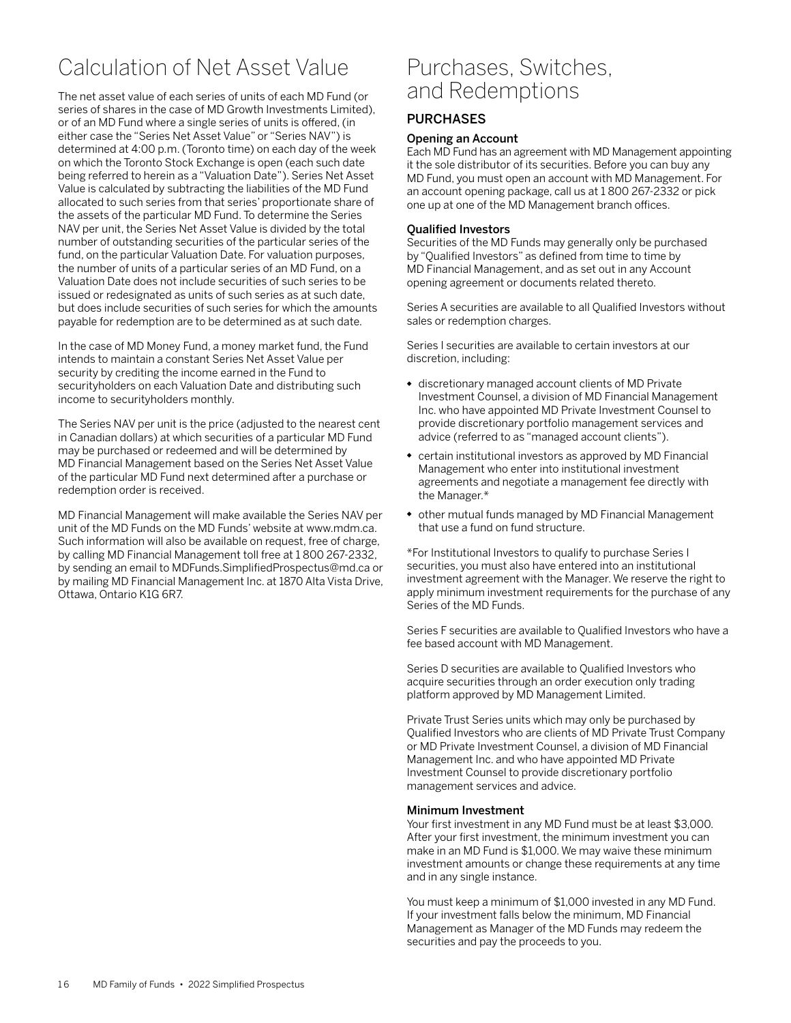# <span id="page-17-0"></span>Calculation of Net Asset Value

The net asset value of each series of units of each MD Fund (or series of shares in the case of MD Growth Investments Limited), or of an MD Fund where a single series of units is offered, (in either case the "Series Net Asset Value" or "Series NAV") is determined at 4:00 p.m. (Toronto time) on each day of the week on which the Toronto Stock Exchange is open (each such date being referred to herein as a "Valuation Date"). Series Net Asset Value is calculated by subtracting the liabilities of the MD Fund allocated to such series from that series' proportionate share of the assets of the particular MD Fund. To determine the Series NAV per unit, the Series Net Asset Value is divided by the total number of outstanding securities of the particular series of the fund, on the particular Valuation Date. For valuation purposes, the number of units of a particular series of an MD Fund, on a Valuation Date does not include securities of such series to be issued or redesignated as units of such series as at such date, but does include securities of such series for which the amounts payable for redemption are to be determined as at such date.

In the case of MD Money Fund, a money market fund, the Fund intends to maintain a constant Series Net Asset Value per security by crediting the income earned in the Fund to securityholders on each Valuation Date and distributing such income to securityholders monthly.

The Series NAV per unit is the price (adjusted to the nearest cent in Canadian dollars) at which securities of a particular MD Fund may be purchased or redeemed and will be determined by MD Financial Management based on the Series Net Asset Value of the particular MD Fund next determined after a purchase or redemption order is received.

MD Financial Management will make available the Series NAV per unit of the MD Funds on the MD Funds' website at www.mdm.ca. Such information will also be available on request, free of charge, by calling MD Financial Management toll free at 1 800 267-2332, by sending an email to MDFunds.SimplifiedProspectus@md.ca or by mailing MD Financial Management Inc. at 1870 Alta Vista Drive, Ottawa, Ontario K1G 6R7.

## Purchases, Switches, and Redemptions

## PURCHASES

### Opening an Account

Each MD Fund has an agreement with MD Management appointing it the sole distributor of its securities. Before you can buy any MD Fund, you must open an account with MD Management. For an account opening package, call us at 1 800 267-2332 or pick one up at one of the MD Management branch offices.

### Qualified Investors

Securities of the MD Funds may generally only be purchased by "Qualified Investors" as defined from time to time by MD Financial Management, and as set out in any Account opening agreement or documents related thereto.

Series A securities are available to all Qualified Investors without sales or redemption charges.

Series I securities are available to certain investors at our discretion, including:

- discretionary managed account clients of MD Private Investment Counsel, a division of MD Financial Management Inc. who have appointed MD Private Investment Counsel to provide discretionary portfolio management services and advice (referred to as "managed account clients").
- certain institutional investors as approved by MD Financial Management who enter into institutional investment agreements and negotiate a management fee directly with the Manager.\*
- other mutual funds managed by MD Financial Management that use a fund on fund structure.

\*For Institutional Investors to qualify to purchase Series I securities, you must also have entered into an institutional investment agreement with the Manager. We reserve the right to apply minimum investment requirements for the purchase of any Series of the MD Funds.

Series F securities are available to Qualified Investors who have a fee based account with MD Management.

Series D securities are available to Qualified Investors who acquire securities through an order execution only trading platform approved by MD Management Limited.

Private Trust Series units which may only be purchased by Qualified Investors who are clients of MD Private Trust Company or MD Private Investment Counsel, a division of MD Financial Management Inc. and who have appointed MD Private Investment Counsel to provide discretionary portfolio management services and advice.

### Minimum Investment

Your first investment in any MD Fund must be at least \$3,000. After your first investment, the minimum investment you can make in an MD Fund is \$1,000. We may waive these minimum investment amounts or change these requirements at any time and in any single instance.

You must keep a minimum of \$1,000 invested in any MD Fund. If your investment falls below the minimum, MD Financial Management as Manager of the MD Funds may redeem the securities and pay the proceeds to you.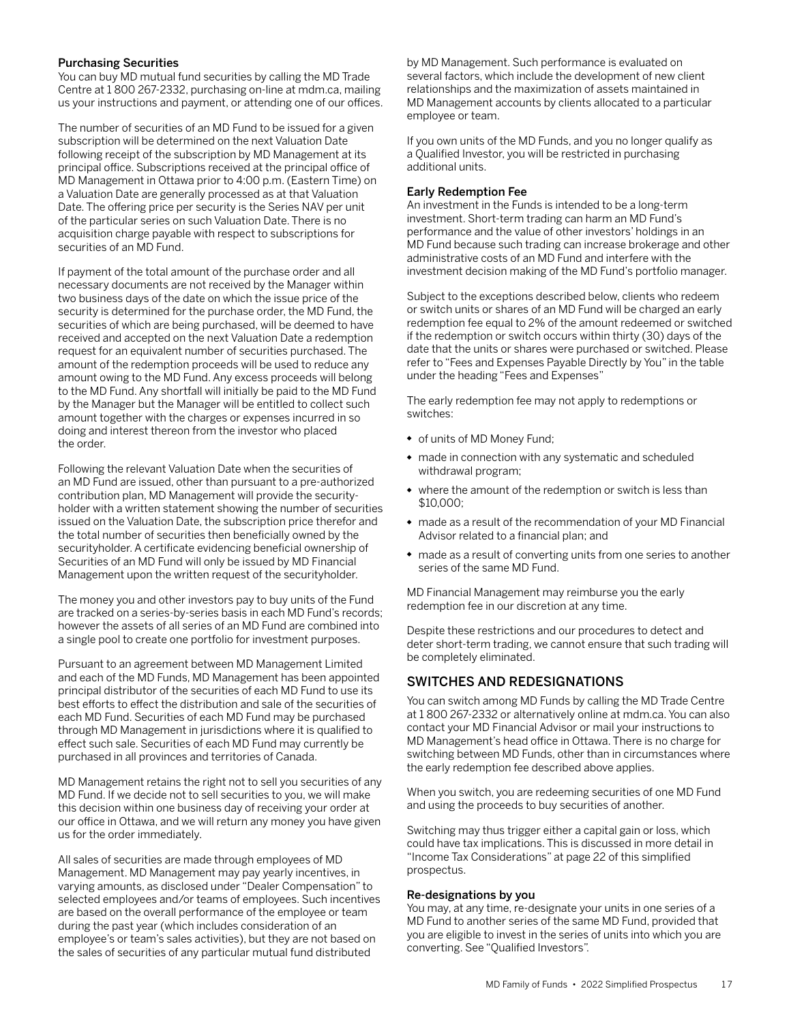### <span id="page-18-0"></span>Purchasing Securities

You can buy MD mutual fund securities by calling the MD Trade Centre at 1 800 267-2332, purchasing on-line at mdm.ca, mailing us your instructions and payment, or attending one of our offices.

The number of securities of an MD Fund to be issued for a given subscription will be determined on the next Valuation Date following receipt of the subscription by MD Management at its principal office. Subscriptions received at the principal office of MD Management in Ottawa prior to 4:00 p.m. (Eastern Time) on a Valuation Date are generally processed as at that Valuation Date. The offering price per security is the Series NAV per unit of the particular series on such Valuation Date. There is no acquisition charge payable with respect to subscriptions for securities of an MD Fund.

If payment of the total amount of the purchase order and all necessary documents are not received by the Manager within two business days of the date on which the issue price of the security is determined for the purchase order, the MD Fund, the securities of which are being purchased, will be deemed to have received and accepted on the next Valuation Date a redemption request for an equivalent number of securities purchased. The amount of the redemption proceeds will be used to reduce any amount owing to the MD Fund. Any excess proceeds will belong to the MD Fund. Any shortfall will initially be paid to the MD Fund by the Manager but the Manager will be entitled to collect such amount together with the charges or expenses incurred in so doing and interest thereon from the investor who placed the order.

Following the relevant Valuation Date when the securities of an MD Fund are issued, other than pursuant to a pre-authorized contribution plan, MD Management will provide the securityholder with a written statement showing the number of securities issued on the Valuation Date, the subscription price therefor and the total number of securities then beneficially owned by the securityholder. A certificate evidencing beneficial ownership of Securities of an MD Fund will only be issued by MD Financial Management upon the written request of the securityholder.

The money you and other investors pay to buy units of the Fund are tracked on a series-by-series basis in each MD Fund's records; however the assets of all series of an MD Fund are combined into a single pool to create one portfolio for investment purposes.

Pursuant to an agreement between MD Management Limited and each of the MD Funds, MD Management has been appointed principal distributor of the securities of each MD Fund to use its best efforts to effect the distribution and sale of the securities of each MD Fund. Securities of each MD Fund may be purchased through MD Management in jurisdictions where it is qualified to effect such sale. Securities of each MD Fund may currently be purchased in all provinces and territories of Canada.

MD Management retains the right not to sell you securities of any MD Fund. If we decide not to sell securities to you, we will make this decision within one business day of receiving your order at our office in Ottawa, and we will return any money you have given us for the order immediately.

All sales of securities are made through employees of MD Management. MD Management may pay yearly incentives, in varying amounts, as disclosed under "Dealer Compensation" to selected employees and/or teams of employees. Such incentives are based on the overall performance of the employee or team during the past year (which includes consideration of an employee's or team's sales activities), but they are not based on the sales of securities of any particular mutual fund distributed

by MD Management. Such performance is evaluated on several factors, which include the development of new client relationships and the maximization of assets maintained in MD Management accounts by clients allocated to a particular employee or team.

If you own units of the MD Funds, and you no longer qualify as a Qualified Investor, you will be restricted in purchasing additional units.

#### Early Redemption Fee

An investment in the Funds is intended to be a long-term investment. Short-term trading can harm an MD Fund's performance and the value of other investors' holdings in an MD Fund because such trading can increase brokerage and other administrative costs of an MD Fund and interfere with the investment decision making of the MD Fund's portfolio manager.

Subject to the exceptions described below, clients who redeem or switch units or shares of an MD Fund will be charged an early redemption fee equal to 2% of the amount redeemed or switched if the redemption or switch occurs within thirty (30) days of the date that the units or shares were purchased or switched. Please refer to "Fees and Expenses Payable Directly by You" in the table under the heading "Fees and Expenses"

The early redemption fee may not apply to redemptions or switches:

- of units of MD Money Fund;
- made in connection with any systematic and scheduled withdrawal program;
- where the amount of the redemption or switch is less than \$10,000;
- made as a result of the recommendation of your MD Financial Advisor related to a financial plan; and
- made as a result of converting units from one series to another series of the same MD Fund.

MD Financial Management may reimburse you the early redemption fee in our discretion at any time.

Despite these restrictions and our procedures to detect and deter short-term trading, we cannot ensure that such trading will be completely eliminated.

## SWITCHES AND REDESIGNATIONS

You can switch among MD Funds by calling the MD Trade Centre at 1 800 267-2332 or alternatively online at mdm.ca. You can also contact your MD Financial Advisor or mail your instructions to MD Management's head office in Ottawa. There is no charge for switching between MD Funds, other than in circumstances where the early redemption fee described above applies.

When you switch, you are redeeming securities of one MD Fund and using the proceeds to buy securities of another.

Switching may thus trigger either a capital gain or loss, which could have tax implications. This is discussed in more detail in "Income Tax Considerations" at page 22 of this simplified prospectus.

#### Re-designations by you

You may, at any time, re-designate your units in one series of a MD Fund to another series of the same MD Fund, provided that you are eligible to invest in the series of units into which you are converting. See "Qualified Investors".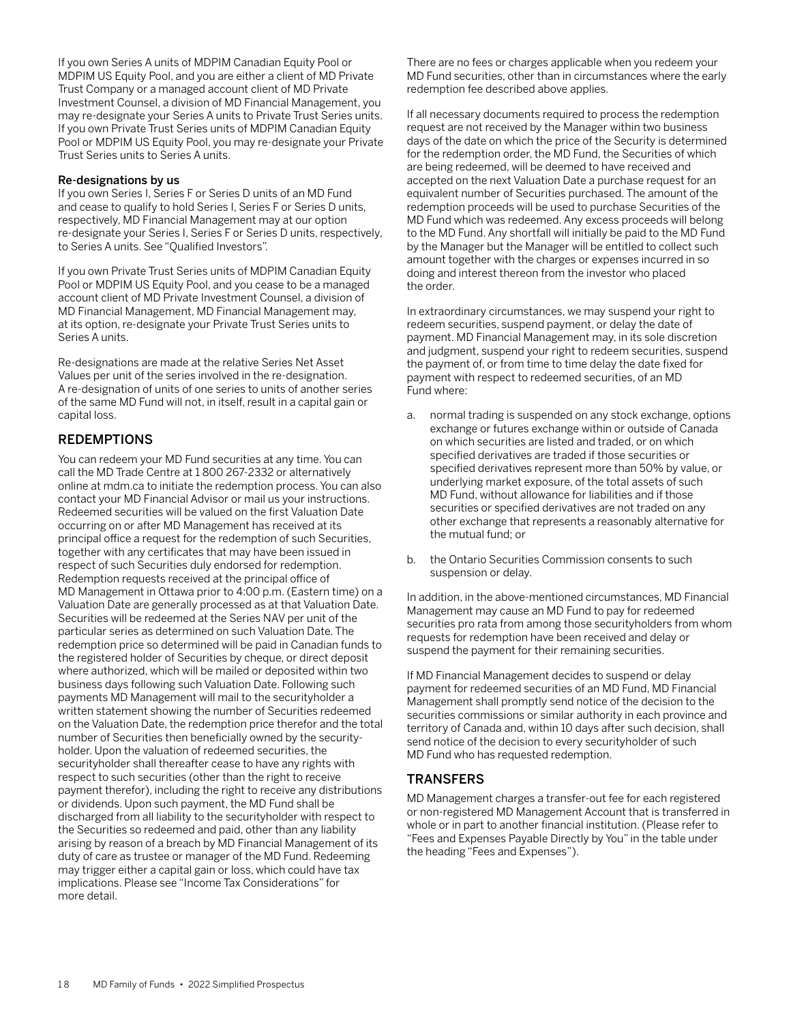<span id="page-19-0"></span>If you own Series A units of MDPIM Canadian Equity Pool or MDPIM US Equity Pool, and you are either a client of MD Private Trust Company or a managed account client of MD Private Investment Counsel, a division of MD Financial Management, you may re-designate your Series A units to Private Trust Series units. If you own Private Trust Series units of MDPIM Canadian Equity Pool or MDPIM US Equity Pool, you may re-designate your Private Trust Series units to Series A units.

### Re-designations by us

If you own Series I, Series F or Series D units of an MD Fund and cease to qualify to hold Series I, Series F or Series D units, respectively, MD Financial Management may at our option re-designate your Series I, Series F or Series D units, respectively, to Series A units. See "Qualified Investors".

If you own Private Trust Series units of MDPIM Canadian Equity Pool or MDPIM US Equity Pool, and you cease to be a managed account client of MD Private Investment Counsel, a division of MD Financial Management, MD Financial Management may, at its option, re-designate your Private Trust Series units to Series A units.

Re-designations are made at the relative Series Net Asset Values per unit of the series involved in the re-designation. A re-designation of units of one series to units of another series of the same MD Fund will not, in itself, result in a capital gain or capital loss.

## REDEMPTIONS

You can redeem your MD Fund securities at any time. You can call the MD Trade Centre at 1 800 267-2332 or alternatively online at mdm.ca to initiate the redemption process. You can also contact your MD Financial Advisor or mail us your instructions. Redeemed securities will be valued on the first Valuation Date occurring on or after MD Management has received at its principal office a request for the redemption of such Securities, together with any certificates that may have been issued in respect of such Securities duly endorsed for redemption. Redemption requests received at the principal office of MD Management in Ottawa prior to 4:00 p.m. (Eastern time) on a Valuation Date are generally processed as at that Valuation Date. Securities will be redeemed at the Series NAV per unit of the particular series as determined on such Valuation Date. The redemption price so determined will be paid in Canadian funds to the registered holder of Securities by cheque, or direct deposit where authorized, which will be mailed or deposited within two business days following such Valuation Date. Following such payments MD Management will mail to the securityholder a written statement showing the number of Securities redeemed on the Valuation Date, the redemption price therefor and the total number of Securities then beneficially owned by the securityholder. Upon the valuation of redeemed securities, the securityholder shall thereafter cease to have any rights with respect to such securities (other than the right to receive payment therefor), including the right to receive any distributions or dividends. Upon such payment, the MD Fund shall be discharged from all liability to the securityholder with respect to the Securities so redeemed and paid, other than any liability arising by reason of a breach by MD Financial Management of its duty of care as trustee or manager of the MD Fund. Redeeming may trigger either a capital gain or loss, which could have tax implications. Please see "Income Tax Considerations" for more detail.

There are no fees or charges applicable when you redeem your MD Fund securities, other than in circumstances where the early redemption fee described above applies.

If all necessary documents required to process the redemption request are not received by the Manager within two business days of the date on which the price of the Security is determined for the redemption order, the MD Fund, the Securities of which are being redeemed, will be deemed to have received and accepted on the next Valuation Date a purchase request for an equivalent number of Securities purchased. The amount of the redemption proceeds will be used to purchase Securities of the MD Fund which was redeemed. Any excess proceeds will belong to the MD Fund. Any shortfall will initially be paid to the MD Fund by the Manager but the Manager will be entitled to collect such amount together with the charges or expenses incurred in so doing and interest thereon from the investor who placed the order.

In extraordinary circumstances, we may suspend your right to redeem securities, suspend payment, or delay the date of payment. MD Financial Management may, in its sole discretion and judgment, suspend your right to redeem securities, suspend the payment of, or from time to time delay the date fixed for payment with respect to redeemed securities, of an MD Fund where:

- a. normal trading is suspended on any stock exchange, options exchange or futures exchange within or outside of Canada on which securities are listed and traded, or on which specified derivatives are traded if those securities or specified derivatives represent more than 50% by value, or underlying market exposure, of the total assets of such MD Fund, without allowance for liabilities and if those securities or specified derivatives are not traded on any other exchange that represents a reasonably alternative for the mutual fund; or
- b. the Ontario Securities Commission consents to such suspension or delay.

In addition, in the above-mentioned circumstances, MD Financial Management may cause an MD Fund to pay for redeemed securities pro rata from among those securityholders from whom requests for redemption have been received and delay or suspend the payment for their remaining securities.

If MD Financial Management decides to suspend or delay payment for redeemed securities of an MD Fund, MD Financial Management shall promptly send notice of the decision to the securities commissions or similar authority in each province and territory of Canada and, within 10 days after such decision, shall send notice of the decision to every securityholder of such MD Fund who has requested redemption.

## **TRANSFERS**

MD Management charges a transfer-out fee for each registered or non-registered MD Management Account that is transferred in whole or in part to another financial institution. (Please refer to "Fees and Expenses Payable Directly by You" in the table under the heading "Fees and Expenses").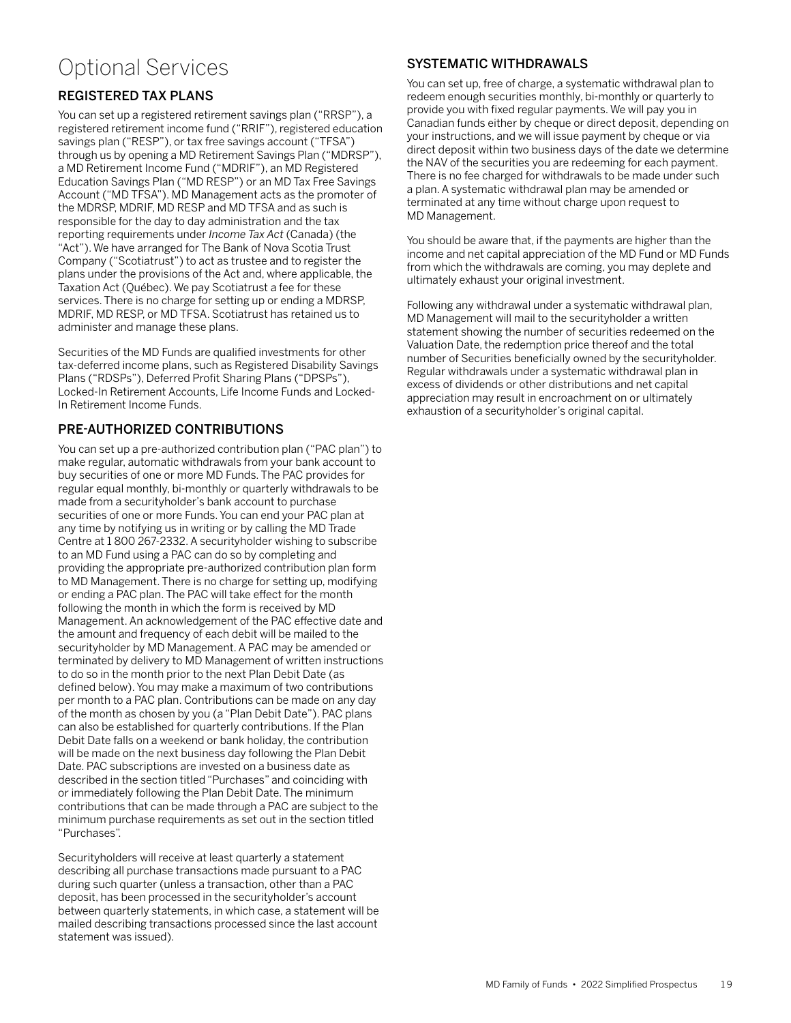## <span id="page-20-0"></span>Optional Services

## REGISTERED TAX PLANS

You can set up a registered retirement savings plan ("RRSP"), a registered retirement income fund ("RRIF"), registered education savings plan ("RESP"), or tax free savings account ("TFSA") through us by opening a MD Retirement Savings Plan ("MDRSP"), a MD Retirement Income Fund ("MDRIF"), an MD Registered Education Savings Plan ("MD RESP") or an MD Tax Free Savings Account ("MD TFSA"). MD Management acts as the promoter of the MDRSP, MDRIF, MD RESP and MD TFSA and as such is responsible for the day to day administration and the tax reporting requirements under *Income Tax Act* (Canada) (the "Act"). We have arranged for The Bank of Nova Scotia Trust Company ("Scotiatrust") to act as trustee and to register the plans under the provisions of the Act and, where applicable, the Taxation Act (Québec). We pay Scotiatrust a fee for these services. There is no charge for setting up or ending a MDRSP, MDRIF, MD RESP, or MD TFSA. Scotiatrust has retained us to administer and manage these plans.

Securities of the MD Funds are qualified investments for other tax-deferred income plans, such as Registered Disability Savings Plans ("RDSPs"), Deferred Profit Sharing Plans ("DPSPs"), Locked-In Retirement Accounts, Life Income Funds and Locked-In Retirement Income Funds.

## PRE-AUTHORIZED CONTRIBUTIONS

You can set up a pre-authorized contribution plan ("PAC plan") to make regular, automatic withdrawals from your bank account to buy securities of one or more MD Funds. The PAC provides for regular equal monthly, bi-monthly or quarterly withdrawals to be made from a securityholder's bank account to purchase securities of one or more Funds. You can end your PAC plan at any time by notifying us in writing or by calling the MD Trade Centre at 1 800 267-2332. A securityholder wishing to subscribe to an MD Fund using a PAC can do so by completing and providing the appropriate pre-authorized contribution plan form to MD Management. There is no charge for setting up, modifying or ending a PAC plan. The PAC will take effect for the month following the month in which the form is received by MD Management. An acknowledgement of the PAC effective date and the amount and frequency of each debit will be mailed to the securityholder by MD Management. A PAC may be amended or terminated by delivery to MD Management of written instructions to do so in the month prior to the next Plan Debit Date (as defined below). You may make a maximum of two contributions per month to a PAC plan. Contributions can be made on any day of the month as chosen by you (a "Plan Debit Date"). PAC plans can also be established for quarterly contributions. If the Plan Debit Date falls on a weekend or bank holiday, the contribution will be made on the next business day following the Plan Debit Date. PAC subscriptions are invested on a business date as described in the section titled "Purchases" and coinciding with or immediately following the Plan Debit Date. The minimum contributions that can be made through a PAC are subject to the minimum purchase requirements as set out in the section titled "Purchases".

Securityholders will receive at least quarterly a statement describing all purchase transactions made pursuant to a PAC during such quarter (unless a transaction, other than a PAC deposit, has been processed in the securityholder's account between quarterly statements, in which case, a statement will be mailed describing transactions processed since the last account statement was issued).

## SYSTEMATIC WITHDRAWALS

You can set up, free of charge, a systematic withdrawal plan to redeem enough securities monthly, bi-monthly or quarterly to provide you with fixed regular payments. We will pay you in Canadian funds either by cheque or direct deposit, depending on your instructions, and we will issue payment by cheque or via direct deposit within two business days of the date we determine the NAV of the securities you are redeeming for each payment. There is no fee charged for withdrawals to be made under such a plan. A systematic withdrawal plan may be amended or terminated at any time without charge upon request to MD Management.

You should be aware that, if the payments are higher than the income and net capital appreciation of the MD Fund or MD Funds from which the withdrawals are coming, you may deplete and ultimately exhaust your original investment.

Following any withdrawal under a systematic withdrawal plan, MD Management will mail to the securityholder a written statement showing the number of securities redeemed on the Valuation Date, the redemption price thereof and the total number of Securities beneficially owned by the securityholder. Regular withdrawals under a systematic withdrawal plan in excess of dividends or other distributions and net capital appreciation may result in encroachment on or ultimately exhaustion of a securityholder's original capital.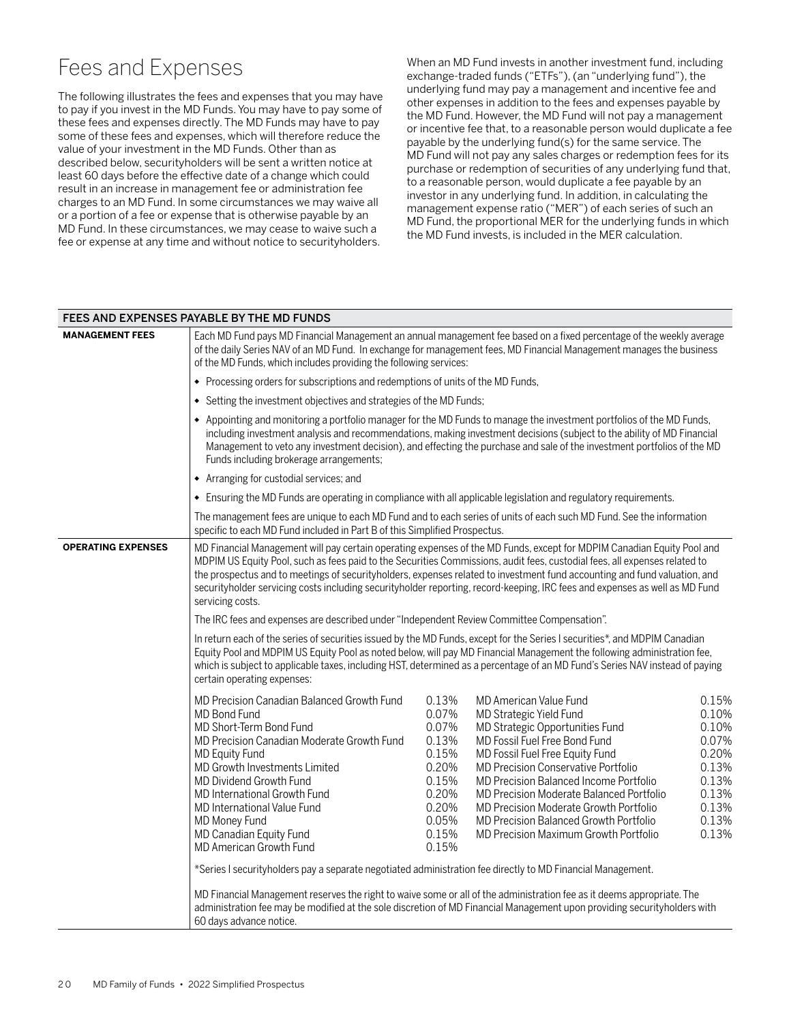## <span id="page-21-0"></span>Fees and Expenses

The following illustrates the fees and expenses that you may have to pay if you invest in the MD Funds. You may have to pay some of these fees and expenses directly. The MD Funds may have to pay some of these fees and expenses, which will therefore reduce the value of your investment in the MD Funds. Other than as described below, securityholders will be sent a written notice at least 60 days before the effective date of a change which could result in an increase in management fee or administration fee charges to an MD Fund. In some circumstances we may waive all or a portion of a fee or expense that is otherwise payable by an MD Fund. In these circumstances, we may cease to waive such a fee or expense at any time and without notice to securityholders.

When an MD Fund invests in another investment fund, including exchange-traded funds ("ETFs"), (an "underlying fund"), the underlying fund may pay a management and incentive fee and other expenses in addition to the fees and expenses payable by the MD Fund. However, the MD Fund will not pay a management or incentive fee that, to a reasonable person would duplicate a fee payable by the underlying fund(s) for the same service. The MD Fund will not pay any sales charges or redemption fees for its purchase or redemption of securities of any underlying fund that, to a reasonable person, would duplicate a fee payable by an investor in any underlying fund. In addition, in calculating the management expense ratio ("MER") of each series of such an MD Fund, the proportional MER for the underlying funds in which the MD Fund invests, is included in the MER calculation.

|                           | FEES AND EXPENSES PAYABLE BY THE MD FUNDS                                                                                                                                                                                                                                                                                                                                                                                                                                                                                            |                                                                                                          |                                                                                                                                                                                                                                                                                                                                                                                                                                                                                                                                                                                                                                                                                 |                                                                                                 |  |  |
|---------------------------|--------------------------------------------------------------------------------------------------------------------------------------------------------------------------------------------------------------------------------------------------------------------------------------------------------------------------------------------------------------------------------------------------------------------------------------------------------------------------------------------------------------------------------------|----------------------------------------------------------------------------------------------------------|---------------------------------------------------------------------------------------------------------------------------------------------------------------------------------------------------------------------------------------------------------------------------------------------------------------------------------------------------------------------------------------------------------------------------------------------------------------------------------------------------------------------------------------------------------------------------------------------------------------------------------------------------------------------------------|-------------------------------------------------------------------------------------------------|--|--|
| <b>MANAGEMENT FEES</b>    | Each MD Fund pays MD Financial Management an annual management fee based on a fixed percentage of the weekly average<br>of the daily Series NAV of an MD Fund. In exchange for management fees, MD Financial Management manages the business<br>of the MD Funds, which includes providing the following services:                                                                                                                                                                                                                    |                                                                                                          |                                                                                                                                                                                                                                                                                                                                                                                                                                                                                                                                                                                                                                                                                 |                                                                                                 |  |  |
|                           | • Processing orders for subscriptions and redemptions of units of the MD Funds,                                                                                                                                                                                                                                                                                                                                                                                                                                                      |                                                                                                          |                                                                                                                                                                                                                                                                                                                                                                                                                                                                                                                                                                                                                                                                                 |                                                                                                 |  |  |
|                           | Setting the investment objectives and strategies of the MD Funds;<br>٠                                                                                                                                                                                                                                                                                                                                                                                                                                                               |                                                                                                          |                                                                                                                                                                                                                                                                                                                                                                                                                                                                                                                                                                                                                                                                                 |                                                                                                 |  |  |
|                           | • Appointing and monitoring a portfolio manager for the MD Funds to manage the investment portfolios of the MD Funds,<br>Funds including brokerage arrangements;                                                                                                                                                                                                                                                                                                                                                                     |                                                                                                          | including investment analysis and recommendations, making investment decisions (subject to the ability of MD Financial<br>Management to veto any investment decision), and effecting the purchase and sale of the investment portfolios of the MD                                                                                                                                                                                                                                                                                                                                                                                                                               |                                                                                                 |  |  |
|                           | • Arranging for custodial services; and                                                                                                                                                                                                                                                                                                                                                                                                                                                                                              |                                                                                                          |                                                                                                                                                                                                                                                                                                                                                                                                                                                                                                                                                                                                                                                                                 |                                                                                                 |  |  |
|                           | • Ensuring the MD Funds are operating in compliance with all applicable legislation and regulatory requirements.                                                                                                                                                                                                                                                                                                                                                                                                                     |                                                                                                          |                                                                                                                                                                                                                                                                                                                                                                                                                                                                                                                                                                                                                                                                                 |                                                                                                 |  |  |
|                           | specific to each MD Fund included in Part B of this Simplified Prospectus.                                                                                                                                                                                                                                                                                                                                                                                                                                                           |                                                                                                          | The management fees are unique to each MD Fund and to each series of units of each such MD Fund. See the information                                                                                                                                                                                                                                                                                                                                                                                                                                                                                                                                                            |                                                                                                 |  |  |
| <b>OPERATING EXPENSES</b> | MD Financial Management will pay certain operating expenses of the MD Funds, except for MDPIM Canadian Equity Pool and<br>MDPIM US Equity Pool, such as fees paid to the Securities Commissions, audit fees, custodial fees, all expenses related to<br>the prospectus and to meetings of securityholders, expenses related to investment fund accounting and fund valuation, and<br>securityholder servicing costs including securityholder reporting, record-keeping, IRC fees and expenses as well as MD Fund<br>servicing costs. |                                                                                                          |                                                                                                                                                                                                                                                                                                                                                                                                                                                                                                                                                                                                                                                                                 |                                                                                                 |  |  |
|                           | The IRC fees and expenses are described under "Independent Review Committee Compensation".                                                                                                                                                                                                                                                                                                                                                                                                                                           |                                                                                                          |                                                                                                                                                                                                                                                                                                                                                                                                                                                                                                                                                                                                                                                                                 |                                                                                                 |  |  |
|                           | In return each of the series of securities issued by the MD Funds, except for the Series I securities*, and MDPIM Canadian<br>Equity Pool and MDPIM US Equity Pool as noted below, will pay MD Financial Management the following administration fee,<br>which is subject to applicable taxes, including HST, determined as a percentage of an MD Fund's Series NAV instead of paying<br>certain operating expenses:                                                                                                                 |                                                                                                          |                                                                                                                                                                                                                                                                                                                                                                                                                                                                                                                                                                                                                                                                                 |                                                                                                 |  |  |
|                           | MD Precision Canadian Balanced Growth Fund<br>MD Bond Fund<br>MD Short-Term Bond Fund<br>MD Precision Canadian Moderate Growth Fund<br><b>MD Equity Fund</b><br>MD Growth Investments Limited<br>MD Dividend Growth Fund<br>MD International Growth Fund<br>MD International Value Fund<br>MD Money Fund<br>MD Canadian Equity Fund<br>MD American Growth Fund<br>*Series I securityholders pay a separate negotiated administration fee directly to MD Financial Management.<br>60 days advance notice.                             | 0.13%<br>0.07%<br>0.07%<br>0.13%<br>0.15%<br>0.20%<br>0.15%<br>0.20%<br>0.20%<br>0.05%<br>0.15%<br>0.15% | MD American Value Fund<br>MD Strategic Yield Fund<br>MD Strategic Opportunities Fund<br>MD Fossil Fuel Free Bond Fund<br>MD Fossil Fuel Free Equity Fund<br><b>MD Precision Conservative Portfolio</b><br>MD Precision Balanced Income Portfolio<br>MD Precision Moderate Balanced Portfolio<br>MD Precision Moderate Growth Portfolio<br>MD Precision Balanced Growth Portfolio<br>MD Precision Maximum Growth Portfolio<br>MD Financial Management reserves the right to waive some or all of the administration fee as it deems appropriate. The<br>administration fee may be modified at the sole discretion of MD Financial Management upon providing securityholders with | 0.15%<br>0.10%<br>0.10%<br>0.07%<br>0.20%<br>0.13%<br>0.13%<br>0.13%<br>0.13%<br>0.13%<br>0.13% |  |  |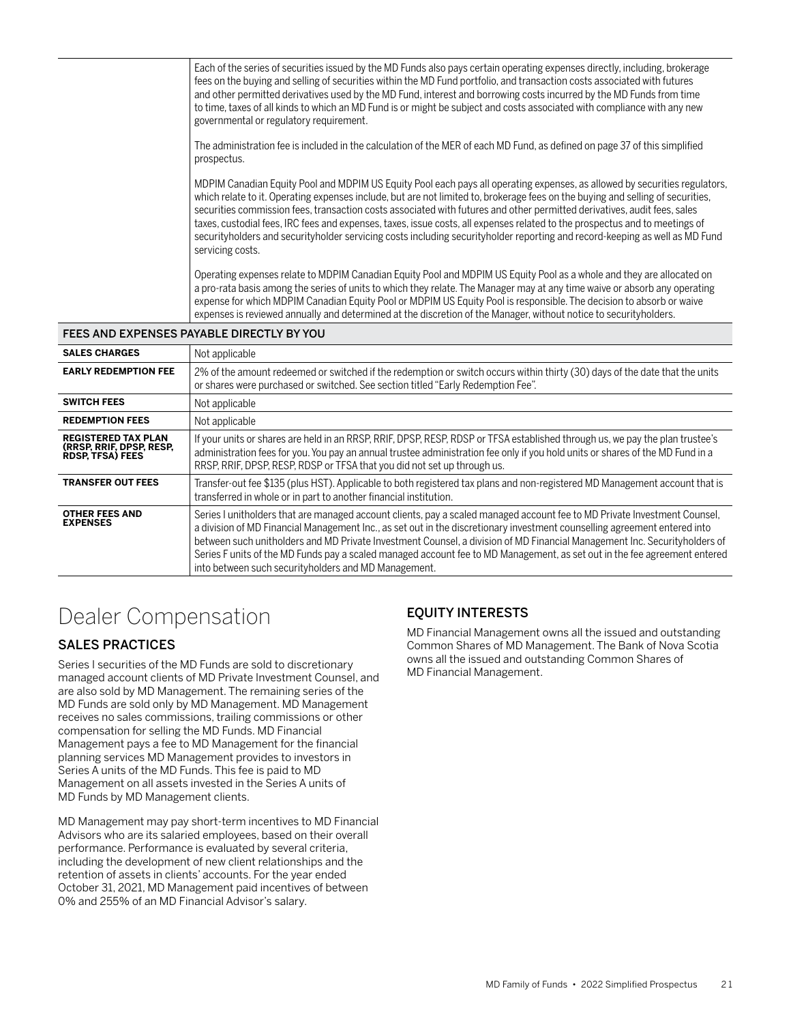<span id="page-22-0"></span>

|                                                                                   | Each of the series of securities issued by the MD Funds also pays certain operating expenses directly, including, brokerage<br>fees on the buying and selling of securities within the MD Fund portfolio, and transaction costs associated with futures<br>and other permitted derivatives used by the MD Fund, interest and borrowing costs incurred by the MD Funds from time<br>to time, taxes of all kinds to which an MD Fund is or might be subject and costs associated with compliance with any new<br>governmental or regulatory requirement.                                                                                                                      |  |  |
|-----------------------------------------------------------------------------------|-----------------------------------------------------------------------------------------------------------------------------------------------------------------------------------------------------------------------------------------------------------------------------------------------------------------------------------------------------------------------------------------------------------------------------------------------------------------------------------------------------------------------------------------------------------------------------------------------------------------------------------------------------------------------------|--|--|
|                                                                                   | The administration fee is included in the calculation of the MER of each MD Fund, as defined on page 37 of this simplified<br>prospectus.                                                                                                                                                                                                                                                                                                                                                                                                                                                                                                                                   |  |  |
|                                                                                   | MDPIM Canadian Equity Pool and MDPIM US Equity Pool each pays all operating expenses, as allowed by securities regulators,<br>which relate to it. Operating expenses include, but are not limited to, brokerage fees on the buying and selling of securities,<br>securities commission fees, transaction costs associated with futures and other permitted derivatives, audit fees, sales<br>taxes, custodial fees, IRC fees and expenses, taxes, issue costs, all expenses related to the prospectus and to meetings of<br>securityholders and securityholder servicing costs including securityholder reporting and record-keeping as well as MD Fund<br>servicing costs. |  |  |
|                                                                                   | Operating expenses relate to MDPIM Canadian Equity Pool and MDPIM US Equity Pool as a whole and they are allocated on<br>a pro-rata basis among the series of units to which they relate. The Manager may at any time waive or absorb any operating<br>expense for which MDPIM Canadian Equity Pool or MDPIM US Equity Pool is responsible. The decision to absorb or waive<br>expenses is reviewed annually and determined at the discretion of the Manager, without notice to securityholders.                                                                                                                                                                            |  |  |
| FEES AND EXPENSES PAYABLE DIRECTLY BY YOU                                         |                                                                                                                                                                                                                                                                                                                                                                                                                                                                                                                                                                                                                                                                             |  |  |
| <b>SALES CHARGES</b>                                                              | Not applicable                                                                                                                                                                                                                                                                                                                                                                                                                                                                                                                                                                                                                                                              |  |  |
| <b>EARLY REDEMPTION FEE</b>                                                       | 2% of the amount redeemed or switched if the redemption or switch occurs within thirty (30) days of the date that the units<br>or shares were purchased or switched. See section titled "Early Redemption Fee".                                                                                                                                                                                                                                                                                                                                                                                                                                                             |  |  |
| <b>SWITCH FEES</b>                                                                | Not applicable                                                                                                                                                                                                                                                                                                                                                                                                                                                                                                                                                                                                                                                              |  |  |
| <b>REDEMPTION FEES</b>                                                            | Not applicable                                                                                                                                                                                                                                                                                                                                                                                                                                                                                                                                                                                                                                                              |  |  |
| <b>REGISTERED TAX PLAN</b><br>(RRSP, RRIF, DPSP, RESP,<br><b>RDSP, TFSA) FEES</b> | If your units or shares are held in an RRSP, RRIF, DPSP, RESP, RDSP or TFSA established through us, we pay the plan trustee's<br>administration fees for you. You pay an annual trustee administration fee only if you hold units or shares of the MD Fund in a<br>RRSP, RRIF, DPSP, RESP, RDSP or TFSA that you did not set up through us.                                                                                                                                                                                                                                                                                                                                 |  |  |
| <b>TRANSFER OUT FEES</b>                                                          | Transfer-out fee \$135 (plus HST). Applicable to both registered tax plans and non-registered MD Management account that is<br>transferred in whole or in part to another financial institution.                                                                                                                                                                                                                                                                                                                                                                                                                                                                            |  |  |
| <b>OTHER FEES AND</b><br><b>EXPENSES</b>                                          | Series I unitholders that are managed account clients, pay a scaled managed account fee to MD Private Investment Counsel,<br><b>CARLO PERSONAL COMPANY AND RELEASED AT A RELEASED FOR A PARTICULAR CONTROL CONTROL CONTROL CONTROL CONTROL CONTROL CONTROL CONTROL CONTROL CONTROL CONTROL CONTROL CONTROL CONTROL CONTROL CONTROL CONTROL CONTROL CONTROL CO</b>                                                                                                                                                                                                                                                                                                           |  |  |

Series I unitholders that are managed account clients, pay a scaled managed account fee to MD Private Investment Counsel, a division of MD Financial Management Inc., as set out in the discretionary investment counselling agreement entered into between such unitholders and MD Private Investment Counsel, a division of MD Financial Management Inc. Securityholders of Series F units of the MD Funds pay a scaled managed account fee to MD Management, as set out in the fee agreement entered into between such securityholders and MD Management.

## Dealer Compensation

## SALES PRACTICES

Series I securities of the MD Funds are sold to discretionary managed account clients of MD Private Investment Counsel, and are also sold by MD Management. The remaining series of the MD Funds are sold only by MD Management. MD Management receives no sales commissions, trailing commissions or other compensation for selling the MD Funds. MD Financial Management pays a fee to MD Management for the financial planning services MD Management provides to investors in Series A units of the MD Funds. This fee is paid to MD Management on all assets invested in the Series A units of MD Funds by MD Management clients.

MD Management may pay short-term incentives to MD Financial Advisors who are its salaried employees, based on their overall performance. Performance is evaluated by several criteria, including the development of new client relationships and the retention of assets in clients' accounts. For the year ended October 31, 2021, MD Management paid incentives of between 0% and 255% of an MD Financial Advisor's salary.

## EQUITY INTERESTS

MD Financial Management owns all the issued and outstanding Common Shares of MD Management. The Bank of Nova Scotia owns all the issued and outstanding Common Shares of MD Financial Management.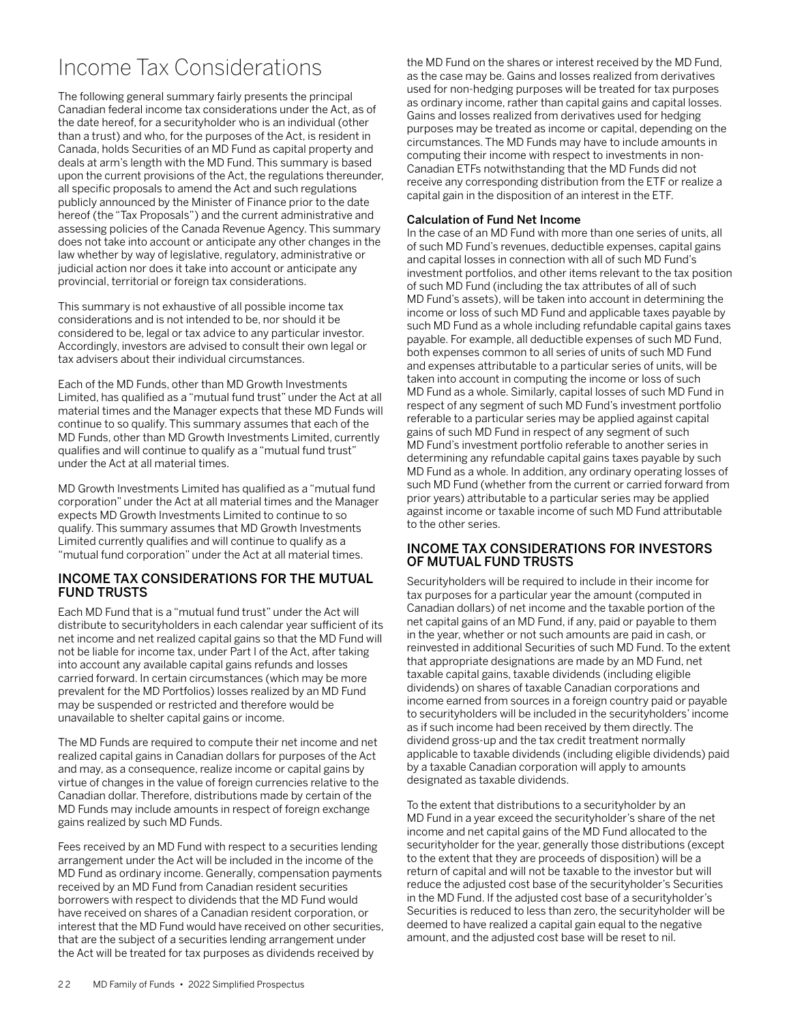## <span id="page-23-0"></span>Income Tax Considerations

The following general summary fairly presents the principal Canadian federal income tax considerations under the Act, as of the date hereof, for a securityholder who is an individual (other than a trust) and who, for the purposes of the Act, is resident in Canada, holds Securities of an MD Fund as capital property and deals at arm's length with the MD Fund. This summary is based upon the current provisions of the Act, the regulations thereunder, all specific proposals to amend the Act and such regulations publicly announced by the Minister of Finance prior to the date hereof (the "Tax Proposals") and the current administrative and assessing policies of the Canada Revenue Agency. This summary does not take into account or anticipate any other changes in the law whether by way of legislative, regulatory, administrative or judicial action nor does it take into account or anticipate any provincial, territorial or foreign tax considerations.

This summary is not exhaustive of all possible income tax considerations and is not intended to be, nor should it be considered to be, legal or tax advice to any particular investor. Accordingly, investors are advised to consult their own legal or tax advisers about their individual circumstances.

Each of the MD Funds, other than MD Growth Investments Limited, has qualified as a "mutual fund trust" under the Act at all material times and the Manager expects that these MD Funds will continue to so qualify. This summary assumes that each of the MD Funds, other than MD Growth Investments Limited, currently qualifies and will continue to qualify as a "mutual fund trust" under the Act at all material times.

MD Growth Investments Limited has qualified as a "mutual fund corporation" under the Act at all material times and the Manager expects MD Growth Investments Limited to continue to so qualify. This summary assumes that MD Growth Investments Limited currently qualifies and will continue to qualify as a "mutual fund corporation" under the Act at all material times.

### INCOME TAX CONSIDERATIONS FOR THE MUTUAL FUND TRUSTS

Each MD Fund that is a "mutual fund trust" under the Act will distribute to securityholders in each calendar year sufficient of its net income and net realized capital gains so that the MD Fund will not be liable for income tax, under Part I of the Act, after taking into account any available capital gains refunds and losses carried forward. In certain circumstances (which may be more prevalent for the MD Portfolios) losses realized by an MD Fund may be suspended or restricted and therefore would be unavailable to shelter capital gains or income.

The MD Funds are required to compute their net income and net realized capital gains in Canadian dollars for purposes of the Act and may, as a consequence, realize income or capital gains by virtue of changes in the value of foreign currencies relative to the Canadian dollar. Therefore, distributions made by certain of the MD Funds may include amounts in respect of foreign exchange gains realized by such MD Funds.

Fees received by an MD Fund with respect to a securities lending arrangement under the Act will be included in the income of the MD Fund as ordinary income. Generally, compensation payments received by an MD Fund from Canadian resident securities borrowers with respect to dividends that the MD Fund would have received on shares of a Canadian resident corporation, or interest that the MD Fund would have received on other securities, that are the subject of a securities lending arrangement under the Act will be treated for tax purposes as dividends received by

the MD Fund on the shares or interest received by the MD Fund, as the case may be. Gains and losses realized from derivatives used for non-hedging purposes will be treated for tax purposes as ordinary income, rather than capital gains and capital losses. Gains and losses realized from derivatives used for hedging purposes may be treated as income or capital, depending on the circumstances. The MD Funds may have to include amounts in computing their income with respect to investments in non-Canadian ETFs notwithstanding that the MD Funds did not receive any corresponding distribution from the ETF or realize a capital gain in the disposition of an interest in the ETF.

### Calculation of Fund Net Income

In the case of an MD Fund with more than one series of units, all of such MD Fund's revenues, deductible expenses, capital gains and capital losses in connection with all of such MD Fund's investment portfolios, and other items relevant to the tax position of such MD Fund (including the tax attributes of all of such MD Fund's assets), will be taken into account in determining the income or loss of such MD Fund and applicable taxes payable by such MD Fund as a whole including refundable capital gains taxes payable. For example, all deductible expenses of such MD Fund, both expenses common to all series of units of such MD Fund and expenses attributable to a particular series of units, will be taken into account in computing the income or loss of such MD Fund as a whole. Similarly, capital losses of such MD Fund in respect of any segment of such MD Fund's investment portfolio referable to a particular series may be applied against capital gains of such MD Fund in respect of any segment of such MD Fund's investment portfolio referable to another series in determining any refundable capital gains taxes payable by such MD Fund as a whole. In addition, any ordinary operating losses of such MD Fund (whether from the current or carried forward from prior years) attributable to a particular series may be applied against income or taxable income of such MD Fund attributable to the other series.

### INCOME TAX CONSIDERATIONS FOR INVESTORS OF MUTUAL FUND TRUSTS

Securityholders will be required to include in their income for tax purposes for a particular year the amount (computed in Canadian dollars) of net income and the taxable portion of the net capital gains of an MD Fund, if any, paid or payable to them in the year, whether or not such amounts are paid in cash, or reinvested in additional Securities of such MD Fund. To the extent that appropriate designations are made by an MD Fund, net taxable capital gains, taxable dividends (including eligible dividends) on shares of taxable Canadian corporations and income earned from sources in a foreign country paid or payable to securityholders will be included in the securityholders' income as if such income had been received by them directly. The dividend gross-up and the tax credit treatment normally applicable to taxable dividends (including eligible dividends) paid by a taxable Canadian corporation will apply to amounts designated as taxable dividends.

To the extent that distributions to a securityholder by an MD Fund in a year exceed the securityholder's share of the net income and net capital gains of the MD Fund allocated to the securityholder for the year, generally those distributions (except to the extent that they are proceeds of disposition) will be a return of capital and will not be taxable to the investor but will reduce the adjusted cost base of the securityholder's Securities in the MD Fund. If the adjusted cost base of a securityholder's Securities is reduced to less than zero, the securityholder will be deemed to have realized a capital gain equal to the negative amount, and the adjusted cost base will be reset to nil.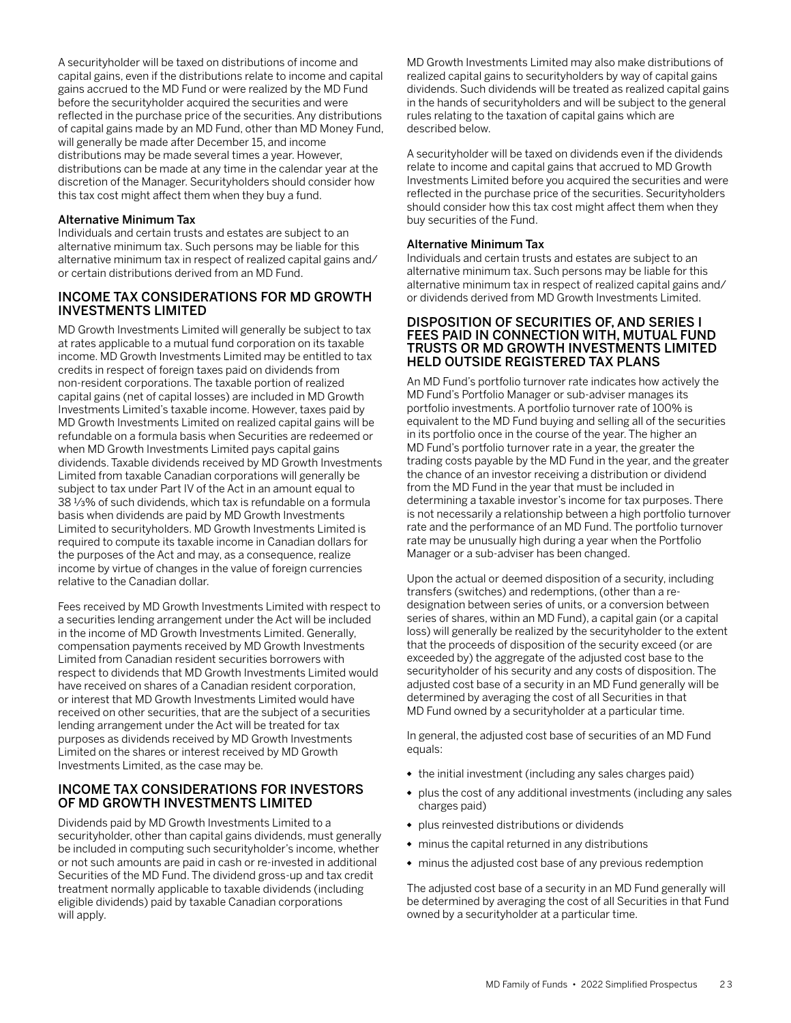<span id="page-24-0"></span>A securityholder will be taxed on distributions of income and capital gains, even if the distributions relate to income and capital gains accrued to the MD Fund or were realized by the MD Fund before the securityholder acquired the securities and were reflected in the purchase price of the securities. Any distributions of capital gains made by an MD Fund, other than MD Money Fund, will generally be made after December 15, and income distributions may be made several times a year. However, distributions can be made at any time in the calendar year at the discretion of the Manager. Securityholders should consider how this tax cost might affect them when they buy a fund.

### Alternative Minimum Tax

Individuals and certain trusts and estates are subject to an alternative minimum tax. Such persons may be liable for this alternative minimum tax in respect of realized capital gains and/ or certain distributions derived from an MD Fund.

### INCOME TAX CONSIDERATIONS FOR MD GROWTH INVESTMENTS LIMITED

MD Growth Investments Limited will generally be subject to tax at rates applicable to a mutual fund corporation on its taxable income. MD Growth Investments Limited may be entitled to tax credits in respect of foreign taxes paid on dividends from non-resident corporations. The taxable portion of realized capital gains (net of capital losses) are included in MD Growth Investments Limited's taxable income. However, taxes paid by MD Growth Investments Limited on realized capital gains will be refundable on a formula basis when Securities are redeemed or when MD Growth Investments Limited pays capital gains dividends. Taxable dividends received by MD Growth Investments Limited from taxable Canadian corporations will generally be subject to tax under Part IV of the Act in an amount equal to 38 1/3% of such dividends, which tax is refundable on a formula basis when dividends are paid by MD Growth Investments Limited to securityholders. MD Growth Investments Limited is required to compute its taxable income in Canadian dollars for the purposes of the Act and may, as a consequence, realize income by virtue of changes in the value of foreign currencies relative to the Canadian dollar.

Fees received by MD Growth Investments Limited with respect to a securities lending arrangement under the Act will be included in the income of MD Growth Investments Limited. Generally, compensation payments received by MD Growth Investments Limited from Canadian resident securities borrowers with respect to dividends that MD Growth Investments Limited would have received on shares of a Canadian resident corporation, or interest that MD Growth Investments Limited would have received on other securities, that are the subject of a securities lending arrangement under the Act will be treated for tax purposes as dividends received by MD Growth Investments Limited on the shares or interest received by MD Growth Investments Limited, as the case may be.

### INCOME TAX CONSIDERATIONS FOR INVESTORS OF MD GROWTH INVESTMENTS LIMITED

Dividends paid by MD Growth Investments Limited to a securityholder, other than capital gains dividends, must generally be included in computing such securityholder's income, whether or not such amounts are paid in cash or re-invested in additional Securities of the MD Fund. The dividend gross-up and tax credit treatment normally applicable to taxable dividends (including eligible dividends) paid by taxable Canadian corporations will apply.

MD Growth Investments Limited may also make distributions of realized capital gains to securityholders by way of capital gains dividends. Such dividends will be treated as realized capital gains in the hands of securityholders and will be subject to the general rules relating to the taxation of capital gains which are described below.

A securityholder will be taxed on dividends even if the dividends relate to income and capital gains that accrued to MD Growth Investments Limited before you acquired the securities and were reflected in the purchase price of the securities. Securityholders should consider how this tax cost might affect them when they buy securities of the Fund.

### Alternative Minimum Tax

Individuals and certain trusts and estates are subject to an alternative minimum tax. Such persons may be liable for this alternative minimum tax in respect of realized capital gains and/ or dividends derived from MD Growth Investments Limited.

### DISPOSITION OF SECURITIES OF, AND SERIES I FEES PAID IN CONNECTION WITH, MUTUAL FUND TRUSTS OR MD GROWTH INVESTMENTS LIMITED HELD OUTSIDE REGISTERED TAX PLANS

An MD Fund's portfolio turnover rate indicates how actively the MD Fund's Portfolio Manager or sub-adviser manages its portfolio investments. A portfolio turnover rate of 100% is equivalent to the MD Fund buying and selling all of the securities in its portfolio once in the course of the year. The higher an MD Fund's portfolio turnover rate in a year, the greater the trading costs payable by the MD Fund in the year, and the greater the chance of an investor receiving a distribution or dividend from the MD Fund in the year that must be included in determining a taxable investor's income for tax purposes. There is not necessarily a relationship between a high portfolio turnover rate and the performance of an MD Fund. The portfolio turnover rate may be unusually high during a year when the Portfolio Manager or a sub-adviser has been changed.

Upon the actual or deemed disposition of a security, including transfers (switches) and redemptions, (other than a redesignation between series of units, or a conversion between series of shares, within an MD Fund), a capital gain (or a capital loss) will generally be realized by the securityholder to the extent that the proceeds of disposition of the security exceed (or are exceeded by) the aggregate of the adjusted cost base to the securityholder of his security and any costs of disposition. The adjusted cost base of a security in an MD Fund generally will be determined by averaging the cost of all Securities in that MD Fund owned by a securityholder at a particular time.

In general, the adjusted cost base of securities of an MD Fund equals:

- the initial investment (including any sales charges paid)
- plus the cost of any additional investments (including any sales charges paid)
- plus reinvested distributions or dividends
- minus the capital returned in any distributions
- minus the adjusted cost base of any previous redemption

The adjusted cost base of a security in an MD Fund generally will be determined by averaging the cost of all Securities in that Fund owned by a securityholder at a particular time.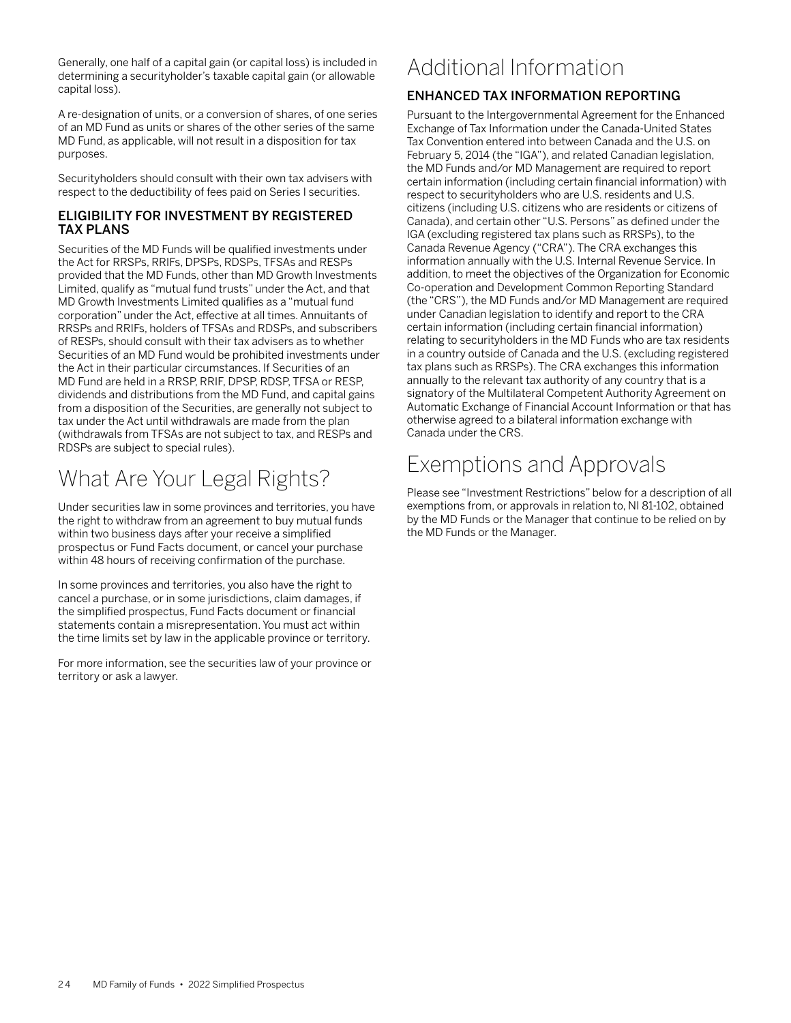<span id="page-25-0"></span>Generally, one half of a capital gain (or capital loss) is included in determining a securityholder's taxable capital gain (or allowable capital loss).

A re-designation of units, or a conversion of shares, of one series of an MD Fund as units or shares of the other series of the same MD Fund, as applicable, will not result in a disposition for tax purposes.

Securityholders should consult with their own tax advisers with respect to the deductibility of fees paid on Series I securities.

### ELIGIBILITY FOR INVESTMENT BY REGISTERED TAX PLANS

Securities of the MD Funds will be qualified investments under the Act for RRSPs, RRIFs, DPSPs, RDSPs, TFSAs and RESPs provided that the MD Funds, other than MD Growth Investments Limited, qualify as "mutual fund trusts" under the Act, and that MD Growth Investments Limited qualifies as a "mutual fund corporation" under the Act, effective at all times. Annuitants of RRSPs and RRIFs, holders of TFSAs and RDSPs, and subscribers of RESPs, should consult with their tax advisers as to whether Securities of an MD Fund would be prohibited investments under the Act in their particular circumstances. If Securities of an MD Fund are held in a RRSP, RRIF, DPSP, RDSP, TFSA or RESP, dividends and distributions from the MD Fund, and capital gains from a disposition of the Securities, are generally not subject to tax under the Act until withdrawals are made from the plan (withdrawals from TFSAs are not subject to tax, and RESPs and RDSPs are subject to special rules).

# What Are Your Legal Rights?

Under securities law in some provinces and territories, you have the right to withdraw from an agreement to buy mutual funds within two business days after your receive a simplified prospectus or Fund Facts document, or cancel your purchase within 48 hours of receiving confirmation of the purchase.

In some provinces and territories, you also have the right to cancel a purchase, or in some jurisdictions, claim damages, if the simplified prospectus, Fund Facts document or financial statements contain a misrepresentation. You must act within the time limits set by law in the applicable province or territory.

For more information, see the securities law of your province or territory or ask a lawyer.

# Additional Information

## ENHANCED TAX INFORMATION REPORTING

Pursuant to the Intergovernmental Agreement for the Enhanced Exchange of Tax Information under the Canada-United States Tax Convention entered into between Canada and the U.S. on February 5, 2014 (the "IGA"), and related Canadian legislation, the MD Funds and/or MD Management are required to report certain information (including certain financial information) with respect to securityholders who are U.S. residents and U.S. citizens (including U.S. citizens who are residents or citizens of Canada), and certain other "U.S. Persons" as defined under the IGA (excluding registered tax plans such as RRSPs), to the Canada Revenue Agency ("CRA"). The CRA exchanges this information annually with the U.S. Internal Revenue Service. In addition, to meet the objectives of the Organization for Economic Co-operation and Development Common Reporting Standard (the "CRS"), the MD Funds and/or MD Management are required under Canadian legislation to identify and report to the CRA certain information (including certain financial information) relating to securityholders in the MD Funds who are tax residents in a country outside of Canada and the U.S. (excluding registered tax plans such as RRSPs). The CRA exchanges this information annually to the relevant tax authority of any country that is a signatory of the Multilateral Competent Authority Agreement on Automatic Exchange of Financial Account Information or that has otherwise agreed to a bilateral information exchange with Canada under the CRS.

## Exemptions and Approvals

Please see "Investment Restrictions" below for a description of all exemptions from, or approvals in relation to, NI 81-102, obtained by the MD Funds or the Manager that continue to be relied on by the MD Funds or the Manager.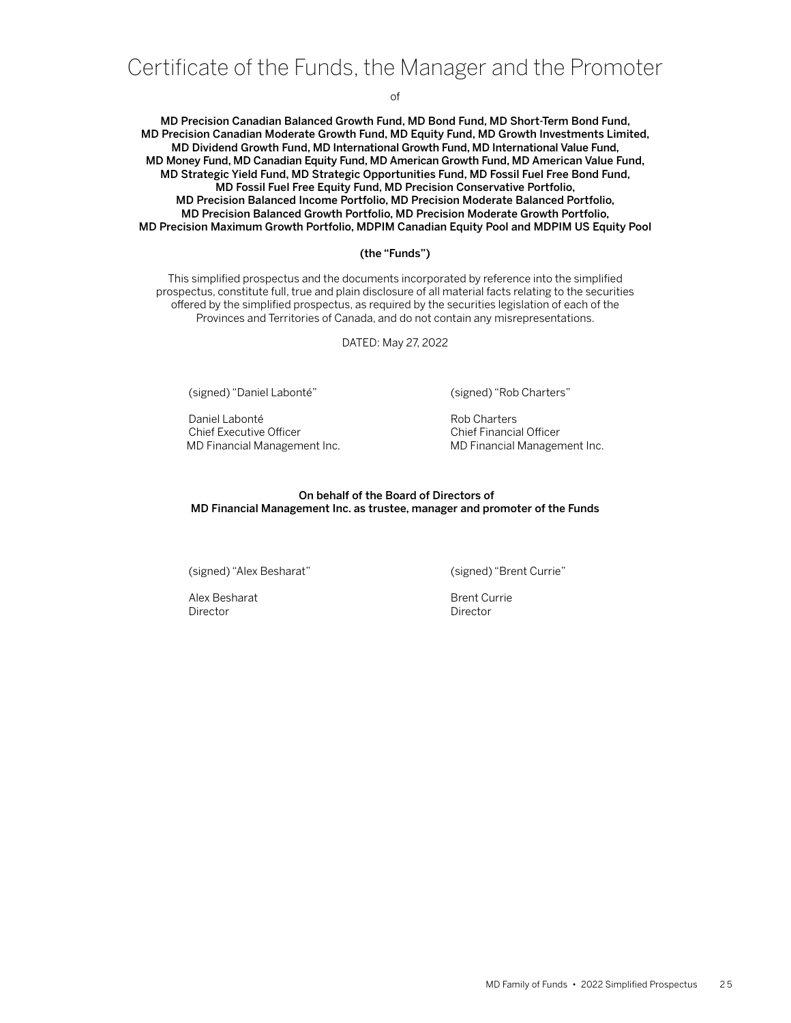## <span id="page-26-0"></span>Certificate of the Funds, the Manager and the Promoter

of

MD Precision Canadian Balanced Growth Fund, MD Bond Fund, MD Short-Term Bond Fund, MD Precision Canadian Moderate Growth Fund, MD Equity Fund, MD Growth Investments Limited, MD Dividend Growth Fund, MD International Growth Fund, MD International Value Fund, MD Money Fund, MD Canadian Equity Fund, MD American Growth Fund, MD American Value Fund, MD Strategic Yield Fund, MD Strategic Opportunities Fund, MD Fossil Fuel Free Bond Fund, MD Fossil Fuel Free Equity Fund, MD Precision Conservative Portfolio, MD Precision Balanced Income Portfolio, MD Precision Moderate Balanced Portfolio, MD Precision Balanced Growth Portfolio, MD Precision Moderate Growth Portfolio, MD Precision Maximum Growth Portfolio, MDPIM Canadian Equity Pool and MDPIM US Equity Pool

### (the "Funds")

This simplified prospectus and the documents incorporated by reference into the simplified prospectus, constitute full, true and plain disclosure of all material facts relating to the securities offered by the simplified prospectus, as required by the securities legislation of each of the Provinces and Territories of Canada, and do not contain any misrepresentations.

DATED: May 27, 2022

(signed) "Daniel Labonté" (signed) "Rob Charters"

Daniel Labonté **Rob Charters** Chief Executive Officer Chief Financial Officer

MD Financial Management Inc. **In the Contract Contract Management Inc.** MD Financial Management Inc.

#### On behalf of the Board of Directors of MD Financial Management Inc. as trustee, manager and promoter of the Funds

(signed) "Alex Besharat" (signed) "Brent Currie"

Alex Besharat **Brent Currie** Brent Currie Director Director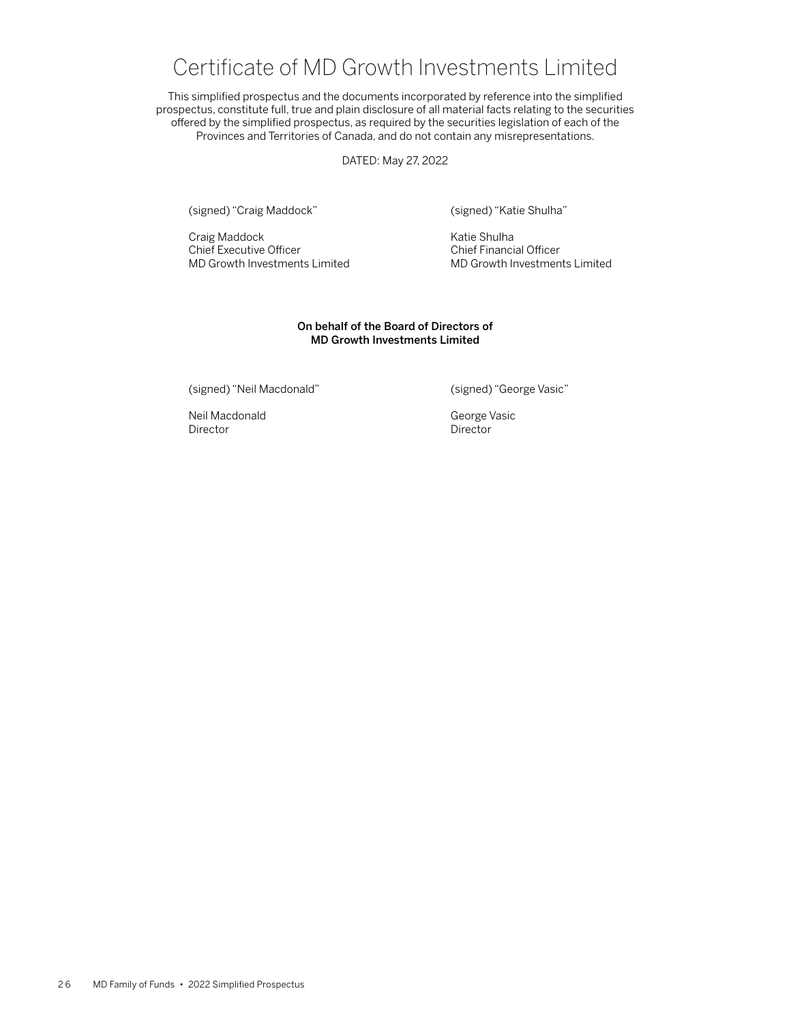## Certificate of MD Growth Investments Limited

<span id="page-27-0"></span>This simplified prospectus and the documents incorporated by reference into the simplified prospectus, constitute full, true and plain disclosure of all material facts relating to the securities offered by the simplified prospectus, as required by the securities legislation of each of the Provinces and Territories of Canada, and do not contain any misrepresentations.

DATED: May 27, 2022

(signed) "Craig Maddock" (signed) "Katie Shulha"

Craig Maddock<br>
Chief Executive Officer<br>
Chief Financi MD Growth Investments Limited

Chief Financial Officer<br>MD Growth Investments Limited

### On behalf of the Board of Directors of MD Growth Investments Limited

(signed) "Neil Macdonald" (signed) "George Vasic"

Neil Macdonald George Vasic Director **Director** Director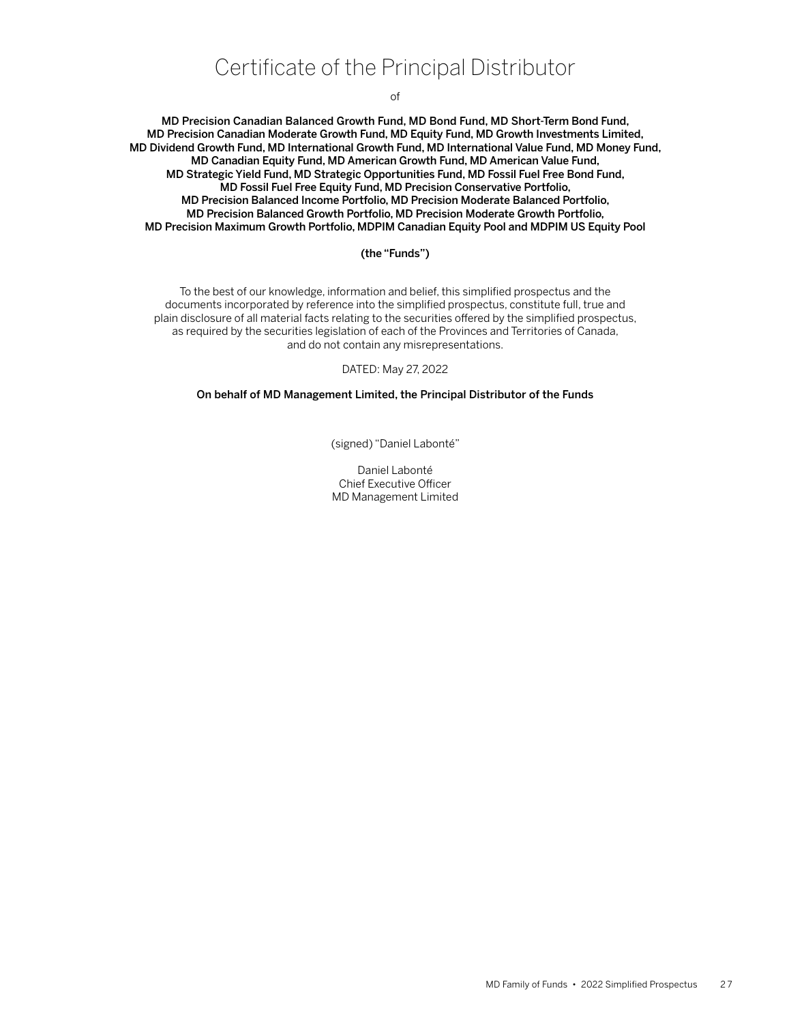## Certificate of the Principal Distributor

of

<span id="page-28-0"></span>MD Precision Canadian Balanced Growth Fund, MD Bond Fund, MD Short-Term Bond Fund, MD Precision Canadian Moderate Growth Fund, MD Equity Fund, MD Growth Investments Limited, MD Dividend Growth Fund, MD International Growth Fund, MD International Value Fund, MD Money Fund, MD Canadian Equity Fund, MD American Growth Fund, MD American Value Fund, MD Strategic Yield Fund, MD Strategic Opportunities Fund, MD Fossil Fuel Free Bond Fund, MD Fossil Fuel Free Equity Fund, MD Precision Conservative Portfolio, MD Precision Balanced Income Portfolio, MD Precision Moderate Balanced Portfolio, MD Precision Balanced Growth Portfolio, MD Precision Moderate Growth Portfolio, MD Precision Maximum Growth Portfolio, MDPIM Canadian Equity Pool and MDPIM US Equity Pool

### (the "Funds")

To the best of our knowledge, information and belief, this simplified prospectus and the documents incorporated by reference into the simplified prospectus, constitute full, true and plain disclosure of all material facts relating to the securities offered by the simplified prospectus, as required by the securities legislation of each of the Provinces and Territories of Canada, and do not contain any misrepresentations.

#### DATED: May 27, 2022

### On behalf of MD Management Limited, the Principal Distributor of the Funds

(signed) "Daniel Labonté"

Daniel Labonté Chief Executive Officer MD Management Limited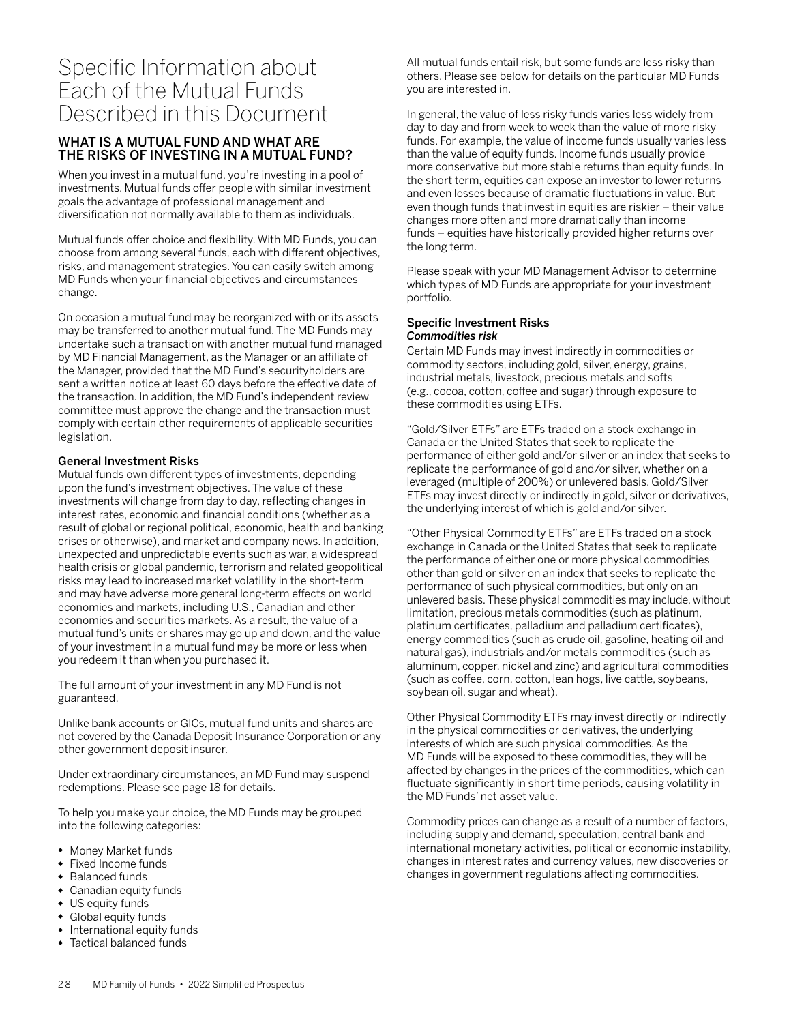## <span id="page-29-0"></span>Specific Information about Each of the Mutual Funds Described in this Document

## WHAT IS A MUTUAL FUND AND WHAT ARE THE RISKS OF INVESTING IN A MUTUAL FUND?

When you invest in a mutual fund, you're investing in a pool of investments. Mutual funds offer people with similar investment goals the advantage of professional management and diversification not normally available to them as individuals.

Mutual funds offer choice and flexibility. With MD Funds, you can choose from among several funds, each with different objectives, risks, and management strategies. You can easily switch among MD Funds when your financial objectives and circumstances change.

On occasion a mutual fund may be reorganized with or its assets may be transferred to another mutual fund. The MD Funds may undertake such a transaction with another mutual fund managed by MD Financial Management, as the Manager or an affiliate of the Manager, provided that the MD Fund's securityholders are sent a written notice at least 60 days before the effective date of the transaction. In addition, the MD Fund's independent review committee must approve the change and the transaction must comply with certain other requirements of applicable securities legislation.

### General Investment Risks

Mutual funds own different types of investments, depending upon the fund's investment objectives. The value of these investments will change from day to day, reflecting changes in interest rates, economic and financial conditions (whether as a result of global or regional political, economic, health and banking crises or otherwise), and market and company news. In addition, unexpected and unpredictable events such as war, a widespread health crisis or global pandemic, terrorism and related geopolitical risks may lead to increased market volatility in the short-term and may have adverse more general long-term effects on world economies and markets, including U.S., Canadian and other economies and securities markets. As a result, the value of a mutual fund's units or shares may go up and down, and the value of your investment in a mutual fund may be more or less when you redeem it than when you purchased it.

The full amount of your investment in any MD Fund is not guaranteed.

Unlike bank accounts or GICs, mutual fund units and shares are not covered by the Canada Deposit Insurance Corporation or any other government deposit insurer.

Under extraordinary circumstances, an MD Fund may suspend redemptions. Please see page 18 for details.

To help you make your choice, the MD Funds may be grouped into the following categories:

- Money Market funds
- Fixed Income funds
- Balanced funds
- Canadian equity funds
- US equity funds<br>• Global equity fur
- Global equity funds
- International equity funds
- Tactical balanced funds

All mutual funds entail risk, but some funds are less risky than others. Please see below for details on the particular MD Funds you are interested in.

In general, the value of less risky funds varies less widely from day to day and from week to week than the value of more risky funds. For example, the value of income funds usually varies less than the value of equity funds. Income funds usually provide more conservative but more stable returns than equity funds. In the short term, equities can expose an investor to lower returns and even losses because of dramatic fluctuations in value. But even though funds that invest in equities are riskier – their value changes more often and more dramatically than income funds – equities have historically provided higher returns over the long term.

Please speak with your MD Management Advisor to determine which types of MD Funds are appropriate for your investment portfolio.

### Specific Investment Risks *Commodities risk*

Certain MD Funds may invest indirectly in commodities or commodity sectors, including gold, silver, energy, grains, industrial metals, livestock, precious metals and softs (e.g., cocoa, cotton, coffee and sugar) through exposure to these commodities using ETFs.

"Gold/Silver ETFs" are ETFs traded on a stock exchange in Canada or the United States that seek to replicate the performance of either gold and/or silver or an index that seeks to replicate the performance of gold and/or silver, whether on a leveraged (multiple of 200%) or unlevered basis. Gold/Silver ETFs may invest directly or indirectly in gold, silver or derivatives, the underlying interest of which is gold and/or silver.

"Other Physical Commodity ETFs" are ETFs traded on a stock exchange in Canada or the United States that seek to replicate the performance of either one or more physical commodities other than gold or silver on an index that seeks to replicate the performance of such physical commodities, but only on an unlevered basis. These physical commodities may include, without limitation, precious metals commodities (such as platinum, platinum certificates, palladium and palladium certificates), energy commodities (such as crude oil, gasoline, heating oil and natural gas), industrials and/or metals commodities (such as aluminum, copper, nickel and zinc) and agricultural commodities (such as coffee, corn, cotton, lean hogs, live cattle, soybeans, soybean oil, sugar and wheat).

Other Physical Commodity ETFs may invest directly or indirectly in the physical commodities or derivatives, the underlying interests of which are such physical commodities. As the MD Funds will be exposed to these commodities, they will be affected by changes in the prices of the commodities, which can fluctuate significantly in short time periods, causing volatility in the MD Funds' net asset value.

Commodity prices can change as a result of a number of factors, including supply and demand, speculation, central bank and international monetary activities, political or economic instability, changes in interest rates and currency values, new discoveries or changes in government regulations affecting commodities.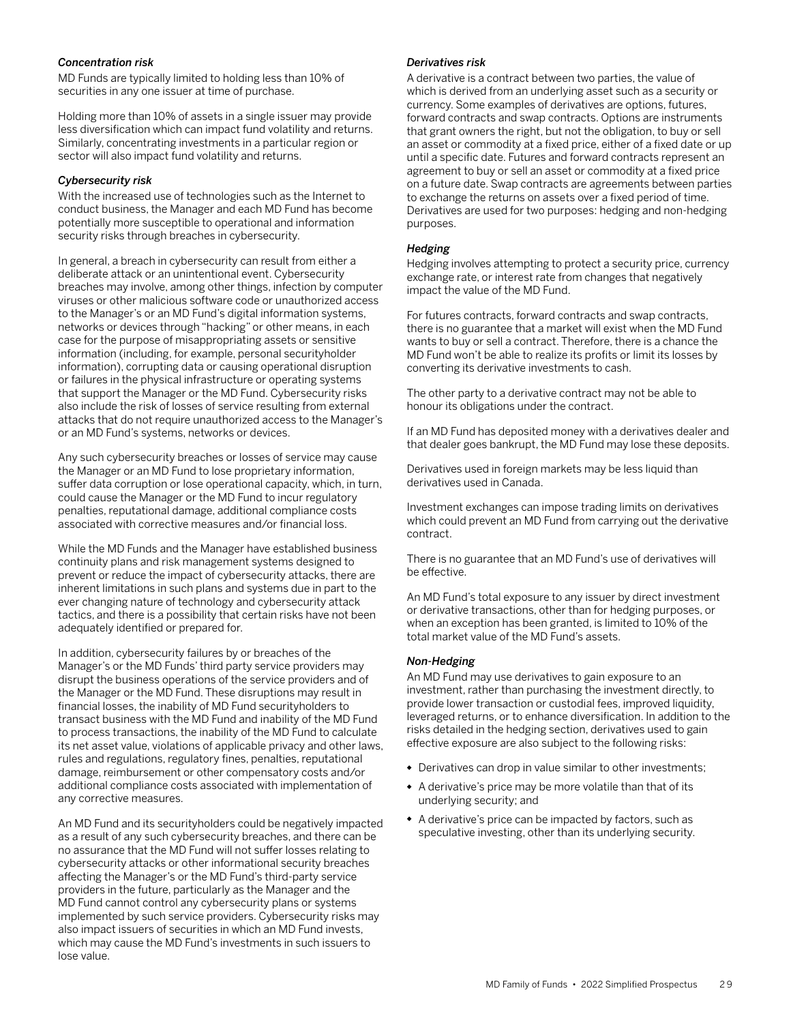### *Concentration risk*

MD Funds are typically limited to holding less than 10% of securities in any one issuer at time of purchase.

Holding more than 10% of assets in a single issuer may provide less diversification which can impact fund volatility and returns. Similarly, concentrating investments in a particular region or sector will also impact fund volatility and returns.

### *Cybersecurity risk*

With the increased use of technologies such as the Internet to conduct business, the Manager and each MD Fund has become potentially more susceptible to operational and information security risks through breaches in cybersecurity.

In general, a breach in cybersecurity can result from either a deliberate attack or an unintentional event. Cybersecurity breaches may involve, among other things, infection by computer viruses or other malicious software code or unauthorized access to the Manager's or an MD Fund's digital information systems, networks or devices through "hacking" or other means, in each case for the purpose of misappropriating assets or sensitive information (including, for example, personal securityholder information), corrupting data or causing operational disruption or failures in the physical infrastructure or operating systems that support the Manager or the MD Fund. Cybersecurity risks also include the risk of losses of service resulting from external attacks that do not require unauthorized access to the Manager's or an MD Fund's systems, networks or devices.

Any such cybersecurity breaches or losses of service may cause the Manager or an MD Fund to lose proprietary information, suffer data corruption or lose operational capacity, which, in turn, could cause the Manager or the MD Fund to incur regulatory penalties, reputational damage, additional compliance costs associated with corrective measures and/or financial loss.

While the MD Funds and the Manager have established business continuity plans and risk management systems designed to prevent or reduce the impact of cybersecurity attacks, there are inherent limitations in such plans and systems due in part to the ever changing nature of technology and cybersecurity attack tactics, and there is a possibility that certain risks have not been adequately identified or prepared for.

In addition, cybersecurity failures by or breaches of the Manager's or the MD Funds' third party service providers may disrupt the business operations of the service providers and of the Manager or the MD Fund. These disruptions may result in financial losses, the inability of MD Fund securityholders to transact business with the MD Fund and inability of the MD Fund to process transactions, the inability of the MD Fund to calculate its net asset value, violations of applicable privacy and other laws, rules and regulations, regulatory fines, penalties, reputational damage, reimbursement or other compensatory costs and/or additional compliance costs associated with implementation of any corrective measures.

An MD Fund and its securityholders could be negatively impacted as a result of any such cybersecurity breaches, and there can be no assurance that the MD Fund will not suffer losses relating to cybersecurity attacks or other informational security breaches affecting the Manager's or the MD Fund's third-party service providers in the future, particularly as the Manager and the MD Fund cannot control any cybersecurity plans or systems implemented by such service providers. Cybersecurity risks may also impact issuers of securities in which an MD Fund invests, which may cause the MD Fund's investments in such issuers to lose value.

### *Derivatives risk*

A derivative is a contract between two parties, the value of which is derived from an underlying asset such as a security or currency. Some examples of derivatives are options, futures, forward contracts and swap contracts. Options are instruments that grant owners the right, but not the obligation, to buy or sell an asset or commodity at a fixed price, either of a fixed date or up until a specific date. Futures and forward contracts represent an agreement to buy or sell an asset or commodity at a fixed price on a future date. Swap contracts are agreements between parties to exchange the returns on assets over a fixed period of time. Derivatives are used for two purposes: hedging and non-hedging purposes.

### *Hedging*

Hedging involves attempting to protect a security price, currency exchange rate, or interest rate from changes that negatively impact the value of the MD Fund.

For futures contracts, forward contracts and swap contracts, there is no guarantee that a market will exist when the MD Fund wants to buy or sell a contract. Therefore, there is a chance the MD Fund won't be able to realize its profits or limit its losses by converting its derivative investments to cash.

The other party to a derivative contract may not be able to honour its obligations under the contract.

If an MD Fund has deposited money with a derivatives dealer and that dealer goes bankrupt, the MD Fund may lose these deposits.

Derivatives used in foreign markets may be less liquid than derivatives used in Canada.

Investment exchanges can impose trading limits on derivatives which could prevent an MD Fund from carrying out the derivative contract.

There is no guarantee that an MD Fund's use of derivatives will be effective.

An MD Fund's total exposure to any issuer by direct investment or derivative transactions, other than for hedging purposes, or when an exception has been granted, is limited to 10% of the total market value of the MD Fund's assets.

### *Non-Hedging*

An MD Fund may use derivatives to gain exposure to an investment, rather than purchasing the investment directly, to provide lower transaction or custodial fees, improved liquidity, leveraged returns, or to enhance diversification. In addition to the risks detailed in the hedging section, derivatives used to gain effective exposure are also subject to the following risks:

- Derivatives can drop in value similar to other investments;
- A derivative's price may be more volatile than that of its underlying security; and
- A derivative's price can be impacted by factors, such as speculative investing, other than its underlying security.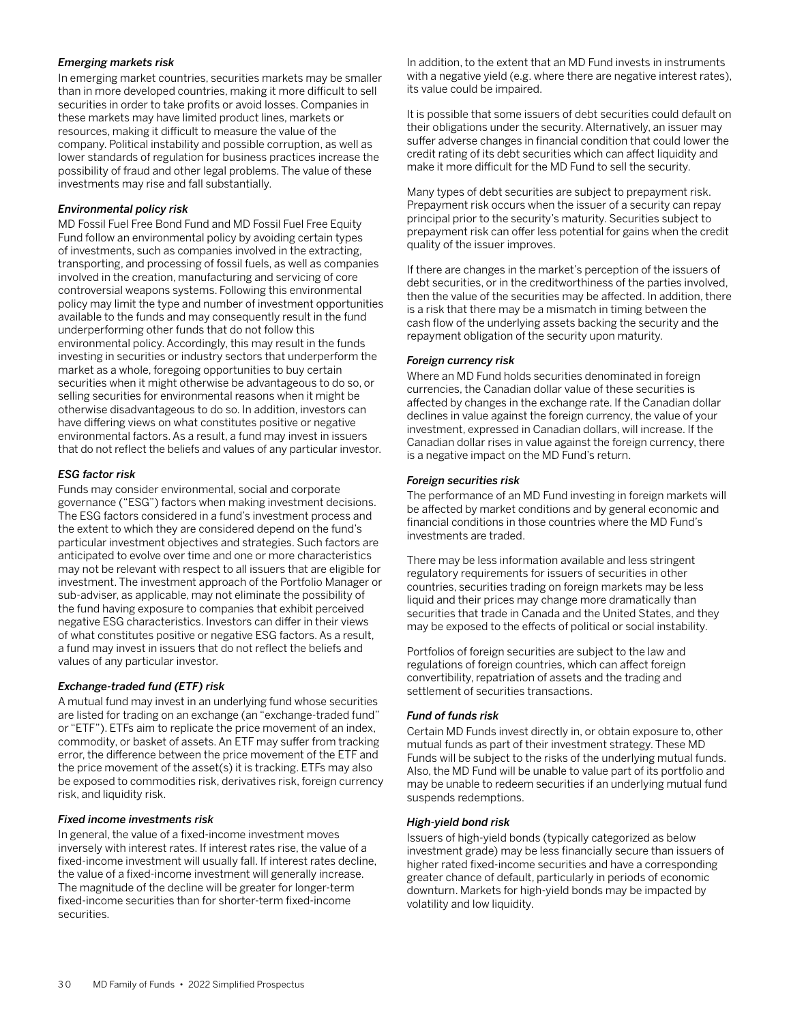### *Emerging markets risk*

In emerging market countries, securities markets may be smaller than in more developed countries, making it more difficult to sell securities in order to take profits or avoid losses. Companies in these markets may have limited product lines, markets or resources, making it difficult to measure the value of the company. Political instability and possible corruption, as well as lower standards of regulation for business practices increase the possibility of fraud and other legal problems. The value of these investments may rise and fall substantially.

### *Environmental policy risk*

MD Fossil Fuel Free Bond Fund and MD Fossil Fuel Free Equity Fund follow an environmental policy by avoiding certain types of investments, such as companies involved in the extracting, transporting, and processing of fossil fuels, as well as companies involved in the creation, manufacturing and servicing of core controversial weapons systems. Following this environmental policy may limit the type and number of investment opportunities available to the funds and may consequently result in the fund underperforming other funds that do not follow this environmental policy. Accordingly, this may result in the funds investing in securities or industry sectors that underperform the market as a whole, foregoing opportunities to buy certain securities when it might otherwise be advantageous to do so, or selling securities for environmental reasons when it might be otherwise disadvantageous to do so. In addition, investors can have differing views on what constitutes positive or negative environmental factors. As a result, a fund may invest in issuers that do not reflect the beliefs and values of any particular investor.

### *ESG factor risk*

Funds may consider environmental, social and corporate governance ("ESG") factors when making investment decisions. The ESG factors considered in a fund's investment process and the extent to which they are considered depend on the fund's particular investment objectives and strategies. Such factors are anticipated to evolve over time and one or more characteristics may not be relevant with respect to all issuers that are eligible for investment. The investment approach of the Portfolio Manager or sub-adviser, as applicable, may not eliminate the possibility of the fund having exposure to companies that exhibit perceived negative ESG characteristics. Investors can differ in their views of what constitutes positive or negative ESG factors. As a result, a fund may invest in issuers that do not reflect the beliefs and values of any particular investor.

### *Exchange-traded fund (ETF) risk*

A mutual fund may invest in an underlying fund whose securities are listed for trading on an exchange (an "exchange-traded fund" or "ETF"). ETFs aim to replicate the price movement of an index, commodity, or basket of assets. An ETF may suffer from tracking error, the difference between the price movement of the ETF and the price movement of the asset(s) it is tracking. ETFs may also be exposed to commodities risk, derivatives risk, foreign currency risk, and liquidity risk.

### *Fixed income investments risk*

In general, the value of a fixed-income investment moves inversely with interest rates. If interest rates rise, the value of a fixed-income investment will usually fall. If interest rates decline, the value of a fixed-income investment will generally increase. The magnitude of the decline will be greater for longer-term fixed-income securities than for shorter-term fixed-income securities.

In addition, to the extent that an MD Fund invests in instruments with a negative yield (e.g. where there are negative interest rates), its value could be impaired.

It is possible that some issuers of debt securities could default on their obligations under the security. Alternatively, an issuer may suffer adverse changes in financial condition that could lower the credit rating of its debt securities which can affect liquidity and make it more difficult for the MD Fund to sell the security.

Many types of debt securities are subject to prepayment risk. Prepayment risk occurs when the issuer of a security can repay principal prior to the security's maturity. Securities subject to prepayment risk can offer less potential for gains when the credit quality of the issuer improves.

If there are changes in the market's perception of the issuers of debt securities, or in the creditworthiness of the parties involved, then the value of the securities may be affected. In addition, there is a risk that there may be a mismatch in timing between the cash flow of the underlying assets backing the security and the repayment obligation of the security upon maturity.

### *Foreign currency risk*

Where an MD Fund holds securities denominated in foreign currencies, the Canadian dollar value of these securities is affected by changes in the exchange rate. If the Canadian dollar declines in value against the foreign currency, the value of your investment, expressed in Canadian dollars, will increase. If the Canadian dollar rises in value against the foreign currency, there is a negative impact on the MD Fund's return.

### *Foreign securities risk*

The performance of an MD Fund investing in foreign markets will be affected by market conditions and by general economic and financial conditions in those countries where the MD Fund's investments are traded.

There may be less information available and less stringent regulatory requirements for issuers of securities in other countries, securities trading on foreign markets may be less liquid and their prices may change more dramatically than securities that trade in Canada and the United States, and they may be exposed to the effects of political or social instability.

Portfolios of foreign securities are subject to the law and regulations of foreign countries, which can affect foreign convertibility, repatriation of assets and the trading and settlement of securities transactions.

### *Fund of funds risk*

Certain MD Funds invest directly in, or obtain exposure to, other mutual funds as part of their investment strategy. These MD Funds will be subject to the risks of the underlying mutual funds. Also, the MD Fund will be unable to value part of its portfolio and may be unable to redeem securities if an underlying mutual fund suspends redemptions.

#### *High-yield bond risk*

Issuers of high-yield bonds (typically categorized as below investment grade) may be less financially secure than issuers of higher rated fixed-income securities and have a corresponding greater chance of default, particularly in periods of economic downturn. Markets for high-yield bonds may be impacted by volatility and low liquidity.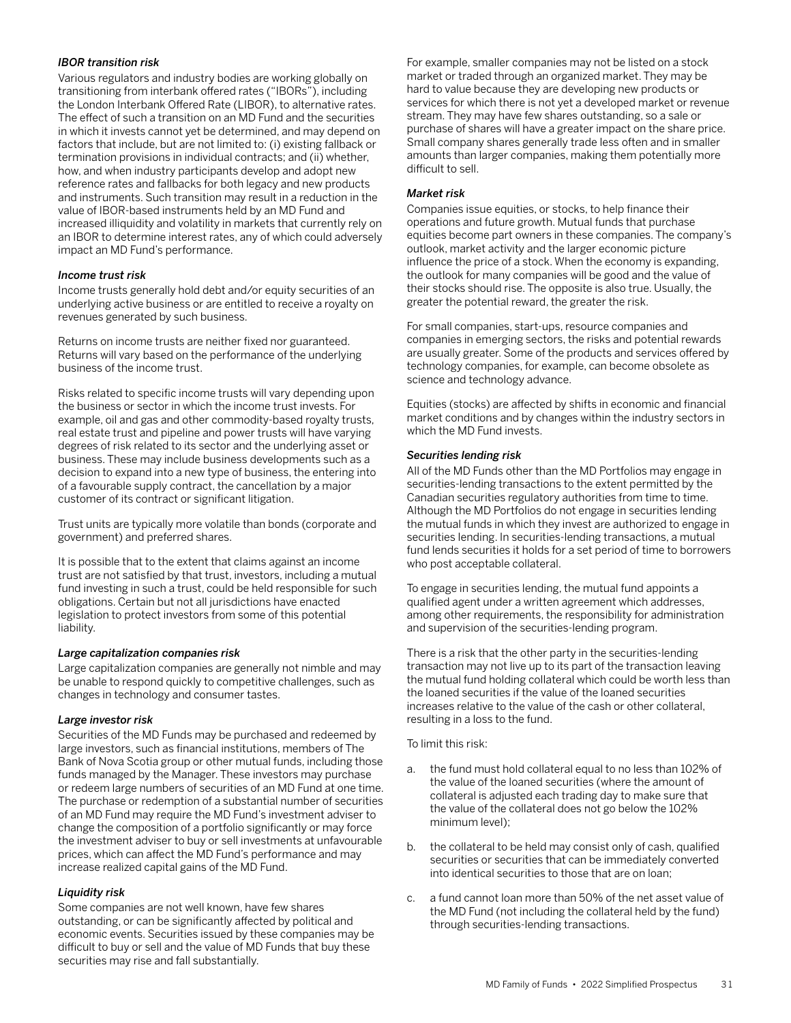### *IBOR transition risk*

Various regulators and industry bodies are working globally on transitioning from interbank offered rates ("IBORs"), including the London Interbank Offered Rate (LIBOR), to alternative rates. The effect of such a transition on an MD Fund and the securities in which it invests cannot yet be determined, and may depend on factors that include, but are not limited to: (i) existing fallback or termination provisions in individual contracts; and (ii) whether, how, and when industry participants develop and adopt new reference rates and fallbacks for both legacy and new products and instruments. Such transition may result in a reduction in the value of IBOR-based instruments held by an MD Fund and increased illiquidity and volatility in markets that currently rely on an IBOR to determine interest rates, any of which could adversely impact an MD Fund's performance.

### *Income trust risk*

Income trusts generally hold debt and/or equity securities of an underlying active business or are entitled to receive a royalty on revenues generated by such business.

Returns on income trusts are neither fixed nor guaranteed. Returns will vary based on the performance of the underlying business of the income trust.

Risks related to specific income trusts will vary depending upon the business or sector in which the income trust invests. For example, oil and gas and other commodity-based royalty trusts, real estate trust and pipeline and power trusts will have varying degrees of risk related to its sector and the underlying asset or business. These may include business developments such as a decision to expand into a new type of business, the entering into of a favourable supply contract, the cancellation by a major customer of its contract or significant litigation.

Trust units are typically more volatile than bonds (corporate and government) and preferred shares.

It is possible that to the extent that claims against an income trust are not satisfied by that trust, investors, including a mutual fund investing in such a trust, could be held responsible for such obligations. Certain but not all jurisdictions have enacted legislation to protect investors from some of this potential liability.

#### *Large capitalization companies risk*

Large capitalization companies are generally not nimble and may be unable to respond quickly to competitive challenges, such as changes in technology and consumer tastes.

#### *Large investor risk*

Securities of the MD Funds may be purchased and redeemed by large investors, such as financial institutions, members of The Bank of Nova Scotia group or other mutual funds, including those funds managed by the Manager. These investors may purchase or redeem large numbers of securities of an MD Fund at one time. The purchase or redemption of a substantial number of securities of an MD Fund may require the MD Fund's investment adviser to change the composition of a portfolio significantly or may force the investment adviser to buy or sell investments at unfavourable prices, which can affect the MD Fund's performance and may increase realized capital gains of the MD Fund.

### *Liquidity risk*

Some companies are not well known, have few shares outstanding, or can be significantly affected by political and economic events. Securities issued by these companies may be difficult to buy or sell and the value of MD Funds that buy these securities may rise and fall substantially.

For example, smaller companies may not be listed on a stock market or traded through an organized market. They may be hard to value because they are developing new products or services for which there is not yet a developed market or revenue stream. They may have few shares outstanding, so a sale or purchase of shares will have a greater impact on the share price. Small company shares generally trade less often and in smaller amounts than larger companies, making them potentially more difficult to sell.

### *Market risk*

Companies issue equities, or stocks, to help finance their operations and future growth. Mutual funds that purchase equities become part owners in these companies. The company's outlook, market activity and the larger economic picture influence the price of a stock. When the economy is expanding, the outlook for many companies will be good and the value of their stocks should rise. The opposite is also true. Usually, the greater the potential reward, the greater the risk.

For small companies, start-ups, resource companies and companies in emerging sectors, the risks and potential rewards are usually greater. Some of the products and services offered by technology companies, for example, can become obsolete as science and technology advance.

Equities (stocks) are affected by shifts in economic and financial market conditions and by changes within the industry sectors in which the MD Fund invests.

### *Securities lending risk*

All of the MD Funds other than the MD Portfolios may engage in securities-lending transactions to the extent permitted by the Canadian securities regulatory authorities from time to time. Although the MD Portfolios do not engage in securities lending the mutual funds in which they invest are authorized to engage in securities lending. In securities-lending transactions, a mutual fund lends securities it holds for a set period of time to borrowers who post acceptable collateral.

To engage in securities lending, the mutual fund appoints a qualified agent under a written agreement which addresses, among other requirements, the responsibility for administration and supervision of the securities-lending program.

There is a risk that the other party in the securities-lending transaction may not live up to its part of the transaction leaving the mutual fund holding collateral which could be worth less than the loaned securities if the value of the loaned securities increases relative to the value of the cash or other collateral, resulting in a loss to the fund.

To limit this risk:

- a. the fund must hold collateral equal to no less than 102% of the value of the loaned securities (where the amount of collateral is adjusted each trading day to make sure that the value of the collateral does not go below the 102% minimum level);
- b. the collateral to be held may consist only of cash, qualified securities or securities that can be immediately converted into identical securities to those that are on loan;
- c. a fund cannot loan more than 50% of the net asset value of the MD Fund (not including the collateral held by the fund) through securities-lending transactions.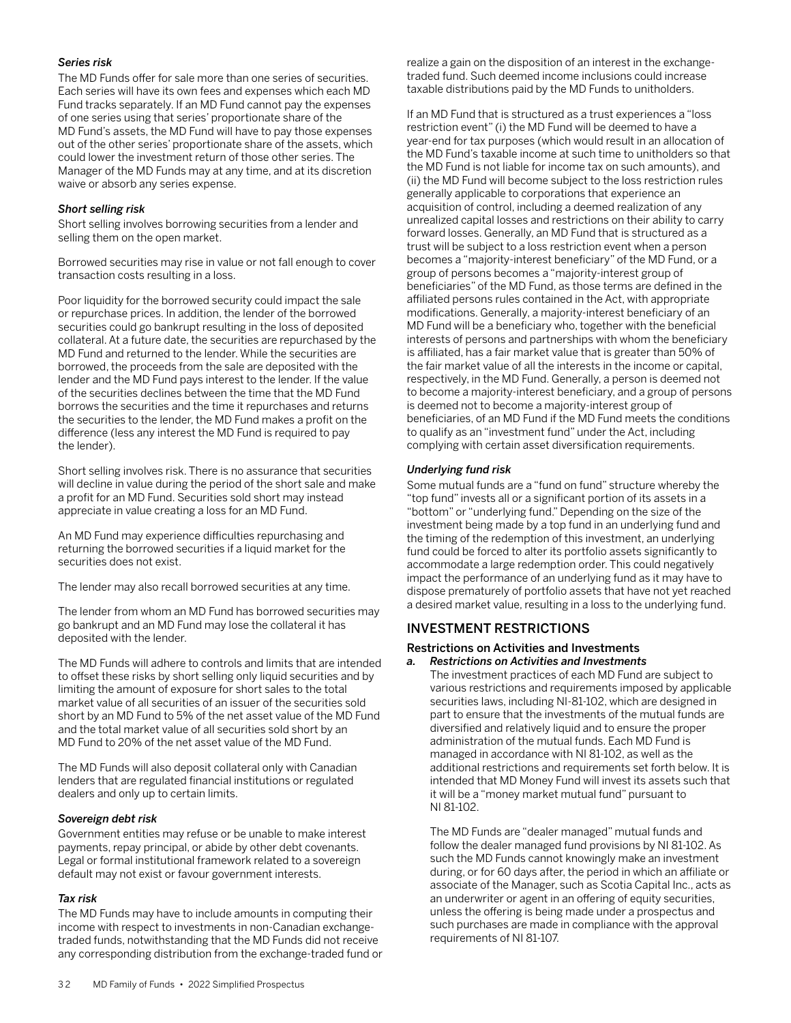### <span id="page-33-0"></span>*Series risk*

The MD Funds offer for sale more than one series of securities. Each series will have its own fees and expenses which each MD Fund tracks separately. If an MD Fund cannot pay the expenses of one series using that series' proportionate share of the MD Fund's assets, the MD Fund will have to pay those expenses out of the other series' proportionate share of the assets, which could lower the investment return of those other series. The Manager of the MD Funds may at any time, and at its discretion waive or absorb any series expense.

### *Short selling risk*

Short selling involves borrowing securities from a lender and selling them on the open market.

Borrowed securities may rise in value or not fall enough to cover transaction costs resulting in a loss.

Poor liquidity for the borrowed security could impact the sale or repurchase prices. In addition, the lender of the borrowed securities could go bankrupt resulting in the loss of deposited collateral. At a future date, the securities are repurchased by the MD Fund and returned to the lender. While the securities are borrowed, the proceeds from the sale are deposited with the lender and the MD Fund pays interest to the lender. If the value of the securities declines between the time that the MD Fund borrows the securities and the time it repurchases and returns the securities to the lender, the MD Fund makes a profit on the difference (less any interest the MD Fund is required to pay the lender).

Short selling involves risk. There is no assurance that securities will decline in value during the period of the short sale and make a profit for an MD Fund. Securities sold short may instead appreciate in value creating a loss for an MD Fund.

An MD Fund may experience difficulties repurchasing and returning the borrowed securities if a liquid market for the securities does not exist.

The lender may also recall borrowed securities at any time.

The lender from whom an MD Fund has borrowed securities may go bankrupt and an MD Fund may lose the collateral it has deposited with the lender.

The MD Funds will adhere to controls and limits that are intended to offset these risks by short selling only liquid securities and by limiting the amount of exposure for short sales to the total market value of all securities of an issuer of the securities sold short by an MD Fund to 5% of the net asset value of the MD Fund and the total market value of all securities sold short by an MD Fund to 20% of the net asset value of the MD Fund.

The MD Funds will also deposit collateral only with Canadian lenders that are regulated financial institutions or regulated dealers and only up to certain limits.

### *Sovereign debt risk*

Government entities may refuse or be unable to make interest payments, repay principal, or abide by other debt covenants. Legal or formal institutional framework related to a sovereign default may not exist or favour government interests.

#### *Tax risk*

The MD Funds may have to include amounts in computing their income with respect to investments in non-Canadian exchangetraded funds, notwithstanding that the MD Funds did not receive any corresponding distribution from the exchange-traded fund or realize a gain on the disposition of an interest in the exchangetraded fund. Such deemed income inclusions could increase taxable distributions paid by the MD Funds to unitholders.

If an MD Fund that is structured as a trust experiences a "loss restriction event" (i) the MD Fund will be deemed to have a year-end for tax purposes (which would result in an allocation of the MD Fund's taxable income at such time to unitholders so that the MD Fund is not liable for income tax on such amounts), and (ii) the MD Fund will become subject to the loss restriction rules generally applicable to corporations that experience an acquisition of control, including a deemed realization of any unrealized capital losses and restrictions on their ability to carry forward losses. Generally, an MD Fund that is structured as a trust will be subject to a loss restriction event when a person becomes a "majority-interest beneficiary" of the MD Fund, or a group of persons becomes a "majority-interest group of beneficiaries" of the MD Fund, as those terms are defined in the affiliated persons rules contained in the Act, with appropriate modifications. Generally, a majority-interest beneficiary of an MD Fund will be a beneficiary who, together with the beneficial interests of persons and partnerships with whom the beneficiary is affiliated, has a fair market value that is greater than 50% of the fair market value of all the interests in the income or capital, respectively, in the MD Fund. Generally, a person is deemed not to become a majority-interest beneficiary, and a group of persons is deemed not to become a majority-interest group of beneficiaries, of an MD Fund if the MD Fund meets the conditions to qualify as an "investment fund" under the Act, including complying with certain asset diversification requirements.

### *Underlying fund risk*

Some mutual funds are a "fund on fund" structure whereby the "top fund" invests all or a significant portion of its assets in a "bottom" or "underlying fund." Depending on the size of the investment being made by a top fund in an underlying fund and the timing of the redemption of this investment, an underlying fund could be forced to alter its portfolio assets significantly to accommodate a large redemption order. This could negatively impact the performance of an underlying fund as it may have to dispose prematurely of portfolio assets that have not yet reached a desired market value, resulting in a loss to the underlying fund.

## INVESTMENT RESTRICTIONS

### Restrictions on Activities and Investments

*a. Restrictions on Activities and Investments*  The investment practices of each MD Fund are subject to various restrictions and requirements imposed by applicable securities laws, including NI-81-102, which are designed in part to ensure that the investments of the mutual funds are diversified and relatively liquid and to ensure the proper administration of the mutual funds. Each MD Fund is managed in accordance with NI 81-102, as well as the additional restrictions and requirements set forth below. It is intended that MD Money Fund will invest its assets such that it will be a "money market mutual fund" pursuant to NI 81-102.

The MD Funds are "dealer managed" mutual funds and follow the dealer managed fund provisions by NI 81-102. As such the MD Funds cannot knowingly make an investment during, or for 60 days after, the period in which an affiliate or associate of the Manager, such as Scotia Capital Inc., acts as an underwriter or agent in an offering of equity securities, unless the offering is being made under a prospectus and such purchases are made in compliance with the approval requirements of NI 81-107.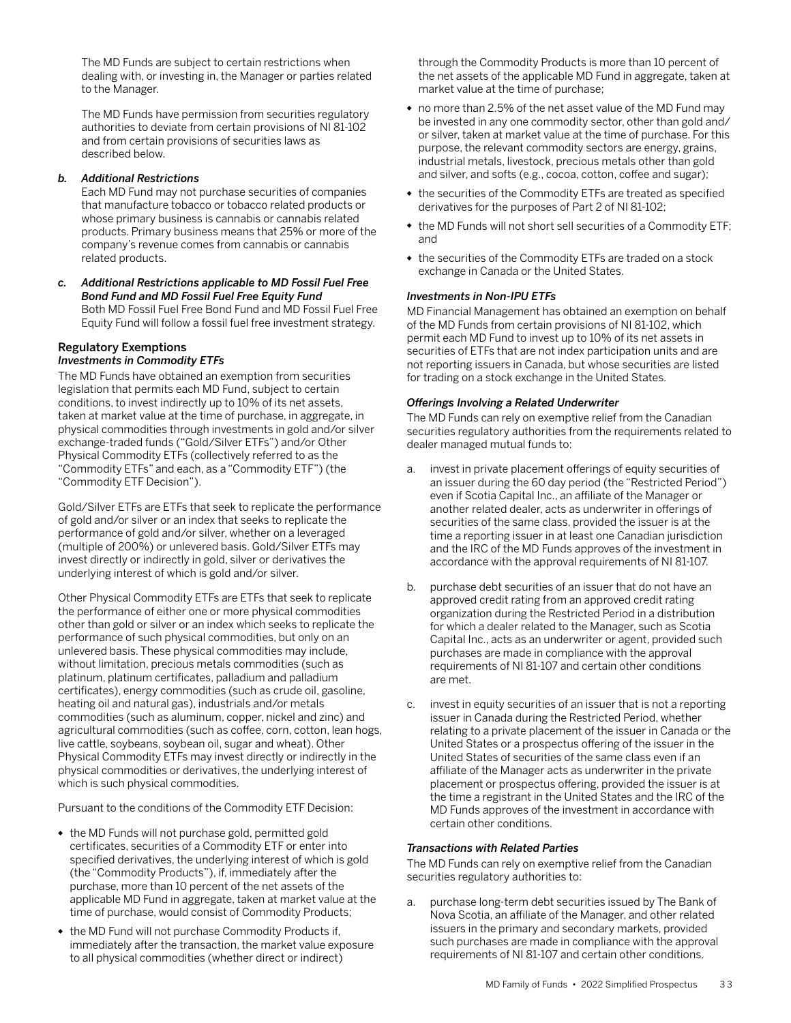The MD Funds are subject to certain restrictions when dealing with, or investing in, the Manager or parties related to the Manager.

The MD Funds have permission from securities regulatory authorities to deviate from certain provisions of NI 81-102 and from certain provisions of securities laws as described below.

### *b. Additional Restrictions*

Each MD Fund may not purchase securities of companies that manufacture tobacco or tobacco related products or whose primary business is cannabis or cannabis related products. Primary business means that 25% or more of the company's revenue comes from cannabis or cannabis related products.

*c. Additional Restrictions applicable to MD Fossil Fuel Free Bond Fund and MD Fossil Fuel Free Equity Fund* Both MD Fossil Fuel Free Bond Fund and MD Fossil Fuel Free Equity Fund will follow a fossil fuel free investment strategy.

### Regulatory Exemptions *Investments in Commodity ETFs*

The MD Funds have obtained an exemption from securities legislation that permits each MD Fund, subject to certain conditions, to invest indirectly up to 10% of its net assets, taken at market value at the time of purchase, in aggregate, in physical commodities through investments in gold and/or silver exchange-traded funds ("Gold/Silver ETFs") and/or Other Physical Commodity ETFs (collectively referred to as the "Commodity ETFs" and each, as a "Commodity ETF") (the "Commodity ETF Decision").

Gold/Silver ETFs are ETFs that seek to replicate the performance of gold and/or silver or an index that seeks to replicate the performance of gold and/or silver, whether on a leveraged (multiple of 200%) or unlevered basis. Gold/Silver ETFs may invest directly or indirectly in gold, silver or derivatives the underlying interest of which is gold and/or silver.

Other Physical Commodity ETFs are ETFs that seek to replicate the performance of either one or more physical commodities other than gold or silver or an index which seeks to replicate the performance of such physical commodities, but only on an unlevered basis. These physical commodities may include, without limitation, precious metals commodities (such as platinum, platinum certificates, palladium and palladium certificates), energy commodities (such as crude oil, gasoline, heating oil and natural gas), industrials and/or metals commodities (such as aluminum, copper, nickel and zinc) and agricultural commodities (such as coffee, corn, cotton, lean hogs, live cattle, soybeans, soybean oil, sugar and wheat). Other Physical Commodity ETFs may invest directly or indirectly in the physical commodities or derivatives, the underlying interest of which is such physical commodities.

Pursuant to the conditions of the Commodity ETF Decision:

- the MD Funds will not purchase gold, permitted gold certificates, securities of a Commodity ETF or enter into specified derivatives, the underlying interest of which is gold (the "Commodity Products"), if, immediately after the purchase, more than 10 percent of the net assets of the applicable MD Fund in aggregate, taken at market value at the time of purchase, would consist of Commodity Products;
- the MD Fund will not purchase Commodity Products if, immediately after the transaction, the market value exposure to all physical commodities (whether direct or indirect)

through the Commodity Products is more than 10 percent of the net assets of the applicable MD Fund in aggregate, taken at market value at the time of purchase;

- no more than 2.5% of the net asset value of the MD Fund may be invested in any one commodity sector, other than gold and/ or silver, taken at market value at the time of purchase. For this purpose, the relevant commodity sectors are energy, grains, industrial metals, livestock, precious metals other than gold and silver, and softs (e.g., cocoa, cotton, coffee and sugar);
- the securities of the Commodity ETFs are treated as specified derivatives for the purposes of Part 2 of NI 81-102;
- the MD Funds will not short sell securities of a Commodity ETF; and
- the securities of the Commodity ETFs are traded on a stock exchange in Canada or the United States.

### *Investments in Non-IPU ETFs*

MD Financial Management has obtained an exemption on behalf of the MD Funds from certain provisions of NI 81-102, which permit each MD Fund to invest up to 10% of its net assets in securities of ETFs that are not index participation units and are not reporting issuers in Canada, but whose securities are listed for trading on a stock exchange in the United States.

### *Offerings Involving a Related Underwriter*

The MD Funds can rely on exemptive relief from the Canadian securities regulatory authorities from the requirements related to dealer managed mutual funds to:

- a. invest in private placement offerings of equity securities of an issuer during the 60 day period (the "Restricted Period") even if Scotia Capital Inc., an affiliate of the Manager or another related dealer, acts as underwriter in offerings of securities of the same class, provided the issuer is at the time a reporting issuer in at least one Canadian jurisdiction and the IRC of the MD Funds approves of the investment in accordance with the approval requirements of NI 81-107.
- b. purchase debt securities of an issuer that do not have an approved credit rating from an approved credit rating organization during the Restricted Period in a distribution for which a dealer related to the Manager, such as Scotia Capital Inc., acts as an underwriter or agent, provided such purchases are made in compliance with the approval requirements of NI 81-107 and certain other conditions are met.
- c. invest in equity securities of an issuer that is not a reporting issuer in Canada during the Restricted Period, whether relating to a private placement of the issuer in Canada or the United States or a prospectus offering of the issuer in the United States of securities of the same class even if an affiliate of the Manager acts as underwriter in the private placement or prospectus offering, provided the issuer is at the time a registrant in the United States and the IRC of the MD Funds approves of the investment in accordance with certain other conditions.

### *Transactions with Related Parties*

The MD Funds can rely on exemptive relief from the Canadian securities regulatory authorities to:

a. purchase long-term debt securities issued by The Bank of Nova Scotia, an affiliate of the Manager, and other related issuers in the primary and secondary markets, provided such purchases are made in compliance with the approval requirements of NI 81-107 and certain other conditions.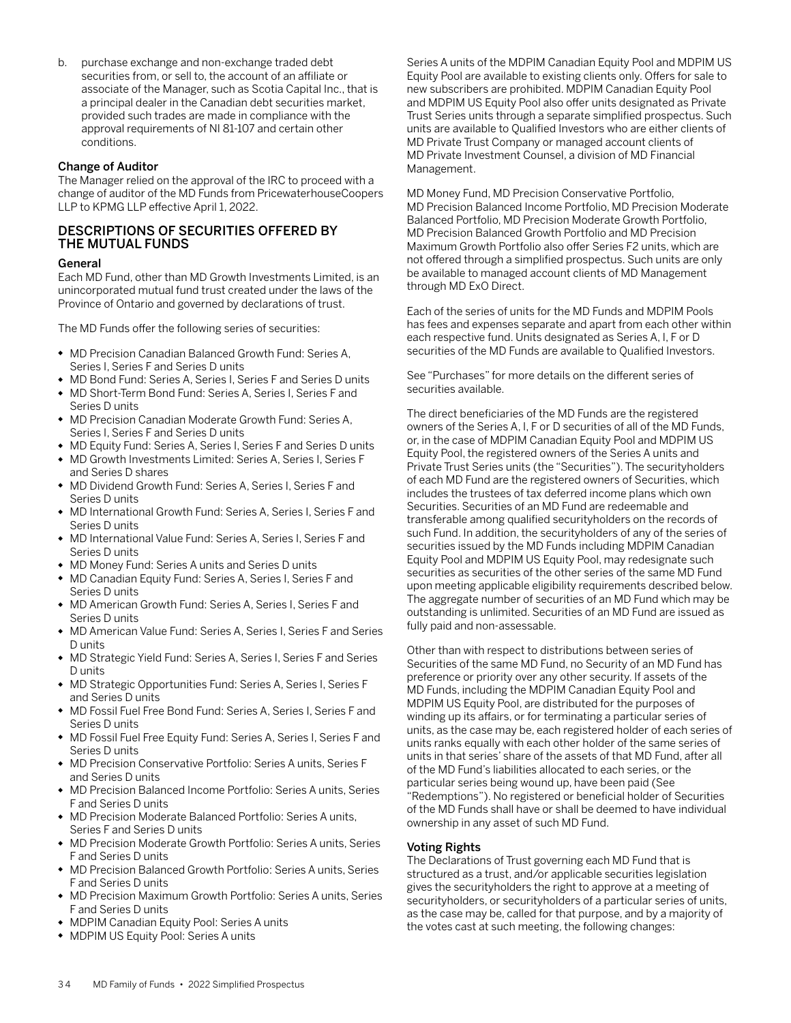<span id="page-35-0"></span>b. purchase exchange and non-exchange traded debt securities from, or sell to, the account of an affiliate or associate of the Manager, such as Scotia Capital Inc., that is a principal dealer in the Canadian debt securities market, provided such trades are made in compliance with the approval requirements of NI 81-107 and certain other conditions.

### Change of Auditor

The Manager relied on the approval of the IRC to proceed with a change of auditor of the MD Funds from PricewaterhouseCoopers LLP to KPMG LLP effective April 1, 2022.

### DESCRIPTIONS OF SECURITIES OFFERED BY THE MUTUAL FUNDS

### General

Each MD Fund, other than MD Growth Investments Limited, is an unincorporated mutual fund trust created under the laws of the Province of Ontario and governed by declarations of trust.

The MD Funds offer the following series of securities:

- MD Precision Canadian Balanced Growth Fund: Series A, Series I, Series F and Series D units
- MD Bond Fund: Series A, Series I, Series F and Series D units
- MD Short-Term Bond Fund: Series A, Series I, Series F and Series D units
- MD Precision Canadian Moderate Growth Fund: Series A, Series I, Series F and Series D units
- MD Equity Fund: Series A, Series I, Series F and Series D units
- MD Growth Investments Limited: Series A, Series I, Series F and Series D shares
- MD Dividend Growth Fund: Series A, Series I, Series F and Series D units
- MD International Growth Fund: Series A, Series I, Series F and Series D units
- MD International Value Fund: Series A, Series I, Series F and Series D units
- MD Money Fund: Series A units and Series D units
- MD Canadian Equity Fund: Series A, Series I, Series F and Series D units
- MD American Growth Fund: Series A, Series I, Series F and Series D units
- MD American Value Fund: Series A, Series I, Series F and Series D units
- MD Strategic Yield Fund: Series A, Series I, Series F and Series D units
- MD Strategic Opportunities Fund: Series A, Series I, Series F and Series D units
- MD Fossil Fuel Free Bond Fund: Series A, Series I, Series F and Series D units
- MD Fossil Fuel Free Equity Fund: Series A, Series I, Series F and Series D units
- MD Precision Conservative Portfolio: Series A units, Series F and Series D units
- MD Precision Balanced Income Portfolio: Series A units, Series F and Series D units
- MD Precision Moderate Balanced Portfolio: Series A units, Series F and Series D units
- MD Precision Moderate Growth Portfolio: Series A units, Series F and Series D units
- MD Precision Balanced Growth Portfolio: Series A units, Series F and Series D units
- MD Precision Maximum Growth Portfolio: Series A units, Series F and Series D units
- MDPIM Canadian Equity Pool: Series A units
- MDPIM US Equity Pool: Series A units

Series A units of the MDPIM Canadian Equity Pool and MDPIM US Equity Pool are available to existing clients only. Offers for sale to new subscribers are prohibited. MDPIM Canadian Equity Pool and MDPIM US Equity Pool also offer units designated as Private Trust Series units through a separate simplified prospectus. Such units are available to Qualified Investors who are either clients of MD Private Trust Company or managed account clients of MD Private Investment Counsel, a division of MD Financial Management.

MD Money Fund, MD Precision Conservative Portfolio, MD Precision Balanced Income Portfolio, MD Precision Moderate Balanced Portfolio, MD Precision Moderate Growth Portfolio, MD Precision Balanced Growth Portfolio and MD Precision Maximum Growth Portfolio also offer Series F2 units, which are not offered through a simplified prospectus. Such units are only be available to managed account clients of MD Management through MD ExO Direct.

Each of the series of units for the MD Funds and MDPIM Pools has fees and expenses separate and apart from each other within each respective fund. Units designated as Series A, I, F or D securities of the MD Funds are available to Qualified Investors.

See "Purchases" for more details on the different series of securities available.

The direct beneficiaries of the MD Funds are the registered owners of the Series A, I, F or D securities of all of the MD Funds, or, in the case of MDPIM Canadian Equity Pool and MDPIM US Equity Pool, the registered owners of the Series A units and Private Trust Series units (the "Securities"). The securityholders of each MD Fund are the registered owners of Securities, which includes the trustees of tax deferred income plans which own Securities. Securities of an MD Fund are redeemable and transferable among qualified securityholders on the records of such Fund. In addition, the securityholders of any of the series of securities issued by the MD Funds including MDPIM Canadian Equity Pool and MDPIM US Equity Pool, may redesignate such securities as securities of the other series of the same MD Fund upon meeting applicable eligibility requirements described below. The aggregate number of securities of an MD Fund which may be outstanding is unlimited. Securities of an MD Fund are issued as fully paid and non-assessable.

Other than with respect to distributions between series of Securities of the same MD Fund, no Security of an MD Fund has preference or priority over any other security. If assets of the MD Funds, including the MDPIM Canadian Equity Pool and MDPIM US Equity Pool, are distributed for the purposes of winding up its affairs, or for terminating a particular series of units, as the case may be, each registered holder of each series of units ranks equally with each other holder of the same series of units in that series' share of the assets of that MD Fund, after all of the MD Fund's liabilities allocated to each series, or the particular series being wound up, have been paid (See "Redemptions"). No registered or beneficial holder of Securities of the MD Funds shall have or shall be deemed to have individual ownership in any asset of such MD Fund.

### Voting Rights

The Declarations of Trust governing each MD Fund that is structured as a trust, and/or applicable securities legislation gives the securityholders the right to approve at a meeting of securityholders, or securityholders of a particular series of units, as the case may be, called for that purpose, and by a majority of the votes cast at such meeting, the following changes: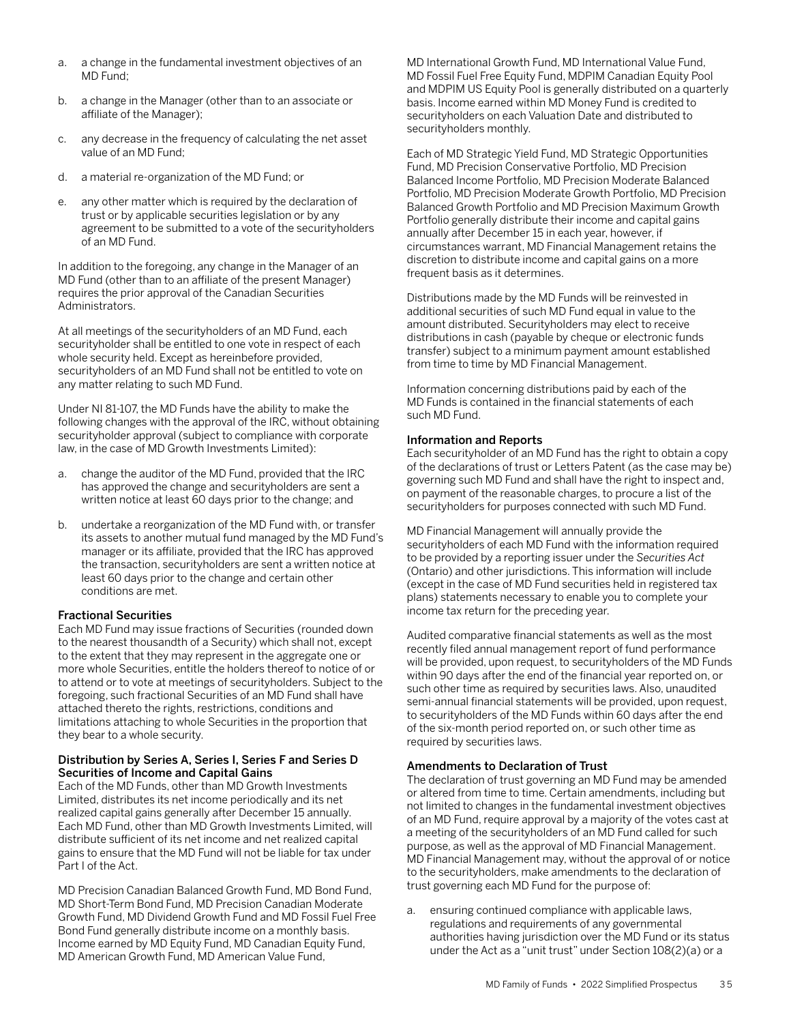- a. a change in the fundamental investment objectives of an MD Fund;
- b. a change in the Manager (other than to an associate or affiliate of the Manager);
- c. any decrease in the frequency of calculating the net asset value of an MD Fund;
- d. a material re-organization of the MD Fund; or
- e. any other matter which is required by the declaration of trust or by applicable securities legislation or by any agreement to be submitted to a vote of the securityholders of an MD Fund.

In addition to the foregoing, any change in the Manager of an MD Fund (other than to an affiliate of the present Manager) requires the prior approval of the Canadian Securities Administrators.

At all meetings of the securityholders of an MD Fund, each securityholder shall be entitled to one vote in respect of each whole security held. Except as hereinbefore provided, securityholders of an MD Fund shall not be entitled to vote on any matter relating to such MD Fund.

Under NI 81-107, the MD Funds have the ability to make the following changes with the approval of the IRC, without obtaining securityholder approval (subject to compliance with corporate law, in the case of MD Growth Investments Limited):

- a. change the auditor of the MD Fund, provided that the IRC has approved the change and securityholders are sent a written notice at least 60 days prior to the change; and
- b. undertake a reorganization of the MD Fund with, or transfer its assets to another mutual fund managed by the MD Fund's manager or its affiliate, provided that the IRC has approved the transaction, securityholders are sent a written notice at least 60 days prior to the change and certain other conditions are met.

## Fractional Securities

Each MD Fund may issue fractions of Securities (rounded down to the nearest thousandth of a Security) which shall not, except to the extent that they may represent in the aggregate one or more whole Securities, entitle the holders thereof to notice of or to attend or to vote at meetings of securityholders. Subject to the foregoing, such fractional Securities of an MD Fund shall have attached thereto the rights, restrictions, conditions and limitations attaching to whole Securities in the proportion that they bear to a whole security.

#### Distribution by Series A, Series I, Series F and Series D Securities of Income and Capital Gains

Each of the MD Funds, other than MD Growth Investments Limited, distributes its net income periodically and its net realized capital gains generally after December 15 annually. Each MD Fund, other than MD Growth Investments Limited, will distribute sufficient of its net income and net realized capital gains to ensure that the MD Fund will not be liable for tax under Part I of the Act.

MD Precision Canadian Balanced Growth Fund, MD Bond Fund, MD Short-Term Bond Fund, MD Precision Canadian Moderate Growth Fund, MD Dividend Growth Fund and MD Fossil Fuel Free Bond Fund generally distribute income on a monthly basis. Income earned by MD Equity Fund, MD Canadian Equity Fund, MD American Growth Fund, MD American Value Fund,

MD International Growth Fund, MD International Value Fund, MD Fossil Fuel Free Equity Fund, MDPIM Canadian Equity Pool and MDPIM US Equity Pool is generally distributed on a quarterly basis. Income earned within MD Money Fund is credited to securityholders on each Valuation Date and distributed to securityholders monthly.

Each of MD Strategic Yield Fund, MD Strategic Opportunities Fund, MD Precision Conservative Portfolio, MD Precision Balanced Income Portfolio, MD Precision Moderate Balanced Portfolio, MD Precision Moderate Growth Portfolio, MD Precision Balanced Growth Portfolio and MD Precision Maximum Growth Portfolio generally distribute their income and capital gains annually after December 15 in each year, however, if circumstances warrant, MD Financial Management retains the discretion to distribute income and capital gains on a more frequent basis as it determines.

Distributions made by the MD Funds will be reinvested in additional securities of such MD Fund equal in value to the amount distributed. Securityholders may elect to receive distributions in cash (payable by cheque or electronic funds transfer) subject to a minimum payment amount established from time to time by MD Financial Management.

Information concerning distributions paid by each of the MD Funds is contained in the financial statements of each such MD Fund.

## Information and Reports

Each securityholder of an MD Fund has the right to obtain a copy of the declarations of trust or Letters Patent (as the case may be) governing such MD Fund and shall have the right to inspect and, on payment of the reasonable charges, to procure a list of the securityholders for purposes connected with such MD Fund.

MD Financial Management will annually provide the securityholders of each MD Fund with the information required to be provided by a reporting issuer under the *Securities Act* (Ontario) and other jurisdictions. This information will include (except in the case of MD Fund securities held in registered tax plans) statements necessary to enable you to complete your income tax return for the preceding year.

Audited comparative financial statements as well as the most recently filed annual management report of fund performance will be provided, upon request, to securityholders of the MD Funds within 90 days after the end of the financial year reported on, or such other time as required by securities laws. Also, unaudited semi-annual financial statements will be provided, upon request, to securityholders of the MD Funds within 60 days after the end of the six-month period reported on, or such other time as required by securities laws.

## Amendments to Declaration of Trust

The declaration of trust governing an MD Fund may be amended or altered from time to time. Certain amendments, including but not limited to changes in the fundamental investment objectives of an MD Fund, require approval by a majority of the votes cast at a meeting of the securityholders of an MD Fund called for such purpose, as well as the approval of MD Financial Management. MD Financial Management may, without the approval of or notice to the securityholders, make amendments to the declaration of trust governing each MD Fund for the purpose of:

a. ensuring continued compliance with applicable laws, regulations and requirements of any governmental authorities having jurisdiction over the MD Fund or its status under the Act as a "unit trust" under Section 108(2)(a) or a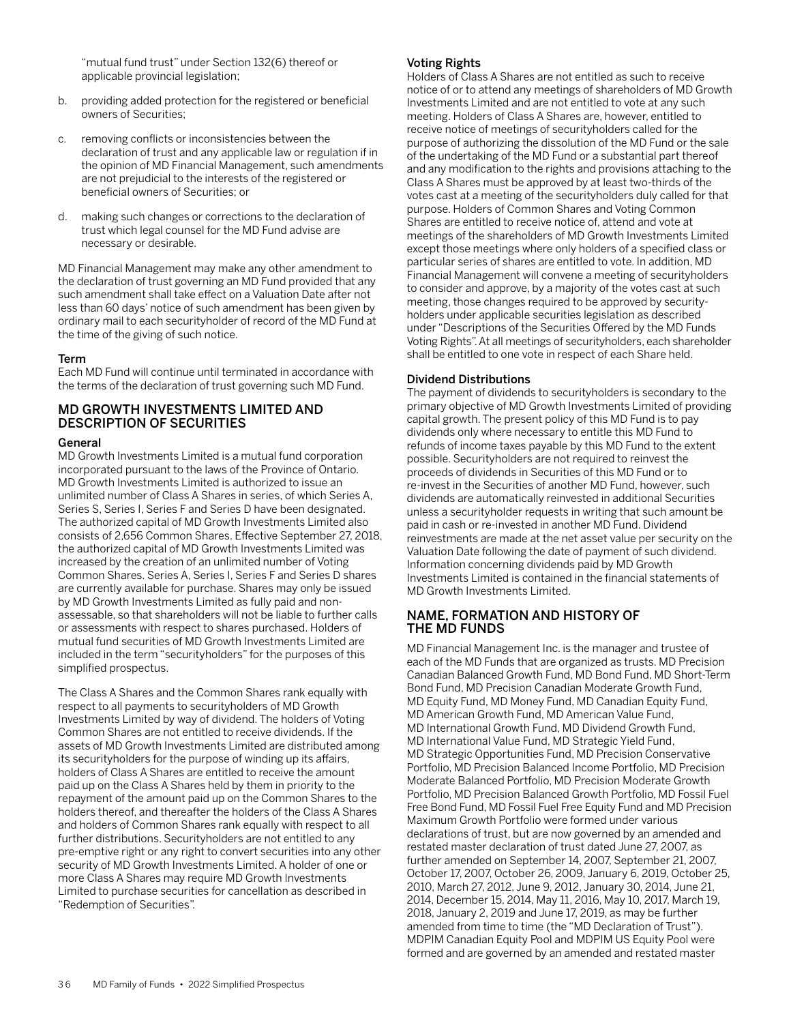"mutual fund trust" under Section 132(6) thereof or applicable provincial legislation;

- b. providing added protection for the registered or beneficial owners of Securities;
- c. removing conflicts or inconsistencies between the declaration of trust and any applicable law or regulation if in the opinion of MD Financial Management, such amendments are not prejudicial to the interests of the registered or beneficial owners of Securities; or
- d. making such changes or corrections to the declaration of trust which legal counsel for the MD Fund advise are necessary or desirable.

MD Financial Management may make any other amendment to the declaration of trust governing an MD Fund provided that any such amendment shall take effect on a Valuation Date after not less than 60 days' notice of such amendment has been given by ordinary mail to each securityholder of record of the MD Fund at the time of the giving of such notice.

## Term

Each MD Fund will continue until terminated in accordance with the terms of the declaration of trust governing such MD Fund.

## MD GROWTH INVESTMENTS LIMITED AND DESCRIPTION OF SECURITIES

## General

MD Growth Investments Limited is a mutual fund corporation incorporated pursuant to the laws of the Province of Ontario. MD Growth Investments Limited is authorized to issue an unlimited number of Class A Shares in series, of which Series A Series S, Series I, Series F and Series D have been designated. The authorized capital of MD Growth Investments Limited also consists of 2,656 Common Shares. Effective September 27, 2018, the authorized capital of MD Growth Investments Limited was increased by the creation of an unlimited number of Voting Common Shares. Series A, Series I, Series F and Series D shares are currently available for purchase. Shares may only be issued by MD Growth Investments Limited as fully paid and nonassessable, so that shareholders will not be liable to further calls or assessments with respect to shares purchased. Holders of mutual fund securities of MD Growth Investments Limited are included in the term "securityholders" for the purposes of this simplified prospectus.

The Class A Shares and the Common Shares rank equally with respect to all payments to securityholders of MD Growth Investments Limited by way of dividend. The holders of Voting Common Shares are not entitled to receive dividends. If the assets of MD Growth Investments Limited are distributed among its securityholders for the purpose of winding up its affairs, holders of Class A Shares are entitled to receive the amount paid up on the Class A Shares held by them in priority to the repayment of the amount paid up on the Common Shares to the holders thereof, and thereafter the holders of the Class A Shares and holders of Common Shares rank equally with respect to all further distributions. Securityholders are not entitled to any pre-emptive right or any right to convert securities into any other security of MD Growth Investments Limited. A holder of one or more Class A Shares may require MD Growth Investments Limited to purchase securities for cancellation as described in "Redemption of Securities".

## Voting Rights

Holders of Class A Shares are not entitled as such to receive notice of or to attend any meetings of shareholders of MD Growth Investments Limited and are not entitled to vote at any such meeting. Holders of Class A Shares are, however, entitled to receive notice of meetings of securityholders called for the purpose of authorizing the dissolution of the MD Fund or the sale of the undertaking of the MD Fund or a substantial part thereof and any modification to the rights and provisions attaching to the Class A Shares must be approved by at least two-thirds of the votes cast at a meeting of the securityholders duly called for that purpose. Holders of Common Shares and Voting Common Shares are entitled to receive notice of, attend and vote at meetings of the shareholders of MD Growth Investments Limited except those meetings where only holders of a specified class or particular series of shares are entitled to vote. In addition, MD Financial Management will convene a meeting of securityholders to consider and approve, by a majority of the votes cast at such meeting, those changes required to be approved by securityholders under applicable securities legislation as described under "Descriptions of the Securities Offered by the MD Funds Voting Rights". At all meetings of securityholders, each shareholder shall be entitled to one vote in respect of each Share held.

## Dividend Distributions

The payment of dividends to securityholders is secondary to the primary objective of MD Growth Investments Limited of providing capital growth. The present policy of this MD Fund is to pay dividends only where necessary to entitle this MD Fund to refunds of income taxes payable by this MD Fund to the extent possible. Securityholders are not required to reinvest the proceeds of dividends in Securities of this MD Fund or to re-invest in the Securities of another MD Fund, however, such dividends are automatically reinvested in additional Securities unless a securityholder requests in writing that such amount be paid in cash or re-invested in another MD Fund. Dividend reinvestments are made at the net asset value per security on the Valuation Date following the date of payment of such dividend. Information concerning dividends paid by MD Growth Investments Limited is contained in the financial statements of MD Growth Investments Limited.

## NAME, FORMATION AND HISTORY OF THE MD FUNDS

MD Financial Management Inc. is the manager and trustee of each of the MD Funds that are organized as trusts. MD Precision Canadian Balanced Growth Fund, MD Bond Fund, MD Short-Term Bond Fund, MD Precision Canadian Moderate Growth Fund, MD Equity Fund, MD Money Fund, MD Canadian Equity Fund, MD American Growth Fund, MD American Value Fund, MD International Growth Fund, MD Dividend Growth Fund, MD International Value Fund, MD Strategic Yield Fund, MD Strategic Opportunities Fund, MD Precision Conservative Portfolio, MD Precision Balanced Income Portfolio, MD Precision Moderate Balanced Portfolio, MD Precision Moderate Growth Portfolio, MD Precision Balanced Growth Portfolio, MD Fossil Fuel Free Bond Fund, MD Fossil Fuel Free Equity Fund and MD Precision Maximum Growth Portfolio were formed under various declarations of trust, but are now governed by an amended and restated master declaration of trust dated June 27, 2007, as further amended on September 14, 2007, September 21, 2007, October 17, 2007, October 26, 2009, January 6, 2019, October 25, 2010, March 27, 2012, June 9, 2012, January 30, 2014, June 21, 2014, December 15, 2014, May 11, 2016, May 10, 2017, March 19, 2018, January 2, 2019 and June 17, 2019, as may be further amended from time to time (the "MD Declaration of Trust"). MDPIM Canadian Equity Pool and MDPIM US Equity Pool were formed and are governed by an amended and restated master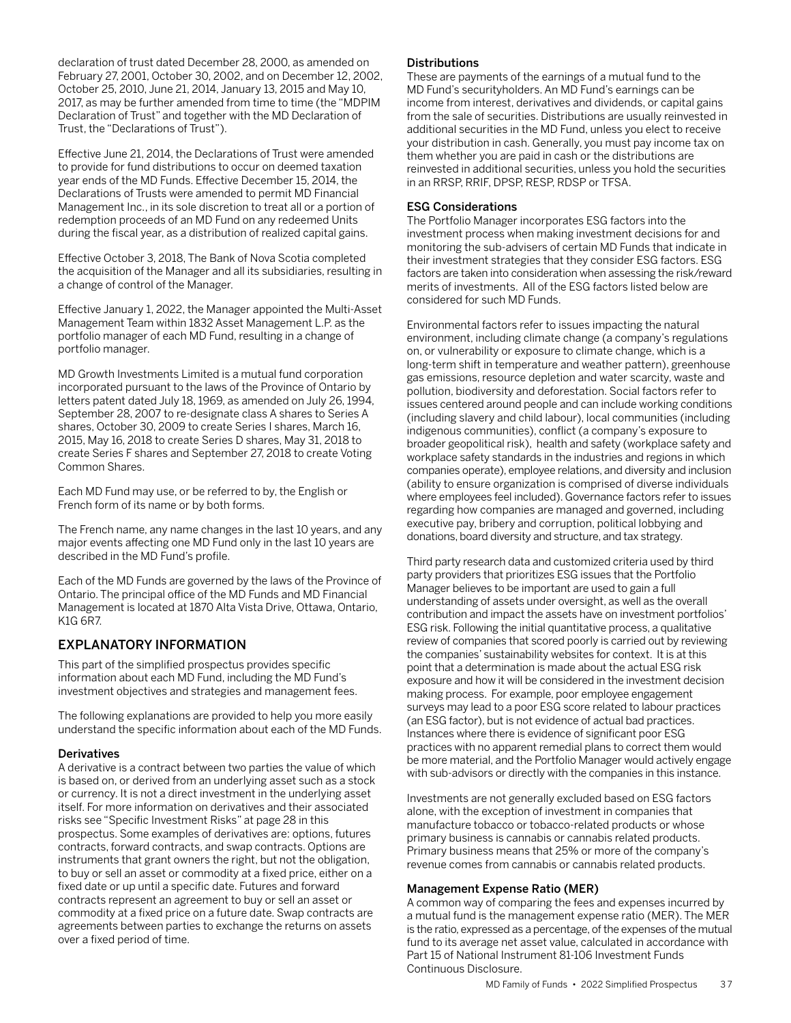declaration of trust dated December 28, 2000, as amended on February 27, 2001, October 30, 2002, and on December 12, 2002, October 25, 2010, June 21, 2014, January 13, 2015 and May 10, 2017, as may be further amended from time to time (the "MDPIM Declaration of Trust" and together with the MD Declaration of Trust, the "Declarations of Trust").

Effective June 21, 2014, the Declarations of Trust were amended to provide for fund distributions to occur on deemed taxation year ends of the MD Funds. Effective December 15, 2014, the Declarations of Trusts were amended to permit MD Financial Management Inc., in its sole discretion to treat all or a portion of redemption proceeds of an MD Fund on any redeemed Units during the fiscal year, as a distribution of realized capital gains.

Effective October 3, 2018, The Bank of Nova Scotia completed the acquisition of the Manager and all its subsidiaries, resulting in a change of control of the Manager.

Effective January 1, 2022, the Manager appointed the Multi-Asset Management Team within 1832 Asset Management L.P. as the portfolio manager of each MD Fund, resulting in a change of portfolio manager.

MD Growth Investments Limited is a mutual fund corporation incorporated pursuant to the laws of the Province of Ontario by letters patent dated July 18, 1969, as amended on July 26, 1994, September 28, 2007 to re-designate class A shares to Series A shares, October 30, 2009 to create Series I shares, March 16, 2015, May 16, 2018 to create Series D shares, May 31, 2018 to create Series F shares and September 27, 2018 to create Voting Common Shares.

Each MD Fund may use, or be referred to by, the English or French form of its name or by both forms.

The French name, any name changes in the last 10 years, and any major events affecting one MD Fund only in the last 10 years are described in the MD Fund's profile.

Each of the MD Funds are governed by the laws of the Province of Ontario. The principal office of the MD Funds and MD Financial Management is located at 1870 Alta Vista Drive, Ottawa, Ontario, K1G 6R7.

## EXPLANATORY INFORMATION

This part of the simplified prospectus provides specific information about each MD Fund, including the MD Fund's investment objectives and strategies and management fees.

The following explanations are provided to help you more easily understand the specific information about each of the MD Funds.

## **Derivatives**

A derivative is a contract between two parties the value of which is based on, or derived from an underlying asset such as a stock or currency. It is not a direct investment in the underlying asset itself. For more information on derivatives and their associated risks see "Specific Investment Risks" at page 28 in this prospectus. Some examples of derivatives are: options, futures contracts, forward contracts, and swap contracts. Options are instruments that grant owners the right, but not the obligation, to buy or sell an asset or commodity at a fixed price, either on a fixed date or up until a specific date. Futures and forward contracts represent an agreement to buy or sell an asset or commodity at a fixed price on a future date. Swap contracts are agreements between parties to exchange the returns on assets over a fixed period of time.

#### **Distributions**

These are payments of the earnings of a mutual fund to the MD Fund's securityholders. An MD Fund's earnings can be income from interest, derivatives and dividends, or capital gains from the sale of securities. Distributions are usually reinvested in additional securities in the MD Fund, unless you elect to receive your distribution in cash. Generally, you must pay income tax on them whether you are paid in cash or the distributions are reinvested in additional securities, unless you hold the securities in an RRSP, RRIF, DPSP, RESP, RDSP or TFSA.

#### ESG Considerations

The Portfolio Manager incorporates ESG factors into the investment process when making investment decisions for and monitoring the sub-advisers of certain MD Funds that indicate in their investment strategies that they consider ESG factors. ESG factors are taken into consideration when assessing the risk/reward merits of investments. All of the ESG factors listed below are considered for such MD Funds.

Environmental factors refer to issues impacting the natural environment, including climate change (a company's regulations on, or vulnerability or exposure to climate change, which is a long-term shift in temperature and weather pattern), greenhouse gas emissions, resource depletion and water scarcity, waste and pollution, biodiversity and deforestation. Social factors refer to issues centered around people and can include working conditions (including slavery and child labour), local communities (including indigenous communities), conflict (a company's exposure to broader geopolitical risk), health and safety (workplace safety and workplace safety standards in the industries and regions in which companies operate), employee relations, and diversity and inclusion (ability to ensure organization is comprised of diverse individuals where employees feel included). Governance factors refer to issues regarding how companies are managed and governed, including executive pay, bribery and corruption, political lobbying and donations, board diversity and structure, and tax strategy.

Third party research data and customized criteria used by third party providers that prioritizes ESG issues that the Portfolio Manager believes to be important are used to gain a full understanding of assets under oversight, as well as the overall contribution and impact the assets have on investment portfolios' ESG risk. Following the initial quantitative process, a qualitative review of companies that scored poorly is carried out by reviewing the companies' sustainability websites for context. It is at this point that a determination is made about the actual ESG risk exposure and how it will be considered in the investment decision making process. For example, poor employee engagement surveys may lead to a poor ESG score related to labour practices (an ESG factor), but is not evidence of actual bad practices. Instances where there is evidence of significant poor ESG practices with no apparent remedial plans to correct them would be more material, and the Portfolio Manager would actively engage with sub-advisors or directly with the companies in this instance.

Investments are not generally excluded based on ESG factors alone, with the exception of investment in companies that manufacture tobacco or tobacco-related products or whose primary business is cannabis or cannabis related products. Primary business means that 25% or more of the company's revenue comes from cannabis or cannabis related products.

#### Management Expense Ratio (MER)

A common way of comparing the fees and expenses incurred by a mutual fund is the management expense ratio (MER). The MER is the ratio, expressed as a percentage, of the expenses of the mutual fund to its average net asset value, calculated in accordance with Part 15 of National Instrument 81-106 Investment Funds Continuous Disclosure.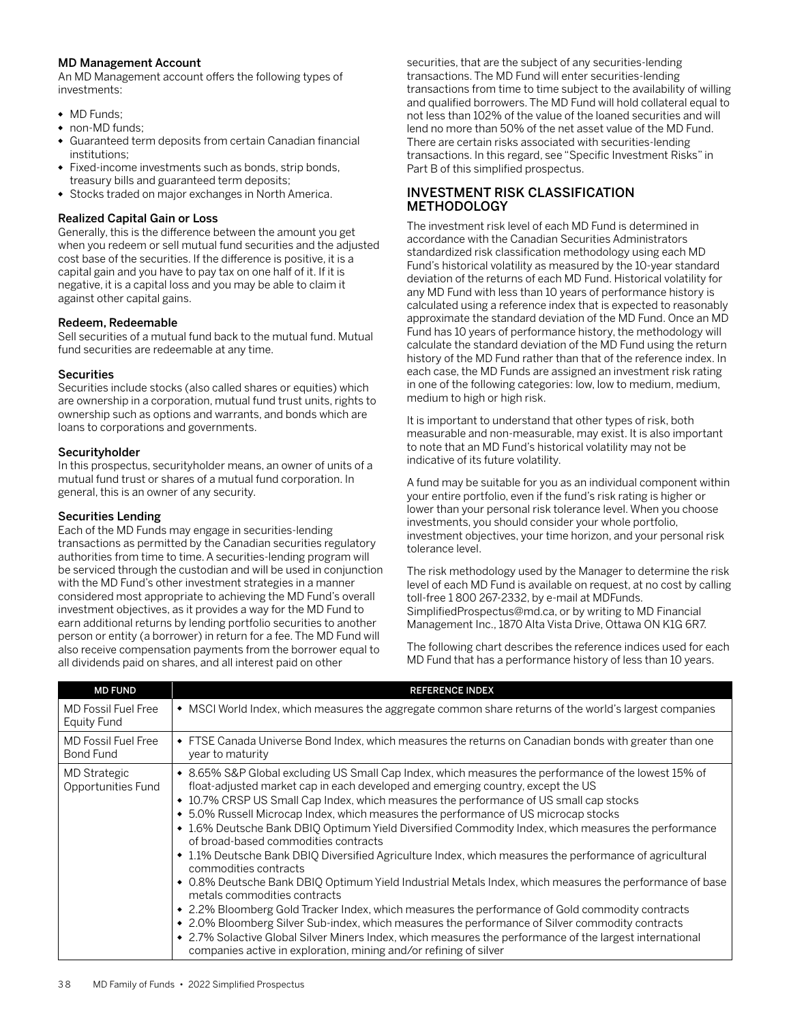#### MD Management Account

An MD Management account offers the following types of investments:

- MD Funds:
- non-MD funds;
- Guaranteed term deposits from certain Canadian financial institutions;
- Fixed-income investments such as bonds, strip bonds, treasury bills and guaranteed term deposits;
- Stocks traded on major exchanges in North America.

#### Realized Capital Gain or Loss

Generally, this is the difference between the amount you get when you redeem or sell mutual fund securities and the adjusted cost base of the securities. If the difference is positive, it is a capital gain and you have to pay tax on one half of it. If it is negative, it is a capital loss and you may be able to claim it against other capital gains.

## Redeem, Redeemable

Sell securities of a mutual fund back to the mutual fund. Mutual fund securities are redeemable at any time.

## **Securities**

Securities include stocks (also called shares or equities) which are ownership in a corporation, mutual fund trust units, rights to ownership such as options and warrants, and bonds which are loans to corporations and governments.

#### Securityholder

In this prospectus, securityholder means, an owner of units of a mutual fund trust or shares of a mutual fund corporation. In general, this is an owner of any security.

#### Securities Lending

Each of the MD Funds may engage in securities-lending transactions as permitted by the Canadian securities regulatory authorities from time to time. A securities-lending program will be serviced through the custodian and will be used in conjunction with the MD Fund's other investment strategies in a manner considered most appropriate to achieving the MD Fund's overall investment objectives, as it provides a way for the MD Fund to earn additional returns by lending portfolio securities to another person or entity (a borrower) in return for a fee. The MD Fund will also receive compensation payments from the borrower equal to all dividends paid on shares, and all interest paid on other

securities, that are the subject of any securities-lending transactions. The MD Fund will enter securities-lending transactions from time to time subject to the availability of willing and qualified borrowers. The MD Fund will hold collateral equal to not less than 102% of the value of the loaned securities and will lend no more than 50% of the net asset value of the MD Fund. There are certain risks associated with securities-lending transactions. In this regard, see "Specific Investment Risks" in Part B of this simplified prospectus.

## INVESTMENT RISK CLASSIFICATION METHODOLOGY

The investment risk level of each MD Fund is determined in accordance with the Canadian Securities Administrators standardized risk classification methodology using each MD Fund's historical volatility as measured by the 10-year standard deviation of the returns of each MD Fund. Historical volatility for any MD Fund with less than 10 years of performance history is calculated using a reference index that is expected to reasonably approximate the standard deviation of the MD Fund. Once an MD Fund has 10 years of performance history, the methodology will calculate the standard deviation of the MD Fund using the return history of the MD Fund rather than that of the reference index. In each case, the MD Funds are assigned an investment risk rating in one of the following categories: low, low to medium, medium, medium to high or high risk.

It is important to understand that other types of risk, both measurable and non-measurable, may exist. It is also important to note that an MD Fund's historical volatility may not be indicative of its future volatility.

A fund may be suitable for you as an individual component within your entire portfolio, even if the fund's risk rating is higher or lower than your personal risk tolerance level. When you choose investments, you should consider your whole portfolio, investment objectives, your time horizon, and your personal risk tolerance level.

The risk methodology used by the Manager to determine the risk level of each MD Fund is available on request, at no cost by calling toll-free 1 800 267-2332, by e-mail at MDFunds. SimplifiedProspectus@md.ca, or by writing to MD Financial Management Inc., 1870 Alta Vista Drive, Ottawa ON K1G 6R7.

The following chart describes the reference indices used for each MD Fund that has a performance history of less than 10 years.

| <b>MD FUND</b>                          | <b>REFERENCE INDEX</b>                                                                                                                                                                                                                                                                                                                                                                                                                                                                                                                                                                                                                                                                                                                                                                                                                                                                                                                                                                                                                                                                                                                                                                        |
|-----------------------------------------|-----------------------------------------------------------------------------------------------------------------------------------------------------------------------------------------------------------------------------------------------------------------------------------------------------------------------------------------------------------------------------------------------------------------------------------------------------------------------------------------------------------------------------------------------------------------------------------------------------------------------------------------------------------------------------------------------------------------------------------------------------------------------------------------------------------------------------------------------------------------------------------------------------------------------------------------------------------------------------------------------------------------------------------------------------------------------------------------------------------------------------------------------------------------------------------------------|
| MD Fossil Fuel Free<br>Equity Fund      | • MSCI World Index, which measures the aggregate common share returns of the world's largest companies                                                                                                                                                                                                                                                                                                                                                                                                                                                                                                                                                                                                                                                                                                                                                                                                                                                                                                                                                                                                                                                                                        |
| <b>MD Fossil Fuel Free</b><br>Bond Fund | • FTSE Canada Universe Bond Index, which measures the returns on Canadian bonds with greater than one<br>year to maturity                                                                                                                                                                                                                                                                                                                                                                                                                                                                                                                                                                                                                                                                                                                                                                                                                                                                                                                                                                                                                                                                     |
| MD Strategic<br>Opportunities Fund      | • 8.65% S&P Global excluding US Small Cap Index, which measures the performance of the lowest 15% of<br>float-adjusted market cap in each developed and emerging country, except the US<br>• 10.7% CRSP US Small Cap Index, which measures the performance of US small cap stocks<br>• 5.0% Russell Microcap Index, which measures the performance of US microcap stocks<br>• 1.6% Deutsche Bank DBIQ Optimum Yield Diversified Commodity Index, which measures the performance<br>of broad-based commodities contracts<br>• 1.1% Deutsche Bank DBIQ Diversified Agriculture Index, which measures the performance of agricultural<br>commodities contracts<br>• 0.8% Deutsche Bank DBIQ Optimum Yield Industrial Metals Index, which measures the performance of base<br>metals commodities contracts<br>• 2.2% Bloomberg Gold Tracker Index, which measures the performance of Gold commodity contracts<br>• 2.0% Bloomberg Silver Sub-index, which measures the performance of Silver commodity contracts<br>• 2.7% Solactive Global Silver Miners Index, which measures the performance of the largest international<br>companies active in exploration, mining and/or refining of silver |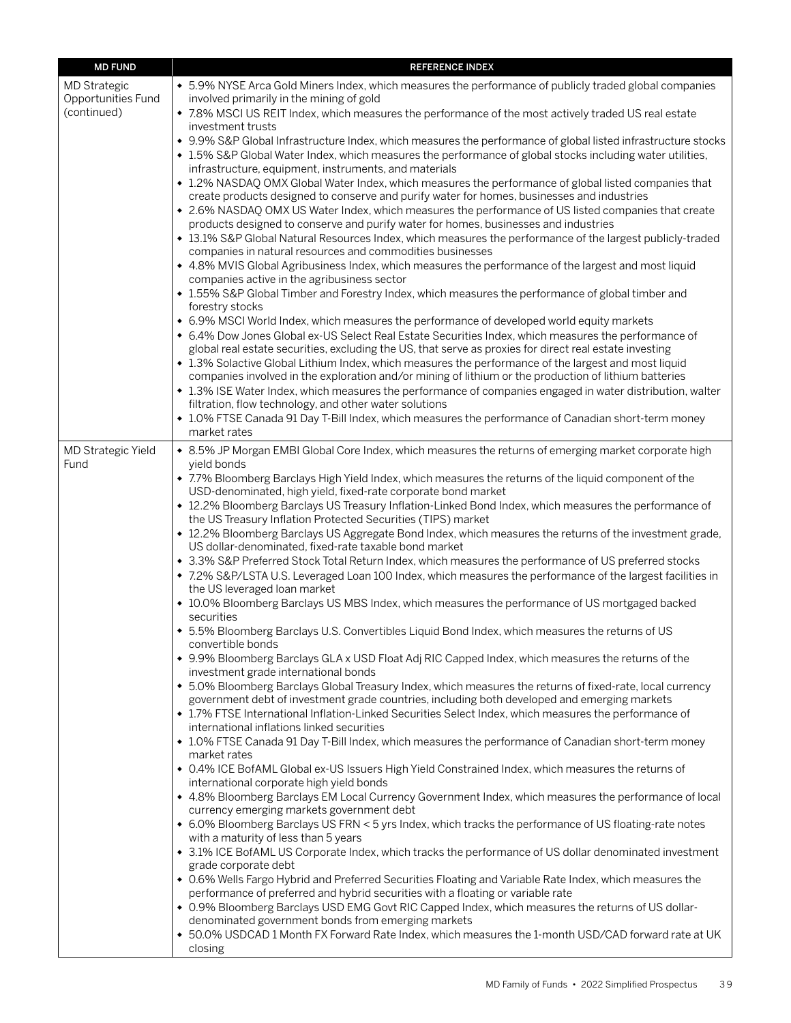| <b>MD FUND</b>                            | <b>REFERENCE INDEX</b>                                                                                                                                                                                                                                                                                  |
|-------------------------------------------|---------------------------------------------------------------------------------------------------------------------------------------------------------------------------------------------------------------------------------------------------------------------------------------------------------|
| <b>MD Strategic</b><br>Opportunities Fund | • 5.9% NYSE Arca Gold Miners Index, which measures the performance of publicly traded global companies<br>involved primarily in the mining of gold                                                                                                                                                      |
| (continued)                               | • 7.8% MSCI US REIT Index, which measures the performance of the most actively traded US real estate<br>investment trusts                                                                                                                                                                               |
|                                           | • 9.9% S&P Global Infrastructure Index, which measures the performance of global listed infrastructure stocks<br>• 1.5% S&P Global Water Index, which measures the performance of global stocks including water utilities,<br>infrastructure, equipment, instruments, and materials                     |
|                                           | • 1.2% NASDAQ OMX Global Water Index, which measures the performance of global listed companies that<br>create products designed to conserve and purify water for homes, businesses and industries                                                                                                      |
|                                           | • 2.6% NASDAQ OMX US Water Index, which measures the performance of US listed companies that create<br>products designed to conserve and purify water for homes, businesses and industries<br>• 13.1% S&P Global Natural Resources Index, which measures the performance of the largest publicly-traded |
|                                           | companies in natural resources and commodities businesses<br>• 4.8% MVIS Global Agribusiness Index, which measures the performance of the largest and most liquid                                                                                                                                       |
|                                           | companies active in the agribusiness sector<br>• 1.55% S&P Global Timber and Forestry Index, which measures the performance of global timber and                                                                                                                                                        |
|                                           | forestry stocks<br>• 6.9% MSCI World Index, which measures the performance of developed world equity markets                                                                                                                                                                                            |
|                                           | • 6.4% Dow Jones Global ex-US Select Real Estate Securities Index, which measures the performance of<br>global real estate securities, excluding the US, that serve as proxies for direct real estate investing                                                                                         |
|                                           | • 1.3% Solactive Global Lithium Index, which measures the performance of the largest and most liquid<br>companies involved in the exploration and/or mining of lithium or the production of lithium batteries                                                                                           |
|                                           | • 1.3% ISE Water Index, which measures the performance of companies engaged in water distribution, walter<br>filtration, flow technology, and other water solutions                                                                                                                                     |
|                                           | • 1.0% FTSE Canada 91 Day T-Bill Index, which measures the performance of Canadian short-term money<br>market rates                                                                                                                                                                                     |
| MD Strategic Yield<br>Fund                | • 8.5% JP Morgan EMBI Global Core Index, which measures the returns of emerging market corporate high<br>yield bonds                                                                                                                                                                                    |
|                                           | • 7.7% Bloomberg Barclays High Yield Index, which measures the returns of the liquid component of the<br>USD-denominated, high yield, fixed-rate corporate bond market                                                                                                                                  |
|                                           | • 12.2% Bloomberg Barclays US Treasury Inflation-Linked Bond Index, which measures the performance of<br>the US Treasury Inflation Protected Securities (TIPS) market                                                                                                                                   |
|                                           | • 12.2% Bloomberg Barclays US Aggregate Bond Index, which measures the returns of the investment grade,<br>US dollar-denominated, fixed-rate taxable bond market                                                                                                                                        |
|                                           | • 3.3% S&P Preferred Stock Total Return Index, which measures the performance of US preferred stocks<br>• 7.2% S&P/LSTA U.S. Leveraged Loan 100 Index, which measures the performance of the largest facilities in<br>the US leveraged loan market                                                      |
|                                           | • 10.0% Bloomberg Barclays US MBS Index, which measures the performance of US mortgaged backed<br>securities                                                                                                                                                                                            |
|                                           | • 5.5% Bloomberg Barclays U.S. Convertibles Liquid Bond Index, which measures the returns of US<br>convertible bonds                                                                                                                                                                                    |
|                                           | • 9.9% Bloomberg Barclays GLA x USD Float Adj RIC Capped Index, which measures the returns of the<br>investment grade international bonds                                                                                                                                                               |
|                                           | • 5.0% Bloomberg Barclays Global Treasury Index, which measures the returns of fixed-rate, local currency<br>government debt of investment grade countries, including both developed and emerging markets                                                                                               |
|                                           | • 1.7% FTSE International Inflation-Linked Securities Select Index, which measures the performance of<br>international inflations linked securities                                                                                                                                                     |
|                                           | • 1.0% FTSE Canada 91 Day T-Bill Index, which measures the performance of Canadian short-term money<br>market rates                                                                                                                                                                                     |
|                                           | • 0.4% ICE BofAML Global ex-US Issuers High Yield Constrained Index, which measures the returns of<br>international corporate high yield bonds                                                                                                                                                          |
|                                           | + 4.8% Bloomberg Barclays EM Local Currency Government Index, which measures the performance of local<br>currency emerging markets government debt                                                                                                                                                      |
|                                           | • 6.0% Bloomberg Barclays US FRN < 5 yrs Index, which tracks the performance of US floating-rate notes<br>with a maturity of less than 5 years                                                                                                                                                          |
|                                           | • 3.1% ICE BofAML US Corporate Index, which tracks the performance of US dollar denominated investment<br>grade corporate debt<br>• 0.6% Wells Fargo Hybrid and Preferred Securities Floating and Variable Rate Index, which measures the                                                               |
|                                           | performance of preferred and hybrid securities with a floating or variable rate<br>• 0.9% Bloomberg Barclays USD EMG Govt RIC Capped Index, which measures the returns of US dollar-                                                                                                                    |
|                                           | denominated government bonds from emerging markets<br>• 50.0% USDCAD 1 Month FX Forward Rate Index, which measures the 1-month USD/CAD forward rate at UK                                                                                                                                               |
|                                           | closing                                                                                                                                                                                                                                                                                                 |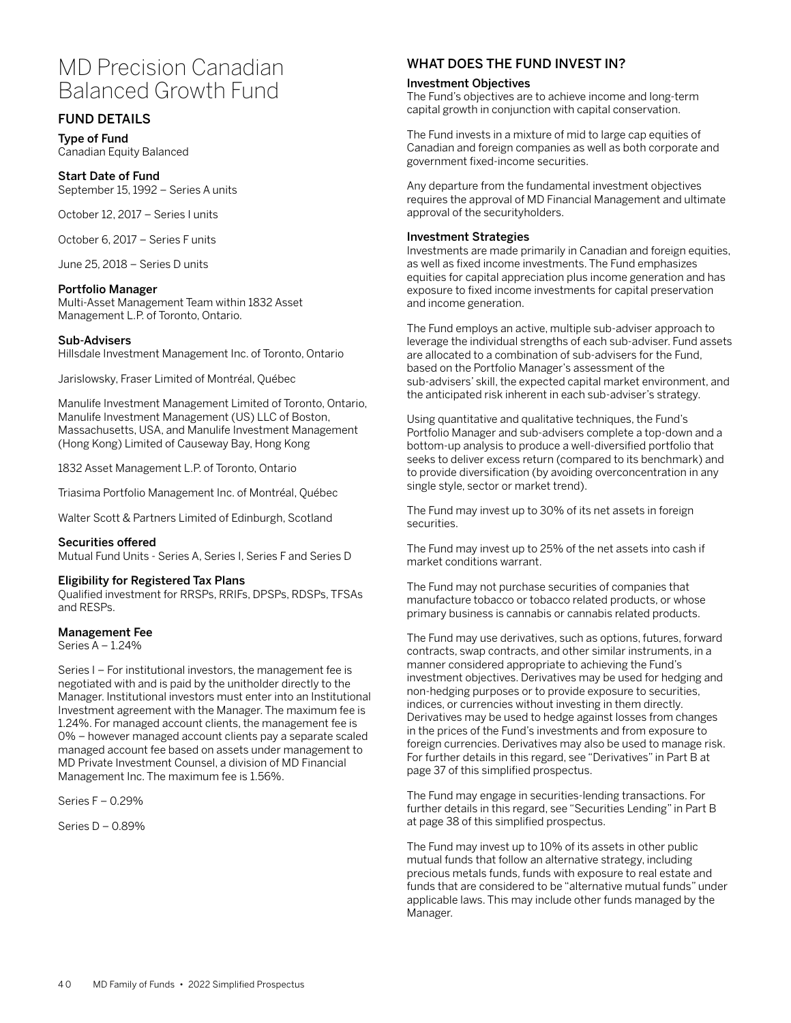# MD Precision Canadian Balanced Growth Fund

# FUND DETAILS

Type of Fund Canadian Equity Balanced

## Start Date of Fund

September 15, 1992 – Series A units

October 12, 2017 – Series I units

October 6, 2017 – Series F units

June 25, 2018 – Series D units

#### Portfolio Manager

Multi-Asset Management Team within 1832 Asset Management L.P. of Toronto, Ontario.

#### Sub-Advisers

Hillsdale Investment Management Inc. of Toronto, Ontario

Jarislowsky, Fraser Limited of Montréal, Québec

Manulife Investment Management Limited of Toronto, Ontario, Manulife Investment Management (US) LLC of Boston, Massachusetts, USA, and Manulife Investment Management (Hong Kong) Limited of Causeway Bay, Hong Kong

1832 Asset Management L.P. of Toronto, Ontario

Triasima Portfolio Management Inc. of Montréal, Québec

Walter Scott & Partners Limited of Edinburgh, Scotland

#### Securities offered

Mutual Fund Units - Series A, Series I, Series F and Series D

#### Eligibility for Registered Tax Plans

Qualified investment for RRSPs, RRIFs, DPSPs, RDSPs, TFSAs and RESPs.

#### Management Fee

Series A – 1.24%

Series I – For institutional investors, the management fee is negotiated with and is paid by the unitholder directly to the Manager. Institutional investors must enter into an Institutional Investment agreement with the Manager. The maximum fee is 1.24%. For managed account clients, the management fee is 0% – however managed account clients pay a separate scaled managed account fee based on assets under management to MD Private Investment Counsel, a division of MD Financial Management Inc. The maximum fee is 1.56%.

Series F – 0.29%

Series D – 0.89%

# WHAT DOES THE FUND INVEST IN?

#### Investment Objectives

The Fund's objectives are to achieve income and long-term capital growth in conjunction with capital conservation.

The Fund invests in a mixture of mid to large cap equities of Canadian and foreign companies as well as both corporate and government fixed-income securities.

Any departure from the fundamental investment objectives requires the approval of MD Financial Management and ultimate approval of the securityholders.

#### Investment Strategies

Investments are made primarily in Canadian and foreign equities, as well as fixed income investments. The Fund emphasizes equities for capital appreciation plus income generation and has exposure to fixed income investments for capital preservation and income generation.

The Fund employs an active, multiple sub-adviser approach to leverage the individual strengths of each sub-adviser. Fund assets are allocated to a combination of sub-advisers for the Fund, based on the Portfolio Manager's assessment of the sub-advisers' skill, the expected capital market environment, and the anticipated risk inherent in each sub-adviser's strategy.

Using quantitative and qualitative techniques, the Fund's Portfolio Manager and sub-advisers complete a top-down and a bottom-up analysis to produce a well-diversified portfolio that seeks to deliver excess return (compared to its benchmark) and to provide diversification (by avoiding overconcentration in any single style, sector or market trend).

The Fund may invest up to 30% of its net assets in foreign securities.

The Fund may invest up to 25% of the net assets into cash if market conditions warrant.

The Fund may not purchase securities of companies that manufacture tobacco or tobacco related products, or whose primary business is cannabis or cannabis related products.

The Fund may use derivatives, such as options, futures, forward contracts, swap contracts, and other similar instruments, in a manner considered appropriate to achieving the Fund's investment objectives. Derivatives may be used for hedging and non-hedging purposes or to provide exposure to securities, indices, or currencies without investing in them directly. Derivatives may be used to hedge against losses from changes in the prices of the Fund's investments and from exposure to foreign currencies. Derivatives may also be used to manage risk. For further details in this regard, see "Derivatives" in Part B at page 37 of this simplified prospectus.

The Fund may engage in securities-lending transactions. For further details in this regard, see "Securities Lending" in Part B at page 38 of this simplified prospectus.

The Fund may invest up to 10% of its assets in other public mutual funds that follow an alternative strategy, including precious metals funds, funds with exposure to real estate and funds that are considered to be "alternative mutual funds" under applicable laws. This may include other funds managed by the Manager.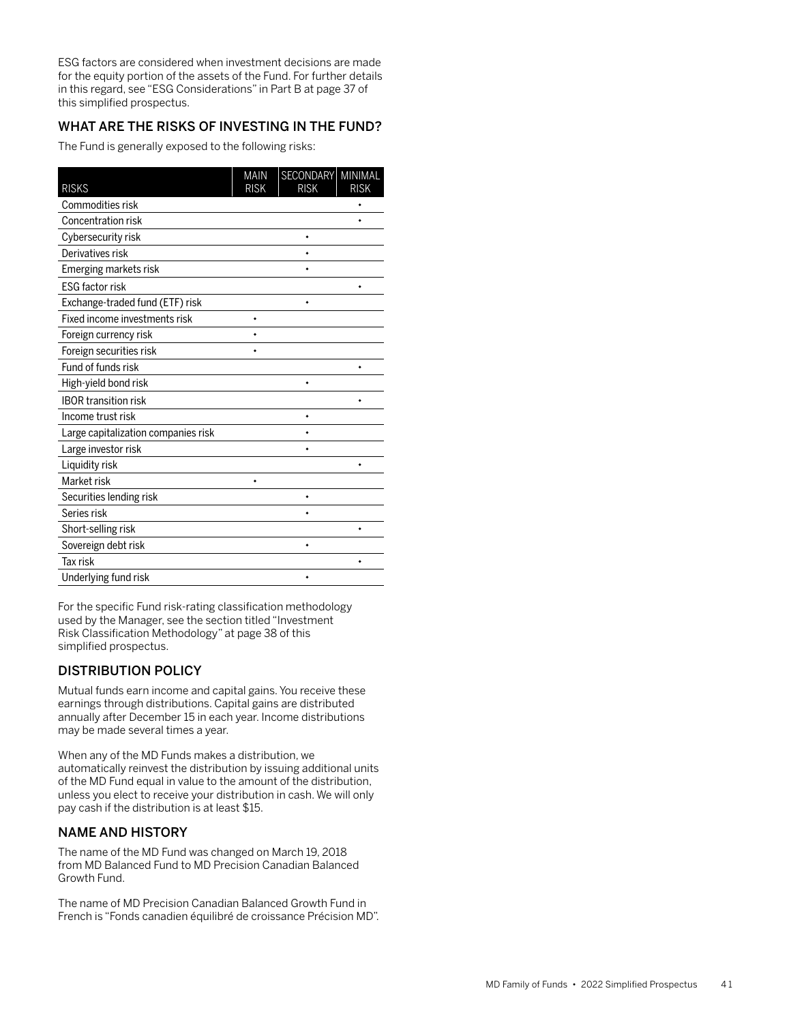ESG factors are considered when investment decisions are made for the equity portion of the assets of the Fund. For further details in this regard, see "ESG Considerations" in Part B at page 37 of this simplified prospectus.

# WHAT ARE THE RISKS OF INVESTING IN THE FUND?

The Fund is generally exposed to the following risks:

| <b>RISKS</b>                        | <b>MAIN</b><br><b>RISK</b> | SECONDARY<br><b>RISK</b> | MINIMAL<br><b>RISK</b> |
|-------------------------------------|----------------------------|--------------------------|------------------------|
| Commodities risk                    |                            |                          |                        |
| Concentration risk                  |                            |                          |                        |
| Cybersecurity risk                  |                            |                          |                        |
| Derivatives risk                    |                            |                          |                        |
| Emerging markets risk               |                            |                          |                        |
| <b>ESG factor risk</b>              |                            |                          |                        |
| Exchange-traded fund (ETF) risk     |                            | ۰                        |                        |
| Fixed income investments risk       |                            |                          |                        |
| Foreign currency risk               |                            |                          |                        |
| Foreign securities risk             |                            |                          |                        |
| Fund of funds risk                  |                            |                          |                        |
| High-yield bond risk                |                            |                          |                        |
| <b>IBOR transition risk</b>         |                            |                          |                        |
| Income trust risk                   |                            |                          |                        |
| Large capitalization companies risk |                            |                          |                        |
| Large investor risk                 |                            |                          |                        |
| Liquidity risk                      |                            |                          |                        |
| Market risk                         |                            |                          |                        |
| Securities lending risk             |                            |                          |                        |
| Series risk                         |                            |                          |                        |
| Short-selling risk                  |                            |                          |                        |
| Sovereign debt risk                 |                            |                          |                        |
| Tax risk                            |                            |                          | ۰                      |
| Underlying fund risk                |                            |                          |                        |

For the specific Fund risk-rating classification methodology used by the Manager, see the section titled "Investment Risk Classification Methodology" at page 38 of this simplified prospectus.

# DISTRIBUTION POLICY

Mutual funds earn income and capital gains. You receive these earnings through distributions. Capital gains are distributed annually after December 15 in each year. Income distributions may be made several times a year.

When any of the MD Funds makes a distribution, we automatically reinvest the distribution by issuing additional units of the MD Fund equal in value to the amount of the distribution, unless you elect to receive your distribution in cash. We will only pay cash if the distribution is at least \$15.

# NAME AND HISTORY

The name of the MD Fund was changed on March 19, 2018 from MD Balanced Fund to MD Precision Canadian Balanced Growth Fund.

The name of MD Precision Canadian Balanced Growth Fund in French is "Fonds canadien équilibré de croissance Précision MD".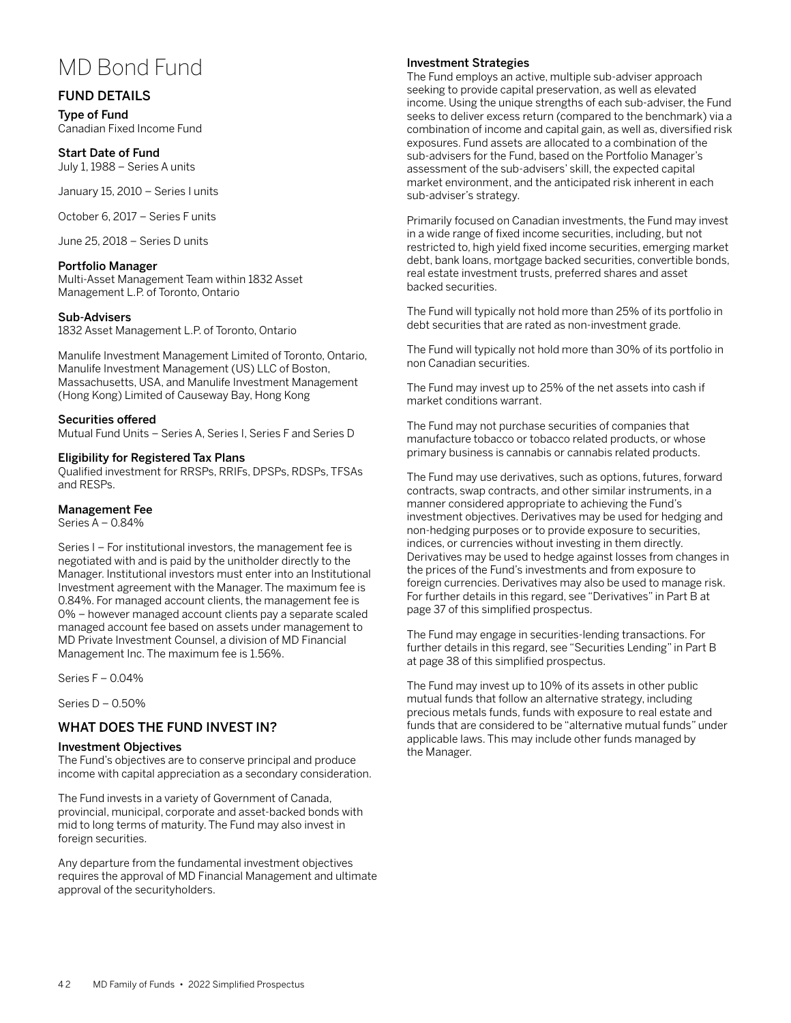# MD Bond Fund

# FUND DETAILS

Type of Fund Canadian Fixed Income Fund

Start Date of Fund July 1, 1988 – Series A units

January 15, 2010 – Series I units

October 6, 2017 – Series F units

June 25, 2018 – Series D units

#### Portfolio Manager

Multi-Asset Management Team within 1832 Asset Management L.P. of Toronto, Ontario

#### Sub-Advisers

1832 Asset Management L.P. of Toronto, Ontario

Manulife Investment Management Limited of Toronto, Ontario, Manulife Investment Management (US) LLC of Boston, Massachusetts, USA, and Manulife Investment Management (Hong Kong) Limited of Causeway Bay, Hong Kong

#### Securities offered

Mutual Fund Units – Series A, Series I, Series F and Series D

#### Eligibility for Registered Tax Plans

Qualified investment for RRSPs, RRIFs, DPSPs, RDSPs, TFSAs and RESPs.

#### Management Fee

Series A – 0.84%

Series I – For institutional investors, the management fee is negotiated with and is paid by the unitholder directly to the Manager. Institutional investors must enter into an Institutional Investment agreement with the Manager. The maximum fee is 0.84%. For managed account clients, the management fee is 0% – however managed account clients pay a separate scaled managed account fee based on assets under management to MD Private Investment Counsel, a division of MD Financial Management Inc. The maximum fee is 1.56%.

Series F – 0.04%

Series D – 0.50%

## WHAT DOES THE FUND INVEST IN?

#### Investment Objectives

The Fund's objectives are to conserve principal and produce income with capital appreciation as a secondary consideration.

The Fund invests in a variety of Government of Canada, provincial, municipal, corporate and asset-backed bonds with mid to long terms of maturity. The Fund may also invest in foreign securities.

Any departure from the fundamental investment objectives requires the approval of MD Financial Management and ultimate approval of the securityholders.

#### Investment Strategies

The Fund employs an active, multiple sub-adviser approach seeking to provide capital preservation, as well as elevated income. Using the unique strengths of each sub-adviser, the Fund seeks to deliver excess return (compared to the benchmark) via a combination of income and capital gain, as well as, diversified risk exposures. Fund assets are allocated to a combination of the sub-advisers for the Fund, based on the Portfolio Manager's assessment of the sub-advisers' skill, the expected capital market environment, and the anticipated risk inherent in each sub-adviser's strategy.

Primarily focused on Canadian investments, the Fund may invest in a wide range of fixed income securities, including, but not restricted to, high yield fixed income securities, emerging market debt, bank loans, mortgage backed securities, convertible bonds, real estate investment trusts, preferred shares and asset backed securities.

The Fund will typically not hold more than 25% of its portfolio in debt securities that are rated as non-investment grade.

The Fund will typically not hold more than 30% of its portfolio in non Canadian securities.

The Fund may invest up to 25% of the net assets into cash if market conditions warrant.

The Fund may not purchase securities of companies that manufacture tobacco or tobacco related products, or whose primary business is cannabis or cannabis related products.

The Fund may use derivatives, such as options, futures, forward contracts, swap contracts, and other similar instruments, in a manner considered appropriate to achieving the Fund's investment objectives. Derivatives may be used for hedging and non-hedging purposes or to provide exposure to securities, indices, or currencies without investing in them directly. Derivatives may be used to hedge against losses from changes in the prices of the Fund's investments and from exposure to foreign currencies. Derivatives may also be used to manage risk. For further details in this regard, see "Derivatives" in Part B at page 37 of this simplified prospectus.

The Fund may engage in securities-lending transactions. For further details in this regard, see "Securities Lending" in Part B at page 38 of this simplified prospectus.

The Fund may invest up to 10% of its assets in other public mutual funds that follow an alternative strategy, including precious metals funds, funds with exposure to real estate and funds that are considered to be "alternative mutual funds" under applicable laws. This may include other funds managed by the Manager.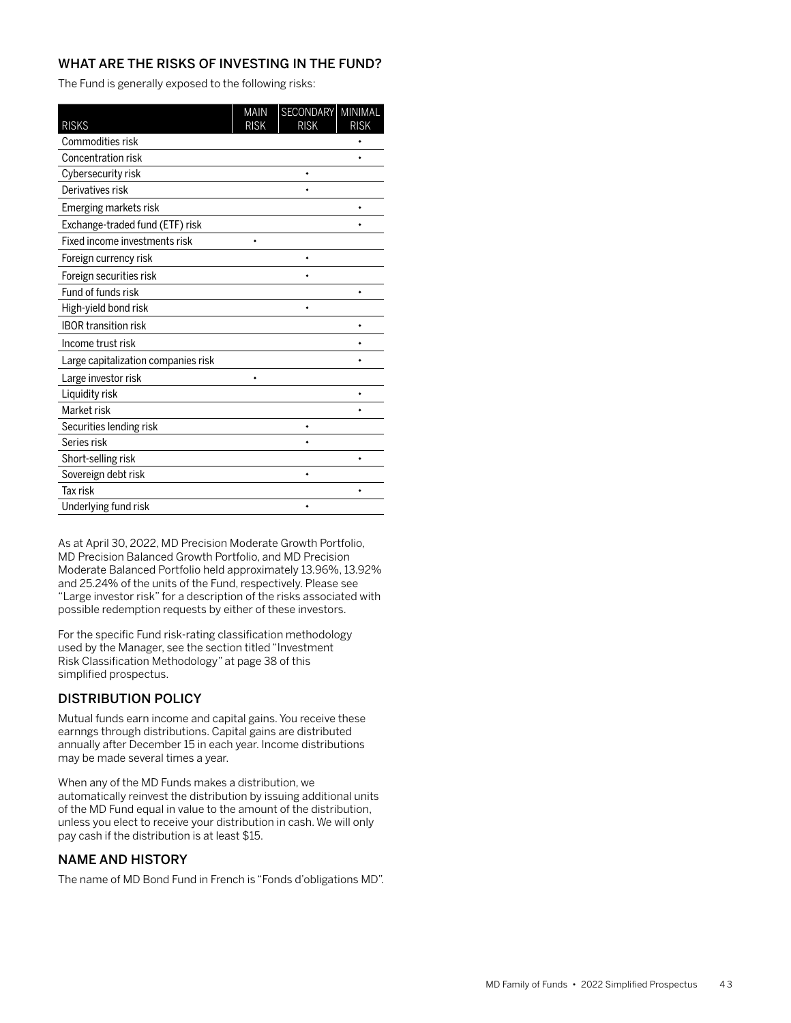The Fund is generally exposed to the following risks:

| <b>RISKS</b>                        | <b>MAIN</b><br><b>RISK</b> | SECONDARY<br><b>RISK</b> | MINIMAL<br><b>RISK</b> |
|-------------------------------------|----------------------------|--------------------------|------------------------|
| Commodities risk                    |                            |                          |                        |
| Concentration risk                  |                            |                          | ٠                      |
| Cybersecurity risk                  |                            |                          |                        |
| Derivatives risk                    |                            |                          |                        |
| Emerging markets risk               |                            |                          |                        |
| Exchange-traded fund (ETF) risk     |                            |                          |                        |
| Fixed income investments risk       |                            |                          |                        |
| Foreign currency risk               |                            | ٠                        |                        |
| Foreign securities risk             |                            |                          |                        |
| Fund of funds risk                  |                            |                          | ۰                      |
| High-yield bond risk                |                            | ۰                        |                        |
| <b>IBOR transition risk</b>         |                            |                          |                        |
| Income trust risk                   |                            |                          |                        |
| Large capitalization companies risk |                            |                          |                        |
| Large investor risk                 |                            |                          |                        |
| Liquidity risk                      |                            |                          |                        |
| Market risk                         |                            |                          |                        |
| Securities lending risk             |                            | ۰                        |                        |
| Series risk                         |                            |                          |                        |
| Short-selling risk                  |                            |                          | ٠                      |
| Sovereign debt risk                 |                            | ۰                        |                        |
| <b>Tax risk</b>                     |                            |                          | ۰                      |
| Underlying fund risk                |                            |                          |                        |

As at April 30, 2022, MD Precision Moderate Growth Portfolio, MD Precision Balanced Growth Portfolio, and MD Precision Moderate Balanced Portfolio held approximately 13.96%, 13.92% and 25.24% of the units of the Fund, respectively. Please see "Large investor risk" for a description of the risks associated with possible redemption requests by either of these investors.

For the specific Fund risk-rating classification methodology used by the Manager, see the section titled "Investment Risk Classification Methodology" at page 38 of this simplified prospectus.

# DISTRIBUTION POLICY

Mutual funds earn income and capital gains. You receive these earnngs through distributions. Capital gains are distributed annually after December 15 in each year. Income distributions may be made several times a year.

When any of the MD Funds makes a distribution, we automatically reinvest the distribution by issuing additional units of the MD Fund equal in value to the amount of the distribution, unless you elect to receive your distribution in cash. We will only pay cash if the distribution is at least \$15.

# NAME AND HISTORY

The name of MD Bond Fund in French is "Fonds d'obligations MD".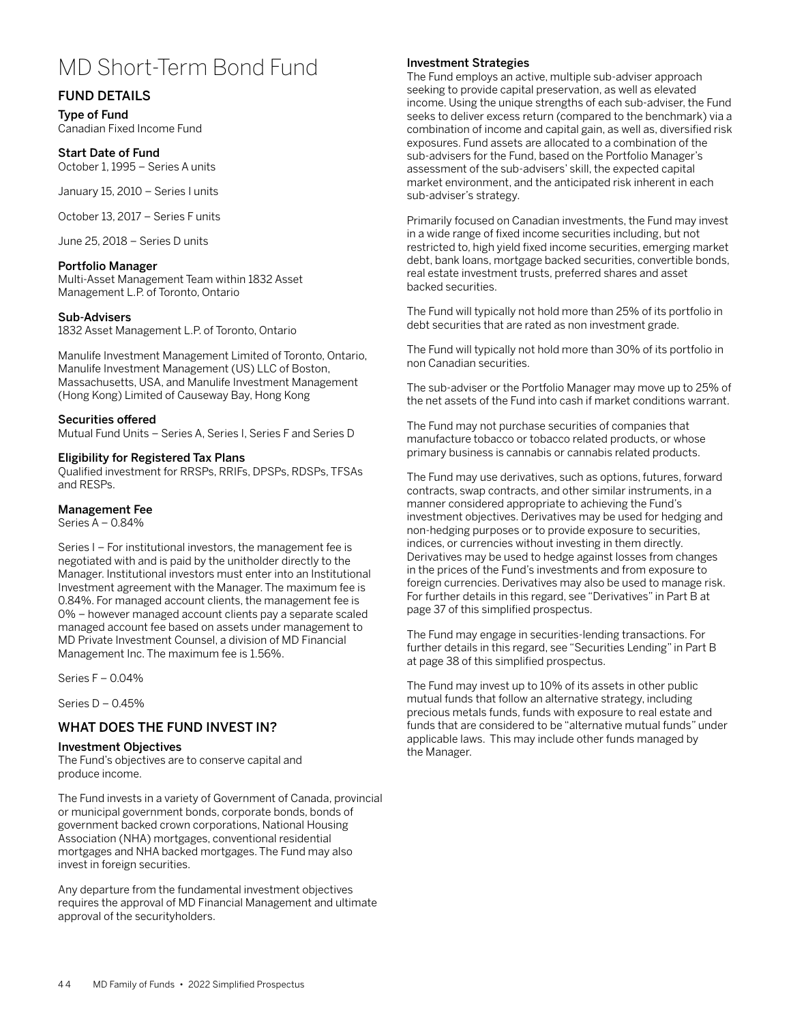# MD Short-Term Bond Fund

# FUND DETAILS

Type of Fund Canadian Fixed Income Fund

## Start Date of Fund

October 1, 1995 – Series A units

January 15, 2010 – Series I units

October 13, 2017 – Series F units

June 25, 2018 – Series D units

## Portfolio Manager

Multi-Asset Management Team within 1832 Asset Management L.P. of Toronto, Ontario

## Sub-Advisers

1832 Asset Management L.P. of Toronto, Ontario

Manulife Investment Management Limited of Toronto, Ontario, Manulife Investment Management (US) LLC of Boston, Massachusetts, USA, and Manulife Investment Management (Hong Kong) Limited of Causeway Bay, Hong Kong

## Securities offered

Mutual Fund Units – Series A, Series I, Series F and Series D

## Eligibility for Registered Tax Plans

Qualified investment for RRSPs, RRIFs, DPSPs, RDSPs, TFSAs and RESPs.

## Management Fee

Series A – 0.84%

Series I – For institutional investors, the management fee is negotiated with and is paid by the unitholder directly to the Manager. Institutional investors must enter into an Institutional Investment agreement with the Manager. The maximum fee is 0.84%. For managed account clients, the management fee is 0% – however managed account clients pay a separate scaled managed account fee based on assets under management to MD Private Investment Counsel, a division of MD Financial Management Inc. The maximum fee is 1.56%.

Series F – 0.04%

Series D – 0.45%

## WHAT DOES THE FUND INVEST IN?

#### Investment Objectives

The Fund's objectives are to conserve capital and produce income.

The Fund invests in a variety of Government of Canada, provincial or municipal government bonds, corporate bonds, bonds of government backed crown corporations, National Housing Association (NHA) mortgages, conventional residential mortgages and NHA backed mortgages. The Fund may also invest in foreign securities.

Any departure from the fundamental investment objectives requires the approval of MD Financial Management and ultimate approval of the securityholders.

## Investment Strategies

The Fund employs an active, multiple sub-adviser approach seeking to provide capital preservation, as well as elevated income. Using the unique strengths of each sub-adviser, the Fund seeks to deliver excess return (compared to the benchmark) via a combination of income and capital gain, as well as, diversified risk exposures. Fund assets are allocated to a combination of the sub-advisers for the Fund, based on the Portfolio Manager's assessment of the sub-advisers' skill, the expected capital market environment, and the anticipated risk inherent in each sub-adviser's strategy.

Primarily focused on Canadian investments, the Fund may invest in a wide range of fixed income securities including, but not restricted to, high yield fixed income securities, emerging market debt, bank loans, mortgage backed securities, convertible bonds, real estate investment trusts, preferred shares and asset backed securities.

The Fund will typically not hold more than 25% of its portfolio in debt securities that are rated as non investment grade.

The Fund will typically not hold more than 30% of its portfolio in non Canadian securities.

The sub-adviser or the Portfolio Manager may move up to 25% of the net assets of the Fund into cash if market conditions warrant.

The Fund may not purchase securities of companies that manufacture tobacco or tobacco related products, or whose primary business is cannabis or cannabis related products.

The Fund may use derivatives, such as options, futures, forward contracts, swap contracts, and other similar instruments, in a manner considered appropriate to achieving the Fund's investment objectives. Derivatives may be used for hedging and non-hedging purposes or to provide exposure to securities, indices, or currencies without investing in them directly. Derivatives may be used to hedge against losses from changes in the prices of the Fund's investments and from exposure to foreign currencies. Derivatives may also be used to manage risk. For further details in this regard, see "Derivatives" in Part B at page 37 of this simplified prospectus.

The Fund may engage in securities-lending transactions. For further details in this regard, see "Securities Lending" in Part B at page 38 of this simplified prospectus.

The Fund may invest up to 10% of its assets in other public mutual funds that follow an alternative strategy, including precious metals funds, funds with exposure to real estate and funds that are considered to be "alternative mutual funds" under applicable laws. This may include other funds managed by the Manager.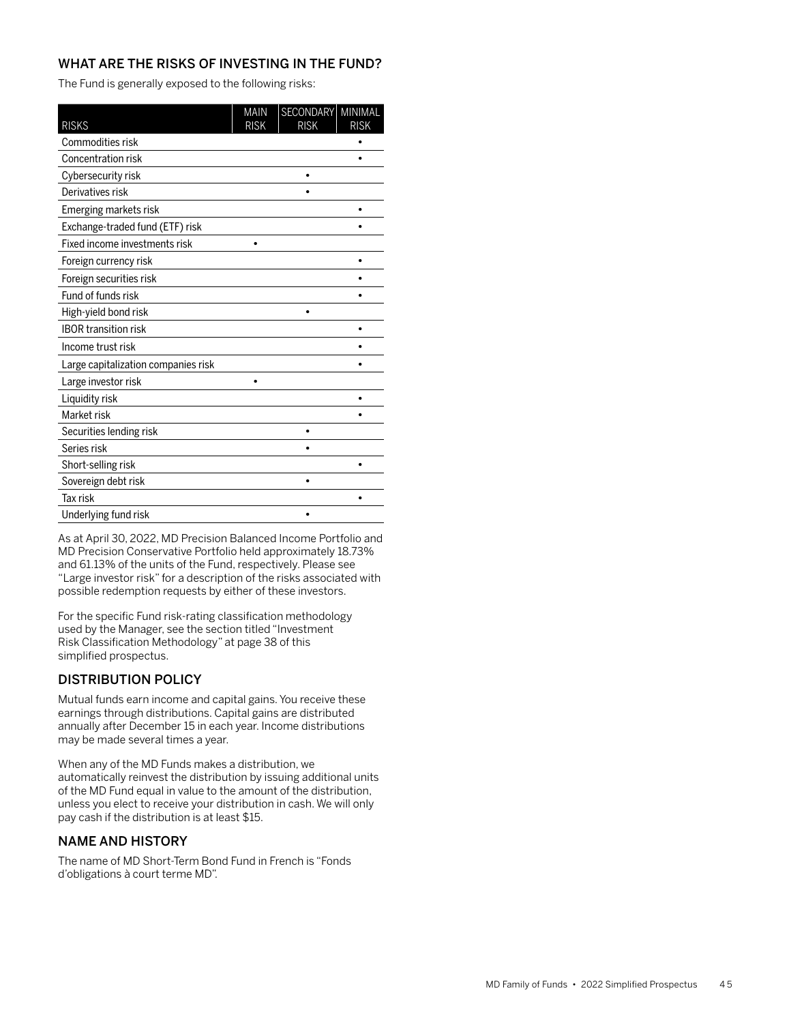The Fund is generally exposed to the following risks:

| <b>RISKS</b>                        | <b>MAIN</b><br><b>RISK</b> | SECONDARY<br><b>RISK</b> | MINIMAL<br><b>RISK</b> |
|-------------------------------------|----------------------------|--------------------------|------------------------|
| Commodities risk                    |                            |                          |                        |
| Concentration risk                  |                            |                          |                        |
| Cybersecurity risk                  |                            |                          |                        |
| Derivatives risk                    |                            |                          |                        |
| Emerging markets risk               |                            |                          |                        |
| Exchange-traded fund (ETF) risk     |                            |                          |                        |
| Fixed income investments risk       |                            |                          |                        |
| Foreign currency risk               |                            |                          |                        |
| Foreign securities risk             |                            |                          |                        |
| Fund of funds risk                  |                            |                          |                        |
| High-yield bond risk                |                            |                          |                        |
| <b>IBOR transition risk</b>         |                            |                          |                        |
| Income trust risk                   |                            |                          |                        |
| Large capitalization companies risk |                            |                          |                        |
| Large investor risk                 |                            |                          |                        |
| Liquidity risk                      |                            |                          |                        |
| Market risk                         |                            |                          |                        |
| Securities lending risk             |                            | ٠                        |                        |
| Series risk                         |                            |                          |                        |
| Short-selling risk                  |                            |                          |                        |
| Sovereign debt risk                 |                            |                          |                        |
| <b>Tax risk</b>                     |                            |                          |                        |
| Underlying fund risk                |                            |                          |                        |

As at April 30, 2022, MD Precision Balanced Income Portfolio and MD Precision Conservative Portfolio held approximately 18.73% and 61.13% of the units of the Fund, respectively. Please see "Large investor risk" for a description of the risks associated with possible redemption requests by either of these investors.

For the specific Fund risk-rating classification methodology used by the Manager, see the section titled "Investment Risk Classification Methodology" at page 38 of this simplified prospectus.

# DISTRIBUTION POLICY

Mutual funds earn income and capital gains. You receive these earnings through distributions. Capital gains are distributed annually after December 15 in each year. Income distributions may be made several times a year.

When any of the MD Funds makes a distribution, we automatically reinvest the distribution by issuing additional units of the MD Fund equal in value to the amount of the distribution, unless you elect to receive your distribution in cash. We will only pay cash if the distribution is at least \$15.

# NAME AND HISTORY

The name of MD Short-Term Bond Fund in French is "Fonds d'obligations à court terme MD".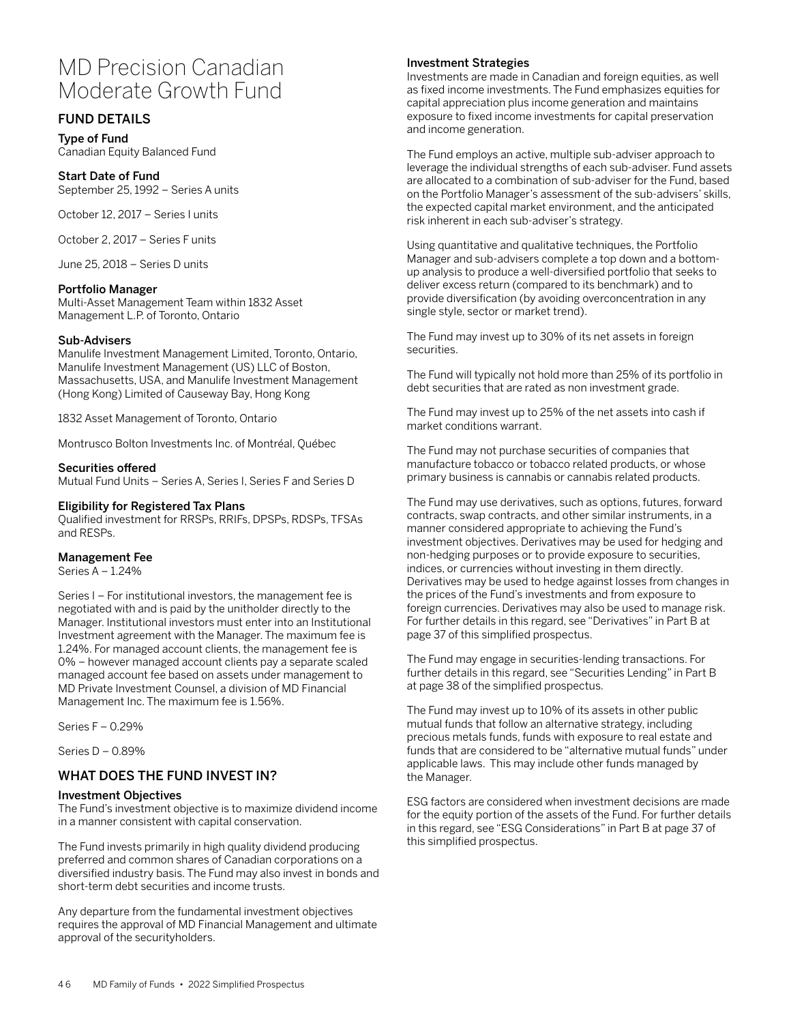# MD Precision Canadian Moderate Growth Fund

# FUND DETAILS

Type of Fund Canadian Equity Balanced Fund

Start Date of Fund September 25, 1992 – Series A units

October 12, 2017 – Series I units

October 2, 2017 – Series F units

June 25, 2018 – Series D units

#### Portfolio Manager

Multi-Asset Management Team within 1832 Asset Management L.P. of Toronto, Ontario

#### Sub-Advisers

Manulife Investment Management Limited, Toronto, Ontario, Manulife Investment Management (US) LLC of Boston, Massachusetts, USA, and Manulife Investment Management (Hong Kong) Limited of Causeway Bay, Hong Kong

1832 Asset Management of Toronto, Ontario

Montrusco Bolton Investments Inc. of Montréal, Québec

#### Securities offered

Mutual Fund Units – Series A, Series I, Series F and Series D

#### Eligibility for Registered Tax Plans

Qualified investment for RRSPs, RRIFs, DPSPs, RDSPs, TFSAs and RESPs.

#### Management Fee

Series A – 1.24%

Series I – For institutional investors, the management fee is negotiated with and is paid by the unitholder directly to the Manager. Institutional investors must enter into an Institutional Investment agreement with the Manager. The maximum fee is 1.24%. For managed account clients, the management fee is 0% – however managed account clients pay a separate scaled managed account fee based on assets under management to MD Private Investment Counsel, a division of MD Financial Management Inc. The maximum fee is 1.56%.

Series F – 0.29%

Series D – 0.89%

## WHAT DOES THE FUND INVEST IN?

#### Investment Objectives

The Fund's investment objective is to maximize dividend income in a manner consistent with capital conservation.

The Fund invests primarily in high quality dividend producing preferred and common shares of Canadian corporations on a diversified industry basis. The Fund may also invest in bonds and short-term debt securities and income trusts.

Any departure from the fundamental investment objectives requires the approval of MD Financial Management and ultimate approval of the securityholders.

#### Investment Strategies

Investments are made in Canadian and foreign equities, as well as fixed income investments. The Fund emphasizes equities for capital appreciation plus income generation and maintains exposure to fixed income investments for capital preservation and income generation.

The Fund employs an active, multiple sub-adviser approach to leverage the individual strengths of each sub-adviser. Fund assets are allocated to a combination of sub-adviser for the Fund, based on the Portfolio Manager's assessment of the sub-advisers' skills, the expected capital market environment, and the anticipated risk inherent in each sub-adviser's strategy.

Using quantitative and qualitative techniques, the Portfolio Manager and sub-advisers complete a top down and a bottomup analysis to produce a well-diversified portfolio that seeks to deliver excess return (compared to its benchmark) and to provide diversification (by avoiding overconcentration in any single style, sector or market trend).

The Fund may invest up to 30% of its net assets in foreign securities.

The Fund will typically not hold more than 25% of its portfolio in debt securities that are rated as non investment grade.

The Fund may invest up to 25% of the net assets into cash if market conditions warrant.

The Fund may not purchase securities of companies that manufacture tobacco or tobacco related products, or whose primary business is cannabis or cannabis related products.

The Fund may use derivatives, such as options, futures, forward contracts, swap contracts, and other similar instruments, in a manner considered appropriate to achieving the Fund's investment objectives. Derivatives may be used for hedging and non-hedging purposes or to provide exposure to securities, indices, or currencies without investing in them directly. Derivatives may be used to hedge against losses from changes in the prices of the Fund's investments and from exposure to foreign currencies. Derivatives may also be used to manage risk. For further details in this regard, see "Derivatives" in Part B at page 37 of this simplified prospectus.

The Fund may engage in securities-lending transactions. For further details in this regard, see "Securities Lending" in Part B at page 38 of the simplified prospectus.

The Fund may invest up to 10% of its assets in other public mutual funds that follow an alternative strategy, including precious metals funds, funds with exposure to real estate and funds that are considered to be "alternative mutual funds" under applicable laws. This may include other funds managed by the Manager.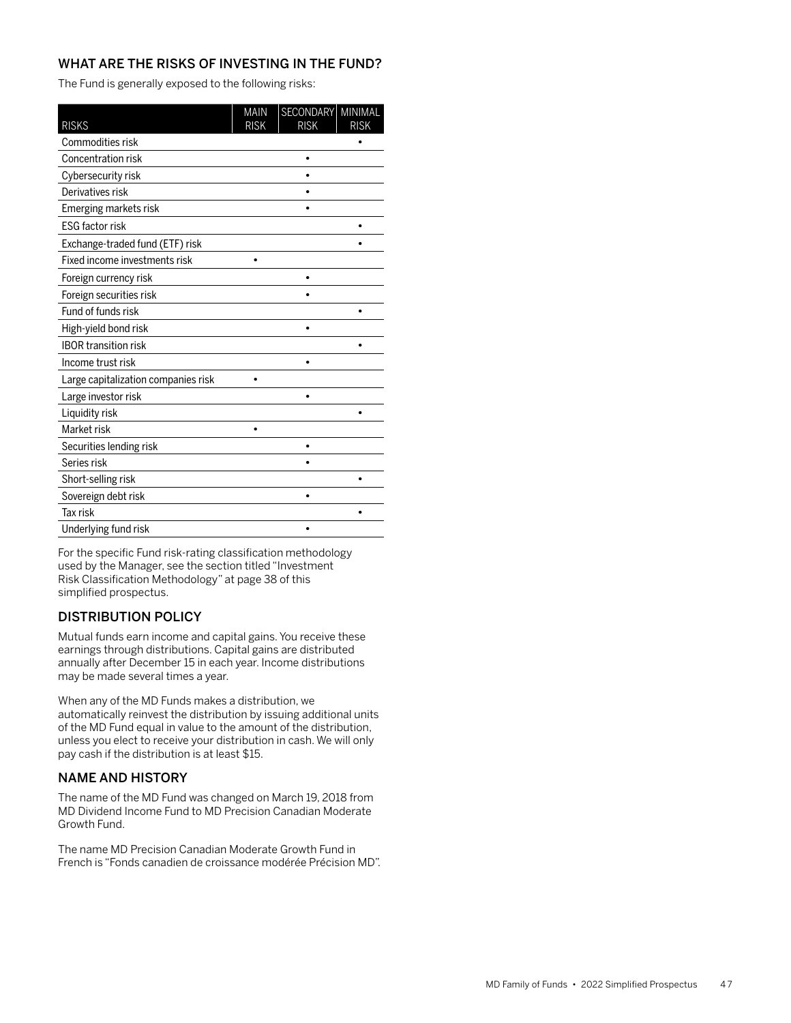The Fund is generally exposed to the following risks:

| <b>RISKS</b>                        | <b>MAIN</b><br><b>RISK</b> | <b>SECONDARY</b><br><b>RISK</b> | MINIMAL<br><b>RISK</b> |
|-------------------------------------|----------------------------|---------------------------------|------------------------|
| Commodities risk                    |                            |                                 |                        |
| Concentration risk                  |                            |                                 |                        |
| Cybersecurity risk                  |                            |                                 |                        |
| Derivatives risk                    |                            |                                 |                        |
| Emerging markets risk               |                            |                                 |                        |
| <b>ESG factor risk</b>              |                            |                                 |                        |
| Exchange-traded fund (ETF) risk     |                            |                                 |                        |
| Fixed income investments risk       |                            |                                 |                        |
| Foreign currency risk               |                            |                                 |                        |
| Foreign securities risk             |                            |                                 |                        |
| Fund of funds risk                  |                            |                                 |                        |
| High-yield bond risk                |                            |                                 |                        |
| <b>IBOR transition risk</b>         |                            |                                 |                        |
| Income trust risk                   |                            | $\bullet$                       |                        |
| Large capitalization companies risk |                            |                                 |                        |
| Large investor risk                 |                            | ٠                               |                        |
| Liquidity risk                      |                            |                                 |                        |
| Market risk                         |                            |                                 |                        |
| Securities lending risk             |                            |                                 |                        |
| Series risk                         |                            |                                 |                        |
| Short-selling risk                  |                            |                                 |                        |
| Sovereign debt risk                 |                            | ٠                               |                        |
| <b>Tax risk</b>                     |                            |                                 |                        |
| Underlying fund risk                |                            |                                 |                        |

For the specific Fund risk-rating classification methodology used by the Manager, see the section titled "Investment Risk Classification Methodology" at page 38 of this simplified prospectus.

# DISTRIBUTION POLICY

Mutual funds earn income and capital gains. You receive these earnings through distributions. Capital gains are distributed annually after December 15 in each year. Income distributions may be made several times a year.

When any of the MD Funds makes a distribution, we automatically reinvest the distribution by issuing additional units of the MD Fund equal in value to the amount of the distribution, unless you elect to receive your distribution in cash. We will only pay cash if the distribution is at least \$15.

# NAME AND HISTORY

The name of the MD Fund was changed on March 19, 2018 from MD Dividend Income Fund to MD Precision Canadian Moderate Growth Fund.

The name MD Precision Canadian Moderate Growth Fund in French is "Fonds canadien de croissance modérée Précision MD".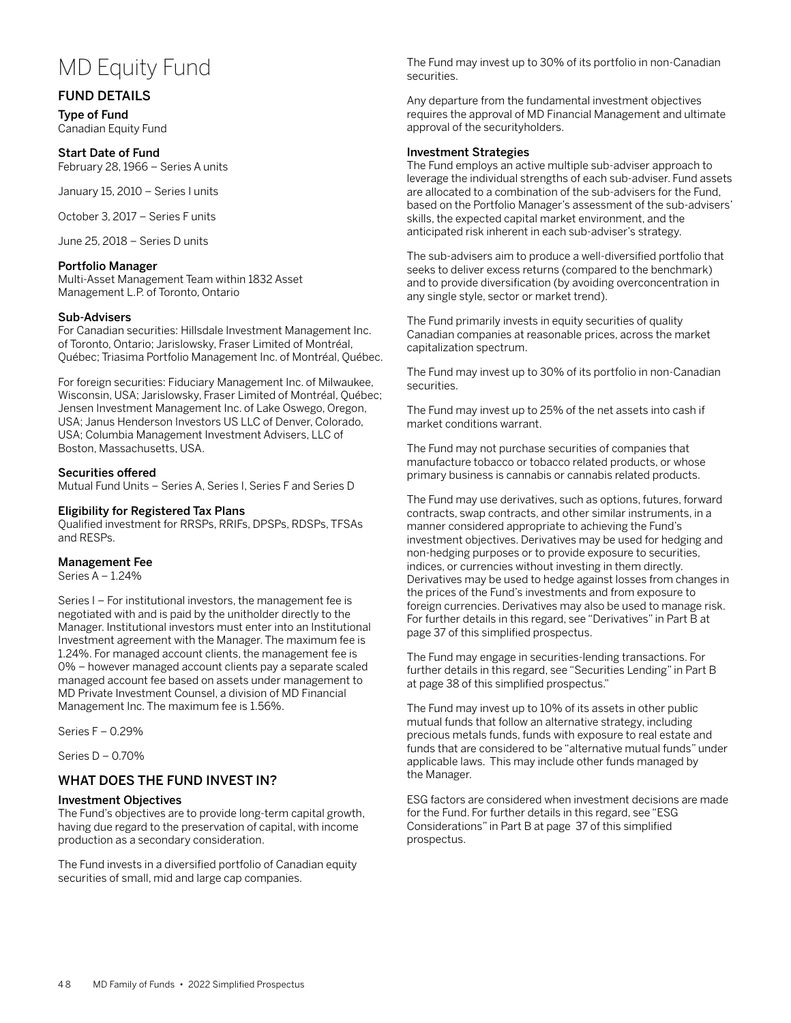# MD Equity Fund

## FUND DETAILS

Type of Fund Canadian Equity Fund

#### Start Date of Fund

February 28, 1966 – Series A units

January 15, 2010 – Series I units

October 3, 2017 – Series F units

June 25, 2018 – Series D units

#### Portfolio Manager

Multi-Asset Management Team within 1832 Asset Management L.P. of Toronto, Ontario

#### Sub-Advisers

For Canadian securities: Hillsdale Investment Management Inc. of Toronto, Ontario; Jarislowsky, Fraser Limited of Montréal, Québec; Triasima Portfolio Management Inc. of Montréal, Québec.

For foreign securities: Fiduciary Management Inc. of Milwaukee, Wisconsin, USA; Jarislowsky, Fraser Limited of Montréal, Québec; Jensen Investment Management Inc. of Lake Oswego, Oregon, USA; Janus Henderson Investors US LLC of Denver, Colorado, USA; Columbia Management Investment Advisers, LLC of Boston, Massachusetts, USA.

#### Securities offered

Mutual Fund Units – Series A, Series I, Series F and Series D

#### Eligibility for Registered Tax Plans

Qualified investment for RRSPs, RRIFs, DPSPs, RDSPs, TFSAs and RESPs.

#### Management Fee

Series A – 1.24%

Series I – For institutional investors, the management fee is negotiated with and is paid by the unitholder directly to the Manager. Institutional investors must enter into an Institutional Investment agreement with the Manager. The maximum fee is 1.24%. For managed account clients, the management fee is 0% – however managed account clients pay a separate scaled managed account fee based on assets under management to MD Private Investment Counsel, a division of MD Financial Management Inc. The maximum fee is 1.56%.

Series F – 0.29%

Series D – 0.70%

# WHAT DOES THE FUND INVEST IN?

#### Investment Objectives

The Fund's objectives are to provide long-term capital growth, having due regard to the preservation of capital, with income production as a secondary consideration.

The Fund invests in a diversified portfolio of Canadian equity securities of small, mid and large cap companies.

The Fund may invest up to 30% of its portfolio in non-Canadian securities.

Any departure from the fundamental investment objectives requires the approval of MD Financial Management and ultimate approval of the securityholders.

#### Investment Strategies

The Fund employs an active multiple sub-adviser approach to leverage the individual strengths of each sub-adviser. Fund assets are allocated to a combination of the sub-advisers for the Fund, based on the Portfolio Manager's assessment of the sub-advisers' skills, the expected capital market environment, and the anticipated risk inherent in each sub-adviser's strategy.

The sub-advisers aim to produce a well-diversified portfolio that seeks to deliver excess returns (compared to the benchmark) and to provide diversification (by avoiding overconcentration in any single style, sector or market trend).

The Fund primarily invests in equity securities of quality Canadian companies at reasonable prices, across the market capitalization spectrum.

The Fund may invest up to 30% of its portfolio in non-Canadian securities.

The Fund may invest up to 25% of the net assets into cash if market conditions warrant.

The Fund may not purchase securities of companies that manufacture tobacco or tobacco related products, or whose primary business is cannabis or cannabis related products.

The Fund may use derivatives, such as options, futures, forward contracts, swap contracts, and other similar instruments, in a manner considered appropriate to achieving the Fund's investment objectives. Derivatives may be used for hedging and non-hedging purposes or to provide exposure to securities, indices, or currencies without investing in them directly. Derivatives may be used to hedge against losses from changes in the prices of the Fund's investments and from exposure to foreign currencies. Derivatives may also be used to manage risk. For further details in this regard, see "Derivatives" in Part B at page 37 of this simplified prospectus.

The Fund may engage in securities-lending transactions. For further details in this regard, see "Securities Lending" in Part B at page 38 of this simplified prospectus."

The Fund may invest up to 10% of its assets in other public mutual funds that follow an alternative strategy, including precious metals funds, funds with exposure to real estate and funds that are considered to be "alternative mutual funds" under applicable laws. This may include other funds managed by the Manager.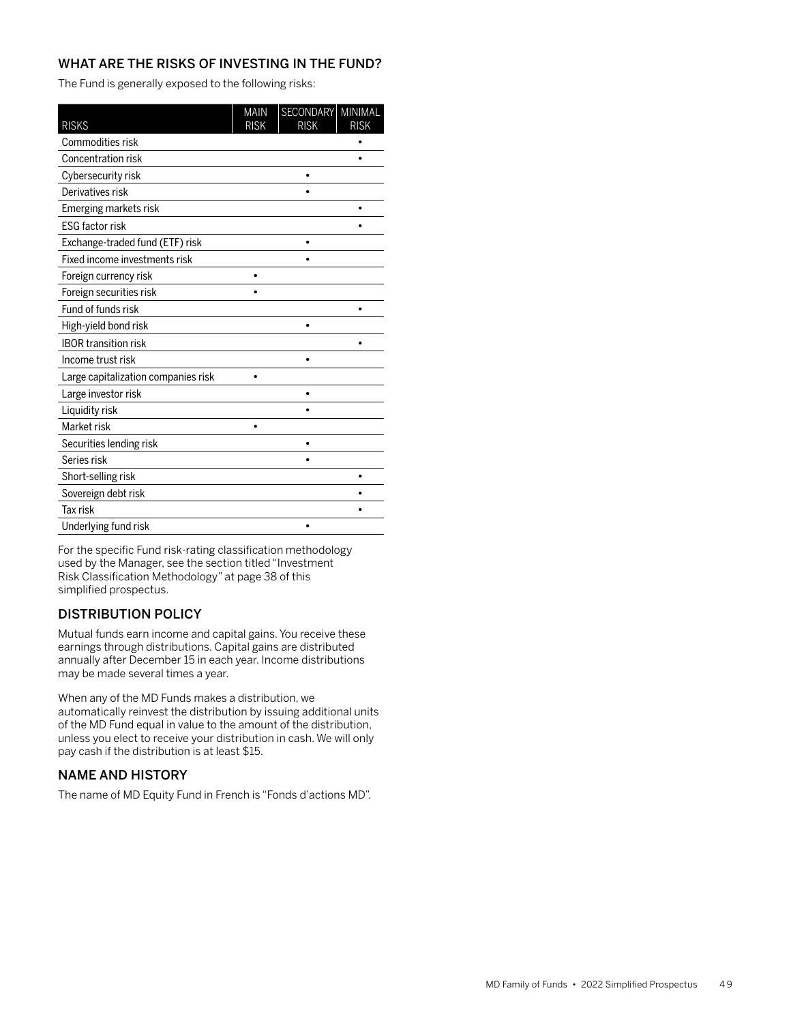The Fund is generally exposed to the following risks:

| <b>RISKS</b>                        | <b>MAIN</b><br><b>RISK</b> | SECONDARY MINIMAL<br><b>RISK</b> | <b>RISK</b> |
|-------------------------------------|----------------------------|----------------------------------|-------------|
| Commodities risk                    |                            |                                  |             |
| <b>Concentration risk</b>           |                            |                                  |             |
| Cybersecurity risk                  |                            | ٠                                |             |
| Derivatives risk                    |                            |                                  |             |
| Emerging markets risk               |                            |                                  |             |
| <b>ESG factor risk</b>              |                            |                                  |             |
| Exchange-traded fund (ETF) risk     |                            | ٠                                |             |
| Fixed income investments risk       |                            |                                  |             |
| Foreign currency risk               |                            |                                  |             |
| Foreign securities risk             |                            |                                  |             |
| Fund of funds risk                  |                            |                                  |             |
| High-yield bond risk                |                            | ٠                                |             |
| <b>IBOR transition risk</b>         |                            |                                  |             |
| Income trust risk                   |                            | ٠                                |             |
| Large capitalization companies risk |                            |                                  |             |
| Large investor risk                 |                            | ٠                                |             |
| Liquidity risk                      |                            |                                  |             |
| Market risk                         |                            |                                  |             |
| Securities lending risk             |                            |                                  |             |
| Series risk                         |                            |                                  |             |
| Short-selling risk                  |                            |                                  |             |
| Sovereign debt risk                 |                            |                                  |             |
| <b>Tax risk</b>                     |                            |                                  |             |
| Underlying fund risk                |                            |                                  |             |

For the specific Fund risk-rating classification methodology used by the Manager, see the section titled "Investment Risk Classification Methodology" at page 38 of this simplified prospectus.

# DISTRIBUTION POLICY

Mutual funds earn income and capital gains. You receive these earnings through distributions. Capital gains are distributed annually after December 15 in each year. Income distributions may be made several times a year.

When any of the MD Funds makes a distribution, we automatically reinvest the distribution by issuing additional units of the MD Fund equal in value to the amount of the distribution, unless you elect to receive your distribution in cash. We will only pay cash if the distribution is at least \$15.

# NAME AND HISTORY

The name of MD Equity Fund in French is "Fonds d'actions MD".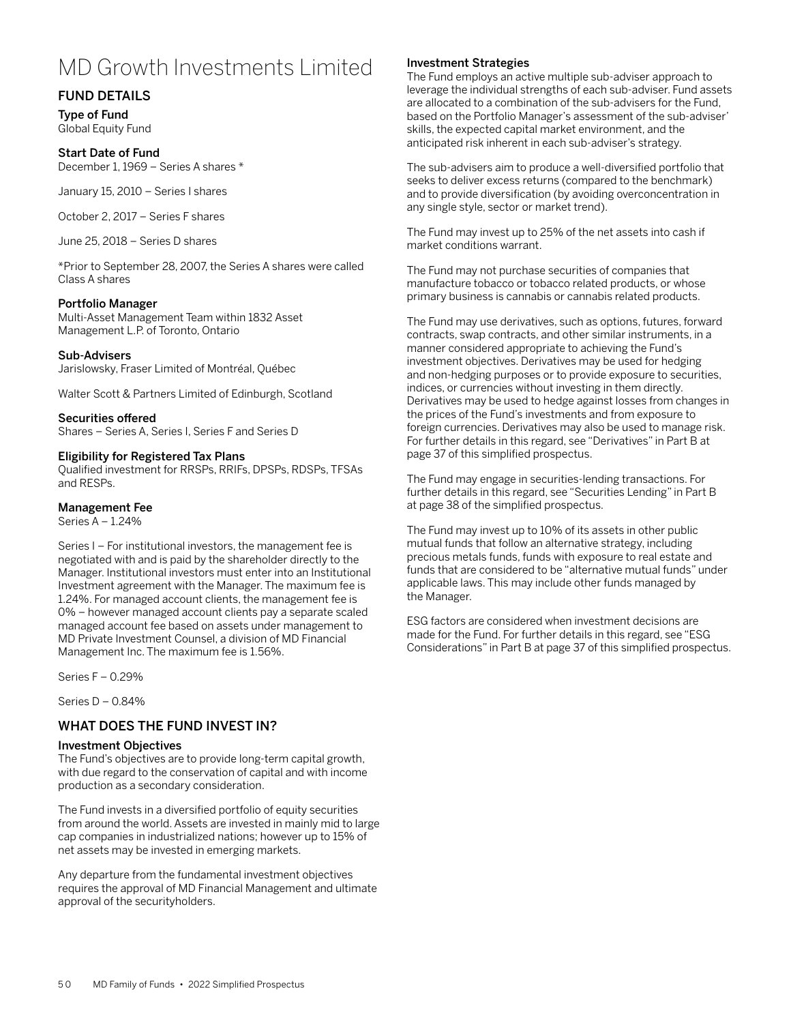# MD Growth Investments Limited

# FUND DETAILS

Type of Fund Global Equity Fund

#### Start Date of Fund

December 1, 1969 – Series A shares \*

January 15, 2010 – Series I shares

October 2, 2017 – Series F shares

June 25, 2018 – Series D shares

\*Prior to September 28, 2007, the Series A shares were called Class A shares

#### Portfolio Manager

Multi-Asset Management Team within 1832 Asset Management L.P. of Toronto, Ontario

#### Sub-Advisers

Jarislowsky, Fraser Limited of Montréal, Québec

Walter Scott & Partners Limited of Edinburgh, Scotland

## Securities offered

Shares – Series A, Series I, Series F and Series D

## Eligibility for Registered Tax Plans

Qualified investment for RRSPs, RRIFs, DPSPs, RDSPs, TFSAs and RESPs.

## Management Fee

Series A – 1.24%

Series I – For institutional investors, the management fee is negotiated with and is paid by the shareholder directly to the Manager. Institutional investors must enter into an Institutional Investment agreement with the Manager. The maximum fee is 1.24%. For managed account clients, the management fee is 0% – however managed account clients pay a separate scaled managed account fee based on assets under management to MD Private Investment Counsel, a division of MD Financial Management Inc. The maximum fee is 1.56%.

Series F – 0.29%

Series D – 0.84%

## WHAT DOES THE FUND INVEST IN?

#### Investment Objectives

The Fund's objectives are to provide long-term capital growth, with due regard to the conservation of capital and with income production as a secondary consideration.

The Fund invests in a diversified portfolio of equity securities from around the world. Assets are invested in mainly mid to large cap companies in industrialized nations; however up to 15% of net assets may be invested in emerging markets.

Any departure from the fundamental investment objectives requires the approval of MD Financial Management and ultimate approval of the securityholders.

## Investment Strategies

The Fund employs an active multiple sub-adviser approach to leverage the individual strengths of each sub-adviser. Fund assets are allocated to a combination of the sub-advisers for the Fund, based on the Portfolio Manager's assessment of the sub-adviser' skills, the expected capital market environment, and the anticipated risk inherent in each sub-adviser's strategy.

The sub-advisers aim to produce a well-diversified portfolio that seeks to deliver excess returns (compared to the benchmark) and to provide diversification (by avoiding overconcentration in any single style, sector or market trend).

The Fund may invest up to 25% of the net assets into cash if market conditions warrant.

The Fund may not purchase securities of companies that manufacture tobacco or tobacco related products, or whose primary business is cannabis or cannabis related products.

The Fund may use derivatives, such as options, futures, forward contracts, swap contracts, and other similar instruments, in a manner considered appropriate to achieving the Fund's investment objectives. Derivatives may be used for hedging and non-hedging purposes or to provide exposure to securities, indices, or currencies without investing in them directly. Derivatives may be used to hedge against losses from changes in the prices of the Fund's investments and from exposure to foreign currencies. Derivatives may also be used to manage risk. For further details in this regard, see "Derivatives" in Part B at page 37 of this simplified prospectus.

The Fund may engage in securities-lending transactions. For further details in this regard, see "Securities Lending" in Part B at page 38 of the simplified prospectus.

The Fund may invest up to 10% of its assets in other public mutual funds that follow an alternative strategy, including precious metals funds, funds with exposure to real estate and funds that are considered to be "alternative mutual funds" under applicable laws. This may include other funds managed by the Manager.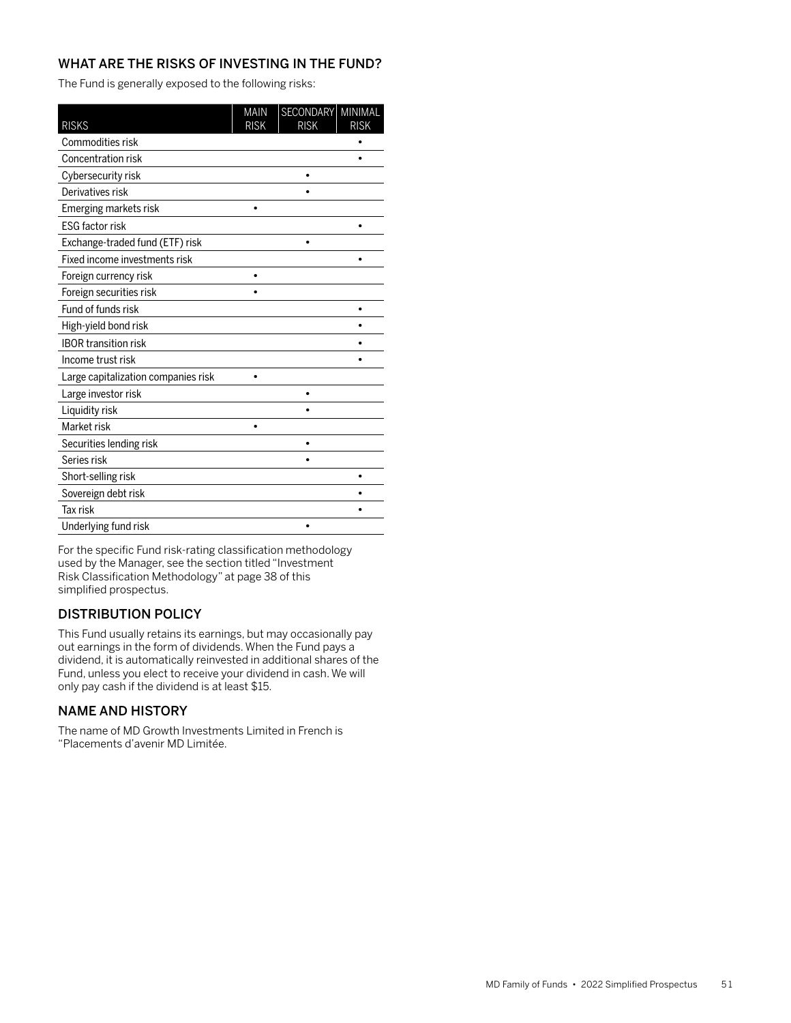The Fund is generally exposed to the following risks:

| <b>RISKS</b>                        | <b>MAIN</b><br><b>RISK</b> | SECONDARY MINIMAL<br><b>RISK</b> | <b>RISK</b> |
|-------------------------------------|----------------------------|----------------------------------|-------------|
| Commodities risk                    |                            |                                  |             |
| Concentration risk                  |                            |                                  |             |
| Cybersecurity risk                  |                            | $\bullet$                        |             |
| Derivatives risk                    |                            |                                  |             |
| Emerging markets risk               |                            |                                  |             |
| <b>ESG factor risk</b>              |                            |                                  |             |
| Exchange-traded fund (ETF) risk     |                            | ٠                                |             |
| Fixed income investments risk       |                            |                                  |             |
| Foreign currency risk               |                            |                                  |             |
| Foreign securities risk             |                            |                                  |             |
| Fund of funds risk                  |                            |                                  |             |
| High-yield bond risk                |                            |                                  |             |
| <b>IBOR transition risk</b>         |                            |                                  |             |
| Income trust risk                   |                            |                                  |             |
| Large capitalization companies risk |                            |                                  |             |
| Large investor risk                 |                            | ٠                                |             |
| Liquidity risk                      |                            |                                  |             |
| Market risk                         |                            |                                  |             |
| Securities lending risk             |                            |                                  |             |
| Series risk                         |                            |                                  |             |
| Short-selling risk                  |                            |                                  |             |
| Sovereign debt risk                 |                            |                                  |             |
| <b>Tax risk</b>                     |                            |                                  |             |
| Underlying fund risk                |                            |                                  |             |

For the specific Fund risk-rating classification methodology used by the Manager, see the section titled "Investment Risk Classification Methodology" at page 38 of this simplified prospectus.

# DISTRIBUTION POLICY

This Fund usually retains its earnings, but may occasionally pay out earnings in the form of dividends. When the Fund pays a dividend, it is automatically reinvested in additional shares of the Fund, unless you elect to receive your dividend in cash. We will only pay cash if the dividend is at least \$15.

# NAME AND HISTORY

The name of MD Growth Investments Limited in French is "Placements d'avenir MD Limitée.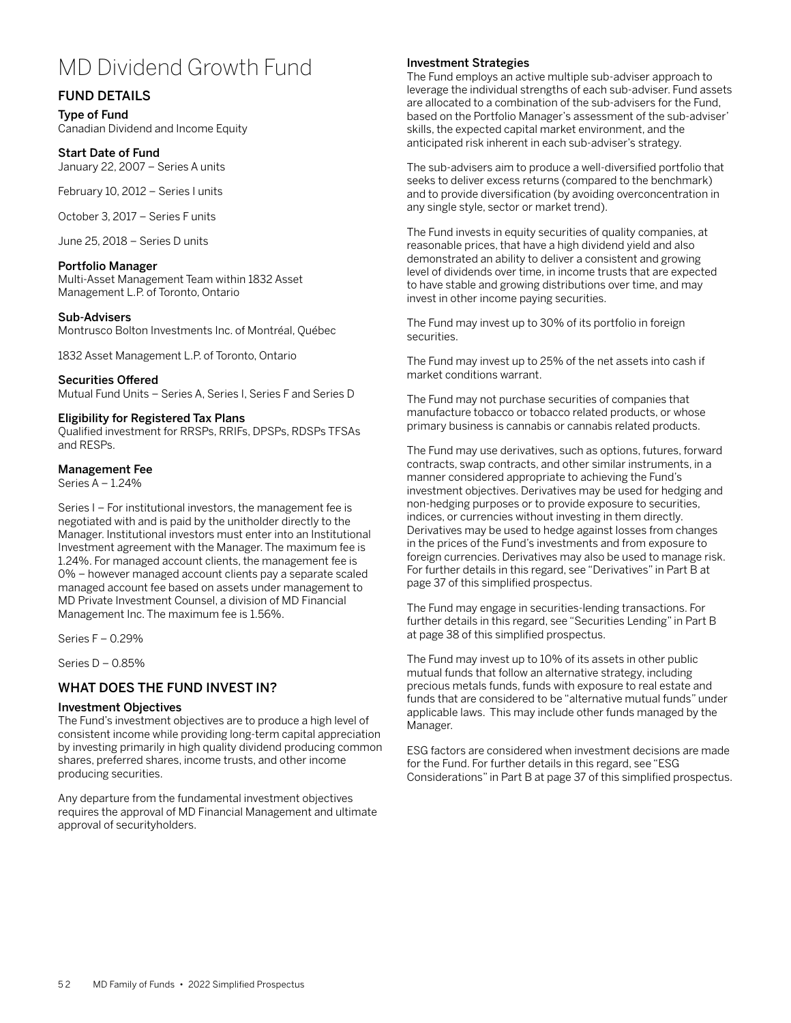# MD Dividend Growth Fund

# FUND DETAILS

Type of Fund Canadian Dividend and Income Equity

## Start Date of Fund

January 22, 2007 – Series A units

February 10, 2012 – Series I units

October 3, 2017 – Series F units

June 25, 2018 – Series D units

## Portfolio Manager

Multi-Asset Management Team within 1832 Asset Management L.P. of Toronto, Ontario

## Sub-Advisers

Montrusco Bolton Investments Inc. of Montréal, Québec

1832 Asset Management L.P. of Toronto, Ontario

## Securities Offered

Mutual Fund Units – Series A, Series I, Series F and Series D

## Eligibility for Registered Tax Plans

Qualified investment for RRSPs, RRIFs, DPSPs, RDSPs TFSAs and RESPs.

## Management Fee

Series A – 1.24%

Series I – For institutional investors, the management fee is negotiated with and is paid by the unitholder directly to the Manager. Institutional investors must enter into an Institutional Investment agreement with the Manager. The maximum fee is 1.24%. For managed account clients, the management fee is 0% – however managed account clients pay a separate scaled managed account fee based on assets under management to MD Private Investment Counsel, a division of MD Financial Management Inc. The maximum fee is 1.56%.

Series F – 0.29%

Series D – 0.85%

# WHAT DOES THE FUND INVEST IN?

#### Investment Objectives

The Fund's investment objectives are to produce a high level of consistent income while providing long-term capital appreciation by investing primarily in high quality dividend producing common shares, preferred shares, income trusts, and other income producing securities.

Any departure from the fundamental investment objectives requires the approval of MD Financial Management and ultimate approval of securityholders.

## Investment Strategies

The Fund employs an active multiple sub-adviser approach to leverage the individual strengths of each sub-adviser. Fund assets are allocated to a combination of the sub-advisers for the Fund, based on the Portfolio Manager's assessment of the sub-adviser' skills, the expected capital market environment, and the anticipated risk inherent in each sub-adviser's strategy.

The sub-advisers aim to produce a well-diversified portfolio that seeks to deliver excess returns (compared to the benchmark) and to provide diversification (by avoiding overconcentration in any single style, sector or market trend).

The Fund invests in equity securities of quality companies, at reasonable prices, that have a high dividend yield and also demonstrated an ability to deliver a consistent and growing level of dividends over time, in income trusts that are expected to have stable and growing distributions over time, and may invest in other income paying securities.

The Fund may invest up to 30% of its portfolio in foreign securities.

The Fund may invest up to 25% of the net assets into cash if market conditions warrant.

The Fund may not purchase securities of companies that manufacture tobacco or tobacco related products, or whose primary business is cannabis or cannabis related products.

The Fund may use derivatives, such as options, futures, forward contracts, swap contracts, and other similar instruments, in a manner considered appropriate to achieving the Fund's investment objectives. Derivatives may be used for hedging and non-hedging purposes or to provide exposure to securities, indices, or currencies without investing in them directly. Derivatives may be used to hedge against losses from changes in the prices of the Fund's investments and from exposure to foreign currencies. Derivatives may also be used to manage risk. For further details in this regard, see "Derivatives" in Part B at page 37 of this simplified prospectus.

The Fund may engage in securities-lending transactions. For further details in this regard, see "Securities Lending" in Part B at page 38 of this simplified prospectus.

The Fund may invest up to 10% of its assets in other public mutual funds that follow an alternative strategy, including precious metals funds, funds with exposure to real estate and funds that are considered to be "alternative mutual funds" under applicable laws. This may include other funds managed by the Manager.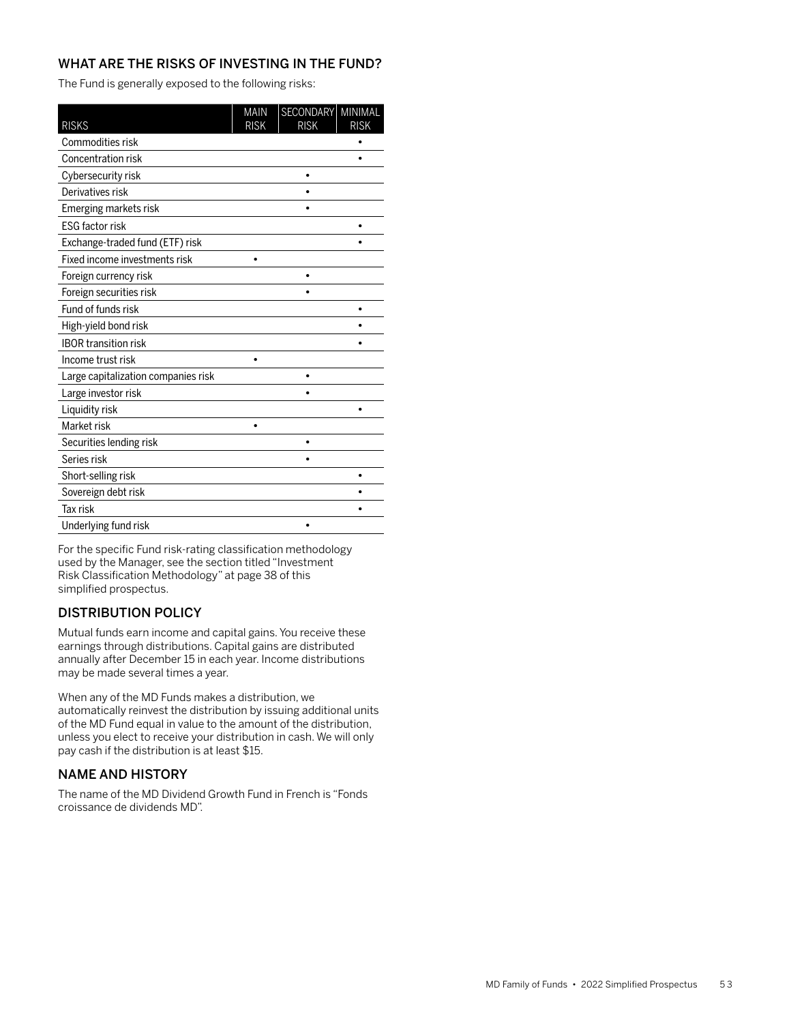The Fund is generally exposed to the following risks:

| <b>RISKS</b>                        | <b>MAIN</b><br><b>RISK</b> | SECONDARY MINIMAL<br><b>RISK</b> | <b>RISK</b> |
|-------------------------------------|----------------------------|----------------------------------|-------------|
| Commodities risk                    |                            |                                  |             |
| Concentration risk                  |                            |                                  |             |
| Cybersecurity risk                  |                            |                                  |             |
| Derivatives risk                    |                            |                                  |             |
| Emerging markets risk               |                            |                                  |             |
| <b>ESG factor risk</b>              |                            |                                  |             |
| Exchange-traded fund (ETF) risk     |                            |                                  |             |
| Fixed income investments risk       |                            |                                  |             |
| Foreign currency risk               |                            |                                  |             |
| Foreign securities risk             |                            |                                  |             |
| Fund of funds risk                  |                            |                                  |             |
| High-yield bond risk                |                            |                                  |             |
| <b>IBOR transition risk</b>         |                            |                                  |             |
| Income trust risk                   |                            |                                  |             |
| Large capitalization companies risk |                            |                                  |             |
| Large investor risk                 |                            |                                  |             |
| Liquidity risk                      |                            |                                  |             |
| Market risk                         |                            |                                  |             |
| Securities lending risk             |                            |                                  |             |
| Series risk                         |                            |                                  |             |
| Short-selling risk                  |                            |                                  |             |
| Sovereign debt risk                 |                            |                                  |             |
| <b>Tax risk</b>                     |                            |                                  |             |
| Underlying fund risk                |                            |                                  |             |

For the specific Fund risk-rating classification methodology used by the Manager, see the section titled "Investment Risk Classification Methodology" at page 38 of this simplified prospectus.

# DISTRIBUTION POLICY

Mutual funds earn income and capital gains. You receive these earnings through distributions. Capital gains are distributed annually after December 15 in each year. Income distributions may be made several times a year.

When any of the MD Funds makes a distribution, we automatically reinvest the distribution by issuing additional units of the MD Fund equal in value to the amount of the distribution, unless you elect to receive your distribution in cash. We will only pay cash if the distribution is at least \$15.

# NAME AND HISTORY

The name of the MD Dividend Growth Fund in French is "Fonds croissance de dividends MD".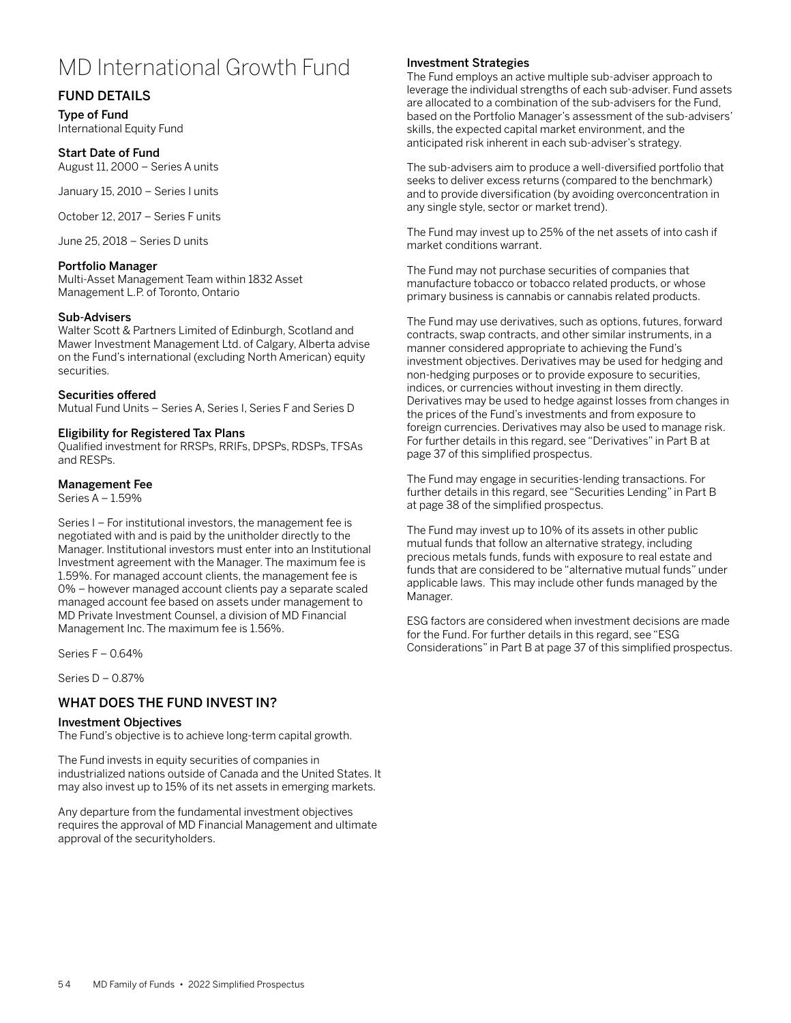# MD International Growth Fund

# FUND DETAILS

Type of Fund International Equity Fund

#### Start Date of Fund

August 11, 2000 – Series A units

January 15, 2010 – Series I units

October 12, 2017 – Series F units

June 25, 2018 – Series D units

## Portfolio Manager

Multi-Asset Management Team within 1832 Asset Management L.P. of Toronto, Ontario

## Sub-Advisers

Walter Scott & Partners Limited of Edinburgh, Scotland and Mawer Investment Management Ltd. of Calgary, Alberta advise on the Fund's international (excluding North American) equity securities.

## Securities offered

Mutual Fund Units – Series A, Series I, Series F and Series D

## Eligibility for Registered Tax Plans

Qualified investment for RRSPs, RRIFs, DPSPs, RDSPs, TFSAs and RESPs.

## Management Fee

Series A – 1.59%

Series I – For institutional investors, the management fee is negotiated with and is paid by the unitholder directly to the Manager. Institutional investors must enter into an Institutional Investment agreement with the Manager. The maximum fee is 1.59%. For managed account clients, the management fee is 0% – however managed account clients pay a separate scaled managed account fee based on assets under management to MD Private Investment Counsel, a division of MD Financial Management Inc. The maximum fee is 1.56%.

Series F – 0.64%

Series D – 0.87%

# WHAT DOES THE FUND INVEST IN?

#### Investment Objectives

The Fund's objective is to achieve long-term capital growth.

The Fund invests in equity securities of companies in industrialized nations outside of Canada and the United States. It may also invest up to 15% of its net assets in emerging markets.

Any departure from the fundamental investment objectives requires the approval of MD Financial Management and ultimate approval of the securityholders.

## Investment Strategies

The Fund employs an active multiple sub-adviser approach to leverage the individual strengths of each sub-adviser. Fund assets are allocated to a combination of the sub-advisers for the Fund, based on the Portfolio Manager's assessment of the sub-advisers' skills, the expected capital market environment, and the anticipated risk inherent in each sub-adviser's strategy.

The sub-advisers aim to produce a well-diversified portfolio that seeks to deliver excess returns (compared to the benchmark) and to provide diversification (by avoiding overconcentration in any single style, sector or market trend).

The Fund may invest up to 25% of the net assets of into cash if market conditions warrant.

The Fund may not purchase securities of companies that manufacture tobacco or tobacco related products, or whose primary business is cannabis or cannabis related products.

The Fund may use derivatives, such as options, futures, forward contracts, swap contracts, and other similar instruments, in a manner considered appropriate to achieving the Fund's investment objectives. Derivatives may be used for hedging and non-hedging purposes or to provide exposure to securities, indices, or currencies without investing in them directly. Derivatives may be used to hedge against losses from changes in the prices of the Fund's investments and from exposure to foreign currencies. Derivatives may also be used to manage risk. For further details in this regard, see "Derivatives" in Part B at page 37 of this simplified prospectus.

The Fund may engage in securities-lending transactions. For further details in this regard, see "Securities Lending" in Part B at page 38 of the simplified prospectus.

The Fund may invest up to 10% of its assets in other public mutual funds that follow an alternative strategy, including precious metals funds, funds with exposure to real estate and funds that are considered to be "alternative mutual funds" under applicable laws. This may include other funds managed by the Manager.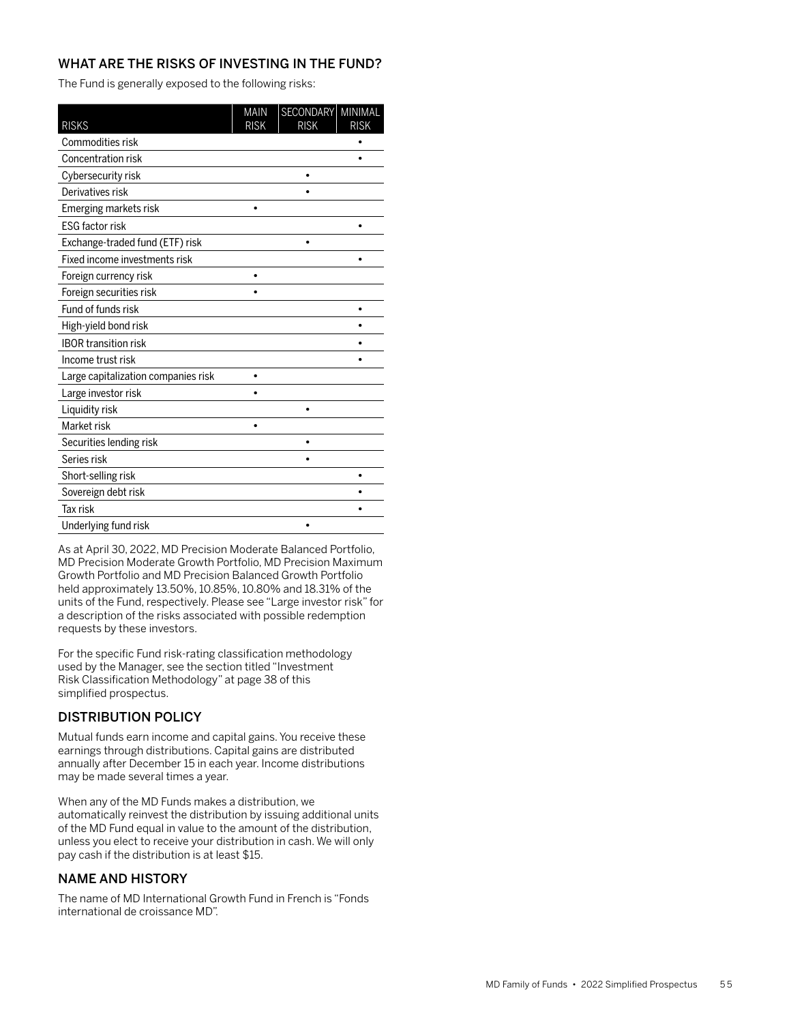The Fund is generally exposed to the following risks:

| <b>RISKS</b>                        | <b>MAIN</b><br><b>RISK</b> | SECONDARY MINIMAL<br><b>RISK</b> | <b>RISK</b> |
|-------------------------------------|----------------------------|----------------------------------|-------------|
| Commodities risk                    |                            |                                  |             |
| Concentration risk                  |                            |                                  |             |
| Cybersecurity risk                  |                            |                                  |             |
| Derivatives risk                    |                            |                                  |             |
| Emerging markets risk               |                            |                                  |             |
| <b>ESG factor risk</b>              |                            |                                  |             |
| Exchange-traded fund (ETF) risk     |                            | $\bullet$                        |             |
| Fixed income investments risk       |                            |                                  |             |
| Foreign currency risk               |                            |                                  |             |
| Foreign securities risk             |                            |                                  |             |
| Fund of funds risk                  |                            |                                  |             |
| High-yield bond risk                |                            |                                  |             |
| <b>IBOR transition risk</b>         |                            |                                  |             |
| Income trust risk                   |                            |                                  |             |
| Large capitalization companies risk |                            |                                  |             |
| Large investor risk                 |                            |                                  |             |
| Liquidity risk                      |                            |                                  |             |
| Market risk                         |                            |                                  |             |
| Securities lending risk             |                            |                                  |             |
| Series risk                         |                            |                                  |             |
| Short-selling risk                  |                            |                                  |             |
| Sovereign debt risk                 |                            |                                  |             |
| <b>Tax risk</b>                     |                            |                                  |             |
| Underlying fund risk                |                            |                                  |             |

As at April 30, 2022, MD Precision Moderate Balanced Portfolio, MD Precision Moderate Growth Portfolio, MD Precision Maximum Growth Portfolio and MD Precision Balanced Growth Portfolio held approximately 13.50%, 10.85%, 10.80% and 18.31% of the units of the Fund, respectively. Please see "Large investor risk" for a description of the risks associated with possible redemption requests by these investors.

For the specific Fund risk-rating classification methodology used by the Manager, see the section titled "Investment Risk Classification Methodology" at page 38 of this simplified prospectus.

# DISTRIBUTION POLICY

Mutual funds earn income and capital gains. You receive these earnings through distributions. Capital gains are distributed annually after December 15 in each year. Income distributions may be made several times a year.

When any of the MD Funds makes a distribution, we automatically reinvest the distribution by issuing additional units of the MD Fund equal in value to the amount of the distribution, unless you elect to receive your distribution in cash. We will only pay cash if the distribution is at least \$15.

# NAME AND HISTORY

The name of MD International Growth Fund in French is "Fonds international de croissance MD".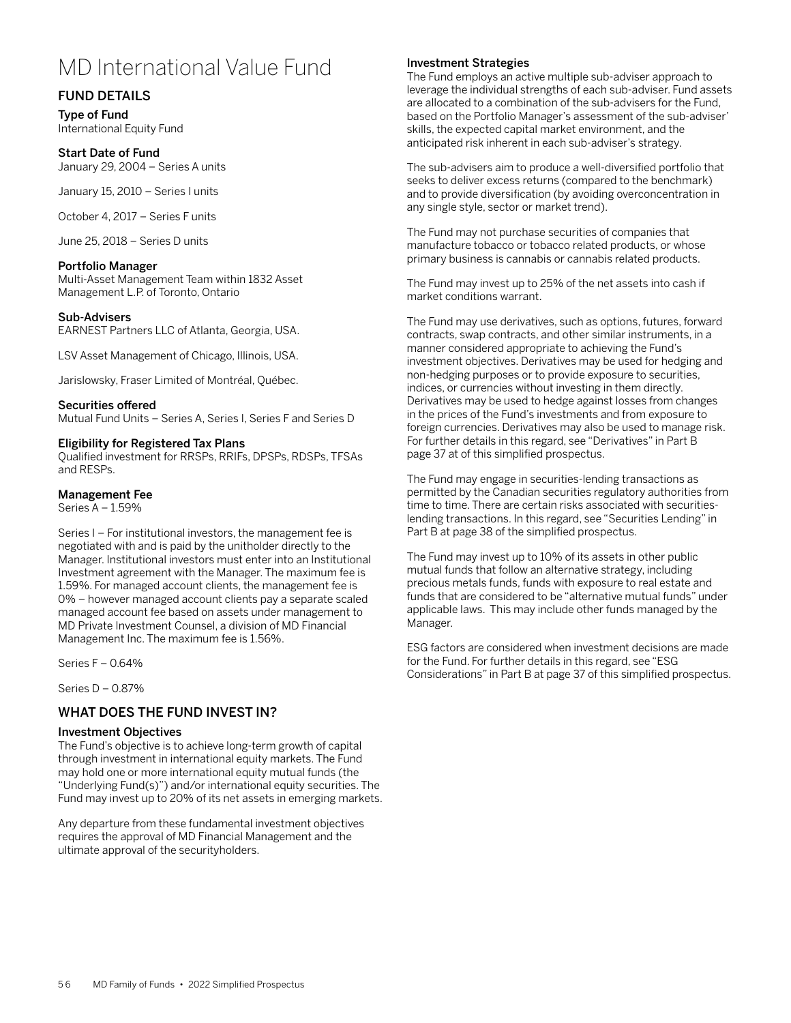# MD International Value Fund

# FUND DETAILS

Type of Fund International Equity Fund

## Start Date of Fund

January 29, 2004 – Series A units

January 15, 2010 – Series I units

October 4, 2017 – Series F units

June 25, 2018 – Series D units

#### Portfolio Manager

Multi-Asset Management Team within 1832 Asset Management L.P. of Toronto, Ontario

#### Sub-Advisers

EARNEST Partners LLC of Atlanta, Georgia, USA.

LSV Asset Management of Chicago, Illinois, USA.

Jarislowsky, Fraser Limited of Montréal, Québec.

#### Securities offered

Mutual Fund Units – Series A, Series I, Series F and Series D

#### Eligibility for Registered Tax Plans

Qualified investment for RRSPs, RRIFs, DPSPs, RDSPs, TFSAs and RESPs.

#### Management Fee

Series A – 1.59%

Series I – For institutional investors, the management fee is negotiated with and is paid by the unitholder directly to the Manager. Institutional investors must enter into an Institutional Investment agreement with the Manager. The maximum fee is 1.59%. For managed account clients, the management fee is 0% – however managed account clients pay a separate scaled managed account fee based on assets under management to MD Private Investment Counsel, a division of MD Financial Management Inc. The maximum fee is 1.56%.

Series F – 0.64%

Series D – 0.87%

## WHAT DOES THE FUND INVEST IN?

#### Investment Objectives

The Fund's objective is to achieve long-term growth of capital through investment in international equity markets. The Fund may hold one or more international equity mutual funds (the "Underlying Fund(s)") and/or international equity securities. The Fund may invest up to 20% of its net assets in emerging markets.

Any departure from these fundamental investment objectives requires the approval of MD Financial Management and the ultimate approval of the securityholders.

## Investment Strategies

The Fund employs an active multiple sub-adviser approach to leverage the individual strengths of each sub-adviser. Fund assets are allocated to a combination of the sub-advisers for the Fund, based on the Portfolio Manager's assessment of the sub-adviser' skills, the expected capital market environment, and the anticipated risk inherent in each sub-adviser's strategy.

The sub-advisers aim to produce a well-diversified portfolio that seeks to deliver excess returns (compared to the benchmark) and to provide diversification (by avoiding overconcentration in any single style, sector or market trend).

The Fund may not purchase securities of companies that manufacture tobacco or tobacco related products, or whose primary business is cannabis or cannabis related products.

The Fund may invest up to 25% of the net assets into cash if market conditions warrant.

The Fund may use derivatives, such as options, futures, forward contracts, swap contracts, and other similar instruments, in a manner considered appropriate to achieving the Fund's investment objectives. Derivatives may be used for hedging and non-hedging purposes or to provide exposure to securities, indices, or currencies without investing in them directly. Derivatives may be used to hedge against losses from changes in the prices of the Fund's investments and from exposure to foreign currencies. Derivatives may also be used to manage risk. For further details in this regard, see "Derivatives" in Part B page 37 at of this simplified prospectus.

The Fund may engage in securities-lending transactions as permitted by the Canadian securities regulatory authorities from time to time. There are certain risks associated with securitieslending transactions. In this regard, see "Securities Lending" in Part B at page 38 of the simplified prospectus.

The Fund may invest up to 10% of its assets in other public mutual funds that follow an alternative strategy, including precious metals funds, funds with exposure to real estate and funds that are considered to be "alternative mutual funds" under applicable laws. This may include other funds managed by the Manager.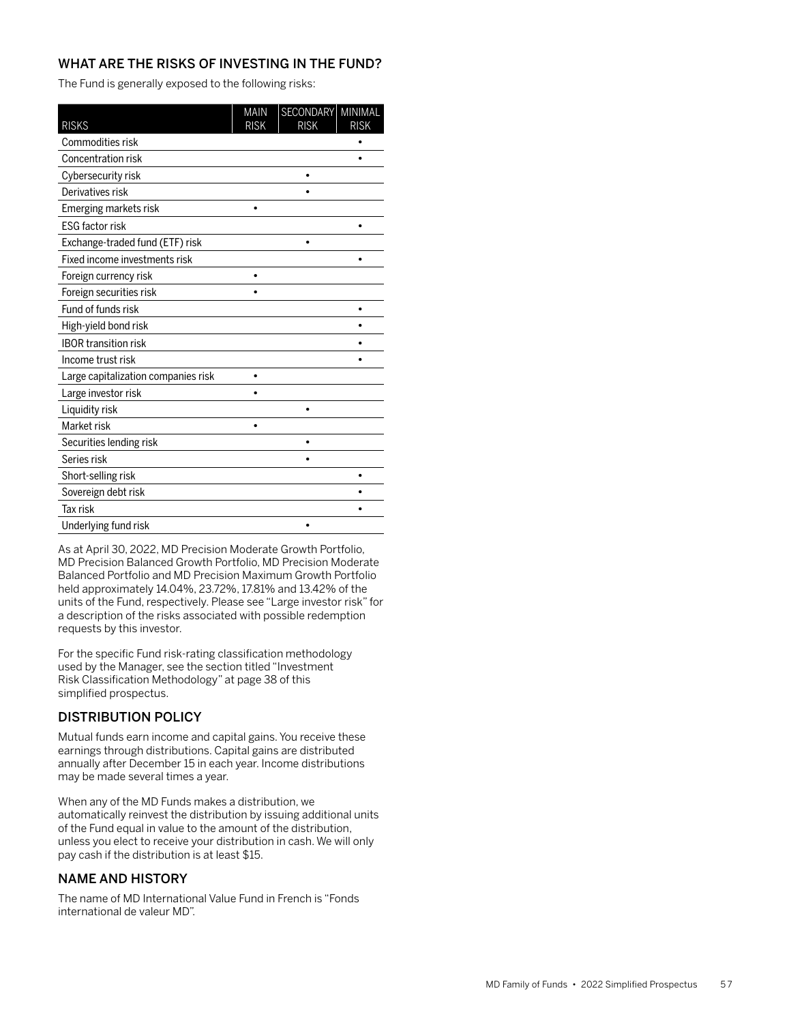The Fund is generally exposed to the following risks:

| <b>RISKS</b>                        | <b>MAIN</b><br><b>RISK</b> | SECONDARY<br><b>RISK</b> | MINIMAL<br><b>RISK</b> |
|-------------------------------------|----------------------------|--------------------------|------------------------|
| Commodities risk                    |                            |                          |                        |
| Concentration risk                  |                            |                          |                        |
| Cybersecurity risk                  |                            |                          |                        |
| Derivatives risk                    |                            |                          |                        |
| Emerging markets risk               |                            |                          |                        |
| <b>ESG factor risk</b>              |                            |                          |                        |
| Exchange-traded fund (ETF) risk     |                            | ٠                        |                        |
| Fixed income investments risk       |                            |                          |                        |
| Foreign currency risk               |                            |                          |                        |
| Foreign securities risk             |                            |                          |                        |
| Fund of funds risk                  |                            |                          |                        |
| High-yield bond risk                |                            |                          |                        |
| <b>IBOR transition risk</b>         |                            |                          |                        |
| Income trust risk                   |                            |                          |                        |
| Large capitalization companies risk |                            |                          |                        |
| Large investor risk                 |                            |                          |                        |
| Liquidity risk                      |                            |                          |                        |
| Market risk                         |                            |                          |                        |
| Securities lending risk             |                            |                          |                        |
| Series risk                         |                            |                          |                        |
| Short-selling risk                  |                            |                          |                        |
| Sovereign debt risk                 |                            |                          |                        |
| <b>Tax risk</b>                     |                            |                          |                        |
| Underlying fund risk                |                            |                          |                        |

As at April 30, 2022, MD Precision Moderate Growth Portfolio, MD Precision Balanced Growth Portfolio, MD Precision Moderate Balanced Portfolio and MD Precision Maximum Growth Portfolio held approximately 14.04%, 23.72%, 17.81% and 13.42% of the units of the Fund, respectively. Please see "Large investor risk" for a description of the risks associated with possible redemption requests by this investor.

For the specific Fund risk-rating classification methodology used by the Manager, see the section titled "Investment Risk Classification Methodology" at page 38 of this simplified prospectus.

# DISTRIBUTION POLICY

Mutual funds earn income and capital gains. You receive these earnings through distributions. Capital gains are distributed annually after December 15 in each year. Income distributions may be made several times a year.

When any of the MD Funds makes a distribution, we automatically reinvest the distribution by issuing additional units of the Fund equal in value to the amount of the distribution, unless you elect to receive your distribution in cash. We will only pay cash if the distribution is at least \$15.

# NAME AND HISTORY

The name of MD International Value Fund in French is "Fonds international de valeur MD".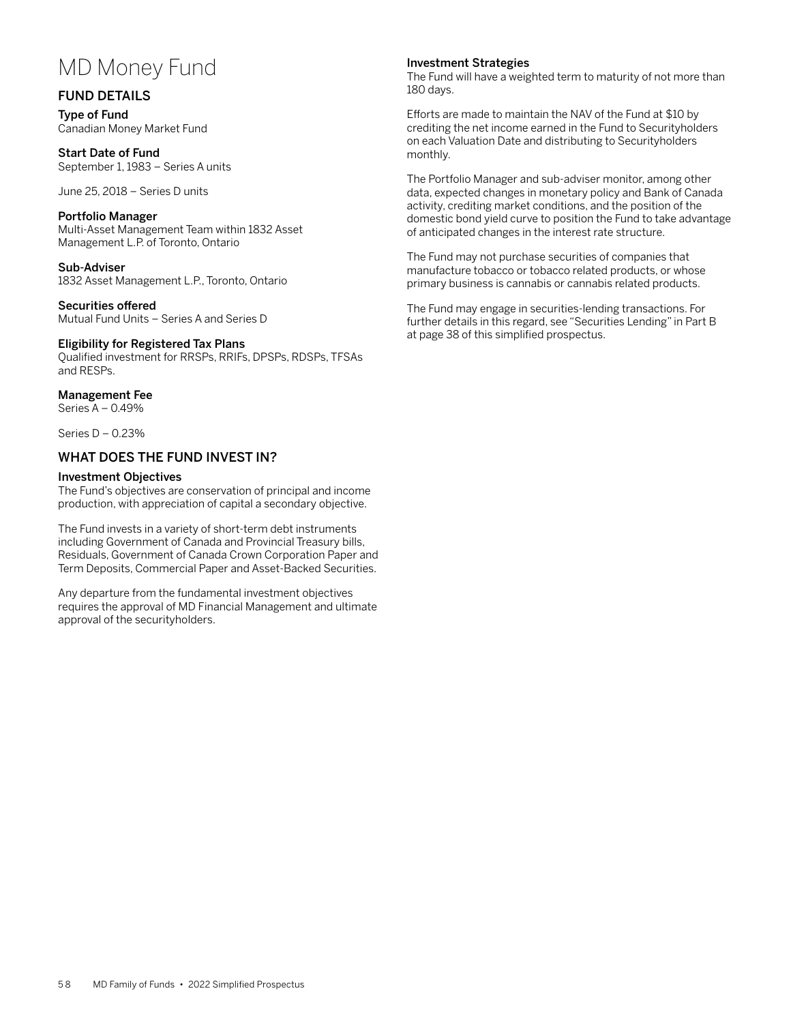# MD Money Fund

## FUND DETAILS

Type of Fund Canadian Money Market Fund

Start Date of Fund September 1, 1983 – Series A units

June 25, 2018 – Series D units

#### Portfolio Manager

Multi-Asset Management Team within 1832 Asset Management L.P. of Toronto, Ontario

Sub-Adviser 1832 Asset Management L.P., Toronto, Ontario

Securities offered Mutual Fund Units – Series A and Series D

#### Eligibility for Registered Tax Plans

Qualified investment for RRSPs, RRIFs, DPSPs, RDSPs, TFSAs and RESPs.

## Management Fee

Series A – 0.49%

Series D – 0.23%

## WHAT DOES THE FUND INVEST IN?

#### Investment Objectives

The Fund's objectives are conservation of principal and income production, with appreciation of capital a secondary objective.

The Fund invests in a variety of short-term debt instruments including Government of Canada and Provincial Treasury bills, Residuals, Government of Canada Crown Corporation Paper and Term Deposits, Commercial Paper and Asset-Backed Securities.

Any departure from the fundamental investment objectives requires the approval of MD Financial Management and ultimate approval of the securityholders.

## Investment Strategies

The Fund will have a weighted term to maturity of not more than 180 days.

Efforts are made to maintain the NAV of the Fund at \$10 by crediting the net income earned in the Fund to Securityholders on each Valuation Date and distributing to Securityholders monthly.

The Portfolio Manager and sub-adviser monitor, among other data, expected changes in monetary policy and Bank of Canada activity, crediting market conditions, and the position of the domestic bond yield curve to position the Fund to take advantage of anticipated changes in the interest rate structure.

The Fund may not purchase securities of companies that manufacture tobacco or tobacco related products, or whose primary business is cannabis or cannabis related products.

The Fund may engage in securities-lending transactions. For further details in this regard, see "Securities Lending" in Part B at page 38 of this simplified prospectus.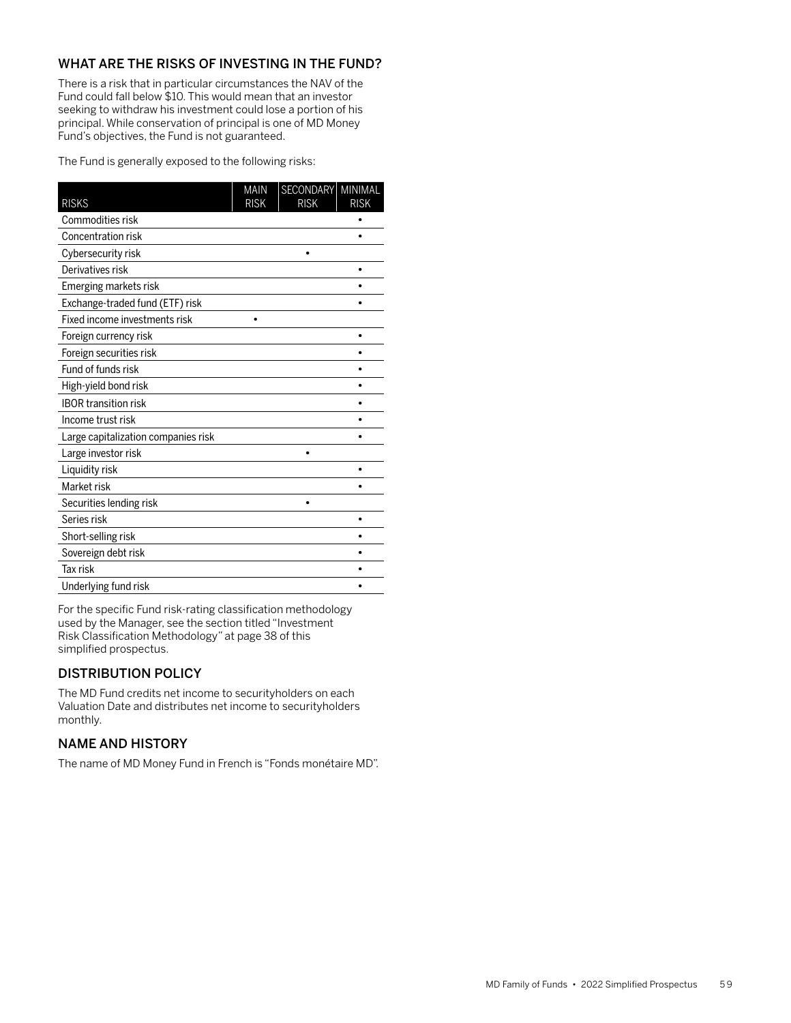There is a risk that in particular circumstances the NAV of the Fund could fall below \$10. This would mean that an investor seeking to withdraw his investment could lose a portion of his principal. While conservation of principal is one of MD Money Fund's objectives, the Fund is not guaranteed.

The Fund is generally exposed to the following risks:

| <b>RISKS</b>                        | <b>MAIN</b><br><b>RISK</b> | SECONDARY<br><b>RISK</b> | MINIMAL<br><b>RISK</b> |
|-------------------------------------|----------------------------|--------------------------|------------------------|
| Commodities risk                    |                            |                          |                        |
| Concentration risk                  |                            |                          |                        |
| Cybersecurity risk                  |                            |                          |                        |
| Derivatives risk                    |                            |                          |                        |
| Emerging markets risk               |                            |                          |                        |
| Exchange-traded fund (ETF) risk     |                            |                          |                        |
| Fixed income investments risk       |                            |                          |                        |
| Foreign currency risk               |                            |                          |                        |
| Foreign securities risk             |                            |                          |                        |
| Fund of funds risk                  |                            |                          |                        |
| High-yield bond risk                |                            |                          |                        |
| <b>IBOR transition risk</b>         |                            |                          |                        |
| Income trust risk                   |                            |                          |                        |
| Large capitalization companies risk |                            |                          |                        |
| Large investor risk                 |                            |                          |                        |
| Liquidity risk                      |                            |                          |                        |
| Market risk                         |                            |                          |                        |
| Securities lending risk             |                            | ٠                        |                        |
| Series risk                         |                            |                          |                        |
| Short-selling risk                  |                            |                          |                        |
| Sovereign debt risk                 |                            |                          |                        |
| Tax risk                            |                            |                          |                        |
| Underlying fund risk                |                            |                          |                        |

For the specific Fund risk-rating classification methodology used by the Manager, see the section titled "Investment Risk Classification Methodology" at page 38 of this simplified prospectus.

# DISTRIBUTION POLICY

The MD Fund credits net income to securityholders on each Valuation Date and distributes net income to securityholders monthly.

# NAME AND HISTORY

The name of MD Money Fund in French is "Fonds monétaire MD".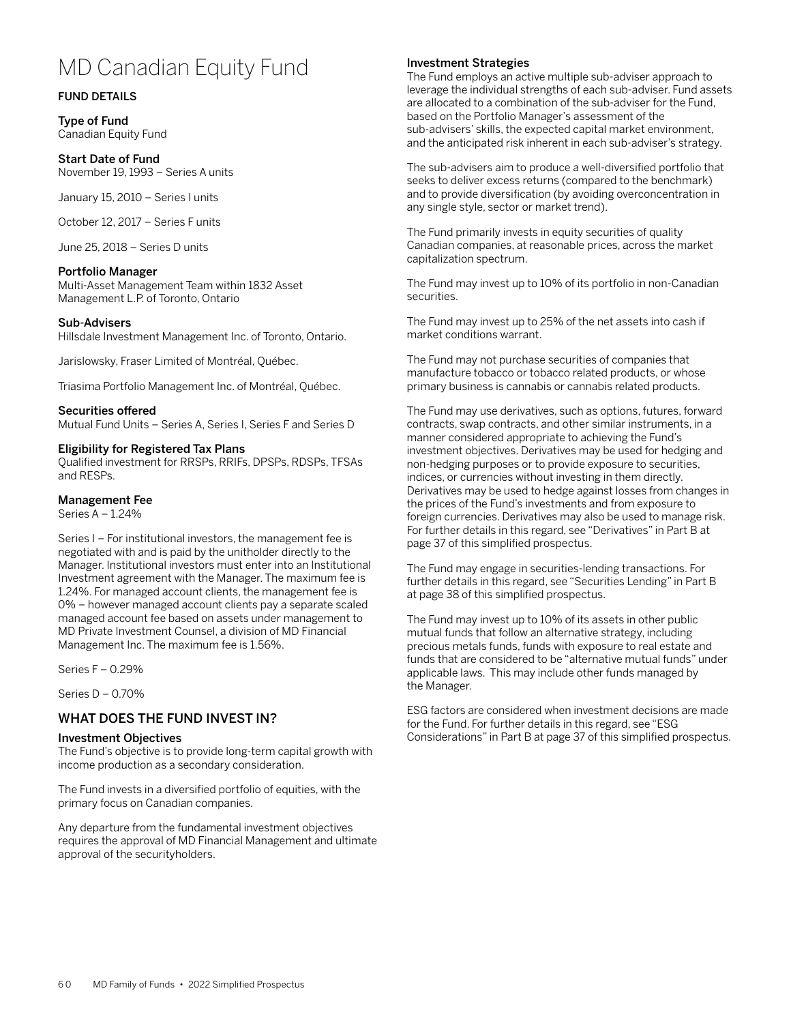# MD Canadian Equity Fund

## FUND DETAILS

Type of Fund Canadian Equity Fund

# Start Date of Fund

November 19, 1993 – Series A units

January 15, 2010 – Series I units

October 12, 2017 – Series F units

June 25, 2018 – Series D units

#### Portfolio Manager

Multi-Asset Management Team within 1832 Asset Management L.P. of Toronto, Ontario

#### Sub-Advisers

Hillsdale Investment Management Inc. of Toronto, Ontario.

Jarislowsky, Fraser Limited of Montréal, Québec.

Triasima Portfolio Management Inc. of Montréal, Québec.

#### Securities offered

Mutual Fund Units – Series A, Series I, Series F and Series D

#### Eligibility for Registered Tax Plans

Qualified investment for RRSPs, RRIFs, DPSPs, RDSPs, TFSAs and RESPs.

#### Management Fee

Series A – 1.24%

Series I – For institutional investors, the management fee is negotiated with and is paid by the unitholder directly to the Manager. Institutional investors must enter into an Institutional Investment agreement with the Manager. The maximum fee is 1.24%. For managed account clients, the management fee is 0% – however managed account clients pay a separate scaled managed account fee based on assets under management to MD Private Investment Counsel, a division of MD Financial Management Inc. The maximum fee is 1.56%.

Series F – 0.29%

Series D – 0.70%

# WHAT DOES THE FUND INVEST IN?

#### Investment Objectives

The Fund's objective is to provide long-term capital growth with income production as a secondary consideration.

The Fund invests in a diversified portfolio of equities, with the primary focus on Canadian companies.

Any departure from the fundamental investment objectives requires the approval of MD Financial Management and ultimate approval of the securityholders.

## Investment Strategies

The Fund employs an active multiple sub-adviser approach to leverage the individual strengths of each sub-adviser. Fund assets are allocated to a combination of the sub-adviser for the Fund, based on the Portfolio Manager's assessment of the sub-advisers' skills, the expected capital market environment, and the anticipated risk inherent in each sub-adviser's strategy.

The sub-advisers aim to produce a well-diversified portfolio that seeks to deliver excess returns (compared to the benchmark) and to provide diversification (by avoiding overconcentration in any single style, sector or market trend).

The Fund primarily invests in equity securities of quality Canadian companies, at reasonable prices, across the market capitalization spectrum.

The Fund may invest up to 10% of its portfolio in non-Canadian securities.

The Fund may invest up to 25% of the net assets into cash if market conditions warrant.

The Fund may not purchase securities of companies that manufacture tobacco or tobacco related products, or whose primary business is cannabis or cannabis related products.

The Fund may use derivatives, such as options, futures, forward contracts, swap contracts, and other similar instruments, in a manner considered appropriate to achieving the Fund's investment objectives. Derivatives may be used for hedging and non-hedging purposes or to provide exposure to securities, indices, or currencies without investing in them directly. Derivatives may be used to hedge against losses from changes in the prices of the Fund's investments and from exposure to foreign currencies. Derivatives may also be used to manage risk. For further details in this regard, see "Derivatives" in Part B at page 37 of this simplified prospectus.

The Fund may engage in securities-lending transactions. For further details in this regard, see "Securities Lending" in Part B at page 38 of this simplified prospectus.

The Fund may invest up to 10% of its assets in other public mutual funds that follow an alternative strategy, including precious metals funds, funds with exposure to real estate and funds that are considered to be "alternative mutual funds" under applicable laws. This may include other funds managed by the Manager.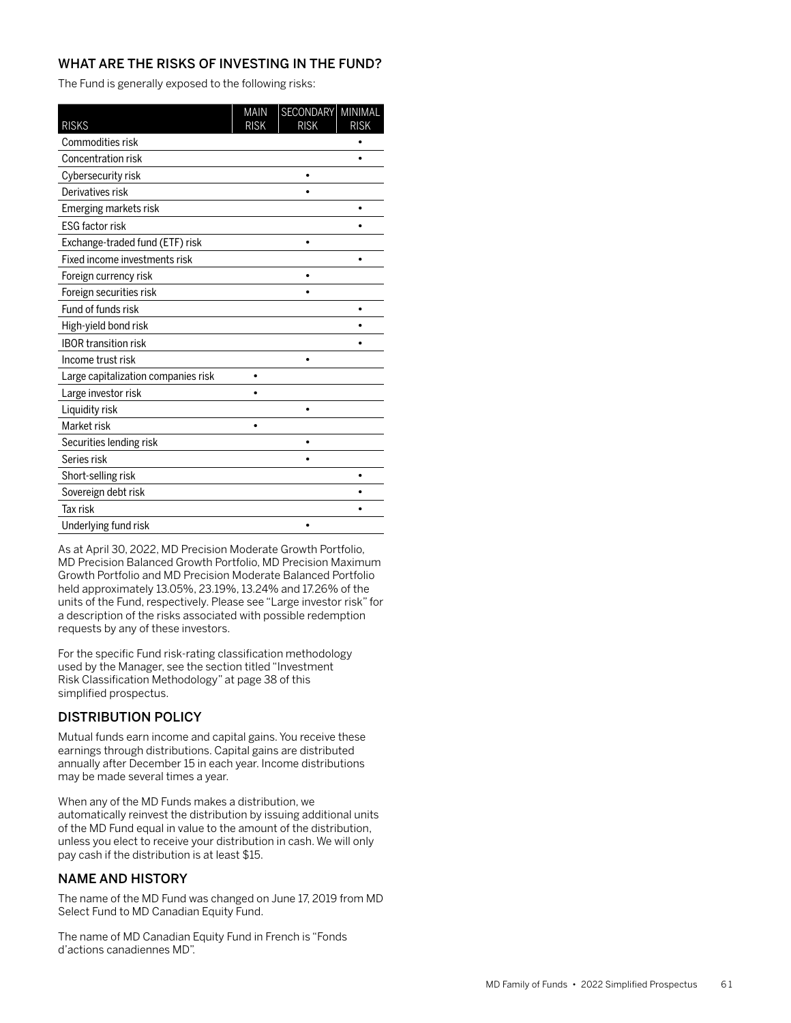The Fund is generally exposed to the following risks:

| <b>RISKS</b>                        | <b>MAIN</b><br><b>RISK</b> | SECONDARY MINIMAL<br><b>RISK</b> | <b>RISK</b> |
|-------------------------------------|----------------------------|----------------------------------|-------------|
| Commodities risk                    |                            |                                  |             |
| <b>Concentration risk</b>           |                            |                                  |             |
| Cybersecurity risk                  |                            |                                  |             |
| Derivatives risk                    |                            |                                  |             |
| Emerging markets risk               |                            |                                  |             |
| <b>ESG factor risk</b>              |                            |                                  |             |
| Exchange-traded fund (ETF) risk     |                            | $\bullet$                        |             |
| Fixed income investments risk       |                            |                                  |             |
| Foreign currency risk               |                            |                                  |             |
| Foreign securities risk             |                            |                                  |             |
| Fund of funds risk                  |                            |                                  |             |
| High-yield bond risk                |                            |                                  |             |
| <b>IBOR transition risk</b>         |                            |                                  |             |
| Income trust risk                   |                            | ٠                                |             |
| Large capitalization companies risk |                            |                                  |             |
| Large investor risk                 |                            |                                  |             |
| Liquidity risk                      |                            |                                  |             |
| Market risk                         |                            |                                  |             |
| Securities lending risk             |                            |                                  |             |
| Series risk                         |                            |                                  |             |
| Short-selling risk                  |                            |                                  |             |
| Sovereign debt risk                 |                            |                                  |             |
| <b>Tax risk</b>                     |                            |                                  |             |
| Underlying fund risk                |                            |                                  |             |

As at April 30, 2022, MD Precision Moderate Growth Portfolio, MD Precision Balanced Growth Portfolio, MD Precision Maximum Growth Portfolio and MD Precision Moderate Balanced Portfolio held approximately 13.05%, 23.19%, 13.24% and 17.26% of the units of the Fund, respectively. Please see "Large investor risk" for a description of the risks associated with possible redemption requests by any of these investors.

For the specific Fund risk-rating classification methodology used by the Manager, see the section titled "Investment Risk Classification Methodology" at page 38 of this simplified prospectus.

# DISTRIBUTION POLICY

Mutual funds earn income and capital gains. You receive these earnings through distributions. Capital gains are distributed annually after December 15 in each year. Income distributions may be made several times a year.

When any of the MD Funds makes a distribution, we automatically reinvest the distribution by issuing additional units of the MD Fund equal in value to the amount of the distribution, unless you elect to receive your distribution in cash. We will only pay cash if the distribution is at least \$15.

# NAME AND HISTORY

The name of the MD Fund was changed on June 17, 2019 from MD Select Fund to MD Canadian Equity Fund.

The name of MD Canadian Equity Fund in French is "Fonds d'actions canadiennes MD".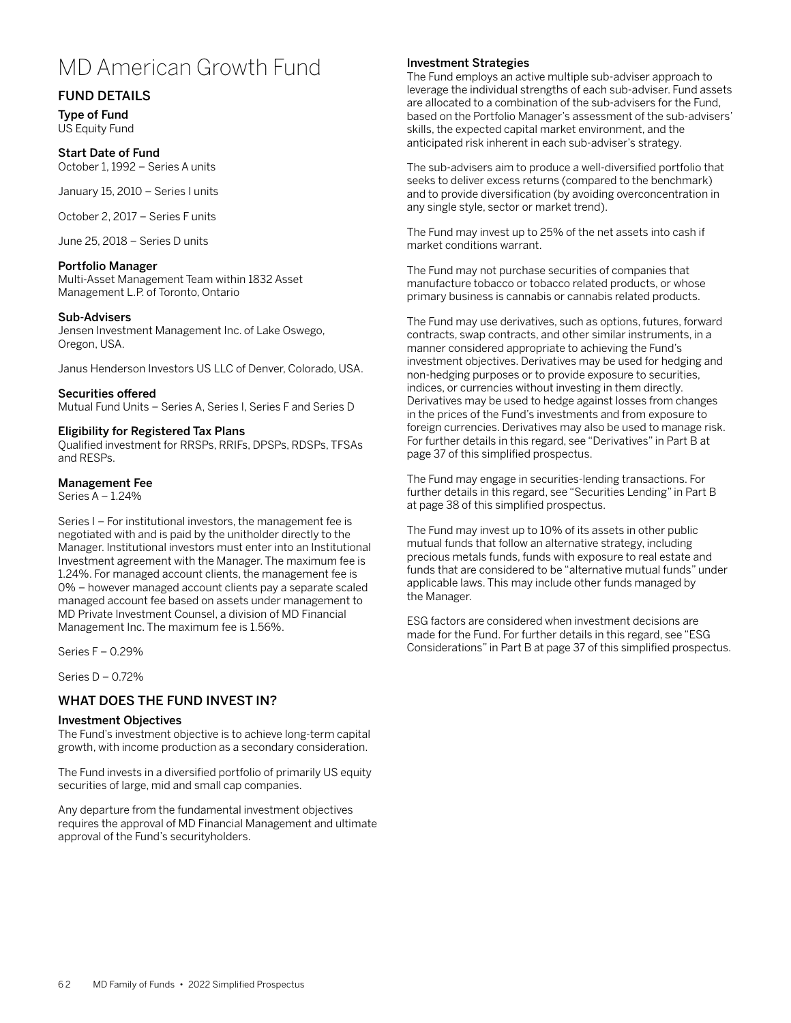# MD American Growth Fund

# FUND DETAILS

Type of Fund US Equity Fund

## Start Date of Fund

October 1, 1992 – Series A units

January 15, 2010 – Series I units

October 2, 2017 – Series F units

June 25, 2018 – Series D units

## Portfolio Manager

Multi-Asset Management Team within 1832 Asset Management L.P. of Toronto, Ontario

## Sub-Advisers

Jensen Investment Management Inc. of Lake Oswego, Oregon, USA.

Janus Henderson Investors US LLC of Denver, Colorado, USA.

Securities offered Mutual Fund Units – Series A, Series I, Series F and Series D

## Eligibility for Registered Tax Plans

Qualified investment for RRSPs, RRIFs, DPSPs, RDSPs, TFSAs and RESPs.

## Management Fee

Series A – 1.24%

Series I – For institutional investors, the management fee is negotiated with and is paid by the unitholder directly to the Manager. Institutional investors must enter into an Institutional Investment agreement with the Manager. The maximum fee is 1.24%. For managed account clients, the management fee is 0% – however managed account clients pay a separate scaled managed account fee based on assets under management to MD Private Investment Counsel, a division of MD Financial Management Inc. The maximum fee is 1.56%.

Series F – 0.29%

Series D – 0.72%

# WHAT DOES THE FUND INVEST IN?

#### Investment Objectives

The Fund's investment objective is to achieve long-term capital growth, with income production as a secondary consideration.

The Fund invests in a diversified portfolio of primarily US equity securities of large, mid and small cap companies.

Any departure from the fundamental investment objectives requires the approval of MD Financial Management and ultimate approval of the Fund's securityholders.

## Investment Strategies

The Fund employs an active multiple sub-adviser approach to leverage the individual strengths of each sub-adviser. Fund assets are allocated to a combination of the sub-advisers for the Fund, based on the Portfolio Manager's assessment of the sub-advisers' skills, the expected capital market environment, and the anticipated risk inherent in each sub-adviser's strategy.

The sub-advisers aim to produce a well-diversified portfolio that seeks to deliver excess returns (compared to the benchmark) and to provide diversification (by avoiding overconcentration in any single style, sector or market trend).

The Fund may invest up to 25% of the net assets into cash if market conditions warrant.

The Fund may not purchase securities of companies that manufacture tobacco or tobacco related products, or whose primary business is cannabis or cannabis related products.

The Fund may use derivatives, such as options, futures, forward contracts, swap contracts, and other similar instruments, in a manner considered appropriate to achieving the Fund's investment objectives. Derivatives may be used for hedging and non-hedging purposes or to provide exposure to securities, indices, or currencies without investing in them directly. Derivatives may be used to hedge against losses from changes in the prices of the Fund's investments and from exposure to foreign currencies. Derivatives may also be used to manage risk. For further details in this regard, see "Derivatives" in Part B at page 37 of this simplified prospectus.

The Fund may engage in securities-lending transactions. For further details in this regard, see "Securities Lending" in Part B at page 38 of this simplified prospectus.

The Fund may invest up to 10% of its assets in other public mutual funds that follow an alternative strategy, including precious metals funds, funds with exposure to real estate and funds that are considered to be "alternative mutual funds" under applicable laws. This may include other funds managed by the Manager.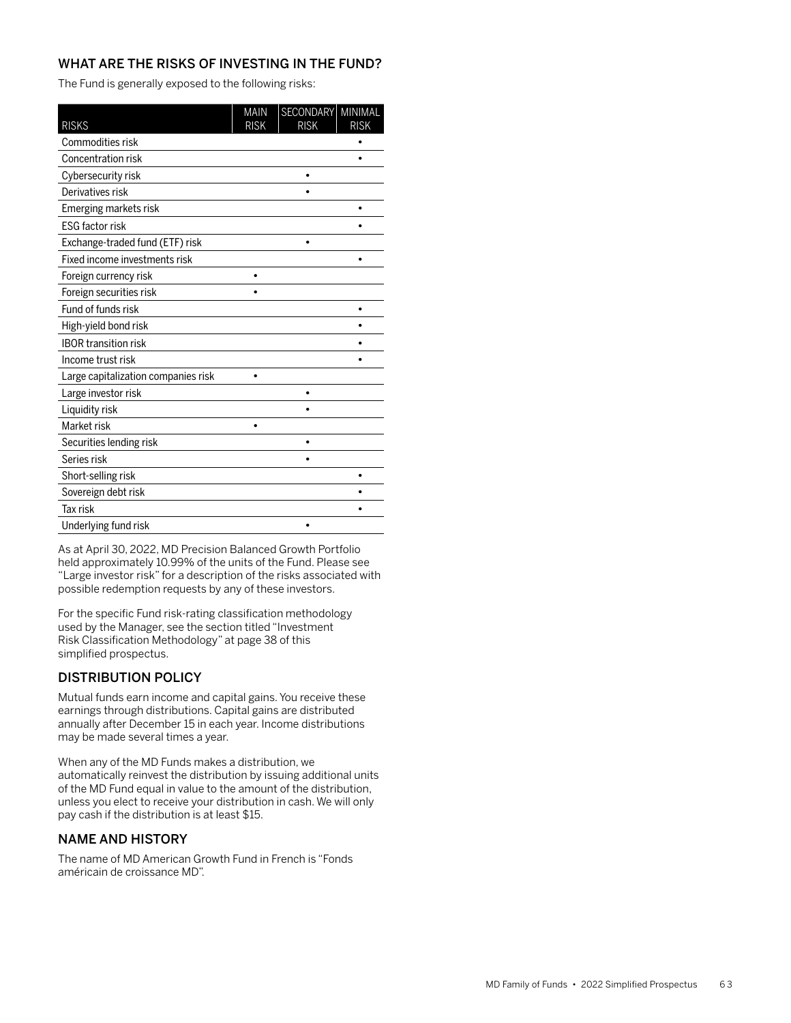The Fund is generally exposed to the following risks:

| <b>RISKS</b>                        | <b>MAIN</b><br><b>RISK</b> | SECONDARY MINIMAL<br><b>RISK</b> | <b>RISK</b> |
|-------------------------------------|----------------------------|----------------------------------|-------------|
| Commodities risk                    |                            |                                  |             |
| Concentration risk                  |                            |                                  |             |
| Cybersecurity risk                  |                            |                                  |             |
| Derivatives risk                    |                            |                                  |             |
| Emerging markets risk               |                            |                                  |             |
| <b>ESG factor risk</b>              |                            |                                  |             |
| Exchange-traded fund (ETF) risk     |                            | $\bullet$                        |             |
| Fixed income investments risk       |                            |                                  |             |
| Foreign currency risk               |                            |                                  |             |
| Foreign securities risk             |                            |                                  |             |
| Fund of funds risk                  |                            |                                  |             |
| High-yield bond risk                |                            |                                  |             |
| <b>IBOR transition risk</b>         |                            |                                  |             |
| Income trust risk                   |                            |                                  |             |
| Large capitalization companies risk |                            |                                  |             |
| Large investor risk                 |                            | ٠                                |             |
| Liquidity risk                      |                            |                                  |             |
| Market risk                         |                            |                                  |             |
| Securities lending risk             |                            |                                  |             |
| Series risk                         |                            |                                  |             |
| Short-selling risk                  |                            |                                  |             |
| Sovereign debt risk                 |                            |                                  |             |
| <b>Tax risk</b>                     |                            |                                  |             |
| Underlying fund risk                |                            |                                  |             |

As at April 30, 2022, MD Precision Balanced Growth Portfolio held approximately 10.99% of the units of the Fund. Please see "Large investor risk" for a description of the risks associated with possible redemption requests by any of these investors.

For the specific Fund risk-rating classification methodology used by the Manager, see the section titled "Investment Risk Classification Methodology" at page 38 of this simplified prospectus.

# DISTRIBUTION POLICY

Mutual funds earn income and capital gains. You receive these earnings through distributions. Capital gains are distributed annually after December 15 in each year. Income distributions may be made several times a year.

When any of the MD Funds makes a distribution, we automatically reinvest the distribution by issuing additional units of the MD Fund equal in value to the amount of the distribution, unless you elect to receive your distribution in cash. We will only pay cash if the distribution is at least \$15.

# NAME AND HISTORY

The name of MD American Growth Fund in French is "Fonds américain de croissance MD".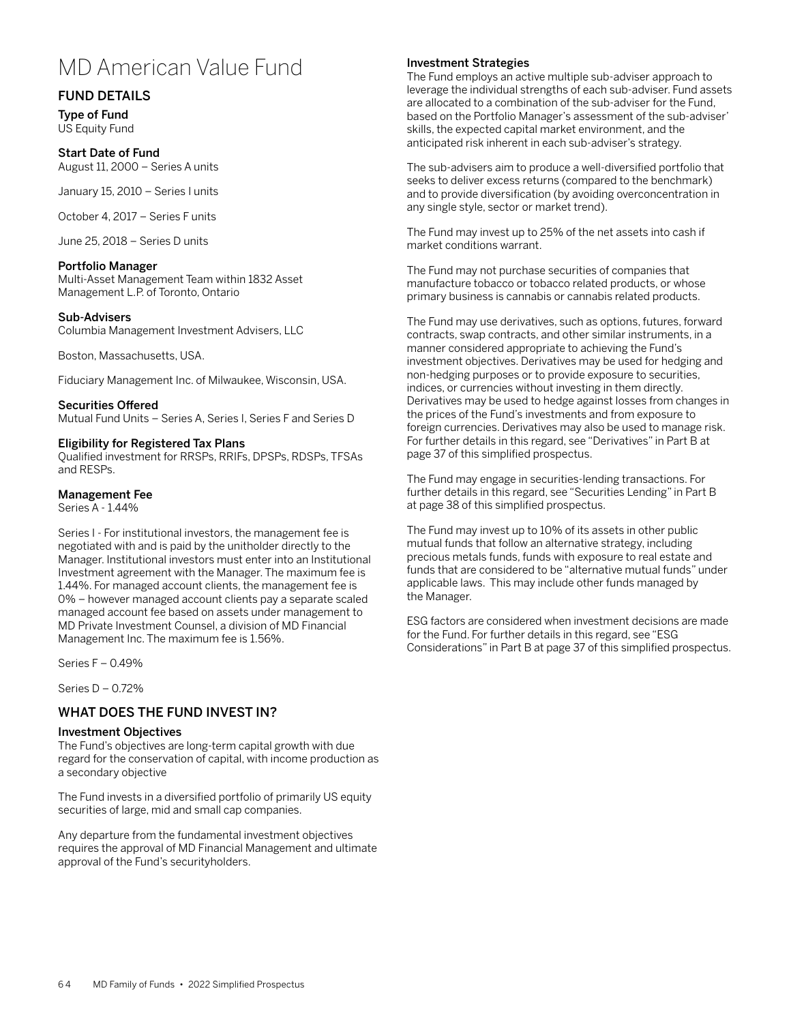# MD American Value Fund

# FUND DETAILS

Type of Fund US Equity Fund

## Start Date of Fund

August 11, 2000 – Series A units

January 15, 2010 – Series I units

October 4, 2017 – Series F units

June 25, 2018 – Series D units

## Portfolio Manager

Multi-Asset Management Team within 1832 Asset Management L.P. of Toronto, Ontario

## Sub-Advisers

Columbia Management Investment Advisers, LLC

Boston, Massachusetts, USA.

Fiduciary Management Inc. of Milwaukee, Wisconsin, USA.

Securities Offered Mutual Fund Units – Series A, Series I, Series F and Series D

## Eligibility for Registered Tax Plans

Qualified investment for RRSPs, RRIFs, DPSPs, RDSPs, TFSAs and RESPs.

## Management Fee

Series A - 1.44%

Series I - For institutional investors, the management fee is negotiated with and is paid by the unitholder directly to the Manager. Institutional investors must enter into an Institutional Investment agreement with the Manager. The maximum fee is 1.44%. For managed account clients, the management fee is 0% – however managed account clients pay a separate scaled managed account fee based on assets under management to MD Private Investment Counsel, a division of MD Financial Management Inc. The maximum fee is 1.56%.

Series F – 0.49%

Series D – 0.72%

# WHAT DOES THE FUND INVEST IN?

## Investment Objectives

The Fund's objectives are long-term capital growth with due regard for the conservation of capital, with income production as a secondary objective

The Fund invests in a diversified portfolio of primarily US equity securities of large, mid and small cap companies.

Any departure from the fundamental investment objectives requires the approval of MD Financial Management and ultimate approval of the Fund's securityholders.

## Investment Strategies

The Fund employs an active multiple sub-adviser approach to leverage the individual strengths of each sub-adviser. Fund assets are allocated to a combination of the sub-adviser for the Fund, based on the Portfolio Manager's assessment of the sub-adviser' skills, the expected capital market environment, and the anticipated risk inherent in each sub-adviser's strategy.

The sub-advisers aim to produce a well-diversified portfolio that seeks to deliver excess returns (compared to the benchmark) and to provide diversification (by avoiding overconcentration in any single style, sector or market trend).

The Fund may invest up to 25% of the net assets into cash if market conditions warrant.

The Fund may not purchase securities of companies that manufacture tobacco or tobacco related products, or whose primary business is cannabis or cannabis related products.

The Fund may use derivatives, such as options, futures, forward contracts, swap contracts, and other similar instruments, in a manner considered appropriate to achieving the Fund's investment objectives. Derivatives may be used for hedging and non-hedging purposes or to provide exposure to securities, indices, or currencies without investing in them directly. Derivatives may be used to hedge against losses from changes in the prices of the Fund's investments and from exposure to foreign currencies. Derivatives may also be used to manage risk. For further details in this regard, see "Derivatives" in Part B at page 37 of this simplified prospectus.

The Fund may engage in securities-lending transactions. For further details in this regard, see "Securities Lending" in Part B at page 38 of this simplified prospectus.

The Fund may invest up to 10% of its assets in other public mutual funds that follow an alternative strategy, including precious metals funds, funds with exposure to real estate and funds that are considered to be "alternative mutual funds" under applicable laws. This may include other funds managed by the Manager.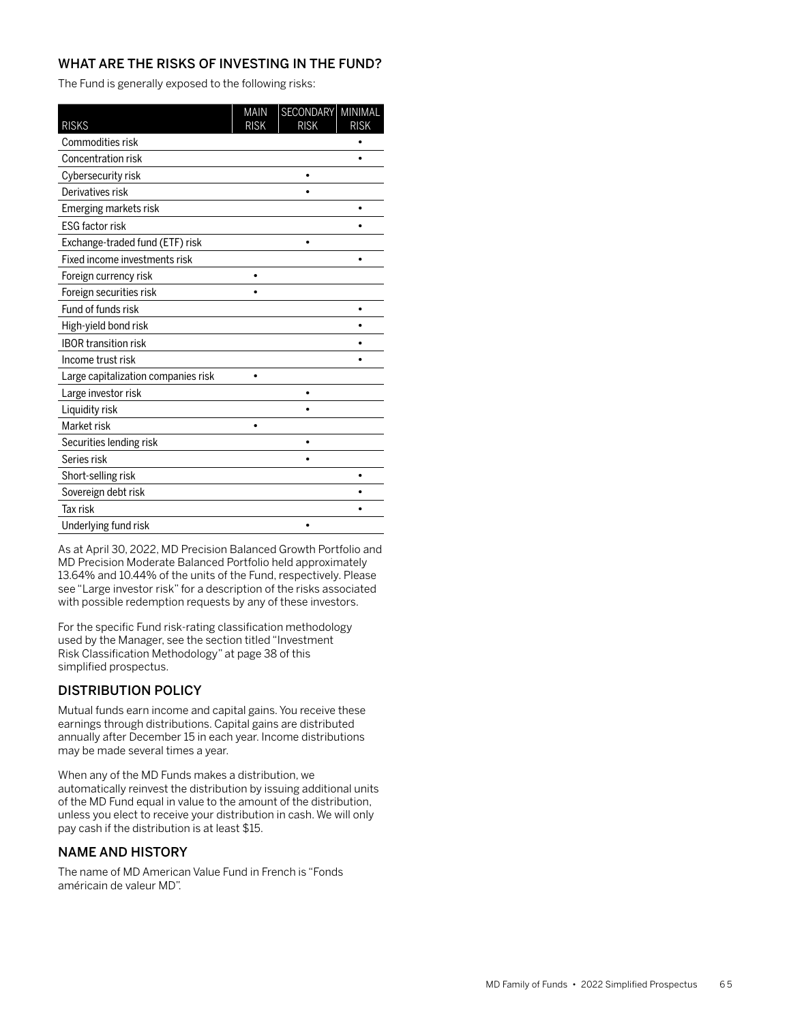The Fund is generally exposed to the following risks:

| <b>RISKS</b>                        | <b>MAIN</b><br><b>RISK</b> | SECONDARY MINIMAL<br><b>RISK</b> | <b>RISK</b> |
|-------------------------------------|----------------------------|----------------------------------|-------------|
| Commodities risk                    |                            |                                  |             |
| Concentration risk                  |                            |                                  |             |
| Cybersecurity risk                  |                            |                                  |             |
| Derivatives risk                    |                            |                                  |             |
| Emerging markets risk               |                            |                                  |             |
| <b>ESG factor risk</b>              |                            |                                  |             |
| Exchange-traded fund (ETF) risk     |                            | ٠                                |             |
| Fixed income investments risk       |                            |                                  |             |
| Foreign currency risk               |                            |                                  |             |
| Foreign securities risk             |                            |                                  |             |
| Fund of funds risk                  |                            |                                  |             |
| High-yield bond risk                |                            |                                  |             |
| <b>IBOR transition risk</b>         |                            |                                  |             |
| Income trust risk                   |                            |                                  |             |
| Large capitalization companies risk |                            |                                  |             |
| Large investor risk                 |                            | ٠                                |             |
| Liquidity risk                      |                            |                                  |             |
| Market risk                         |                            |                                  |             |
| Securities lending risk             |                            |                                  |             |
| Series risk                         |                            |                                  |             |
| Short-selling risk                  |                            |                                  |             |
| Sovereign debt risk                 |                            |                                  |             |
| <b>Tax risk</b>                     |                            |                                  |             |
| Underlying fund risk                |                            |                                  |             |

As at April 30, 2022, MD Precision Balanced Growth Portfolio and MD Precision Moderate Balanced Portfolio held approximately 13.64% and 10.44% of the units of the Fund, respectively. Please see "Large investor risk" for a description of the risks associated with possible redemption requests by any of these investors.

For the specific Fund risk-rating classification methodology used by the Manager, see the section titled "Investment Risk Classification Methodology" at page 38 of this simplified prospectus.

# DISTRIBUTION POLICY

Mutual funds earn income and capital gains. You receive these earnings through distributions. Capital gains are distributed annually after December 15 in each year. Income distributions may be made several times a year.

When any of the MD Funds makes a distribution, we automatically reinvest the distribution by issuing additional units of the MD Fund equal in value to the amount of the distribution, unless you elect to receive your distribution in cash. We will only pay cash if the distribution is at least \$15.

# NAME AND HISTORY

The name of MD American Value Fund in French is "Fonds américain de valeur MD".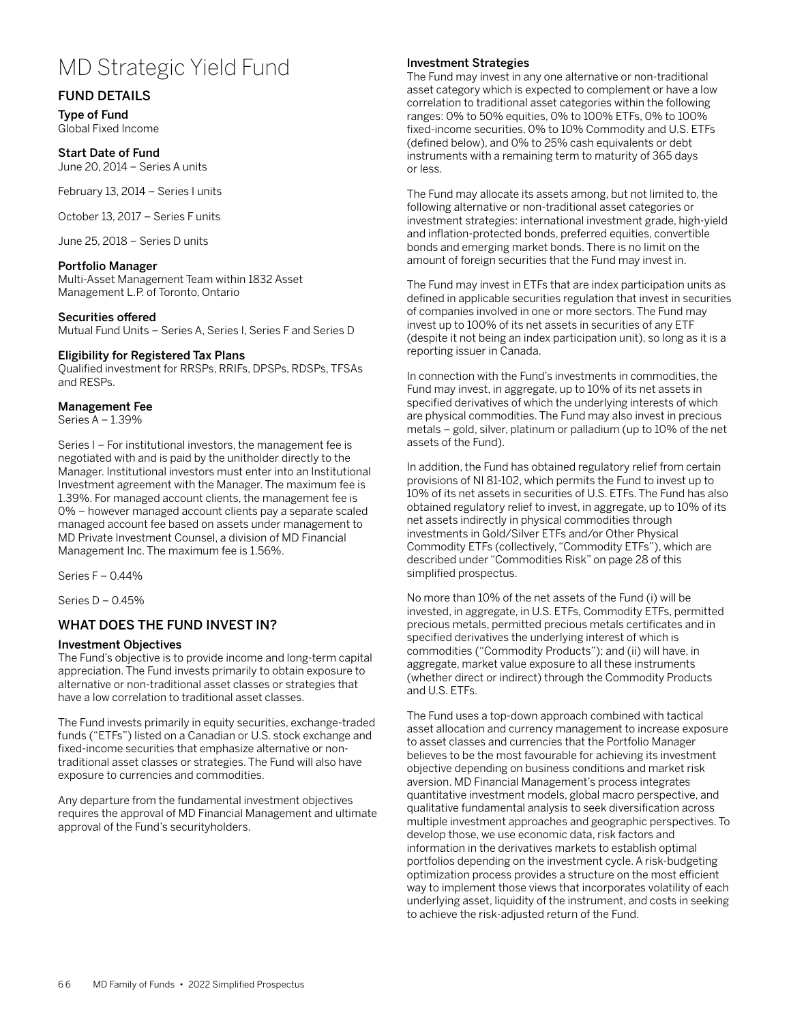# MD Strategic Yield Fund

# FUND DETAILS

Type of Fund Global Fixed Income

#### Start Date of Fund

June 20, 2014 – Series A units

February 13, 2014 – Series I units

October 13, 2017 – Series F units

June 25, 2018 – Series D units

## Portfolio Manager

Multi-Asset Management Team within 1832 Asset Management L.P. of Toronto, Ontario

#### Securities offered

Mutual Fund Units – Series A, Series I, Series F and Series D

#### Eligibility for Registered Tax Plans

Qualified investment for RRSPs, RRIFs, DPSPs, RDSPs, TFSAs and RESPs.

#### Management Fee

Series A – 1.39%

Series I – For institutional investors, the management fee is negotiated with and is paid by the unitholder directly to the Manager. Institutional investors must enter into an Institutional Investment agreement with the Manager. The maximum fee is 1.39%. For managed account clients, the management fee is 0% – however managed account clients pay a separate scaled managed account fee based on assets under management to MD Private Investment Counsel, a division of MD Financial Management Inc. The maximum fee is 1.56%.

Series F – 0.44%

Series D – 0.45%

## WHAT DOES THE FUND INVEST IN?

#### Investment Objectives

The Fund's objective is to provide income and long-term capital appreciation. The Fund invests primarily to obtain exposure to alternative or non-traditional asset classes or strategies that have a low correlation to traditional asset classes.

The Fund invests primarily in equity securities, exchange-traded funds ("ETFs") listed on a Canadian or U.S. stock exchange and fixed-income securities that emphasize alternative or nontraditional asset classes or strategies. The Fund will also have exposure to currencies and commodities.

Any departure from the fundamental investment objectives requires the approval of MD Financial Management and ultimate approval of the Fund's securityholders.

## Investment Strategies

The Fund may invest in any one alternative or non-traditional asset category which is expected to complement or have a low correlation to traditional asset categories within the following ranges: 0% to 50% equities, 0% to 100% ETFs, 0% to 100% fixed-income securities, 0% to 10% Commodity and U.S. ETFs (defined below), and 0% to 25% cash equivalents or debt instruments with a remaining term to maturity of 365 days or less.

The Fund may allocate its assets among, but not limited to, the following alternative or non-traditional asset categories or investment strategies: international investment grade, high-yield and inflation-protected bonds, preferred equities, convertible bonds and emerging market bonds. There is no limit on the amount of foreign securities that the Fund may invest in.

The Fund may invest in ETFs that are index participation units as defined in applicable securities regulation that invest in securities of companies involved in one or more sectors. The Fund may invest up to 100% of its net assets in securities of any ETF (despite it not being an index participation unit), so long as it is a reporting issuer in Canada.

In connection with the Fund's investments in commodities, the Fund may invest, in aggregate, up to 10% of its net assets in specified derivatives of which the underlying interests of which are physical commodities. The Fund may also invest in precious metals – gold, silver, platinum or palladium (up to 10% of the net assets of the Fund).

In addition, the Fund has obtained regulatory relief from certain provisions of NI 81-102, which permits the Fund to invest up to 10% of its net assets in securities of U.S. ETFs. The Fund has also obtained regulatory relief to invest, in aggregate, up to 10% of its net assets indirectly in physical commodities through investments in Gold/Silver ETFs and/or Other Physical Commodity ETFs (collectively, "Commodity ETFs"), which are described under "Commodities Risk" on page 28 of this simplified prospectus.

No more than 10% of the net assets of the Fund (i) will be invested, in aggregate, in U.S. ETFs, Commodity ETFs, permitted precious metals, permitted precious metals certificates and in specified derivatives the underlying interest of which is commodities ("Commodity Products"); and (ii) will have, in aggregate, market value exposure to all these instruments (whether direct or indirect) through the Commodity Products and U.S. ETFs.

The Fund uses a top-down approach combined with tactical asset allocation and currency management to increase exposure to asset classes and currencies that the Portfolio Manager believes to be the most favourable for achieving its investment objective depending on business conditions and market risk aversion. MD Financial Management's process integrates quantitative investment models, global macro perspective, and qualitative fundamental analysis to seek diversification across multiple investment approaches and geographic perspectives. To develop those, we use economic data, risk factors and information in the derivatives markets to establish optimal portfolios depending on the investment cycle. A risk-budgeting optimization process provides a structure on the most efficient way to implement those views that incorporates volatility of each underlying asset, liquidity of the instrument, and costs in seeking to achieve the risk-adjusted return of the Fund.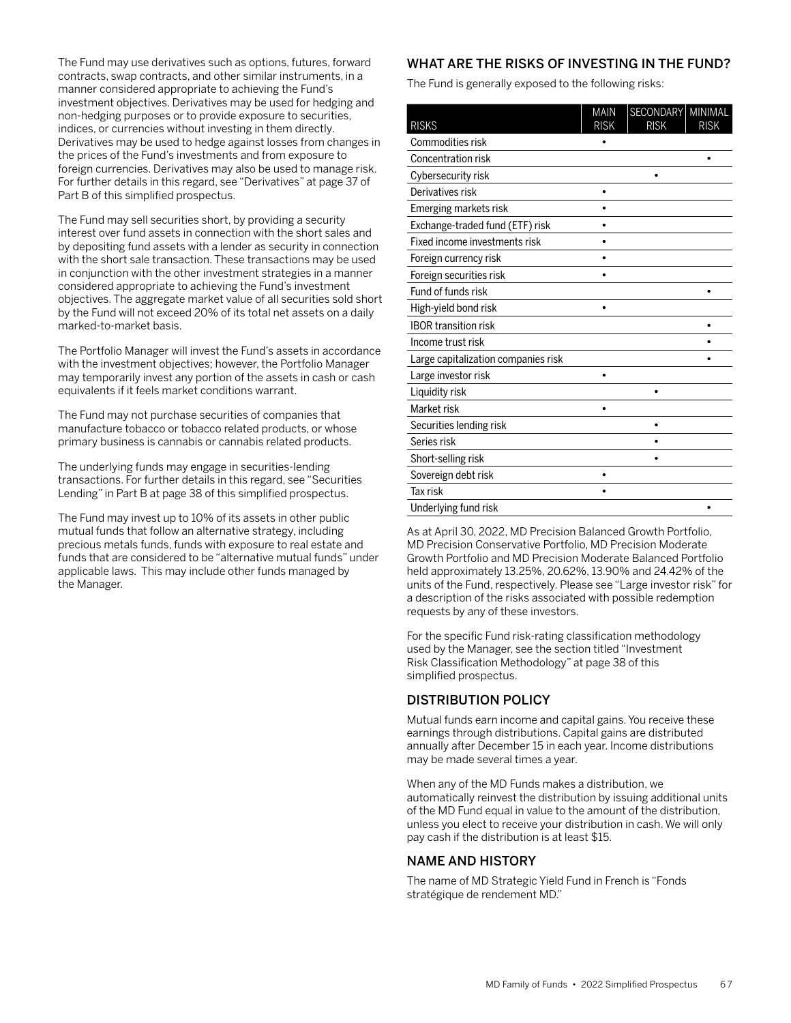The Fund may use derivatives such as options, futures, forward contracts, swap contracts, and other similar instruments, in a manner considered appropriate to achieving the Fund's investment objectives. Derivatives may be used for hedging and non-hedging purposes or to provide exposure to securities, indices, or currencies without investing in them directly. Derivatives may be used to hedge against losses from changes in the prices of the Fund's investments and from exposure to foreign currencies. Derivatives may also be used to manage risk. For further details in this regard, see "Derivatives" at page 37 of Part B of this simplified prospectus.

The Fund may sell securities short, by providing a security interest over fund assets in connection with the short sales and by depositing fund assets with a lender as security in connection with the short sale transaction. These transactions may be used in conjunction with the other investment strategies in a manner considered appropriate to achieving the Fund's investment objectives. The aggregate market value of all securities sold short by the Fund will not exceed 20% of its total net assets on a daily marked-to-market basis.

The Portfolio Manager will invest the Fund's assets in accordance with the investment objectives; however, the Portfolio Manager may temporarily invest any portion of the assets in cash or cash equivalents if it feels market conditions warrant.

The Fund may not purchase securities of companies that manufacture tobacco or tobacco related products, or whose primary business is cannabis or cannabis related products.

The underlying funds may engage in securities-lending transactions. For further details in this regard, see "Securities Lending" in Part B at page 38 of this simplified prospectus.

The Fund may invest up to 10% of its assets in other public mutual funds that follow an alternative strategy, including precious metals funds, funds with exposure to real estate and funds that are considered to be "alternative mutual funds" under applicable laws. This may include other funds managed by the Manager.

# WHAT ARE THE RISKS OF INVESTING IN THE FUND?

The Fund is generally exposed to the following risks:

| <b>RISKS</b>                        | <b>MAIN</b><br><b>RISK</b> | SECONDARY<br><b>RISK</b> | MINIMAL<br><b>RISK</b> |
|-------------------------------------|----------------------------|--------------------------|------------------------|
| Commodities risk                    |                            |                          |                        |
| Concentration risk                  |                            |                          | ٠                      |
| Cybersecurity risk                  |                            |                          |                        |
| Derivatives risk                    |                            |                          |                        |
| Emerging markets risk               |                            |                          |                        |
| Exchange-traded fund (ETF) risk     |                            |                          |                        |
| Fixed income investments risk       |                            |                          |                        |
| Foreign currency risk               |                            |                          |                        |
| Foreign securities risk             |                            |                          |                        |
| Fund of funds risk                  |                            |                          |                        |
| High-yield bond risk                |                            |                          |                        |
| <b>IBOR transition risk</b>         |                            |                          |                        |
| Income trust risk                   |                            |                          |                        |
| Large capitalization companies risk |                            |                          |                        |
| Large investor risk                 |                            |                          |                        |
| Liquidity risk                      |                            | ٠                        |                        |
| Market risk                         |                            |                          |                        |
| Securities lending risk             |                            |                          |                        |
| Series risk                         |                            |                          |                        |
| Short-selling risk                  |                            |                          |                        |
| Sovereign debt risk                 |                            |                          |                        |
| Tax risk                            |                            |                          |                        |
| Underlying fund risk                |                            |                          |                        |

As at April 30, 2022, MD Precision Balanced Growth Portfolio, MD Precision Conservative Portfolio, MD Precision Moderate Growth Portfolio and MD Precision Moderate Balanced Portfolio held approximately 13.25%, 20.62%, 13.90% and 24.42% of the units of the Fund, respectively. Please see "Large investor risk" for a description of the risks associated with possible redemption requests by any of these investors.

For the specific Fund risk-rating classification methodology used by the Manager, see the section titled "Investment Risk Classification Methodology" at page 38 of this simplified prospectus.

# DISTRIBUTION POLICY

Mutual funds earn income and capital gains. You receive these earnings through distributions. Capital gains are distributed annually after December 15 in each year. Income distributions may be made several times a year.

When any of the MD Funds makes a distribution, we automatically reinvest the distribution by issuing additional units of the MD Fund equal in value to the amount of the distribution, unless you elect to receive your distribution in cash. We will only pay cash if the distribution is at least \$15.

## NAME AND HISTORY

The name of MD Strategic Yield Fund in French is "Fonds stratégique de rendement MD."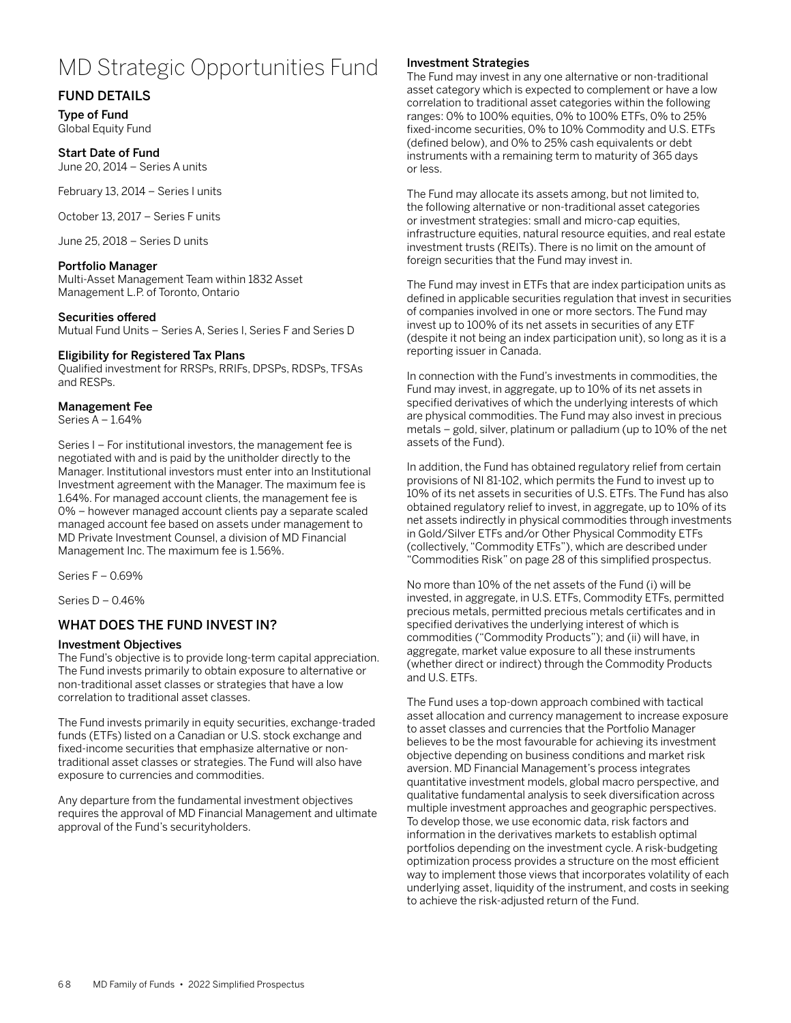# MD Strategic Opportunities Fund

# FUND DETAILS

Type of Fund Global Equity Fund

#### Start Date of Fund

June 20, 2014 – Series A units

February 13, 2014 – Series I units

October 13, 2017 – Series F units

June 25, 2018 – Series D units

## Portfolio Manager

Multi-Asset Management Team within 1832 Asset Management L.P. of Toronto, Ontario

## Securities offered

Mutual Fund Units – Series A, Series I, Series F and Series D

## Eligibility for Registered Tax Plans

Qualified investment for RRSPs, RRIFs, DPSPs, RDSPs, TFSAs and RESPs.

## Management Fee

Series A – 1.64%

Series I – For institutional investors, the management fee is negotiated with and is paid by the unitholder directly to the Manager. Institutional investors must enter into an Institutional Investment agreement with the Manager. The maximum fee is 1.64%. For managed account clients, the management fee is 0% – however managed account clients pay a separate scaled managed account fee based on assets under management to MD Private Investment Counsel, a division of MD Financial Management Inc. The maximum fee is 1.56%.

Series F – 0.69%

Series D – 0.46%

# WHAT DOES THE FUND INVEST IN?

## Investment Objectives

The Fund's objective is to provide long-term capital appreciation. The Fund invests primarily to obtain exposure to alternative or non-traditional asset classes or strategies that have a low correlation to traditional asset classes.

The Fund invests primarily in equity securities, exchange-traded funds (ETFs) listed on a Canadian or U.S. stock exchange and fixed-income securities that emphasize alternative or nontraditional asset classes or strategies. The Fund will also have exposure to currencies and commodities.

Any departure from the fundamental investment objectives requires the approval of MD Financial Management and ultimate approval of the Fund's securityholders.

## Investment Strategies

The Fund may invest in any one alternative or non-traditional asset category which is expected to complement or have a low correlation to traditional asset categories within the following ranges: 0% to 100% equities, 0% to 100% ETFs, 0% to 25% fixed-income securities, 0% to 10% Commodity and U.S. ETFs (defined below), and 0% to 25% cash equivalents or debt instruments with a remaining term to maturity of 365 days or less.

The Fund may allocate its assets among, but not limited to, the following alternative or non-traditional asset categories or investment strategies: small and micro-cap equities, infrastructure equities, natural resource equities, and real estate investment trusts (REITs). There is no limit on the amount of foreign securities that the Fund may invest in.

The Fund may invest in ETFs that are index participation units as defined in applicable securities regulation that invest in securities of companies involved in one or more sectors. The Fund may invest up to 100% of its net assets in securities of any ETF (despite it not being an index participation unit), so long as it is a reporting issuer in Canada.

In connection with the Fund's investments in commodities, the Fund may invest, in aggregate, up to 10% of its net assets in specified derivatives of which the underlying interests of which are physical commodities. The Fund may also invest in precious metals – gold, silver, platinum or palladium (up to 10% of the net assets of the Fund).

In addition, the Fund has obtained regulatory relief from certain provisions of NI 81-102, which permits the Fund to invest up to 10% of its net assets in securities of U.S. ETFs. The Fund has also obtained regulatory relief to invest, in aggregate, up to 10% of its net assets indirectly in physical commodities through investments in Gold/Silver ETFs and/or Other Physical Commodity ETFs (collectively, "Commodity ETFs"), which are described under "Commodities Risk" on page 28 of this simplified prospectus.

No more than 10% of the net assets of the Fund (i) will be invested, in aggregate, in U.S. ETFs, Commodity ETFs, permitted precious metals, permitted precious metals certificates and in specified derivatives the underlying interest of which is commodities ("Commodity Products"); and (ii) will have, in aggregate, market value exposure to all these instruments (whether direct or indirect) through the Commodity Products and U.S. ETFs.

The Fund uses a top-down approach combined with tactical asset allocation and currency management to increase exposure to asset classes and currencies that the Portfolio Manager believes to be the most favourable for achieving its investment objective depending on business conditions and market risk aversion. MD Financial Management's process integrates quantitative investment models, global macro perspective, and qualitative fundamental analysis to seek diversification across multiple investment approaches and geographic perspectives. To develop those, we use economic data, risk factors and information in the derivatives markets to establish optimal portfolios depending on the investment cycle. A risk-budgeting optimization process provides a structure on the most efficient way to implement those views that incorporates volatility of each underlying asset, liquidity of the instrument, and costs in seeking to achieve the risk-adjusted return of the Fund.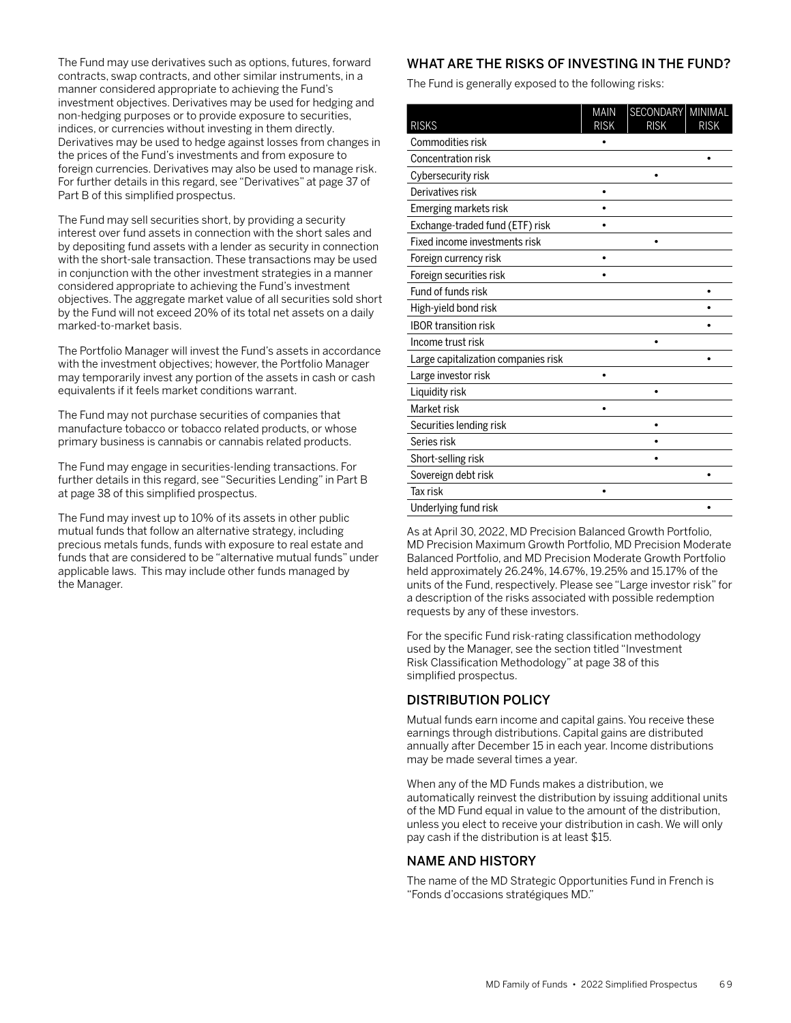The Fund may use derivatives such as options, futures, forward contracts, swap contracts, and other similar instruments, in a manner considered appropriate to achieving the Fund's investment objectives. Derivatives may be used for hedging and non-hedging purposes or to provide exposure to securities, indices, or currencies without investing in them directly. Derivatives may be used to hedge against losses from changes in the prices of the Fund's investments and from exposure to foreign currencies. Derivatives may also be used to manage risk. For further details in this regard, see "Derivatives" at page 37 of Part B of this simplified prospectus.

The Fund may sell securities short, by providing a security interest over fund assets in connection with the short sales and by depositing fund assets with a lender as security in connection with the short-sale transaction. These transactions may be used in conjunction with the other investment strategies in a manner considered appropriate to achieving the Fund's investment objectives. The aggregate market value of all securities sold short by the Fund will not exceed 20% of its total net assets on a daily marked-to-market basis.

The Portfolio Manager will invest the Fund's assets in accordance with the investment objectives; however, the Portfolio Manager may temporarily invest any portion of the assets in cash or cash equivalents if it feels market conditions warrant.

The Fund may not purchase securities of companies that manufacture tobacco or tobacco related products, or whose primary business is cannabis or cannabis related products.

The Fund may engage in securities-lending transactions. For further details in this regard, see "Securities Lending" in Part B at page 38 of this simplified prospectus.

The Fund may invest up to 10% of its assets in other public mutual funds that follow an alternative strategy, including precious metals funds, funds with exposure to real estate and funds that are considered to be "alternative mutual funds" under applicable laws. This may include other funds managed by the Manager.

# WHAT ARE THE RISKS OF INVESTING IN THE FUND?

The Fund is generally exposed to the following risks:

| <b>RISKS</b>                        | <b>MAIN</b><br><b>RISK</b> | SECONDARY<br><b>RISK</b> | MINIMAL<br><b>RISK</b> |
|-------------------------------------|----------------------------|--------------------------|------------------------|
| Commodities risk                    |                            |                          |                        |
| Concentration risk                  |                            |                          | $\bullet$              |
| Cybersecurity risk                  |                            |                          |                        |
| Derivatives risk                    |                            |                          |                        |
| Emerging markets risk               |                            |                          |                        |
| Exchange-traded fund (ETF) risk     |                            |                          |                        |
| Fixed income investments risk       |                            |                          |                        |
| Foreign currency risk               |                            |                          |                        |
| Foreign securities risk             |                            |                          |                        |
| Fund of funds risk                  |                            |                          |                        |
| High-yield bond risk                |                            |                          |                        |
| <b>IBOR transition risk</b>         |                            |                          |                        |
| Income trust risk                   |                            |                          |                        |
| Large capitalization companies risk |                            |                          |                        |
| Large investor risk                 |                            |                          |                        |
| Liquidity risk                      |                            | ٠                        |                        |
| Market risk                         |                            |                          |                        |
| Securities lending risk             |                            |                          |                        |
| Series risk                         |                            |                          |                        |
| Short-selling risk                  |                            |                          |                        |
| Sovereign debt risk                 |                            |                          |                        |
| Tax risk                            | ٠                          |                          |                        |
| Underlying fund risk                |                            |                          |                        |

As at April 30, 2022, MD Precision Balanced Growth Portfolio, MD Precision Maximum Growth Portfolio, MD Precision Moderate Balanced Portfolio, and MD Precision Moderate Growth Portfolio held approximately 26.24%, 14.67%, 19.25% and 15.17% of the units of the Fund, respectively. Please see "Large investor risk" for a description of the risks associated with possible redemption requests by any of these investors.

For the specific Fund risk-rating classification methodology used by the Manager, see the section titled "Investment Risk Classification Methodology" at page 38 of this simplified prospectus.

# DISTRIBUTION POLICY

Mutual funds earn income and capital gains. You receive these earnings through distributions. Capital gains are distributed annually after December 15 in each year. Income distributions may be made several times a year.

When any of the MD Funds makes a distribution, we automatically reinvest the distribution by issuing additional units of the MD Fund equal in value to the amount of the distribution, unless you elect to receive your distribution in cash. We will only pay cash if the distribution is at least \$15.

## NAME AND HISTORY

The name of the MD Strategic Opportunities Fund in French is "Fonds d'occasions stratégiques MD."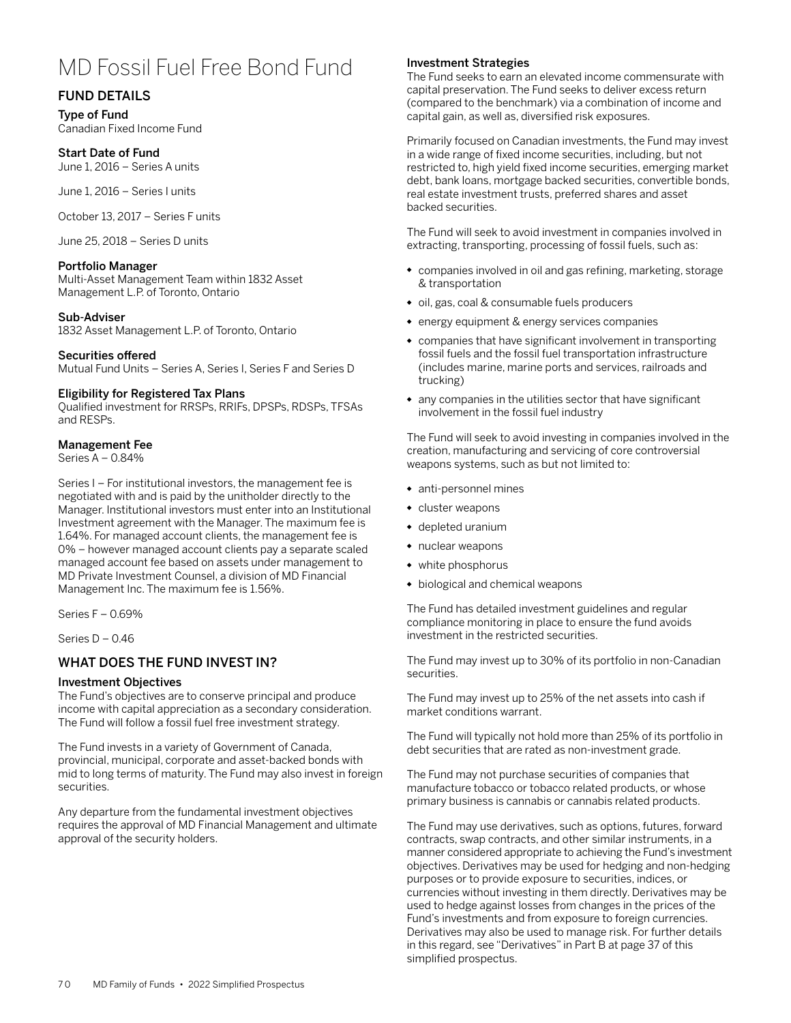# MD Fossil Fuel Free Bond Fund

# FUND DETAILS

Type of Fund Canadian Fixed Income Fund

#### Start Date of Fund June 1, 2016 – Series A units

June 1, 2016 – Series I units

October 13, 2017 – Series F units

June 25, 2018 – Series D units

## Portfolio Manager

Multi-Asset Management Team within 1832 Asset Management L.P. of Toronto, Ontario

## Sub-Adviser

1832 Asset Management L.P. of Toronto, Ontario

## Securities offered

Mutual Fund Units – Series A, Series I, Series F and Series D

## Eligibility for Registered Tax Plans

Qualified investment for RRSPs, RRIFs, DPSPs, RDSPs, TFSAs and RESPs.

## Management Fee

Series A – 0.84%

Series I – For institutional investors, the management fee is negotiated with and is paid by the unitholder directly to the Manager. Institutional investors must enter into an Institutional Investment agreement with the Manager. The maximum fee is 1.64%. For managed account clients, the management fee is 0% – however managed account clients pay a separate scaled managed account fee based on assets under management to MD Private Investment Counsel, a division of MD Financial Management Inc. The maximum fee is 1.56%.

Series F – 0.69%

Series D – 0.46

# WHAT DOES THE FUND INVEST IN?

## Investment Objectives

The Fund's objectives are to conserve principal and produce income with capital appreciation as a secondary consideration. The Fund will follow a fossil fuel free investment strategy.

The Fund invests in a variety of Government of Canada, provincial, municipal, corporate and asset-backed bonds with mid to long terms of maturity. The Fund may also invest in foreign securities.

Any departure from the fundamental investment objectives requires the approval of MD Financial Management and ultimate approval of the security holders.

## Investment Strategies

The Fund seeks to earn an elevated income commensurate with capital preservation. The Fund seeks to deliver excess return (compared to the benchmark) via a combination of income and capital gain, as well as, diversified risk exposures.

Primarily focused on Canadian investments, the Fund may invest in a wide range of fixed income securities, including, but not restricted to, high yield fixed income securities, emerging market debt, bank loans, mortgage backed securities, convertible bonds, real estate investment trusts, preferred shares and asset backed securities.

The Fund will seek to avoid investment in companies involved in extracting, transporting, processing of fossil fuels, such as:

- companies involved in oil and gas refining, marketing, storage & transportation
- oil, gas, coal & consumable fuels producers
- energy equipment & energy services companies
- companies that have significant involvement in transporting fossil fuels and the fossil fuel transportation infrastructure (includes marine, marine ports and services, railroads and trucking)
- any companies in the utilities sector that have significant involvement in the fossil fuel industry

The Fund will seek to avoid investing in companies involved in the creation, manufacturing and servicing of core controversial weapons systems, such as but not limited to:

- anti-personnel mines
- cluster weapons
- depleted uranium
- nuclear weapons
- white phosphorus
- biological and chemical weapons

The Fund has detailed investment guidelines and regular compliance monitoring in place to ensure the fund avoids investment in the restricted securities.

The Fund may invest up to 30% of its portfolio in non-Canadian securities.

The Fund may invest up to 25% of the net assets into cash if market conditions warrant.

The Fund will typically not hold more than 25% of its portfolio in debt securities that are rated as non-investment grade.

The Fund may not purchase securities of companies that manufacture tobacco or tobacco related products, or whose primary business is cannabis or cannabis related products.

The Fund may use derivatives, such as options, futures, forward contracts, swap contracts, and other similar instruments, in a manner considered appropriate to achieving the Fund's investment objectives. Derivatives may be used for hedging and non-hedging purposes or to provide exposure to securities, indices, or currencies without investing in them directly. Derivatives may be used to hedge against losses from changes in the prices of the Fund's investments and from exposure to foreign currencies. Derivatives may also be used to manage risk. For further details in this regard, see "Derivatives" in Part B at page 37 of this simplified prospectus.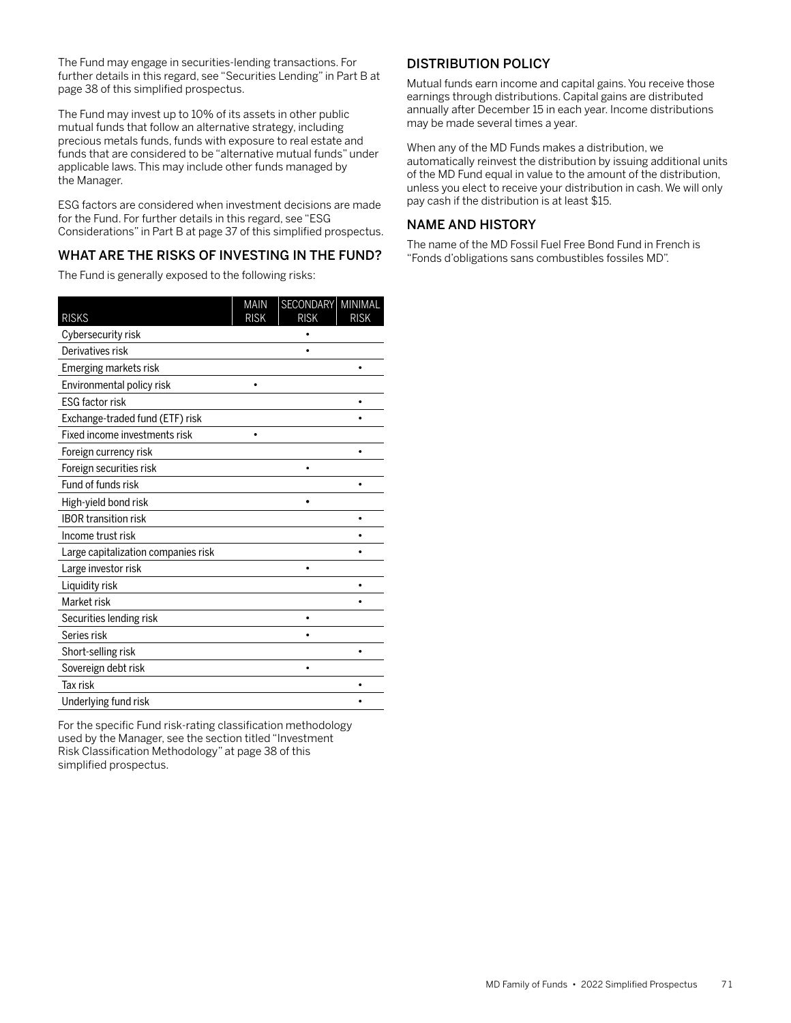The Fund may engage in securities-lending transactions. For further details in this regard, see "Securities Lending" in Part B at page 38 of this simplified prospectus.

The Fund may invest up to 10% of its assets in other public mutual funds that follow an alternative strategy, including precious metals funds, funds with exposure to real estate and funds that are considered to be "alternative mutual funds" under applicable laws. This may include other funds managed by the Manager.

ESG factors are considered when investment decisions are made for the Fund. For further details in this regard, see "ESG Considerations" in Part B at page 37 of this simplified prospectus.

# WHAT ARE THE RISKS OF INVESTING IN THE FUND?

The Fund is generally exposed to the following risks:

| <b>RISKS</b>                        | <b>MAIN</b><br><b>RISK</b> | SECONDARY<br><b>RISK</b> | MINIMAL<br><b>RISK</b> |
|-------------------------------------|----------------------------|--------------------------|------------------------|
| Cybersecurity risk                  |                            |                          |                        |
| Derivatives risk                    |                            |                          |                        |
| Emerging markets risk               |                            |                          |                        |
| Environmental policy risk           |                            |                          |                        |
| <b>ESG factor risk</b>              |                            |                          |                        |
| Exchange-traded fund (ETF) risk     |                            |                          |                        |
| Fixed income investments risk       |                            |                          |                        |
| Foreign currency risk               |                            |                          |                        |
| Foreign securities risk             |                            |                          |                        |
| Fund of funds risk                  |                            |                          |                        |
| High-yield bond risk                |                            |                          |                        |
| <b>IBOR transition risk</b>         |                            |                          |                        |
| Income trust risk                   |                            |                          |                        |
| Large capitalization companies risk |                            |                          |                        |
| Large investor risk                 |                            |                          |                        |
| Liquidity risk                      |                            |                          |                        |
| Market risk                         |                            |                          |                        |
| Securities lending risk             |                            |                          |                        |
| Series risk                         |                            |                          |                        |
| Short-selling risk                  |                            |                          |                        |
| Sovereign debt risk                 |                            |                          |                        |
| <b>Tax risk</b>                     |                            |                          |                        |
|                                     |                            |                          |                        |
| Underlying fund risk                |                            |                          |                        |

For the specific Fund risk-rating classification methodology used by the Manager, see the section titled "Investment Risk Classification Methodology" at page 38 of this simplified prospectus.

# DISTRIBUTION POLICY

Mutual funds earn income and capital gains. You receive those earnings through distributions. Capital gains are distributed annually after December 15 in each year. Income distributions may be made several times a year.

When any of the MD Funds makes a distribution, we automatically reinvest the distribution by issuing additional units of the MD Fund equal in value to the amount of the distribution, unless you elect to receive your distribution in cash. We will only pay cash if the distribution is at least \$15.

# NAME AND HISTORY

The name of the MD Fossil Fuel Free Bond Fund in French is "Fonds d'obligations sans combustibles fossiles MD".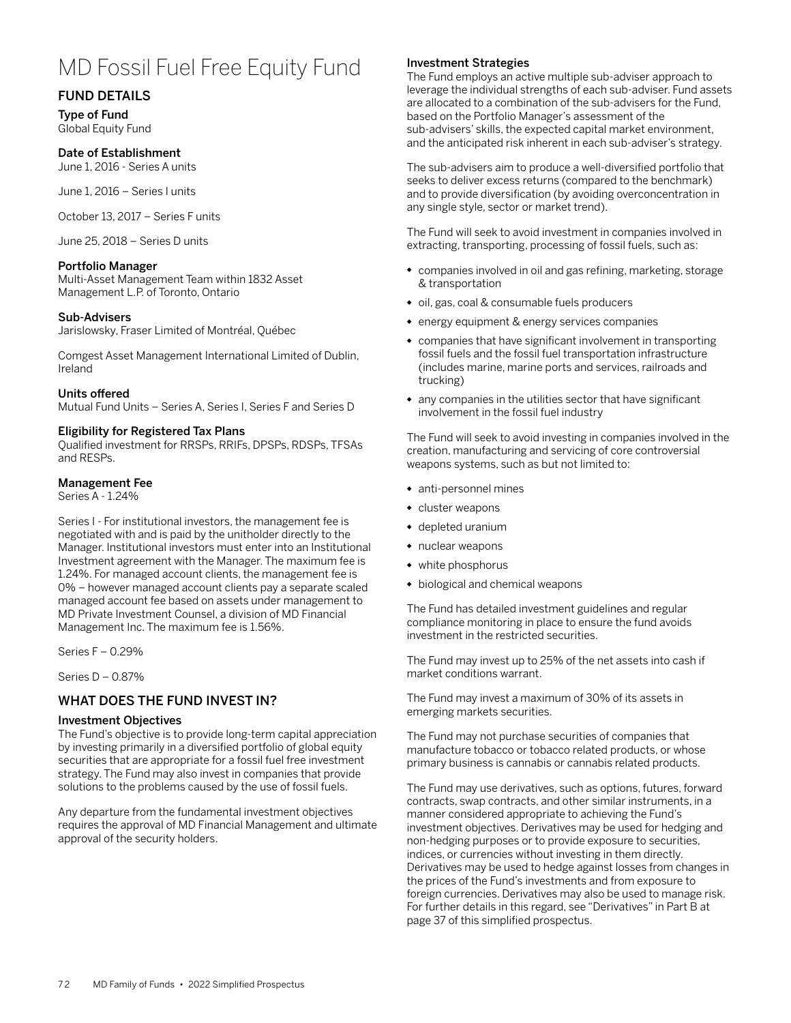# MD Fossil Fuel Free Equity Fund

# FUND DETAILS

Type of Fund Global Equity Fund

# Date of Establishment

June 1, 2016 - Series A units

June 1, 2016 – Series I units

October 13, 2017 – Series F units

June 25, 2018 – Series D units

## Portfolio Manager

Multi-Asset Management Team within 1832 Asset Management L.P. of Toronto, Ontario

## Sub-Advisers

Jarislowsky, Fraser Limited of Montréal, Québec

Comgest Asset Management International Limited of Dublin, Ireland

## Units offered

Mutual Fund Units – Series A, Series I, Series F and Series D

## Eligibility for Registered Tax Plans

Qualified investment for RRSPs, RRIFs, DPSPs, RDSPs, TFSAs and RESPs.

## Management Fee

Series A - 1.24%

Series I - For institutional investors, the management fee is negotiated with and is paid by the unitholder directly to the Manager. Institutional investors must enter into an Institutional Investment agreement with the Manager. The maximum fee is 1.24%. For managed account clients, the management fee is 0% – however managed account clients pay a separate scaled managed account fee based on assets under management to MD Private Investment Counsel, a division of MD Financial Management Inc. The maximum fee is 1.56%.

Series F – 0.29%

Series D – 0.87%

# WHAT DOES THE FUND INVEST IN?

## Investment Objectives

The Fund's objective is to provide long-term capital appreciation by investing primarily in a diversified portfolio of global equity securities that are appropriate for a fossil fuel free investment strategy. The Fund may also invest in companies that provide solutions to the problems caused by the use of fossil fuels.

Any departure from the fundamental investment objectives requires the approval of MD Financial Management and ultimate approval of the security holders.

## Investment Strategies

The Fund employs an active multiple sub-adviser approach to leverage the individual strengths of each sub-adviser. Fund assets are allocated to a combination of the sub-advisers for the Fund, based on the Portfolio Manager's assessment of the sub-advisers' skills, the expected capital market environment, and the anticipated risk inherent in each sub-adviser's strategy.

The sub-advisers aim to produce a well-diversified portfolio that seeks to deliver excess returns (compared to the benchmark) and to provide diversification (by avoiding overconcentration in any single style, sector or market trend).

The Fund will seek to avoid investment in companies involved in extracting, transporting, processing of fossil fuels, such as:

- companies involved in oil and gas refining, marketing, storage & transportation
- oil, gas, coal & consumable fuels producers
- energy equipment & energy services companies
- companies that have significant involvement in transporting fossil fuels and the fossil fuel transportation infrastructure (includes marine, marine ports and services, railroads and trucking)
- any companies in the utilities sector that have significant involvement in the fossil fuel industry

The Fund will seek to avoid investing in companies involved in the creation, manufacturing and servicing of core controversial weapons systems, such as but not limited to:

- anti-personnel mines
- cluster weapons
- depleted uranium
- nuclear weapons
- white phosphorus
- biological and chemical weapons

The Fund has detailed investment guidelines and regular compliance monitoring in place to ensure the fund avoids investment in the restricted securities.

The Fund may invest up to 25% of the net assets into cash if market conditions warrant.

The Fund may invest a maximum of 30% of its assets in emerging markets securities.

The Fund may not purchase securities of companies that manufacture tobacco or tobacco related products, or whose primary business is cannabis or cannabis related products.

The Fund may use derivatives, such as options, futures, forward contracts, swap contracts, and other similar instruments, in a manner considered appropriate to achieving the Fund's investment objectives. Derivatives may be used for hedging and non-hedging purposes or to provide exposure to securities, indices, or currencies without investing in them directly. Derivatives may be used to hedge against losses from changes in the prices of the Fund's investments and from exposure to foreign currencies. Derivatives may also be used to manage risk. For further details in this regard, see "Derivatives" in Part B at page 37 of this simplified prospectus.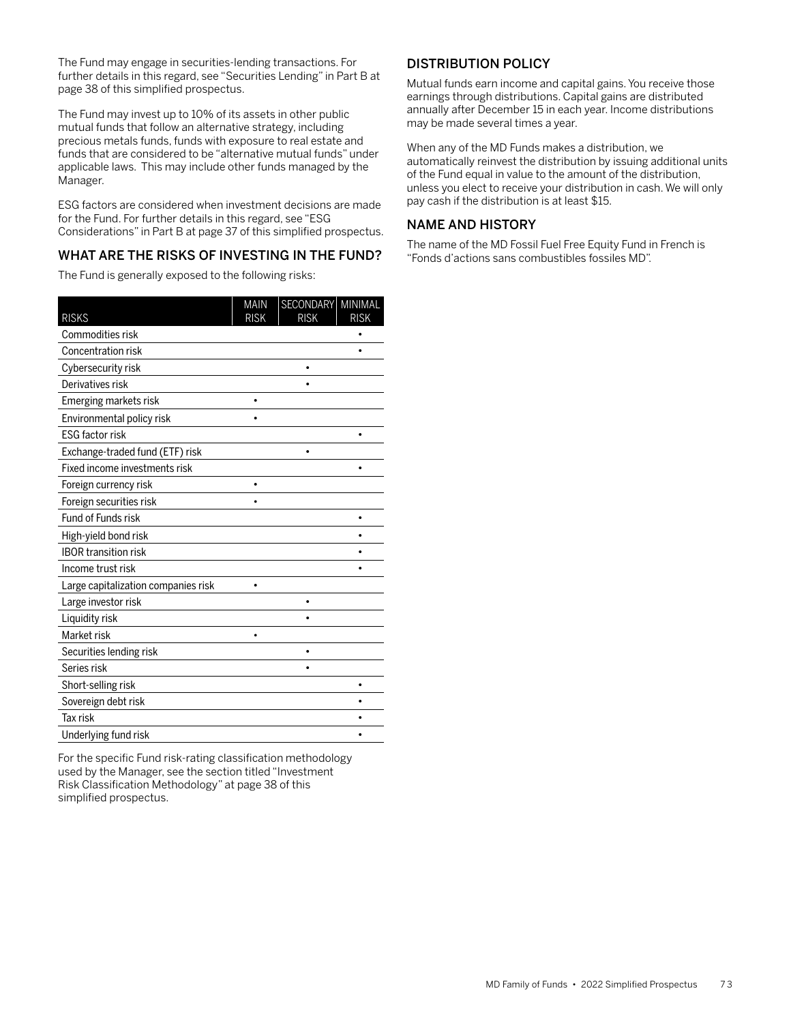The Fund may engage in securities-lending transactions. For further details in this regard, see "Securities Lending" in Part B at page 38 of this simplified prospectus.

The Fund may invest up to 10% of its assets in other public mutual funds that follow an alternative strategy, including precious metals funds, funds with exposure to real estate and funds that are considered to be "alternative mutual funds" under applicable laws. This may include other funds managed by the Manager.

ESG factors are considered when investment decisions are made for the Fund. For further details in this regard, see "ESG Considerations" in Part B at page 37 of this simplified prospectus.

# WHAT ARE THE RISKS OF INVESTING IN THE FUND?

The Fund is generally exposed to the following risks:

|                                     | <b>MAIN</b> | SECONDARY   | MINIMAL     |
|-------------------------------------|-------------|-------------|-------------|
| <b>RISKS</b>                        | <b>RISK</b> | <b>RISK</b> | <b>RISK</b> |
| Commodities risk                    |             |             |             |
| Concentration risk                  |             |             |             |
| Cybersecurity risk                  |             | $\bullet$   |             |
| Derivatives risk                    |             |             |             |
| Emerging markets risk               |             |             |             |
| Environmental policy risk           |             |             |             |
| <b>ESG factor risk</b>              |             |             |             |
| Exchange-traded fund (ETF) risk     |             | $\bullet$   |             |
| Fixed income investments risk       |             |             |             |
| Foreign currency risk               |             |             |             |
| Foreign securities risk             |             |             |             |
| Fund of Funds risk                  |             |             |             |
| High-yield bond risk                |             |             |             |
| <b>IBOR transition risk</b>         |             |             |             |
| Income trust risk                   |             |             |             |
| Large capitalization companies risk | ٠           |             |             |
| Large investor risk                 |             |             |             |
| Liquidity risk                      |             |             |             |
| Market risk                         |             |             |             |
| Securities lending risk             |             |             |             |
| Series risk                         |             |             |             |
| Short-selling risk                  |             |             | $\bullet$   |
| Sovereign debt risk                 |             |             |             |
| Tax risk                            |             |             |             |
| Underlying fund risk                |             |             |             |

For the specific Fund risk-rating classification methodology used by the Manager, see the section titled "Investment Risk Classification Methodology" at page 38 of this simplified prospectus.

# DISTRIBUTION POLICY

Mutual funds earn income and capital gains. You receive those earnings through distributions. Capital gains are distributed annually after December 15 in each year. Income distributions may be made several times a year.

When any of the MD Funds makes a distribution, we automatically reinvest the distribution by issuing additional units of the Fund equal in value to the amount of the distribution, unless you elect to receive your distribution in cash. We will only pay cash if the distribution is at least \$15.

# NAME AND HISTORY

The name of the MD Fossil Fuel Free Equity Fund in French is "Fonds d'actions sans combustibles fossiles MD".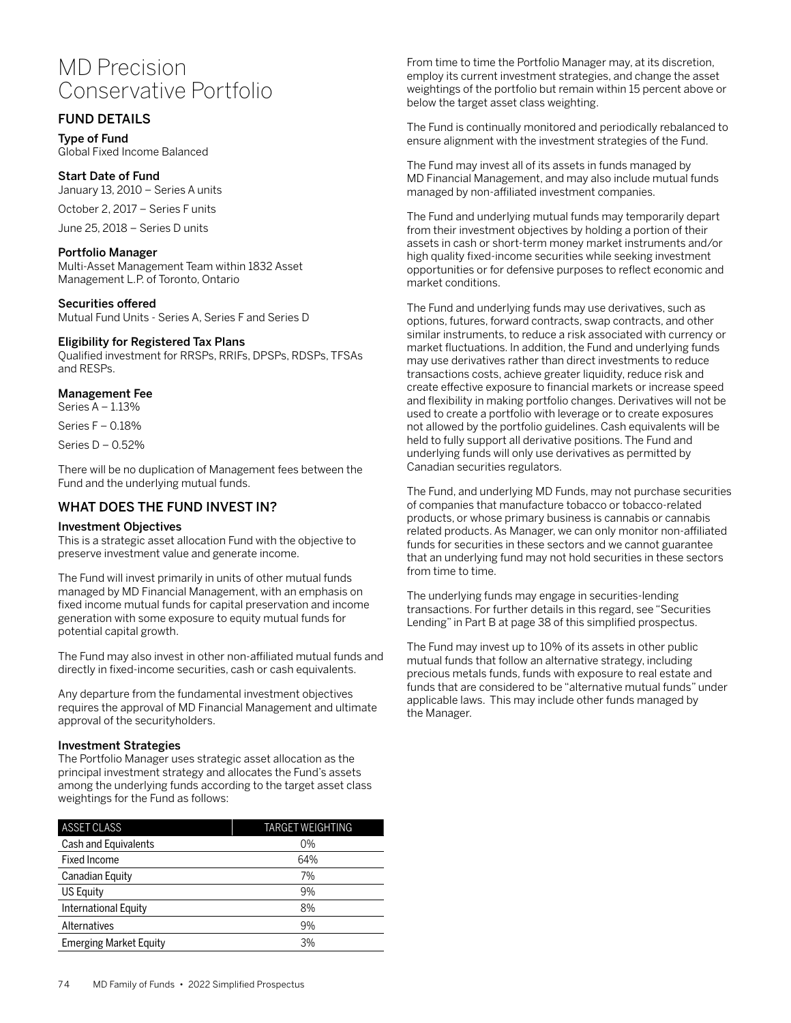# MD Precision Conservative Portfolio

# FUND DETAILS

Type of Fund Global Fixed Income Balanced

Start Date of Fund January 13, 2010 – Series A units

October 2, 2017 – Series F units

June 25, 2018 – Series D units

## Portfolio Manager

Multi-Asset Management Team within 1832 Asset Management L.P. of Toronto, Ontario

Securities offered Mutual Fund Units - Series A, Series F and Series D

## Eligibility for Registered Tax Plans

Qualified investment for RRSPs, RRIFs, DPSPs, RDSPs, TFSAs and RESPs.

## Management Fee

Series A – 1.13%

Series F – 0.18%

Series D – 0.52%

There will be no duplication of Management fees between the Fund and the underlying mutual funds.

# WHAT DOES THE FUND INVEST IN?

## Investment Objectives

This is a strategic asset allocation Fund with the objective to preserve investment value and generate income.

The Fund will invest primarily in units of other mutual funds managed by MD Financial Management, with an emphasis on fixed income mutual funds for capital preservation and income generation with some exposure to equity mutual funds for potential capital growth.

The Fund may also invest in other non-affiliated mutual funds and directly in fixed-income securities, cash or cash equivalents.

Any departure from the fundamental investment objectives requires the approval of MD Financial Management and ultimate approval of the securityholders.

## Investment Strategies

The Portfolio Manager uses strategic asset allocation as the principal investment strategy and allocates the Fund's assets among the underlying funds according to the target asset class weightings for the Fund as follows:

| <b>ASSET CLASS</b>            | <b>TARGET WEIGHTING</b> |  |  |  |
|-------------------------------|-------------------------|--|--|--|
| Cash and Equivalents          | $0\%$                   |  |  |  |
| <b>Fixed Income</b>           | 64%                     |  |  |  |
| Canadian Equity               | 7%                      |  |  |  |
| US Equity                     | 9%                      |  |  |  |
| <b>International Equity</b>   | 8%                      |  |  |  |
| Alternatives                  | 9%                      |  |  |  |
| <b>Emerging Market Equity</b> | 3%                      |  |  |  |

From time to time the Portfolio Manager may, at its discretion, employ its current investment strategies, and change the asset weightings of the portfolio but remain within 15 percent above or below the target asset class weighting.

The Fund is continually monitored and periodically rebalanced to ensure alignment with the investment strategies of the Fund.

The Fund may invest all of its assets in funds managed by MD Financial Management, and may also include mutual funds managed by non-affiliated investment companies.

The Fund and underlying mutual funds may temporarily depart from their investment objectives by holding a portion of their assets in cash or short-term money market instruments and/or high quality fixed-income securities while seeking investment opportunities or for defensive purposes to reflect economic and market conditions.

The Fund and underlying funds may use derivatives, such as options, futures, forward contracts, swap contracts, and other similar instruments, to reduce a risk associated with currency or market fluctuations. In addition, the Fund and underlying funds may use derivatives rather than direct investments to reduce transactions costs, achieve greater liquidity, reduce risk and create effective exposure to financial markets or increase speed and flexibility in making portfolio changes. Derivatives will not be used to create a portfolio with leverage or to create exposures not allowed by the portfolio guidelines. Cash equivalents will be held to fully support all derivative positions. The Fund and underlying funds will only use derivatives as permitted by Canadian securities regulators.

The Fund, and underlying MD Funds, may not purchase securities of companies that manufacture tobacco or tobacco-related products, or whose primary business is cannabis or cannabis related products. As Manager, we can only monitor non-affiliated funds for securities in these sectors and we cannot guarantee that an underlying fund may not hold securities in these sectors from time to time.

The underlying funds may engage in securities-lending transactions. For further details in this regard, see "Securities Lending" in Part B at page 38 of this simplified prospectus.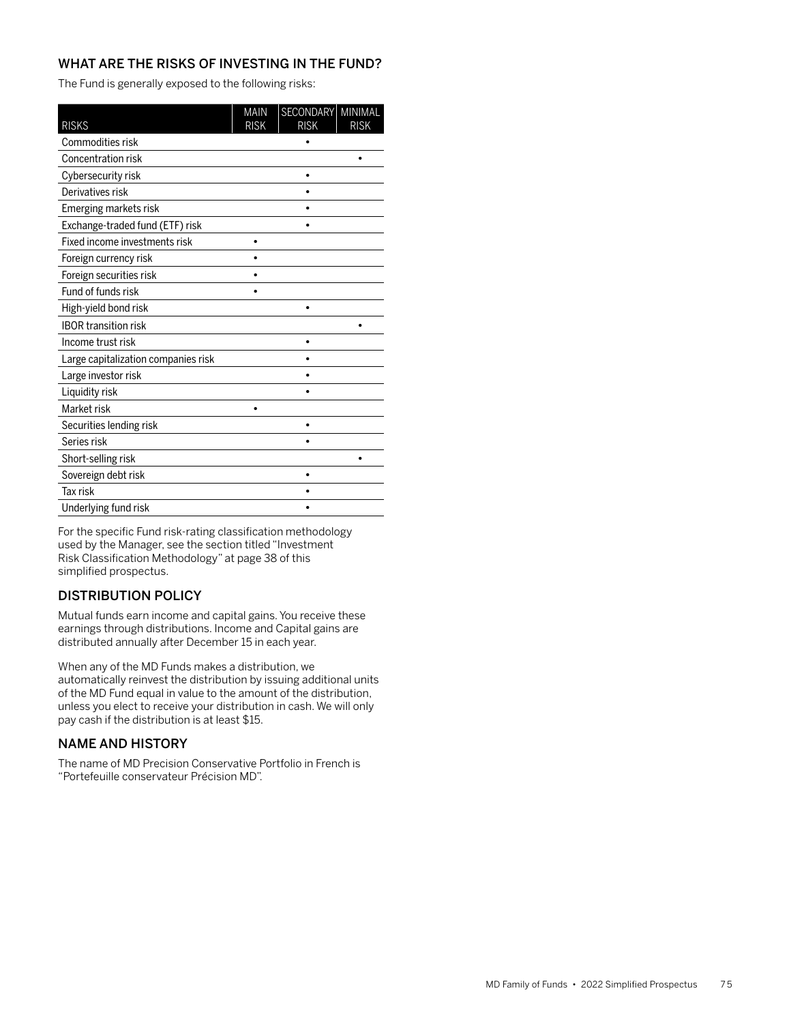The Fund is generally exposed to the following risks:

| <b>RISKS</b>                        | <b>MAIN</b><br><b>RISK</b> | <b>SECONDARY</b><br><b>RISK</b> | MINIMAL<br><b>RISK</b> |
|-------------------------------------|----------------------------|---------------------------------|------------------------|
| Commodities risk                    |                            |                                 |                        |
| Concentration risk                  |                            |                                 |                        |
| Cybersecurity risk                  |                            |                                 |                        |
| Derivatives risk                    |                            |                                 |                        |
| Emerging markets risk               |                            |                                 |                        |
| Exchange-traded fund (ETF) risk     |                            |                                 |                        |
| Fixed income investments risk       |                            |                                 |                        |
| Foreign currency risk               |                            |                                 |                        |
| Foreign securities risk             |                            |                                 |                        |
| Fund of funds risk                  |                            |                                 |                        |
| High-yield bond risk                |                            |                                 |                        |
| <b>IBOR transition risk</b>         |                            |                                 |                        |
| Income trust risk                   |                            |                                 |                        |
| Large capitalization companies risk |                            |                                 |                        |
| Large investor risk                 |                            |                                 |                        |
| Liquidity risk                      |                            |                                 |                        |
| Market risk                         |                            |                                 |                        |
| Securities lending risk             |                            | ٠                               |                        |
| Series risk                         |                            |                                 |                        |
| Short-selling risk                  |                            |                                 |                        |
| Sovereign debt risk                 |                            |                                 |                        |
| Tax risk                            |                            |                                 |                        |
| Underlying fund risk                |                            |                                 |                        |

For the specific Fund risk-rating classification methodology used by the Manager, see the section titled "Investment Risk Classification Methodology" at page 38 of this simplified prospectus.

# DISTRIBUTION POLICY

Mutual funds earn income and capital gains. You receive these earnings through distributions. Income and Capital gains are distributed annually after December 15 in each year.

When any of the MD Funds makes a distribution, we automatically reinvest the distribution by issuing additional units of the MD Fund equal in value to the amount of the distribution, unless you elect to receive your distribution in cash. We will only pay cash if the distribution is at least \$15.

## NAME AND HISTORY

The name of MD Precision Conservative Portfolio in French is "Portefeuille conservateur Précision MD".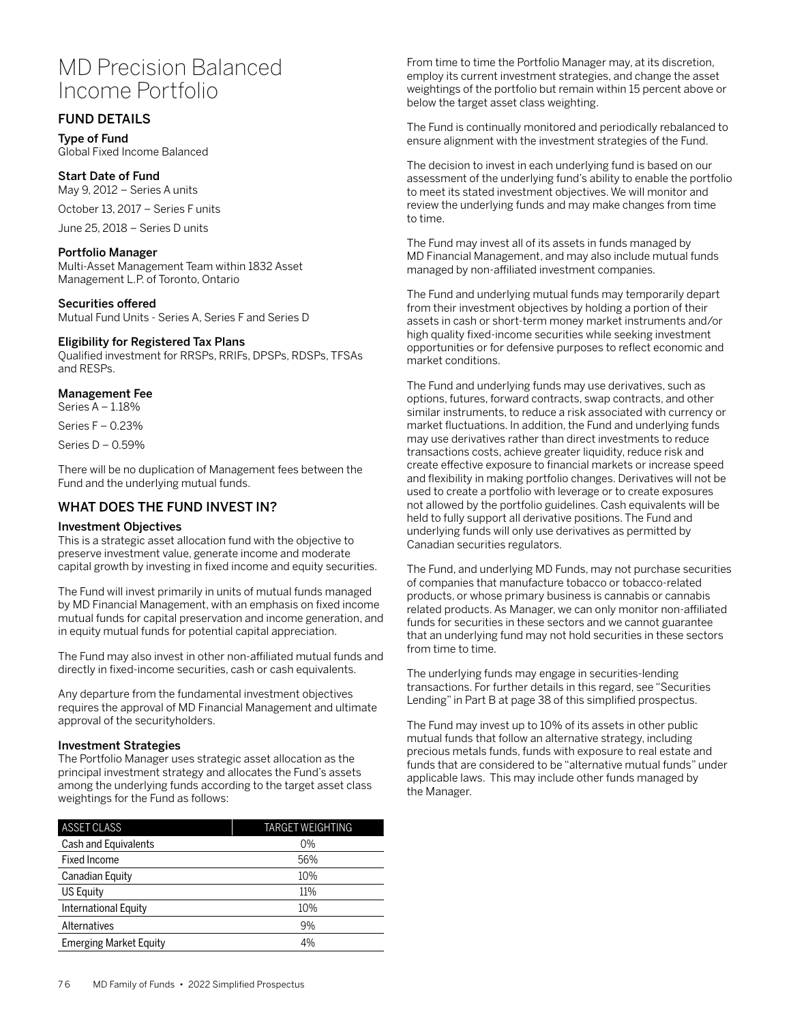# MD Precision Balanced Income Portfolio

# FUND DETAILS

Type of Fund Global Fixed Income Balanced

Start Date of Fund May 9, 2012 – Series A units

October 13, 2017 – Series F units

June 25, 2018 – Series D units

## Portfolio Manager

Multi-Asset Management Team within 1832 Asset Management L.P. of Toronto, Ontario

Securities offered

Mutual Fund Units - Series A, Series F and Series D

#### Eligibility for Registered Tax Plans

Qualified investment for RRSPs, RRIFs, DPSPs, RDSPs, TFSAs and RESPs.

## Management Fee

Series A – 1.18%

Series F – 0.23%

Series D – 0.59%

There will be no duplication of Management fees between the Fund and the underlying mutual funds.

## WHAT DOES THE FUND INVEST IN?

## Investment Objectives

This is a strategic asset allocation fund with the objective to preserve investment value, generate income and moderate capital growth by investing in fixed income and equity securities.

The Fund will invest primarily in units of mutual funds managed by MD Financial Management, with an emphasis on fixed income mutual funds for capital preservation and income generation, and in equity mutual funds for potential capital appreciation.

The Fund may also invest in other non-affiliated mutual funds and directly in fixed-income securities, cash or cash equivalents.

Any departure from the fundamental investment objectives requires the approval of MD Financial Management and ultimate approval of the securityholders.

## Investment Strategies

The Portfolio Manager uses strategic asset allocation as the principal investment strategy and allocates the Fund's assets among the underlying funds according to the target asset class weightings for the Fund as follows:

| <b>ASSET CLASS</b>            | <b>TARGET WEIGHTING</b> |  |  |
|-------------------------------|-------------------------|--|--|
| Cash and Equivalents          | $0\%$                   |  |  |
| <b>Fixed Income</b>           | 56%                     |  |  |
| Canadian Equity               | 10%                     |  |  |
| US Equity                     | 11%                     |  |  |
| International Equity          | 10%                     |  |  |
| Alternatives                  | 9%                      |  |  |
| <b>Emerging Market Equity</b> | 4%                      |  |  |

From time to time the Portfolio Manager may, at its discretion, employ its current investment strategies, and change the asset weightings of the portfolio but remain within 15 percent above or below the target asset class weighting.

The Fund is continually monitored and periodically rebalanced to ensure alignment with the investment strategies of the Fund.

The decision to invest in each underlying fund is based on our assessment of the underlying fund's ability to enable the portfolio to meet its stated investment objectives. We will monitor and review the underlying funds and may make changes from time to time.

The Fund may invest all of its assets in funds managed by MD Financial Management, and may also include mutual funds managed by non-affiliated investment companies.

The Fund and underlying mutual funds may temporarily depart from their investment objectives by holding a portion of their assets in cash or short-term money market instruments and/or high quality fixed-income securities while seeking investment opportunities or for defensive purposes to reflect economic and market conditions.

The Fund and underlying funds may use derivatives, such as options, futures, forward contracts, swap contracts, and other similar instruments, to reduce a risk associated with currency or market fluctuations. In addition, the Fund and underlying funds may use derivatives rather than direct investments to reduce transactions costs, achieve greater liquidity, reduce risk and create effective exposure to financial markets or increase speed and flexibility in making portfolio changes. Derivatives will not be used to create a portfolio with leverage or to create exposures not allowed by the portfolio guidelines. Cash equivalents will be held to fully support all derivative positions. The Fund and underlying funds will only use derivatives as permitted by Canadian securities regulators.

The Fund, and underlying MD Funds, may not purchase securities of companies that manufacture tobacco or tobacco-related products, or whose primary business is cannabis or cannabis related products. As Manager, we can only monitor non-affiliated funds for securities in these sectors and we cannot guarantee that an underlying fund may not hold securities in these sectors from time to time.

The underlying funds may engage in securities-lending transactions. For further details in this regard, see "Securities Lending" in Part B at page 38 of this simplified prospectus.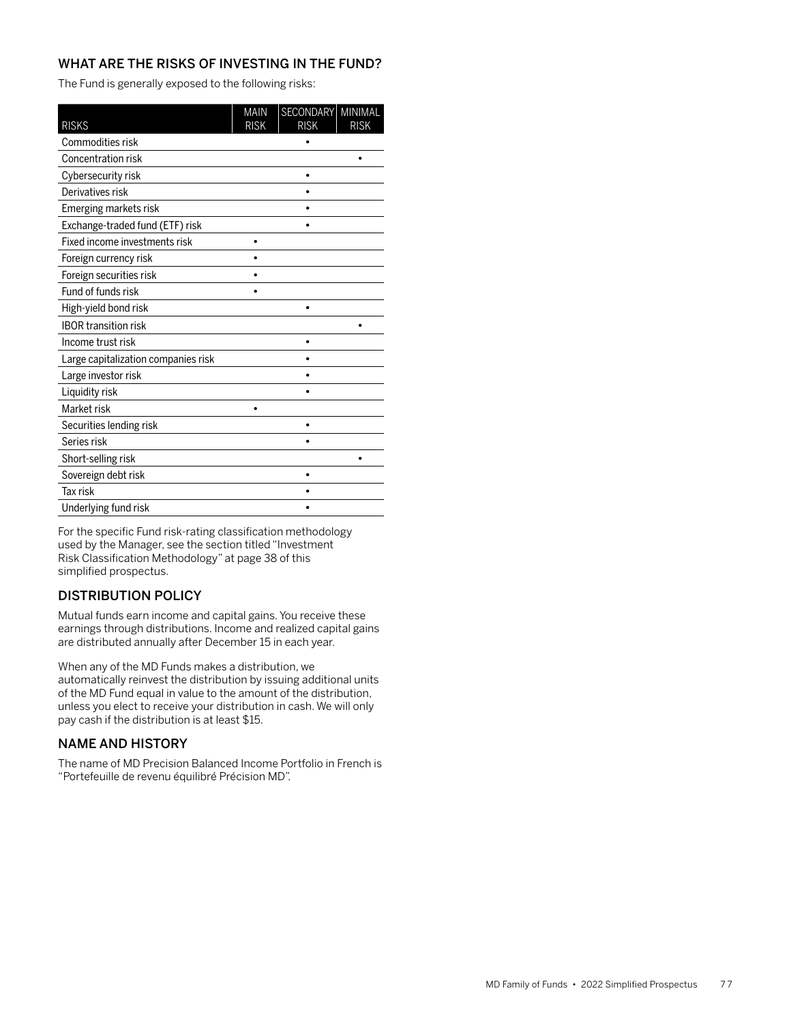The Fund is generally exposed to the following risks:

| <b>RISKS</b>                        | <b>MAIN</b><br><b>RISK</b> | <b>SECONDARY</b><br><b>RISK</b> | MINIMAL<br><b>RISK</b> |
|-------------------------------------|----------------------------|---------------------------------|------------------------|
| Commodities risk                    |                            |                                 |                        |
| Concentration risk                  |                            |                                 |                        |
| Cybersecurity risk                  |                            |                                 |                        |
| Derivatives risk                    |                            |                                 |                        |
| Emerging markets risk               |                            |                                 |                        |
| Exchange-traded fund (ETF) risk     |                            |                                 |                        |
| Fixed income investments risk       |                            |                                 |                        |
| Foreign currency risk               |                            |                                 |                        |
| Foreign securities risk             |                            |                                 |                        |
| Fund of funds risk                  |                            |                                 |                        |
| High-yield bond risk                |                            |                                 |                        |
| <b>IBOR transition risk</b>         |                            |                                 |                        |
| Income trust risk                   |                            |                                 |                        |
| Large capitalization companies risk |                            |                                 |                        |
| Large investor risk                 |                            |                                 |                        |
| Liquidity risk                      |                            |                                 |                        |
| Market risk                         |                            |                                 |                        |
| Securities lending risk             |                            | ٠                               |                        |
| Series risk                         |                            |                                 |                        |
| Short-selling risk                  |                            |                                 |                        |
| Sovereign debt risk                 |                            |                                 |                        |
| Tax risk                            |                            |                                 |                        |
| Underlying fund risk                |                            |                                 |                        |

For the specific Fund risk-rating classification methodology used by the Manager, see the section titled "Investment Risk Classification Methodology" at page 38 of this simplified prospectus.

# DISTRIBUTION POLICY

Mutual funds earn income and capital gains. You receive these earnings through distributions. Income and realized capital gains are distributed annually after December 15 in each year.

When any of the MD Funds makes a distribution, we automatically reinvest the distribution by issuing additional units of the MD Fund equal in value to the amount of the distribution, unless you elect to receive your distribution in cash. We will only pay cash if the distribution is at least \$15.

## NAME AND HISTORY

The name of MD Precision Balanced Income Portfolio in French is "Portefeuille de revenu équilibré Précision MD".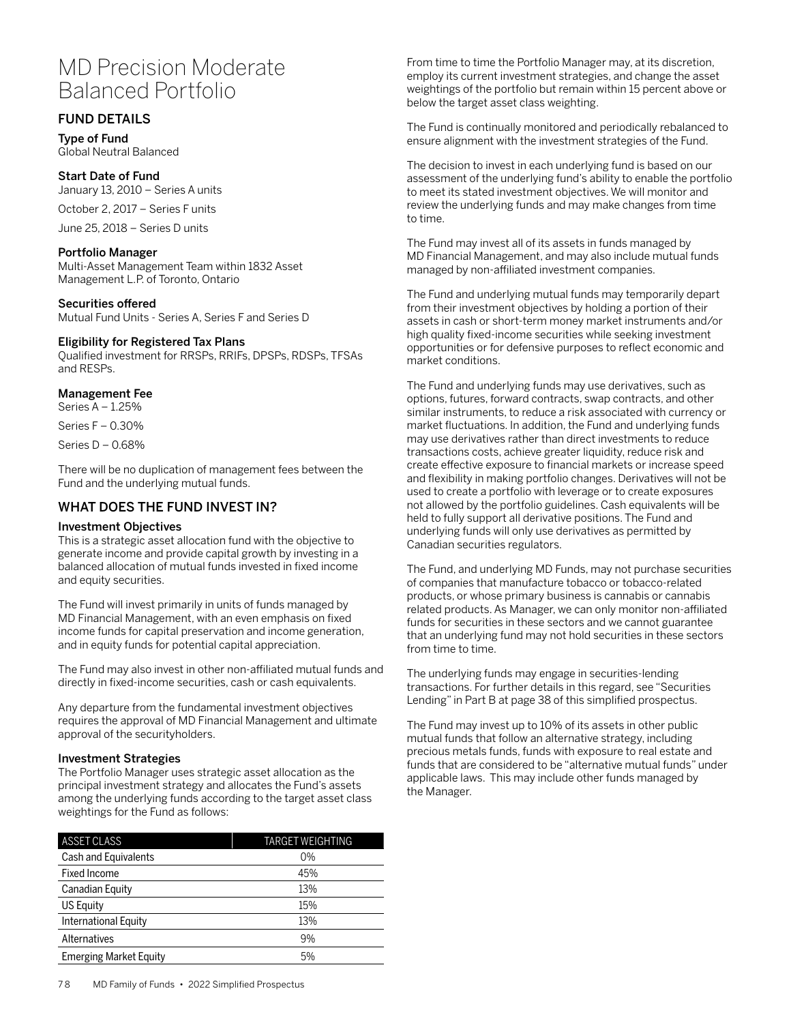# MD Precision Moderate Balanced Portfolio

# FUND DETAILS

Type of Fund Global Neutral Balanced

# Start Date of Fund

January 13, 2010 – Series A units

October 2, 2017 – Series F units

June 25, 2018 – Series D units

## Portfolio Manager

Multi-Asset Management Team within 1832 Asset Management L.P. of Toronto, Ontario

## Securities offered

Mutual Fund Units - Series A, Series F and Series D

## Eligibility for Registered Tax Plans

Qualified investment for RRSPs, RRIFs, DPSPs, RDSPs, TFSAs and RESPs.

## Management Fee

Series A – 1.25%

Series F – 0.30%

Series D – 0.68%

There will be no duplication of management fees between the Fund and the underlying mutual funds.

# WHAT DOES THE FUND INVEST IN?

## Investment Objectives

This is a strategic asset allocation fund with the objective to generate income and provide capital growth by investing in a balanced allocation of mutual funds invested in fixed income and equity securities.

The Fund will invest primarily in units of funds managed by MD Financial Management, with an even emphasis on fixed income funds for capital preservation and income generation, and in equity funds for potential capital appreciation.

The Fund may also invest in other non-affiliated mutual funds and directly in fixed-income securities, cash or cash equivalents.

Any departure from the fundamental investment objectives requires the approval of MD Financial Management and ultimate approval of the securityholders.

## Investment Strategies

The Portfolio Manager uses strategic asset allocation as the principal investment strategy and allocates the Fund's assets among the underlying funds according to the target asset class weightings for the Fund as follows:

| <b>ASSET CLASS</b>            | <b>TARGET WEIGHTING</b> |
|-------------------------------|-------------------------|
| Cash and Equivalents          | $0\%$                   |
| Fixed Income                  | 45%                     |
| Canadian Equity               | 13%                     |
| US Equity                     | 15%                     |
| International Equity          | 13%                     |
| Alternatives                  | 9%                      |
| <b>Emerging Market Equity</b> | 5%                      |

From time to time the Portfolio Manager may, at its discretion, employ its current investment strategies, and change the asset weightings of the portfolio but remain within 15 percent above or below the target asset class weighting.

The Fund is continually monitored and periodically rebalanced to ensure alignment with the investment strategies of the Fund.

The decision to invest in each underlying fund is based on our assessment of the underlying fund's ability to enable the portfolio to meet its stated investment objectives. We will monitor and review the underlying funds and may make changes from time to time.

The Fund may invest all of its assets in funds managed by MD Financial Management, and may also include mutual funds managed by non-affiliated investment companies.

The Fund and underlying mutual funds may temporarily depart from their investment objectives by holding a portion of their assets in cash or short-term money market instruments and/or high quality fixed-income securities while seeking investment opportunities or for defensive purposes to reflect economic and market conditions.

The Fund and underlying funds may use derivatives, such as options, futures, forward contracts, swap contracts, and other similar instruments, to reduce a risk associated with currency or market fluctuations. In addition, the Fund and underlying funds may use derivatives rather than direct investments to reduce transactions costs, achieve greater liquidity, reduce risk and create effective exposure to financial markets or increase speed and flexibility in making portfolio changes. Derivatives will not be used to create a portfolio with leverage or to create exposures not allowed by the portfolio guidelines. Cash equivalents will be held to fully support all derivative positions. The Fund and underlying funds will only use derivatives as permitted by Canadian securities regulators.

The Fund, and underlying MD Funds, may not purchase securities of companies that manufacture tobacco or tobacco-related products, or whose primary business is cannabis or cannabis related products. As Manager, we can only monitor non-affiliated funds for securities in these sectors and we cannot guarantee that an underlying fund may not hold securities in these sectors from time to time.

The underlying funds may engage in securities-lending transactions. For further details in this regard, see "Securities Lending" in Part B at page 38 of this simplified prospectus.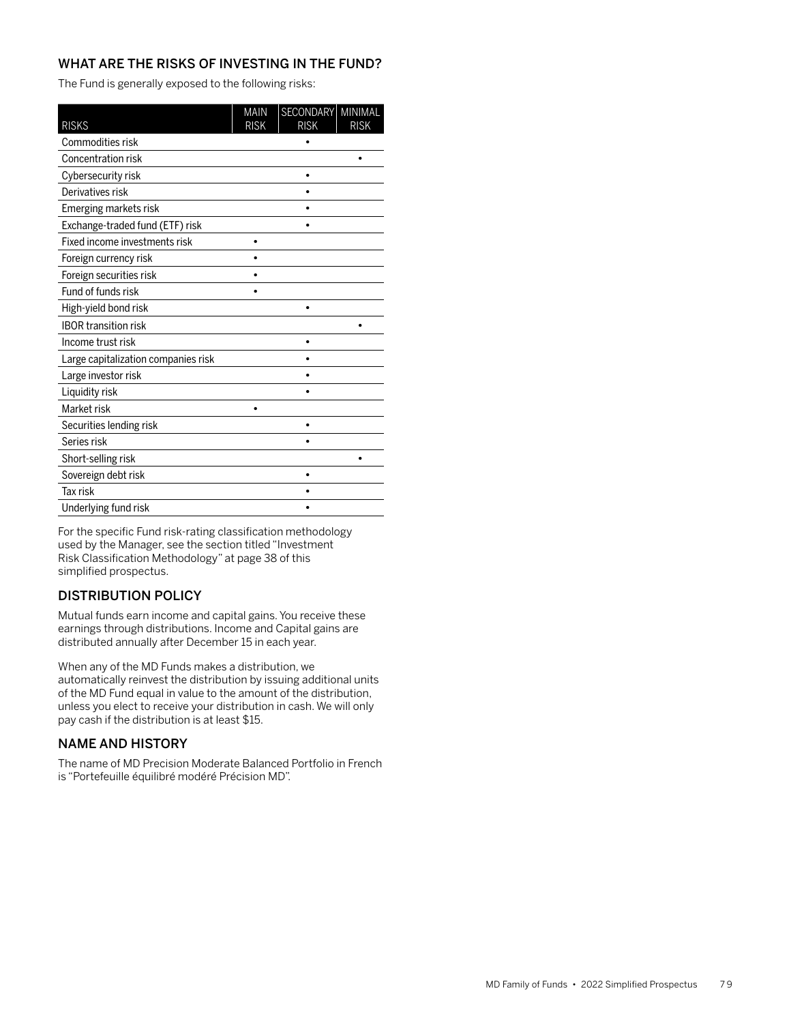The Fund is generally exposed to the following risks:

| <b>RISKS</b>                        | <b>MAIN</b><br><b>RISK</b> | <b>SECONDARY</b><br><b>RISK</b> | MINIMAL<br><b>RISK</b> |
|-------------------------------------|----------------------------|---------------------------------|------------------------|
| Commodities risk                    |                            |                                 |                        |
| Concentration risk                  |                            |                                 |                        |
| Cybersecurity risk                  |                            |                                 |                        |
| Derivatives risk                    |                            |                                 |                        |
| Emerging markets risk               |                            |                                 |                        |
| Exchange-traded fund (ETF) risk     |                            |                                 |                        |
| Fixed income investments risk       |                            |                                 |                        |
| Foreign currency risk               |                            |                                 |                        |
| Foreign securities risk             |                            |                                 |                        |
| Fund of funds risk                  |                            |                                 |                        |
| High-yield bond risk                |                            |                                 |                        |
| <b>IBOR transition risk</b>         |                            |                                 |                        |
| Income trust risk                   |                            |                                 |                        |
| Large capitalization companies risk |                            |                                 |                        |
| Large investor risk                 |                            |                                 |                        |
| Liquidity risk                      |                            |                                 |                        |
| Market risk                         |                            |                                 |                        |
| Securities lending risk             |                            | ٠                               |                        |
| Series risk                         |                            |                                 |                        |
| Short-selling risk                  |                            |                                 |                        |
| Sovereign debt risk                 |                            |                                 |                        |
| Tax risk                            |                            |                                 |                        |
| Underlying fund risk                |                            |                                 |                        |

For the specific Fund risk-rating classification methodology used by the Manager, see the section titled "Investment Risk Classification Methodology" at page 38 of this simplified prospectus.

# DISTRIBUTION POLICY

Mutual funds earn income and capital gains. You receive these earnings through distributions. Income and Capital gains are distributed annually after December 15 in each year.

When any of the MD Funds makes a distribution, we automatically reinvest the distribution by issuing additional units of the MD Fund equal in value to the amount of the distribution, unless you elect to receive your distribution in cash. We will only pay cash if the distribution is at least \$15.

## NAME AND HISTORY

The name of MD Precision Moderate Balanced Portfolio in French is "Portefeuille équilibré modéré Précision MD".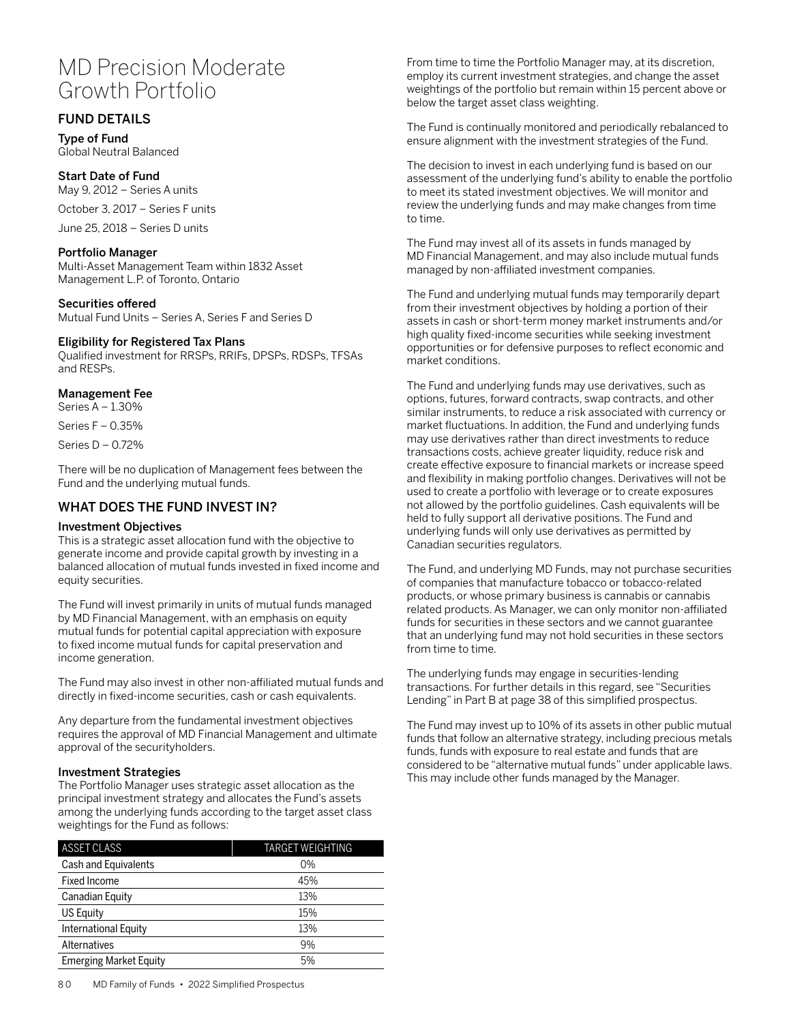# MD Precision Moderate Growth Portfolio

# FUND DETAILS

Type of Fund Global Neutral Balanced

## Start Date of Fund

May 9, 2012 – Series A units

October 3, 2017 – Series F units

June 25, 2018 – Series D units

## Portfolio Manager

Multi-Asset Management Team within 1832 Asset Management L.P. of Toronto, Ontario

## Securities offered

Mutual Fund Units – Series A, Series F and Series D

## Eligibility for Registered Tax Plans

Qualified investment for RRSPs, RRIFs, DPSPs, RDSPs, TFSAs and RESPs.

## Management Fee

Series A – 1.30%

Series F – 0.35%

Series D – 0.72%

There will be no duplication of Management fees between the Fund and the underlying mutual funds.

# WHAT DOES THE FUND INVEST IN?

## Investment Objectives

This is a strategic asset allocation fund with the objective to generate income and provide capital growth by investing in a balanced allocation of mutual funds invested in fixed income and equity securities.

The Fund will invest primarily in units of mutual funds managed by MD Financial Management, with an emphasis on equity mutual funds for potential capital appreciation with exposure to fixed income mutual funds for capital preservation and income generation.

The Fund may also invest in other non-affiliated mutual funds and directly in fixed-income securities, cash or cash equivalents.

Any departure from the fundamental investment objectives requires the approval of MD Financial Management and ultimate approval of the securityholders.

## Investment Strategies

The Portfolio Manager uses strategic asset allocation as the principal investment strategy and allocates the Fund's assets among the underlying funds according to the target asset class weightings for the Fund as follows:

| ASSET CLASS                   | <b>TARGET WEIGHTING</b> |
|-------------------------------|-------------------------|
| Cash and Equivalents          | $0\%$                   |
| <b>Fixed Income</b>           | 45%                     |
| Canadian Equity               | 13%                     |
| US Equity                     | 15%                     |
| International Equity          | 13%                     |
| Alternatives                  | 9%                      |
| <b>Emerging Market Equity</b> | 5%                      |

From time to time the Portfolio Manager may, at its discretion, employ its current investment strategies, and change the asset weightings of the portfolio but remain within 15 percent above or below the target asset class weighting.

The Fund is continually monitored and periodically rebalanced to ensure alignment with the investment strategies of the Fund.

The decision to invest in each underlying fund is based on our assessment of the underlying fund's ability to enable the portfolio to meet its stated investment objectives. We will monitor and review the underlying funds and may make changes from time to time.

The Fund may invest all of its assets in funds managed by MD Financial Management, and may also include mutual funds managed by non-affiliated investment companies.

The Fund and underlying mutual funds may temporarily depart from their investment objectives by holding a portion of their assets in cash or short-term money market instruments and/or high quality fixed-income securities while seeking investment opportunities or for defensive purposes to reflect economic and market conditions.

The Fund and underlying funds may use derivatives, such as options, futures, forward contracts, swap contracts, and other similar instruments, to reduce a risk associated with currency or market fluctuations. In addition, the Fund and underlying funds may use derivatives rather than direct investments to reduce transactions costs, achieve greater liquidity, reduce risk and create effective exposure to financial markets or increase speed and flexibility in making portfolio changes. Derivatives will not be used to create a portfolio with leverage or to create exposures not allowed by the portfolio guidelines. Cash equivalents will be held to fully support all derivative positions. The Fund and underlying funds will only use derivatives as permitted by Canadian securities regulators.

The Fund, and underlying MD Funds, may not purchase securities of companies that manufacture tobacco or tobacco-related products, or whose primary business is cannabis or cannabis related products. As Manager, we can only monitor non-affiliated funds for securities in these sectors and we cannot guarantee that an underlying fund may not hold securities in these sectors from time to time.

The underlying funds may engage in securities-lending transactions. For further details in this regard, see "Securities Lending" in Part B at page 38 of this simplified prospectus.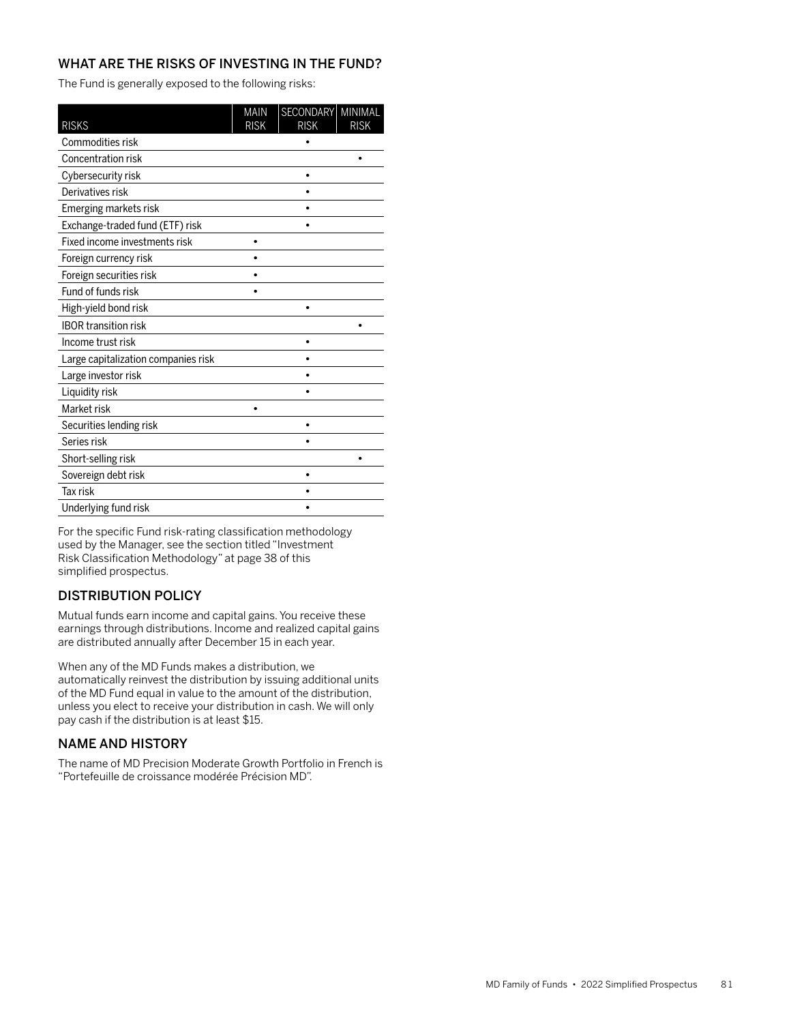The Fund is generally exposed to the following risks:

| <b>RISKS</b>                        | <b>MAIN</b><br><b>RISK</b> | <b>SECONDARY</b><br><b>RISK</b> | MINIMAL<br><b>RISK</b> |
|-------------------------------------|----------------------------|---------------------------------|------------------------|
| Commodities risk                    |                            |                                 |                        |
| Concentration risk                  |                            |                                 |                        |
| Cybersecurity risk                  |                            |                                 |                        |
| Derivatives risk                    |                            |                                 |                        |
| Emerging markets risk               |                            |                                 |                        |
| Exchange-traded fund (ETF) risk     |                            |                                 |                        |
| Fixed income investments risk       |                            |                                 |                        |
| Foreign currency risk               |                            |                                 |                        |
| Foreign securities risk             |                            |                                 |                        |
| Fund of funds risk                  |                            |                                 |                        |
| High-yield bond risk                |                            |                                 |                        |
| <b>IBOR transition risk</b>         |                            |                                 |                        |
| Income trust risk                   |                            |                                 |                        |
| Large capitalization companies risk |                            |                                 |                        |
| Large investor risk                 |                            |                                 |                        |
| Liquidity risk                      |                            |                                 |                        |
| Market risk                         |                            |                                 |                        |
| Securities lending risk             |                            | ٠                               |                        |
| Series risk                         |                            |                                 |                        |
| Short-selling risk                  |                            |                                 |                        |
| Sovereign debt risk                 |                            |                                 |                        |
| Tax risk                            |                            |                                 |                        |
| Underlying fund risk                |                            |                                 |                        |

For the specific Fund risk-rating classification methodology used by the Manager, see the section titled "Investment Risk Classification Methodology" at page 38 of this simplified prospectus.

# DISTRIBUTION POLICY

Mutual funds earn income and capital gains. You receive these earnings through distributions. Income and realized capital gains are distributed annually after December 15 in each year.

When any of the MD Funds makes a distribution, we automatically reinvest the distribution by issuing additional units of the MD Fund equal in value to the amount of the distribution, unless you elect to receive your distribution in cash. We will only pay cash if the distribution is at least \$15.

## NAME AND HISTORY

The name of MD Precision Moderate Growth Portfolio in French is "Portefeuille de croissance modérée Précision MD".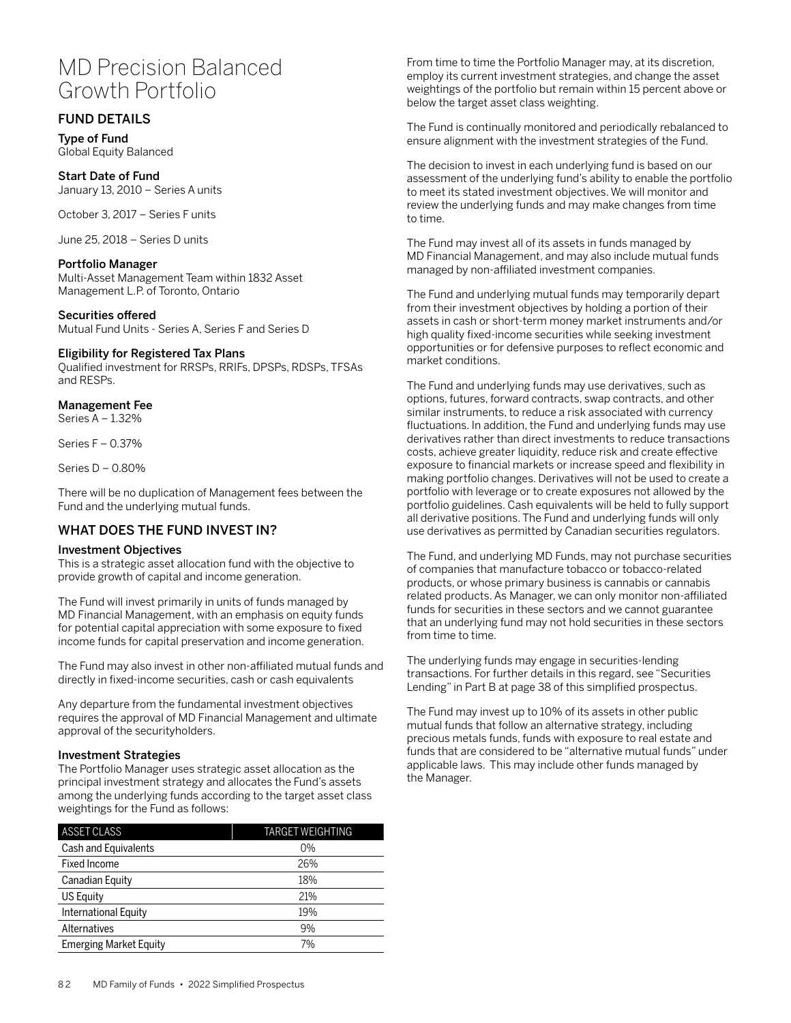# MD Precision Balanced Growth Portfolio

# FUND DETAILS

Type of Fund Global Equity Balanced

Start Date of Fund January 13, 2010 – Series A units

October 3, 2017 – Series F units

June 25, 2018 – Series D units

## Portfolio Manager

Multi-Asset Management Team within 1832 Asset Management L.P. of Toronto, Ontario

## Securities offered

Mutual Fund Units - Series A, Series F and Series D

## Eligibility for Registered Tax Plans

Qualified investment for RRSPs, RRIFs, DPSPs, RDSPs, TFSAs and RESPs.

## Management Fee

Series A – 1.32%

Series F – 0.37%

Series D – 0.80%

There will be no duplication of Management fees between the Fund and the underlying mutual funds.

## WHAT DOES THE FUND INVEST IN?

## Investment Objectives

This is a strategic asset allocation fund with the objective to provide growth of capital and income generation.

The Fund will invest primarily in units of funds managed by MD Financial Management, with an emphasis on equity funds for potential capital appreciation with some exposure to fixed income funds for capital preservation and income generation.

The Fund may also invest in other non-affiliated mutual funds and directly in fixed-income securities, cash or cash equivalents

Any departure from the fundamental investment objectives requires the approval of MD Financial Management and ultimate approval of the securityholders.

## Investment Strategies

The Portfolio Manager uses strategic asset allocation as the principal investment strategy and allocates the Fund's assets among the underlying funds according to the target asset class weightings for the Fund as follows:

| ASSET CLASS                   | <b>TARGET WEIGHTING</b> |  |  |
|-------------------------------|-------------------------|--|--|
| Cash and Equivalents          | $0\%$                   |  |  |
| Fixed Income                  | 26%                     |  |  |
| <b>Canadian Equity</b>        | 18%                     |  |  |
| US Equity                     | 21%                     |  |  |
| International Equity          | 19%                     |  |  |
| Alternatives                  | 9%                      |  |  |
| <b>Emerging Market Equity</b> | 7%                      |  |  |

From time to time the Portfolio Manager may, at its discretion, employ its current investment strategies, and change the asset weightings of the portfolio but remain within 15 percent above or below the target asset class weighting.

The Fund is continually monitored and periodically rebalanced to ensure alignment with the investment strategies of the Fund.

The decision to invest in each underlying fund is based on our assessment of the underlying fund's ability to enable the portfolio to meet its stated investment objectives. We will monitor and review the underlying funds and may make changes from time to time.

The Fund may invest all of its assets in funds managed by MD Financial Management, and may also include mutual funds managed by non-affiliated investment companies.

The Fund and underlying mutual funds may temporarily depart from their investment objectives by holding a portion of their assets in cash or short-term money market instruments and/or high quality fixed-income securities while seeking investment opportunities or for defensive purposes to reflect economic and market conditions.

The Fund and underlying funds may use derivatives, such as options, futures, forward contracts, swap contracts, and other similar instruments, to reduce a risk associated with currency fluctuations. In addition, the Fund and underlying funds may use derivatives rather than direct investments to reduce transactions costs, achieve greater liquidity, reduce risk and create effective exposure to financial markets or increase speed and flexibility in making portfolio changes. Derivatives will not be used to create a portfolio with leverage or to create exposures not allowed by the portfolio guidelines. Cash equivalents will be held to fully support all derivative positions. The Fund and underlying funds will only use derivatives as permitted by Canadian securities regulators.

The Fund, and underlying MD Funds, may not purchase securities of companies that manufacture tobacco or tobacco-related products, or whose primary business is cannabis or cannabis related products. As Manager, we can only monitor non-affiliated funds for securities in these sectors and we cannot guarantee that an underlying fund may not hold securities in these sectors from time to time.

The underlying funds may engage in securities-lending transactions. For further details in this regard, see "Securities Lending" in Part B at page 38 of this simplified prospectus.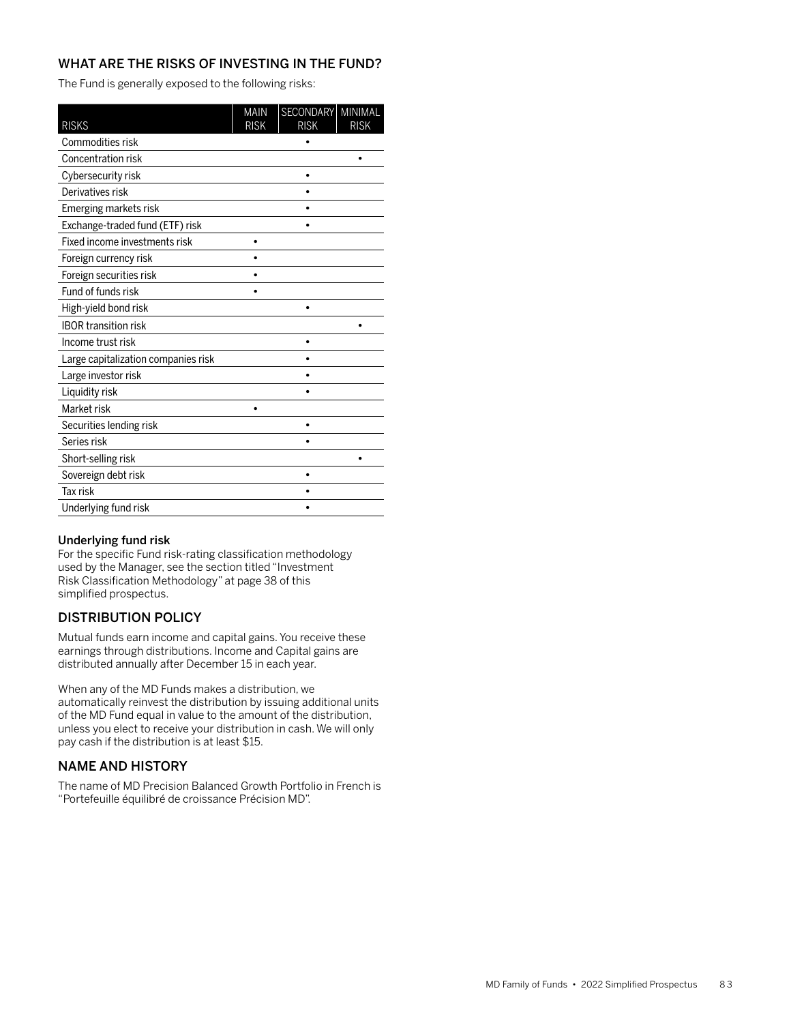The Fund is generally exposed to the following risks:

| <b>RISKS</b>                        | <b>MAIN</b><br><b>RISK</b> | SECONDARY<br><b>RISK</b> | MINIMAL<br><b>RISK</b> |
|-------------------------------------|----------------------------|--------------------------|------------------------|
| Commodities risk                    |                            |                          |                        |
| Concentration risk                  |                            |                          | ٠                      |
| Cybersecurity risk                  |                            |                          |                        |
| Derivatives risk                    |                            |                          |                        |
| Emerging markets risk               |                            |                          |                        |
| Exchange-traded fund (ETF) risk     |                            |                          |                        |
| Fixed income investments risk       |                            |                          |                        |
| Foreign currency risk               |                            |                          |                        |
| Foreign securities risk             |                            |                          |                        |
| Fund of funds risk                  |                            |                          |                        |
| High-yield bond risk                |                            |                          |                        |
| <b>IBOR transition risk</b>         |                            |                          |                        |
| Income trust risk                   |                            |                          |                        |
| Large capitalization companies risk |                            |                          |                        |
| Large investor risk                 |                            |                          |                        |
| Liquidity risk                      |                            |                          |                        |
| Market risk                         |                            |                          |                        |
| Securities lending risk             |                            | ٠                        |                        |
| Series risk                         |                            |                          |                        |
| Short-selling risk                  |                            |                          |                        |
| Sovereign debt risk                 |                            |                          |                        |
| <b>Tax risk</b>                     |                            |                          |                        |
| Underlying fund risk                |                            |                          |                        |

## Underlying fund risk

For the specific Fund risk-rating classification methodology used by the Manager, see the section titled "Investment Risk Classification Methodology" at page 38 of this simplified prospectus.

# DISTRIBUTION POLICY

Mutual funds earn income and capital gains. You receive these earnings through distributions. Income and Capital gains are distributed annually after December 15 in each year.

When any of the MD Funds makes a distribution, we automatically reinvest the distribution by issuing additional units of the MD Fund equal in value to the amount of the distribution, unless you elect to receive your distribution in cash. We will only pay cash if the distribution is at least \$15.

# NAME AND HISTORY

The name of MD Precision Balanced Growth Portfolio in French is "Portefeuille équilibré de croissance Précision MD".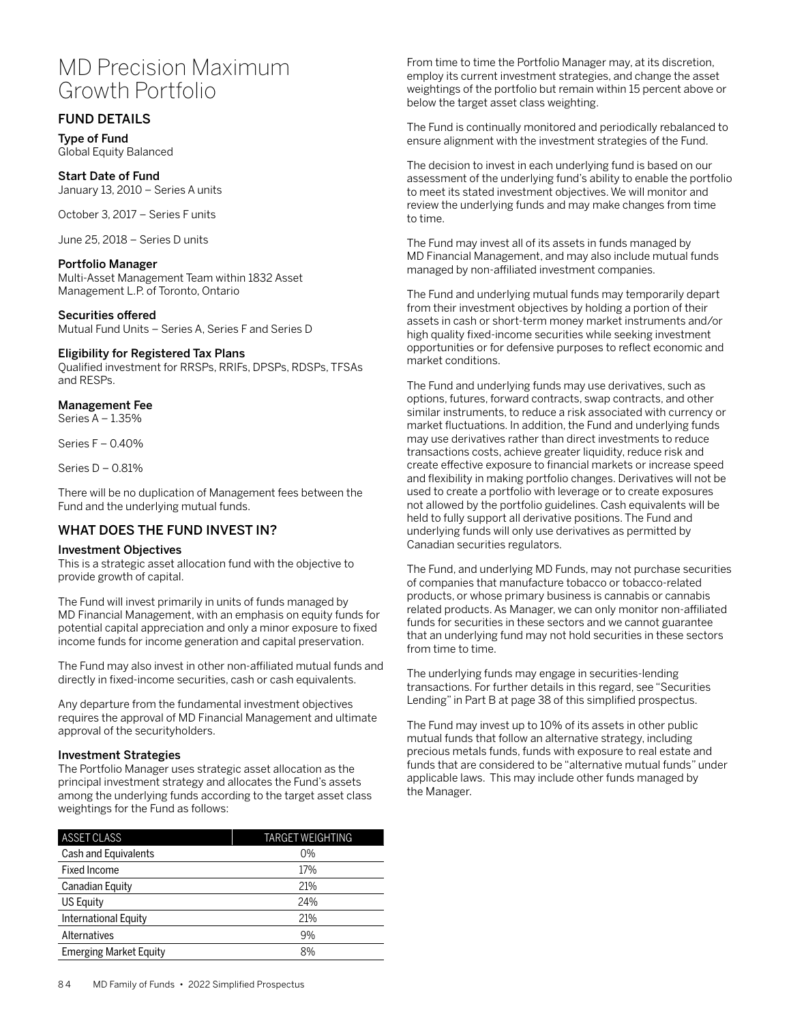# MD Precision Maximum Growth Portfolio

# FUND DETAILS

Type of Fund Global Equity Balanced

Start Date of Fund January 13, 2010 – Series A units

October 3, 2017 – Series F units

June 25, 2018 – Series D units

## Portfolio Manager

Multi-Asset Management Team within 1832 Asset Management L.P. of Toronto, Ontario

Securities offered

Mutual Fund Units – Series A, Series F and Series D

## Eligibility for Registered Tax Plans

Qualified investment for RRSPs, RRIFs, DPSPs, RDSPs, TFSAs and RESPs.

# Management Fee

Series A – 1.35%

Series F – 0.40%

Series D – 0.81%

There will be no duplication of Management fees between the Fund and the underlying mutual funds.

# WHAT DOES THE FUND INVEST IN?

## Investment Objectives

This is a strategic asset allocation fund with the objective to provide growth of capital.

The Fund will invest primarily in units of funds managed by MD Financial Management, with an emphasis on equity funds for potential capital appreciation and only a minor exposure to fixed income funds for income generation and capital preservation.

The Fund may also invest in other non-affiliated mutual funds and directly in fixed-income securities, cash or cash equivalents.

Any departure from the fundamental investment objectives requires the approval of MD Financial Management and ultimate approval of the securityholders.

## Investment Strategies

The Portfolio Manager uses strategic asset allocation as the principal investment strategy and allocates the Fund's assets among the underlying funds according to the target asset class weightings for the Fund as follows:

| <b>ASSET CLASS</b>            | TARGET WEIGHTING |  |  |  |
|-------------------------------|------------------|--|--|--|
| Cash and Equivalents          | $0\%$            |  |  |  |
| Fixed Income                  | 17%              |  |  |  |
| Canadian Equity               | 21%              |  |  |  |
| <b>US Equity</b>              | 24%              |  |  |  |
| International Equity          | 21%              |  |  |  |
| Alternatives                  | 9%               |  |  |  |
| <b>Emerging Market Equity</b> | 8%               |  |  |  |

From time to time the Portfolio Manager may, at its discretion, employ its current investment strategies, and change the asset weightings of the portfolio but remain within 15 percent above or below the target asset class weighting.

The Fund is continually monitored and periodically rebalanced to ensure alignment with the investment strategies of the Fund.

The decision to invest in each underlying fund is based on our assessment of the underlying fund's ability to enable the portfolio to meet its stated investment objectives. We will monitor and review the underlying funds and may make changes from time to time.

The Fund may invest all of its assets in funds managed by MD Financial Management, and may also include mutual funds managed by non-affiliated investment companies.

The Fund and underlying mutual funds may temporarily depart from their investment objectives by holding a portion of their assets in cash or short-term money market instruments and/or high quality fixed-income securities while seeking investment opportunities or for defensive purposes to reflect economic and market conditions.

The Fund and underlying funds may use derivatives, such as options, futures, forward contracts, swap contracts, and other similar instruments, to reduce a risk associated with currency or market fluctuations. In addition, the Fund and underlying funds may use derivatives rather than direct investments to reduce transactions costs, achieve greater liquidity, reduce risk and create effective exposure to financial markets or increase speed and flexibility in making portfolio changes. Derivatives will not be used to create a portfolio with leverage or to create exposures not allowed by the portfolio guidelines. Cash equivalents will be held to fully support all derivative positions. The Fund and underlying funds will only use derivatives as permitted by Canadian securities regulators.

The Fund, and underlying MD Funds, may not purchase securities of companies that manufacture tobacco or tobacco-related products, or whose primary business is cannabis or cannabis related products. As Manager, we can only monitor non-affiliated funds for securities in these sectors and we cannot guarantee that an underlying fund may not hold securities in these sectors from time to time.

The underlying funds may engage in securities-lending transactions. For further details in this regard, see "Securities Lending" in Part B at page 38 of this simplified prospectus.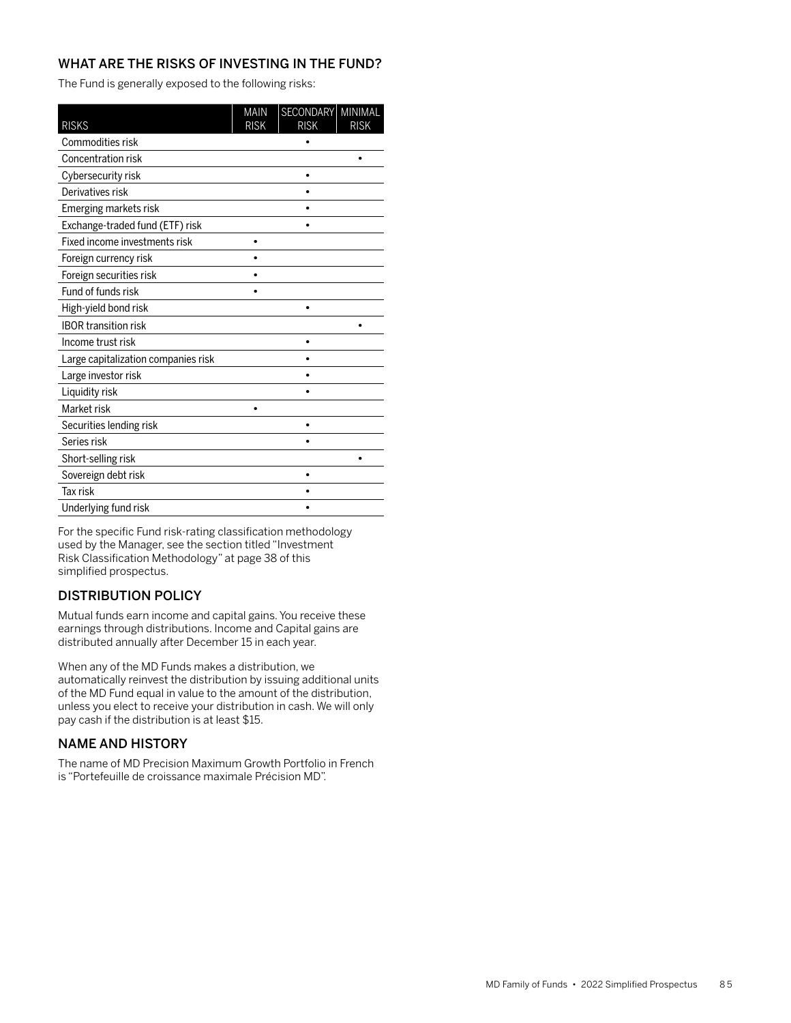The Fund is generally exposed to the following risks:

| <b>RISKS</b>                        | <b>MAIN</b><br><b>RISK</b> | <b>SECONDARY</b><br><b>RISK</b> | MINIMAL<br><b>RISK</b> |
|-------------------------------------|----------------------------|---------------------------------|------------------------|
| Commodities risk                    |                            |                                 |                        |
| Concentration risk                  |                            |                                 |                        |
| Cybersecurity risk                  |                            |                                 |                        |
| Derivatives risk                    |                            |                                 |                        |
| Emerging markets risk               |                            |                                 |                        |
| Exchange-traded fund (ETF) risk     |                            |                                 |                        |
| Fixed income investments risk       |                            |                                 |                        |
| Foreign currency risk               |                            |                                 |                        |
| Foreign securities risk             |                            |                                 |                        |
| Fund of funds risk                  |                            |                                 |                        |
| High-yield bond risk                |                            |                                 |                        |
| <b>IBOR transition risk</b>         |                            |                                 |                        |
| Income trust risk                   |                            |                                 |                        |
| Large capitalization companies risk |                            |                                 |                        |
| Large investor risk                 |                            |                                 |                        |
| Liquidity risk                      |                            |                                 |                        |
| Market risk                         |                            |                                 |                        |
| Securities lending risk             |                            | ٠                               |                        |
| Series risk                         |                            |                                 |                        |
| Short-selling risk                  |                            |                                 |                        |
| Sovereign debt risk                 |                            |                                 |                        |
| Tax risk                            |                            |                                 |                        |
| Underlying fund risk                |                            |                                 |                        |

For the specific Fund risk-rating classification methodology used by the Manager, see the section titled "Investment Risk Classification Methodology" at page 38 of this simplified prospectus.

# DISTRIBUTION POLICY

Mutual funds earn income and capital gains. You receive these earnings through distributions. Income and Capital gains are distributed annually after December 15 in each year.

When any of the MD Funds makes a distribution, we automatically reinvest the distribution by issuing additional units of the MD Fund equal in value to the amount of the distribution, unless you elect to receive your distribution in cash. We will only pay cash if the distribution is at least \$15.

## NAME AND HISTORY

The name of MD Precision Maximum Growth Portfolio in French is "Portefeuille de croissance maximale Précision MD".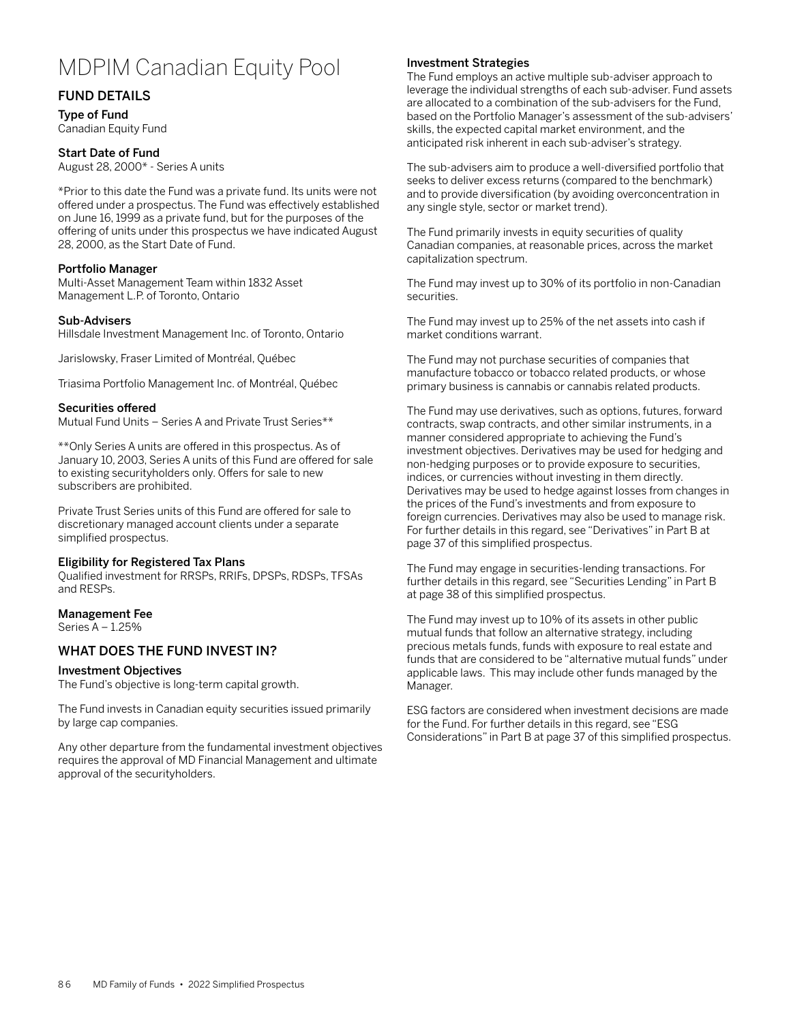# MDPIM Canadian Equity Pool

# FUND DETAILS

Type of Fund Canadian Equity Fund

#### Start Date of Fund

August 28, 2000\* - Series A units

\*Prior to this date the Fund was a private fund. Its units were not offered under a prospectus. The Fund was effectively established on June 16, 1999 as a private fund, but for the purposes of the offering of units under this prospectus we have indicated August 28, 2000, as the Start Date of Fund.

## Portfolio Manager

Multi-Asset Management Team within 1832 Asset Management L.P. of Toronto, Ontario

#### Sub-Advisers

Hillsdale Investment Management Inc. of Toronto, Ontario

Jarislowsky, Fraser Limited of Montréal, Québec

Triasima Portfolio Management Inc. of Montréal, Québec

## Securities offered

Mutual Fund Units – Series A and Private Trust Series\*\*

\*\*Only Series A units are offered in this prospectus. As of January 10, 2003, Series A units of this Fund are offered for sale to existing securityholders only. Offers for sale to new subscribers are prohibited.

Private Trust Series units of this Fund are offered for sale to discretionary managed account clients under a separate simplified prospectus.

#### Eligibility for Registered Tax Plans

Qualified investment for RRSPs, RRIFs, DPSPs, RDSPs, TFSAs and RESPs.

#### Management Fee

Series A – 1.25%

## WHAT DOES THE FUND INVEST IN?

#### Investment Objectives

The Fund's objective is long-term capital growth.

The Fund invests in Canadian equity securities issued primarily by large cap companies.

Any other departure from the fundamental investment objectives requires the approval of MD Financial Management and ultimate approval of the securityholders.

## Investment Strategies

The Fund employs an active multiple sub-adviser approach to leverage the individual strengths of each sub-adviser. Fund assets are allocated to a combination of the sub-advisers for the Fund, based on the Portfolio Manager's assessment of the sub-advisers' skills, the expected capital market environment, and the anticipated risk inherent in each sub-adviser's strategy.

The sub-advisers aim to produce a well-diversified portfolio that seeks to deliver excess returns (compared to the benchmark) and to provide diversification (by avoiding overconcentration in any single style, sector or market trend).

The Fund primarily invests in equity securities of quality Canadian companies, at reasonable prices, across the market capitalization spectrum.

The Fund may invest up to 30% of its portfolio in non-Canadian securities.

The Fund may invest up to 25% of the net assets into cash if market conditions warrant.

The Fund may not purchase securities of companies that manufacture tobacco or tobacco related products, or whose primary business is cannabis or cannabis related products.

The Fund may use derivatives, such as options, futures, forward contracts, swap contracts, and other similar instruments, in a manner considered appropriate to achieving the Fund's investment objectives. Derivatives may be used for hedging and non-hedging purposes or to provide exposure to securities, indices, or currencies without investing in them directly. Derivatives may be used to hedge against losses from changes in the prices of the Fund's investments and from exposure to foreign currencies. Derivatives may also be used to manage risk. For further details in this regard, see "Derivatives" in Part B at page 37 of this simplified prospectus.

The Fund may engage in securities-lending transactions. For further details in this regard, see "Securities Lending" in Part B at page 38 of this simplified prospectus.

The Fund may invest up to 10% of its assets in other public mutual funds that follow an alternative strategy, including precious metals funds, funds with exposure to real estate and funds that are considered to be "alternative mutual funds" under applicable laws. This may include other funds managed by the Manager.

ESG factors are considered when investment decisions are made for the Fund. For further details in this regard, see "ESG Considerations" in Part B at page 37 of this simplified prospectus.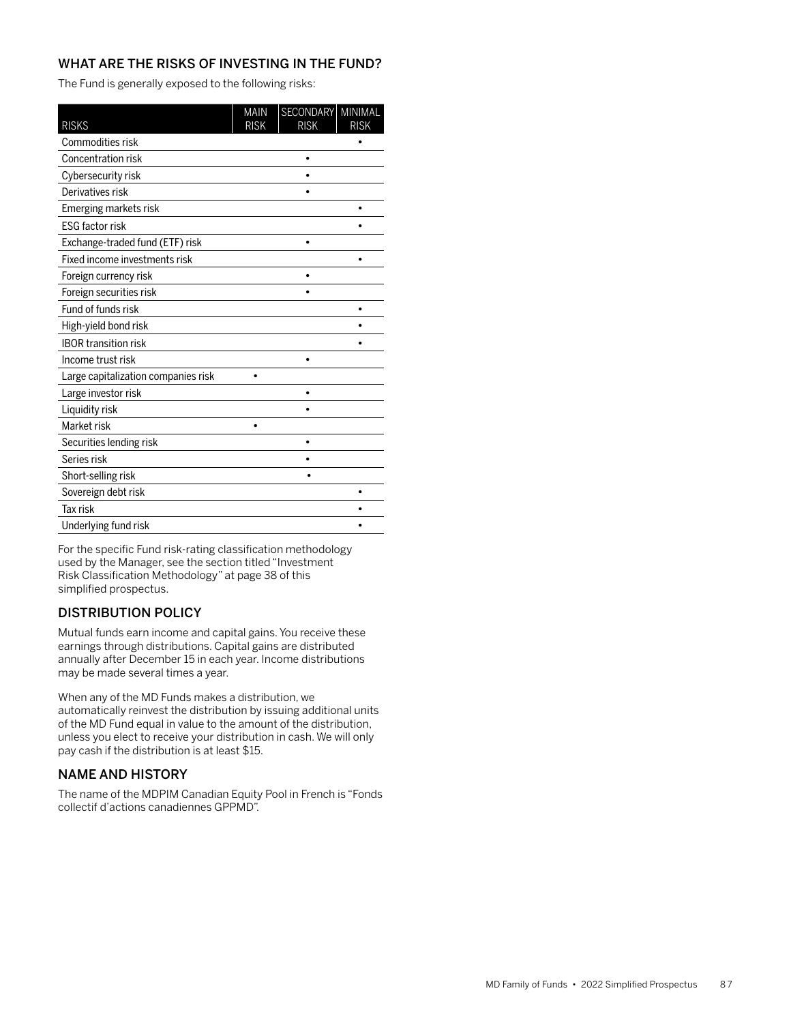The Fund is generally exposed to the following risks:

| <b>RISKS</b>                        | <b>MAIN</b><br><b>RISK</b> | <b>SECONDARY</b><br><b>RISK</b> | <b>MINIMAL</b><br><b>RISK</b> |
|-------------------------------------|----------------------------|---------------------------------|-------------------------------|
| Commodities risk                    |                            |                                 |                               |
| Concentration risk                  |                            |                                 |                               |
| Cybersecurity risk                  |                            |                                 |                               |
| Derivatives risk                    |                            |                                 |                               |
| Emerging markets risk               |                            |                                 |                               |
| <b>ESG factor risk</b>              |                            |                                 |                               |
| Exchange-traded fund (ETF) risk     |                            | $\bullet$                       |                               |
| Fixed income investments risk       |                            |                                 |                               |
| Foreign currency risk               |                            |                                 |                               |
| Foreign securities risk             |                            |                                 |                               |
| Fund of funds risk                  |                            |                                 |                               |
| High-yield bond risk                |                            |                                 |                               |
| <b>IBOR transition risk</b>         |                            |                                 |                               |
| Income trust risk                   |                            | ٠                               |                               |
| Large capitalization companies risk |                            |                                 |                               |
| Large investor risk                 |                            | $\bullet$                       |                               |
| Liquidity risk                      |                            |                                 |                               |
| Market risk                         |                            |                                 |                               |
| Securities lending risk             |                            |                                 |                               |
| Series risk                         |                            |                                 |                               |
| Short-selling risk                  |                            |                                 |                               |
| Sovereign debt risk                 |                            |                                 |                               |
| <b>Tax risk</b>                     |                            |                                 |                               |
| Underlying fund risk                |                            |                                 |                               |

For the specific Fund risk-rating classification methodology used by the Manager, see the section titled "Investment Risk Classification Methodology" at page 38 of this simplified prospectus.

# DISTRIBUTION POLICY

Mutual funds earn income and capital gains. You receive these earnings through distributions. Capital gains are distributed annually after December 15 in each year. Income distributions may be made several times a year.

When any of the MD Funds makes a distribution, we automatically reinvest the distribution by issuing additional units of the MD Fund equal in value to the amount of the distribution, unless you elect to receive your distribution in cash. We will only pay cash if the distribution is at least \$15.

# NAME AND HISTORY

The name of the MDPIM Canadian Equity Pool in French is "Fonds collectif d'actions canadiennes GPPMD".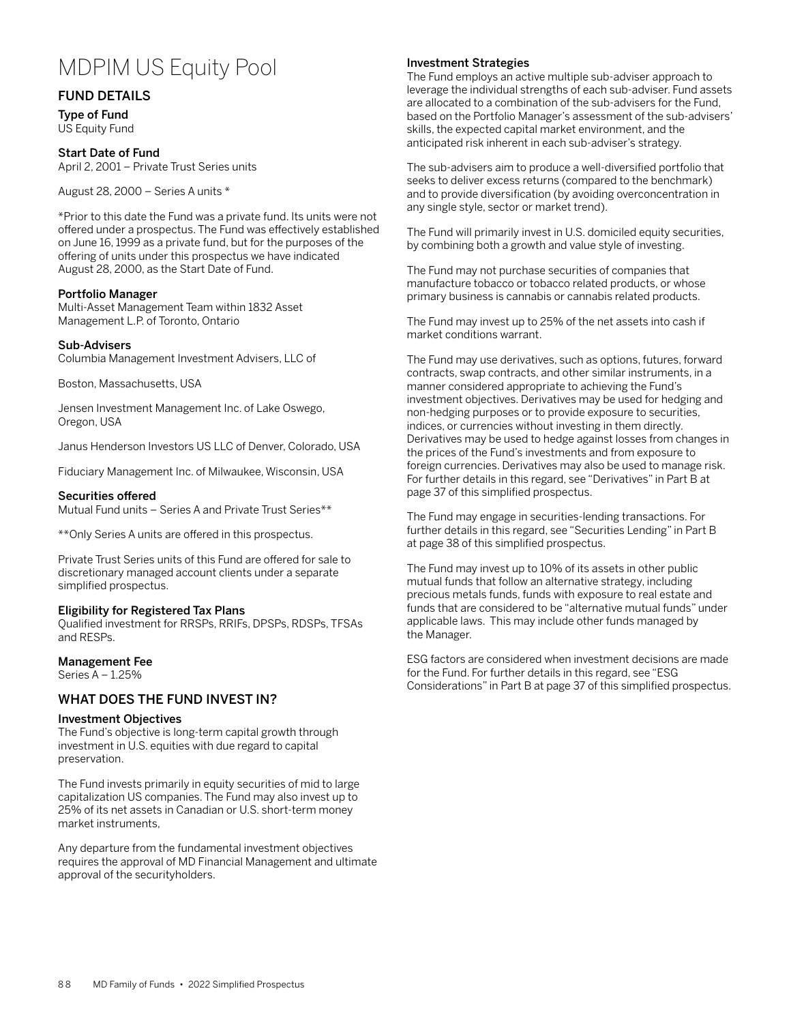# MDPIM US Equity Pool

# FUND DETAILS

Type of Fund US Equity Fund

## Start Date of Fund

April 2, 2001 – Private Trust Series units

August 28, 2000 – Series A units \*

\*Prior to this date the Fund was a private fund. Its units were not offered under a prospectus. The Fund was effectively established on June 16, 1999 as a private fund, but for the purposes of the offering of units under this prospectus we have indicated August 28, 2000, as the Start Date of Fund.

## Portfolio Manager

Multi-Asset Management Team within 1832 Asset Management L.P. of Toronto, Ontario

#### Sub-Advisers

Columbia Management Investment Advisers, LLC of

Boston, Massachusetts, USA

Jensen Investment Management Inc. of Lake Oswego, Oregon, USA

Janus Henderson Investors US LLC of Denver, Colorado, USA

Fiduciary Management Inc. of Milwaukee, Wisconsin, USA

#### Securities offered

Mutual Fund units – Series A and Private Trust Series\*\*

\*\*Only Series A units are offered in this prospectus.

Private Trust Series units of this Fund are offered for sale to discretionary managed account clients under a separate simplified prospectus.

## Eligibility for Registered Tax Plans

Qualified investment for RRSPs, RRIFs, DPSPs, RDSPs, TFSAs and RESPs.

# Management Fee

Series A – 1.25%

## WHAT DOES THE FUND INVEST IN?

## Investment Objectives

The Fund's objective is long-term capital growth through investment in U.S. equities with due regard to capital preservation.

The Fund invests primarily in equity securities of mid to large capitalization US companies. The Fund may also invest up to 25% of its net assets in Canadian or U.S. short-term money market instruments,

Any departure from the fundamental investment objectives requires the approval of MD Financial Management and ultimate approval of the securityholders.

#### Investment Strategies

The Fund employs an active multiple sub-adviser approach to leverage the individual strengths of each sub-adviser. Fund assets are allocated to a combination of the sub-advisers for the Fund, based on the Portfolio Manager's assessment of the sub-advisers' skills, the expected capital market environment, and the anticipated risk inherent in each sub-adviser's strategy.

The sub-advisers aim to produce a well-diversified portfolio that seeks to deliver excess returns (compared to the benchmark) and to provide diversification (by avoiding overconcentration in any single style, sector or market trend).

The Fund will primarily invest in U.S. domiciled equity securities, by combining both a growth and value style of investing.

The Fund may not purchase securities of companies that manufacture tobacco or tobacco related products, or whose primary business is cannabis or cannabis related products.

The Fund may invest up to 25% of the net assets into cash if market conditions warrant.

The Fund may use derivatives, such as options, futures, forward contracts, swap contracts, and other similar instruments, in a manner considered appropriate to achieving the Fund's investment objectives. Derivatives may be used for hedging and non-hedging purposes or to provide exposure to securities, indices, or currencies without investing in them directly. Derivatives may be used to hedge against losses from changes in the prices of the Fund's investments and from exposure to foreign currencies. Derivatives may also be used to manage risk. For further details in this regard, see "Derivatives" in Part B at page 37 of this simplified prospectus.

The Fund may engage in securities-lending transactions. For further details in this regard, see "Securities Lending" in Part B at page 38 of this simplified prospectus.

The Fund may invest up to 10% of its assets in other public mutual funds that follow an alternative strategy, including precious metals funds, funds with exposure to real estate and funds that are considered to be "alternative mutual funds" under applicable laws. This may include other funds managed by the Manager.

ESG factors are considered when investment decisions are made for the Fund. For further details in this regard, see "ESG Considerations" in Part B at page 37 of this simplified prospectus.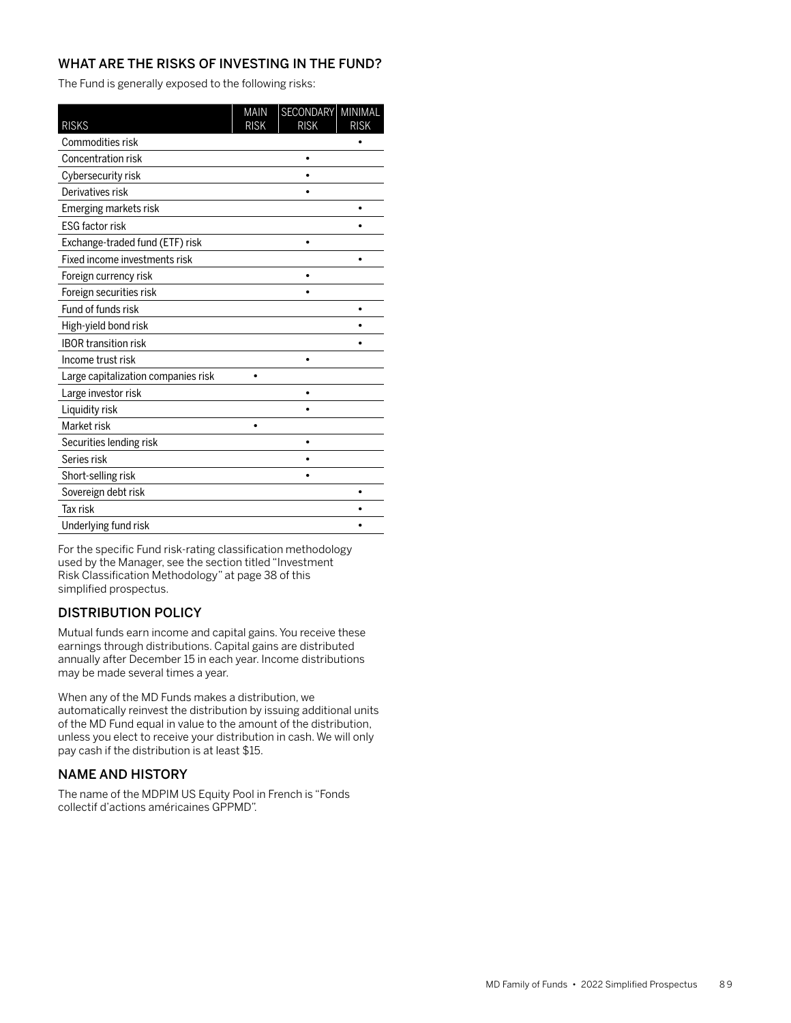The Fund is generally exposed to the following risks:

| <b>RISKS</b>                        | <b>MAIN</b><br><b>RISK</b> | SECONDARY<br><b>RISK</b> | MINIMAL<br><b>RISK</b> |
|-------------------------------------|----------------------------|--------------------------|------------------------|
| Commodities risk                    |                            |                          |                        |
| <b>Concentration risk</b>           |                            |                          |                        |
| Cybersecurity risk                  |                            |                          |                        |
| Derivatives risk                    |                            |                          |                        |
| Emerging markets risk               |                            |                          |                        |
| <b>ESG factor risk</b>              |                            |                          |                        |
| Exchange-traded fund (ETF) risk     |                            | $\bullet$                |                        |
| Fixed income investments risk       |                            |                          |                        |
| Foreign currency risk               |                            |                          |                        |
| Foreign securities risk             |                            |                          |                        |
| Fund of funds risk                  |                            |                          |                        |
| High-yield bond risk                |                            |                          |                        |
| <b>IBOR transition risk</b>         |                            |                          |                        |
| Income trust risk                   |                            | ٠                        |                        |
| Large capitalization companies risk |                            |                          |                        |
| Large investor risk                 |                            | $\bullet$                |                        |
| Liquidity risk                      |                            |                          |                        |
| Market risk                         |                            |                          |                        |
| Securities lending risk             |                            |                          |                        |
| Series risk                         |                            |                          |                        |
| Short-selling risk                  |                            |                          |                        |
| Sovereign debt risk                 |                            |                          |                        |
| <b>Tax risk</b>                     |                            |                          |                        |
| Underlying fund risk                |                            |                          |                        |

For the specific Fund risk-rating classification methodology used by the Manager, see the section titled "Investment Risk Classification Methodology" at page 38 of this simplified prospectus.

# DISTRIBUTION POLICY

Mutual funds earn income and capital gains. You receive these earnings through distributions. Capital gains are distributed annually after December 15 in each year. Income distributions may be made several times a year.

When any of the MD Funds makes a distribution, we automatically reinvest the distribution by issuing additional units of the MD Fund equal in value to the amount of the distribution, unless you elect to receive your distribution in cash. We will only pay cash if the distribution is at least \$15.

# NAME AND HISTORY

The name of the MDPIM US Equity Pool in French is "Fonds collectif d'actions américaines GPPMD".